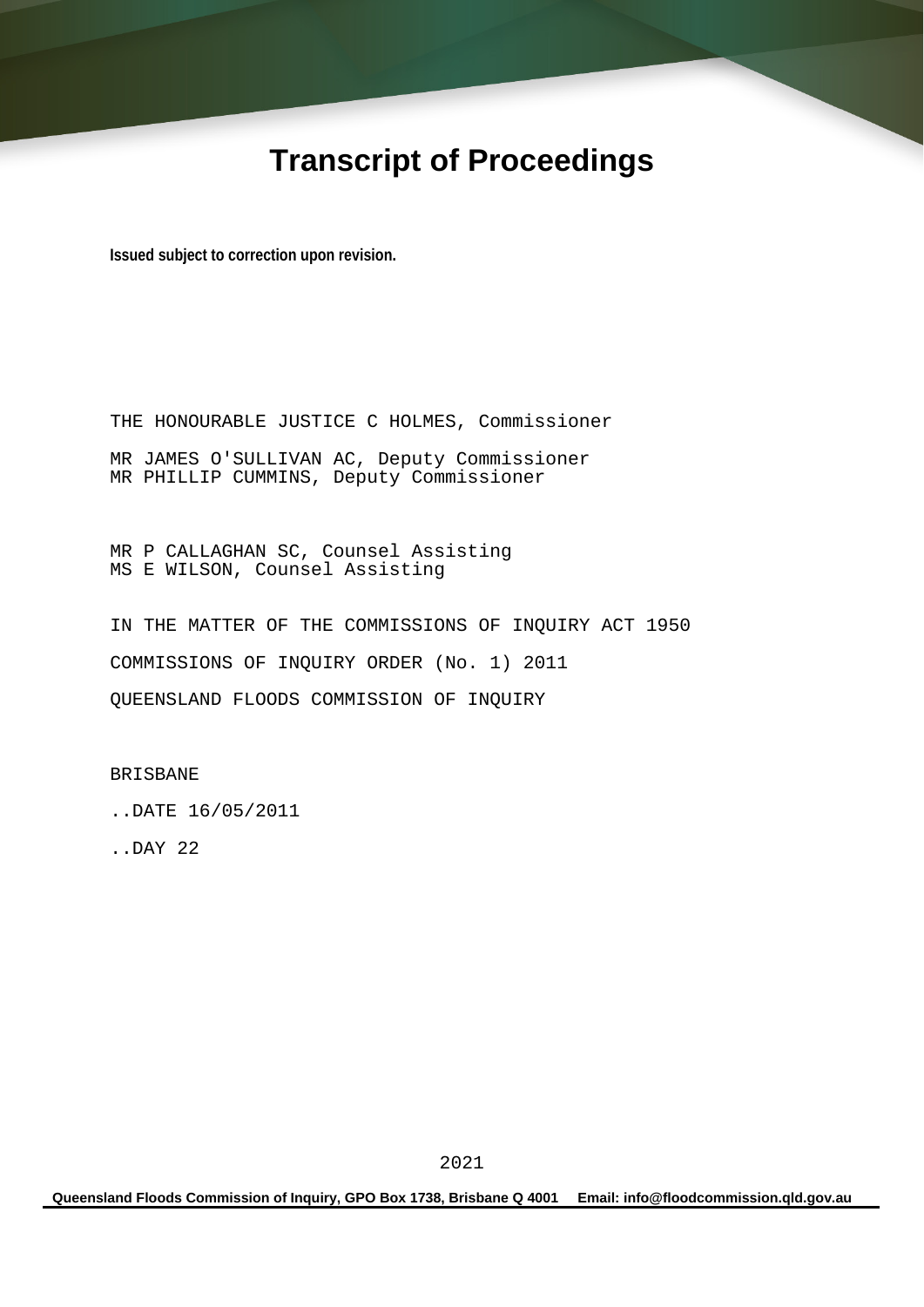# **Transcript of Proceedings**

**Issued subject to correction upon revision.** 

THE HONOURABLE JUSTICE C HOLMES, Commissioner MR JAMES O'SULLIVAN AC, Deputy Commissioner MR PHILLIP CUMMINS, Deputy Commissioner

MR P CALLAGHAN SC, Counsel Assisting MS E WILSON, Counsel Assisting

IN THE MATTER OF THE COMMISSIONS OF INQUIRY ACT 1950 COMMISSIONS OF INQUIRY ORDER (No. 1) 2011 QUEENSLAND FLOODS COMMISSION OF INQUIRY

BRISBANE

..DATE 16/05/2011

..DAY 22

**Queensland Floods Commission of Inquiry, GPO Box 1738, Brisbane Q 4001 Email: info@floodcommission.qld.gov.au**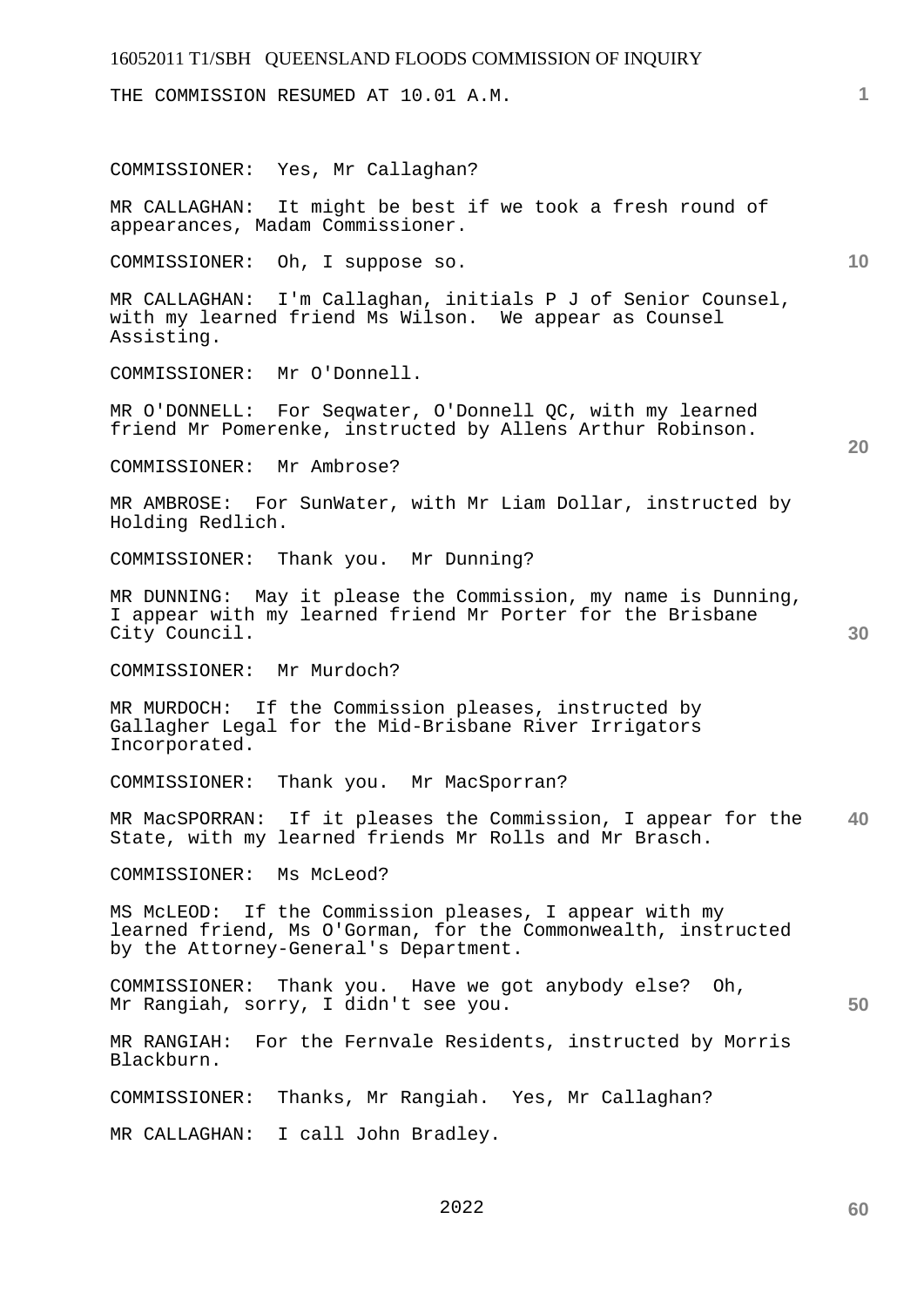# 16052011 T1/SBH QUEENSLAND FLOODS COMMISSION OF INQUIRY **1 10 20 30 40 50**  THE COMMISSION RESUMED AT 10.01 A.M. COMMISSIONER: Yes, Mr Callaghan? MR CALLAGHAN: It might be best if we took a fresh round of appearances, Madam Commissioner. COMMISSIONER: Oh, I suppose so. MR CALLAGHAN: I'm Callaghan, initials P J of Senior Counsel, with my learned friend Ms Wilson. We appear as Counsel Assisting. COMMISSIONER: Mr O'Donnell. MR O'DONNELL: For Seqwater, O'Donnell QC, with my learned friend Mr Pomerenke, instructed by Allens Arthur Robinson. COMMISSIONER: Mr Ambrose? MR AMBROSE: For SunWater, with Mr Liam Dollar, instructed by Holding Redlich. COMMISSIONER: Thank you. Mr Dunning? MR DUNNING: May it please the Commission, my name is Dunning, I appear with my learned friend Mr Porter for the Brisbane City Council. COMMISSIONER: Mr Murdoch? MR MURDOCH: If the Commission pleases, instructed by Gallagher Legal for the Mid-Brisbane River Irrigators Incorporated. COMMISSIONER: Thank you. Mr MacSporran? MR MacSPORRAN: If it pleases the Commission, I appear for the State, with my learned friends Mr Rolls and Mr Brasch. COMMISSIONER: Ms McLeod? MS McLEOD: If the Commission pleases, I appear with my learned friend, Ms O'Gorman, for the Commonwealth, instructed by the Attorney-General's Department. COMMISSIONER: Thank you. Have we got anybody else? Oh, Mr Rangiah, sorry, I didn't see you. MR RANGIAH: For the Fernvale Residents, instructed by Morris Blackburn. COMMISSIONER: Thanks, Mr Rangiah. Yes, Mr Callaghan? MR CALLAGHAN: I call John Bradley.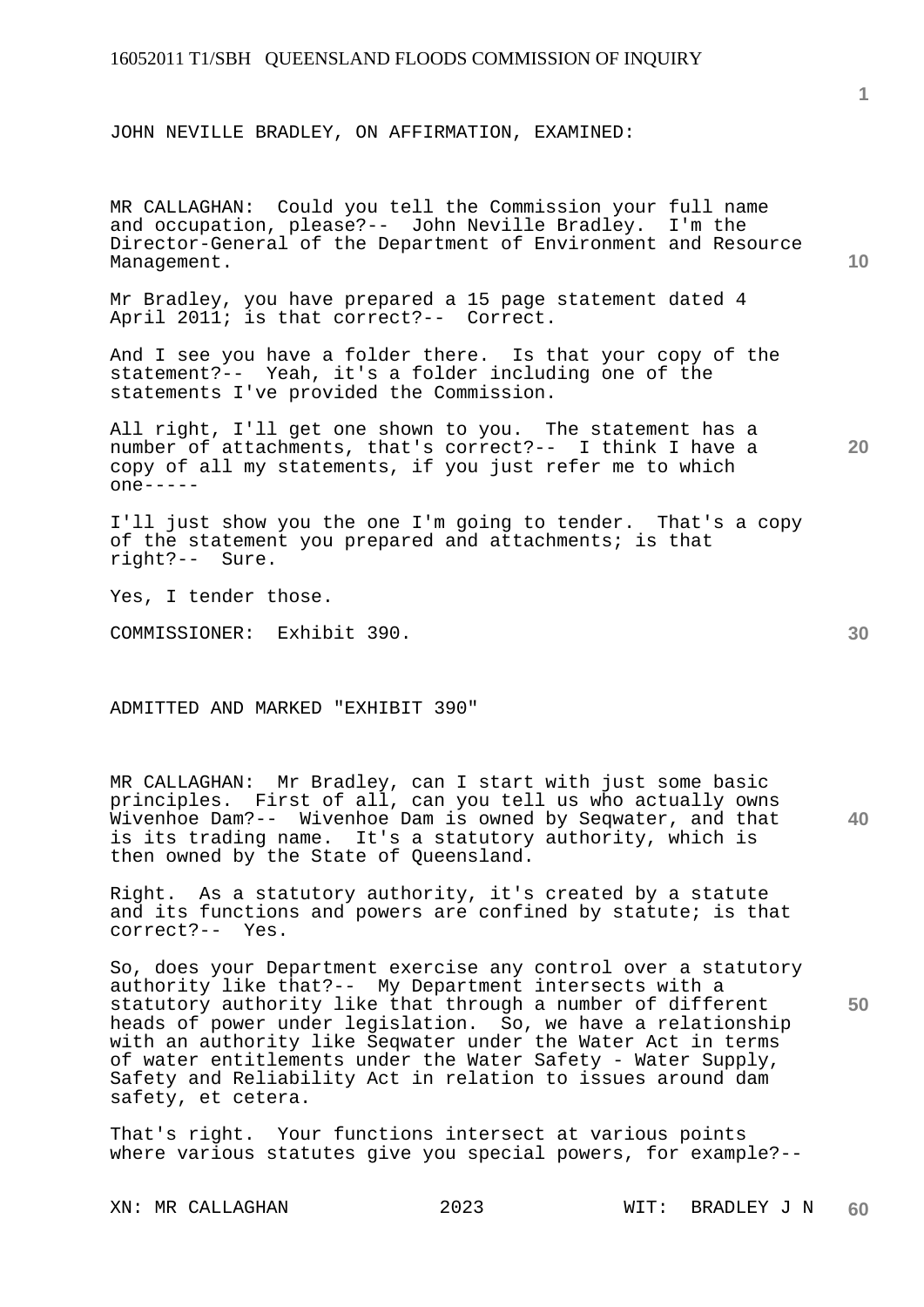JOHN NEVILLE BRADLEY, ON AFFIRMATION, EXAMINED:

**10**  MR CALLAGHAN: Could you tell the Commission your full name and occupation, please?-- John Neville Bradley. I'm the Director-General of the Department of Environment and Resource Management.

Mr Bradley, you have prepared a 15 page statement dated 4 April 2011; is that correct?-- Correct.

And I see you have a folder there. Is that your copy of the statement?-- Yeah, it's a folder including one of the statements I've provided the Commission.

All right, I'll get one shown to you. The statement has a number of attachments, that's correct?-- I think I have a copy of all my statements, if you just refer me to which one-----

I'll just show you the one I'm going to tender. That's a copy of the statement you prepared and attachments; is that right?-- Sure.

Yes, I tender those.

COMMISSIONER: Exhibit 390.

ADMITTED AND MARKED "EXHIBIT 390"

MR CALLAGHAN: Mr Bradley, can I start with just some basic principles. First of all, can you tell us who actually owns Wivenhoe Dam?-- Wivenhoe Dam is owned by Seqwater, and that is its trading name. It's a statutory authority, which is then owned by the State of Queensland.

Right. As a statutory authority, it's created by a statute and its functions and powers are confined by statute; is that correct?-- Yes.

So, does your Department exercise any control over a statutory authority like that?-- My Department intersects with a statutory authority like that through a number of different heads of power under legislation. So, we have a relationship with an authority like Seqwater under the Water Act in terms of water entitlements under the Water Safety - Water Supply, Safety and Reliability Act in relation to issues around dam safety, et cetera.

That's right. Your functions intersect at various points where various statutes give you special powers, for example?-- **1**

**30** 

**40** 

**50**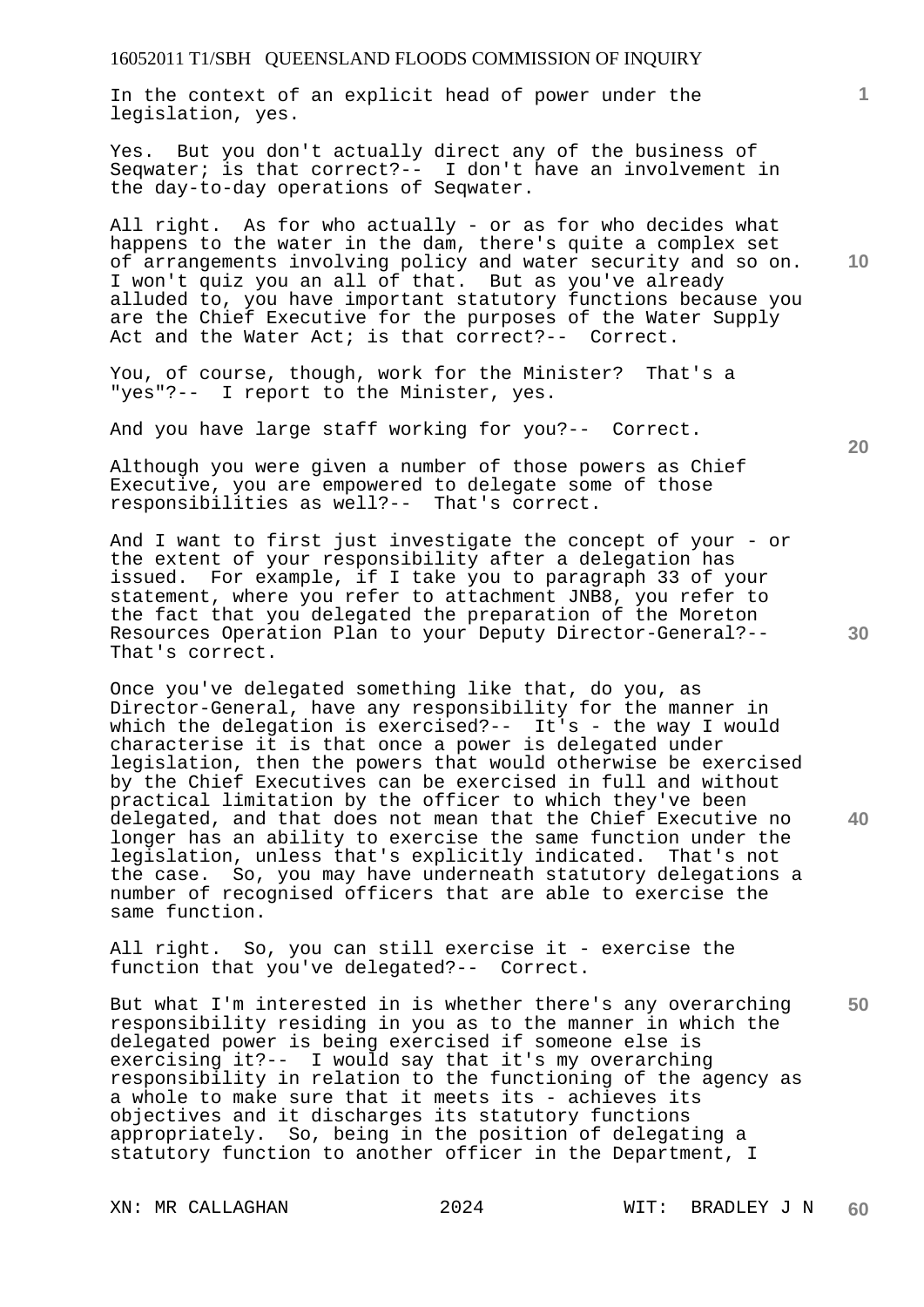In the context of an explicit head of power under the legislation, yes.

Yes. But you don't actually direct any of the business of Seqwater; is that correct?-- I don't have an involvement in the day-to-day operations of Seqwater.

All right. As for who actually - or as for who decides what happens to the water in the dam, there's quite a complex set of arrangements involving policy and water security and so on. I won't quiz you an all of that. But as you've already alluded to, you have important statutory functions because you are the Chief Executive for the purposes of the Water Supply Act and the Water Act; is that correct?-- Correct.

You, of course, though, work for the Minister? That's a "yes"?-- I report to the Minister, yes.

And you have large staff working for you?-- Correct.

Although you were given a number of those powers as Chief Executive, you are empowered to delegate some of those responsibilities as well?-- That's correct.

And I want to first just investigate the concept of your - or the extent of your responsibility after a delegation has issued. For example, if I take you to paragraph 33 of your statement, where you refer to attachment JNB8, you refer to the fact that you delegated the preparation of the Moreton Resources Operation Plan to your Deputy Director-General?-- That's correct.

Once you've delegated something like that, do you, as Director-General, have any responsibility for the manner in which the delegation is exercised?-- It's - the way I would characterise it is that once a power is delegated under legislation, then the powers that would otherwise be exercised by the Chief Executives can be exercised in full and without practical limitation by the officer to which they've been delegated, and that does not mean that the Chief Executive no longer has an ability to exercise the same function under the legislation, unless that's explicitly indicated. That's not the case. So, you may have underneath statutory delegations a number of recognised officers that are able to exercise the same function.

All right. So, you can still exercise it - exercise the function that you've delegated?-- Correct.

But what I'm interested in is whether there's any overarching responsibility residing in you as to the manner in which the delegated power is being exercised if someone else is exercising it?-- I would say that it's my overarching responsibility in relation to the functioning of the agency as a whole to make sure that it meets its - achieves its objectives and it discharges its statutory functions appropriately. So, being in the position of delegating a statutory function to another officer in the Department, I

**10** 

**1**

**20** 

**30** 

**40**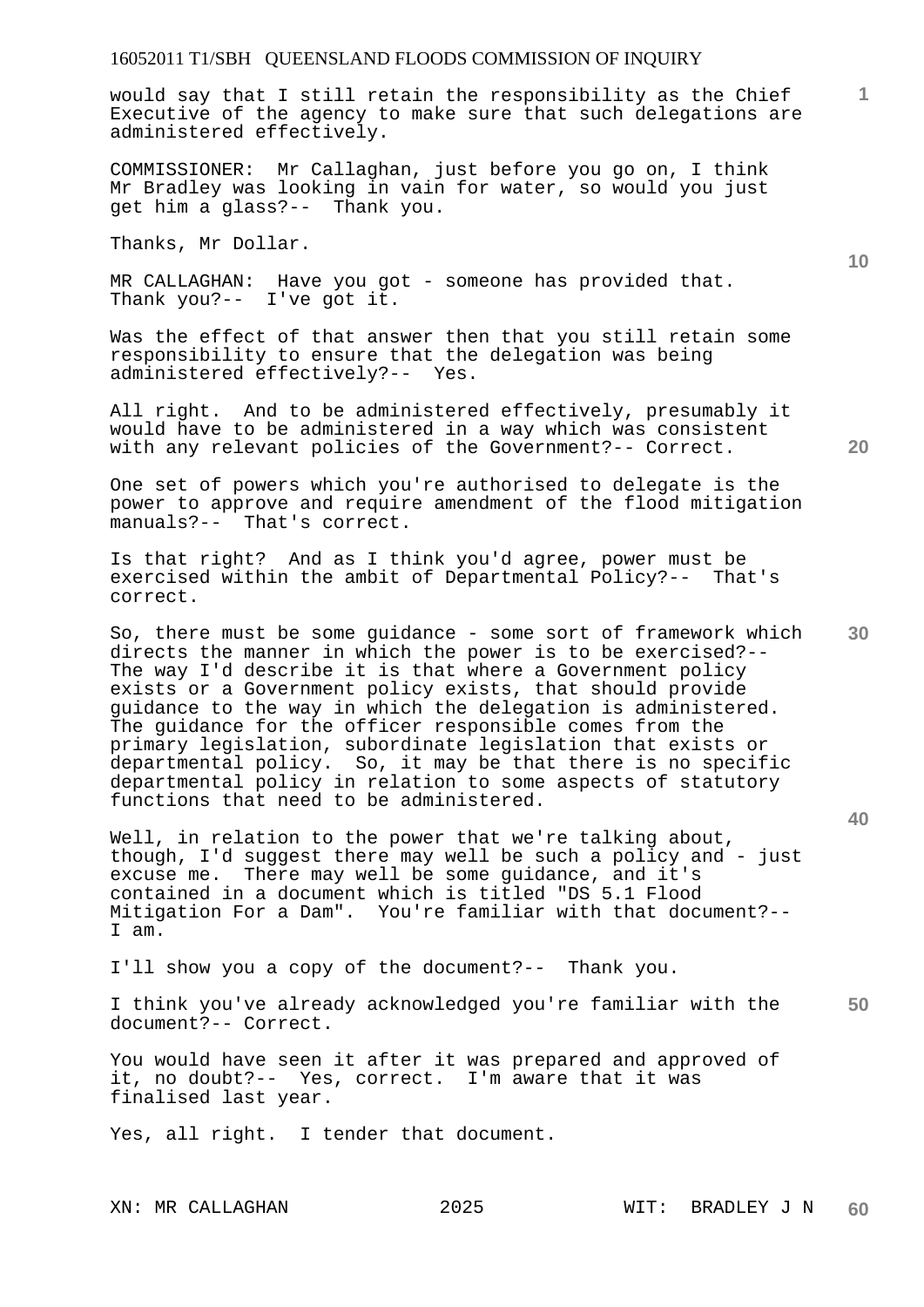would say that I still retain the responsibility as the Chief Executive of the agency to make sure that such delegations are administered effectively.

COMMISSIONER: Mr Callaghan, just before you go on, I think Mr Bradley was looking in vain for water, so would you just get him a glass?-- Thank you.

Thanks, Mr Dollar.

MR CALLAGHAN: Have you got - someone has provided that. Thank you?-- I've got it.

Was the effect of that answer then that you still retain some responsibility to ensure that the delegation was being administered effectively?-- Yes.

All right. And to be administered effectively, presumably it would have to be administered in a way which was consistent with any relevant policies of the Government?-- Correct.

One set of powers which you're authorised to delegate is the power to approve and require amendment of the flood mitigation manuals?-- That's correct.

Is that right? And as I think you'd agree, power must be exercised within the ambit of Departmental Policy?-- That's correct.

So, there must be some guidance - some sort of framework which directs the manner in which the power is to be exercised?-- The way I'd describe it is that where a Government policy exists or a Government policy exists, that should provide guidance to the way in which the delegation is administered. The guidance for the officer responsible comes from the primary legislation, subordinate legislation that exists or departmental policy. So, it may be that there is no specific departmental policy in relation to some aspects of statutory functions that need to be administered.

Well, in relation to the power that we're talking about, though, I'd suggest there may well be such a policy and - just excuse me. There may well be some guidance, and it's contained in a document which is titled "DS 5.1 Flood Mitigation For a Dam". You're familiar with that document?-- I am.

I'll show you a copy of the document?-- Thank you.

**50**  I think you've already acknowledged you're familiar with the document?-- Correct.

You would have seen it after it was prepared and approved of it, no doubt?-- Yes, correct. I'm aware that it was finalised last year.

Yes, all right. I tender that document.

**1**

**10** 

**30** 

**40**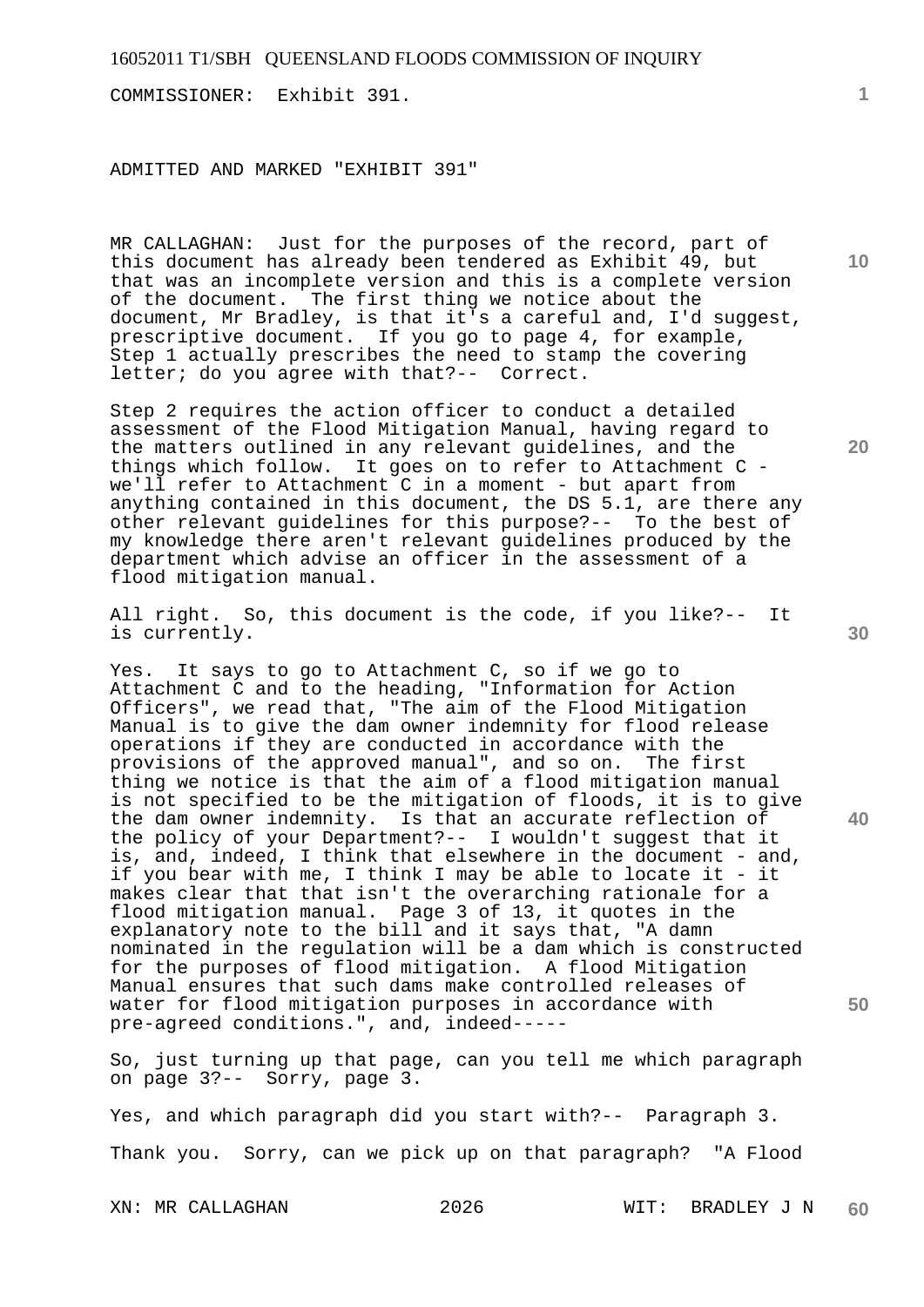COMMISSIONER: Exhibit 391.

ADMITTED AND MARKED "EXHIBIT 391"

MR CALLAGHAN: Just for the purposes of the record, part of this document has already been tendered as Exhibit 49, but that was an incomplete version and this is a complete version of the document. The first thing we notice about the document, Mr Bradley, is that it's a careful and, I'd suggest, prescriptive document. If you go to page 4, for example, Step 1 actually prescribes the need to stamp the covering letter; do you agree with that?-- Correct.

Step 2 requires the action officer to conduct a detailed assessment of the Flood Mitigation Manual, having regard to the matters outlined in any relevant guidelines, and the things which follow. It goes on to refer to Attachment C we'll refer to Attachment C in a moment - but apart from anything contained in this document, the DS 5.1, are there any other relevant guidelines for this purpose?-- To the best of my knowledge there aren't relevant guidelines produced by the department which advise an officer in the assessment of a flood mitigation manual.

All right. So, this document is the code, if you like?-- It is currently.

Yes. It says to go to Attachment C, so if we go to Attachment C and to the heading, "Information for Action Officers", we read that, "The aim of the Flood Mitigation Manual is to give the dam owner indemnity for flood release operations if they are conducted in accordance with the provisions of the approved manual", and so on. The first thing we notice is that the aim of a flood mitigation manual is not specified to be the mitigation of floods, it is to give the dam owner indemnity. Is that an accurate reflection of the policy of your Department?-- I wouldn't suggest that it is, and, indeed, I think that elsewhere in the document - and, if you bear with me, I think I may be able to locate it - it makes clear that that isn't the overarching rationale for a flood mitigation manual. Page 3 of 13, it quotes in the explanatory note to the bill and it says that, "A damn nominated in the regulation will be a dam which is constructed for the purposes of flood mitigation. A flood Mitigation Manual ensures that such dams make controlled releases of water for flood mitigation purposes in accordance with pre-agreed conditions.", and, indeed-----

So, just turning up that page, can you tell me which paragraph on page 3?-- Sorry, page 3.

Yes, and which paragraph did you start with?-- Paragraph 3. Thank you. Sorry, can we pick up on that paragraph? "A Flood

**10** 

**1**

**30** 

**40** 

**50**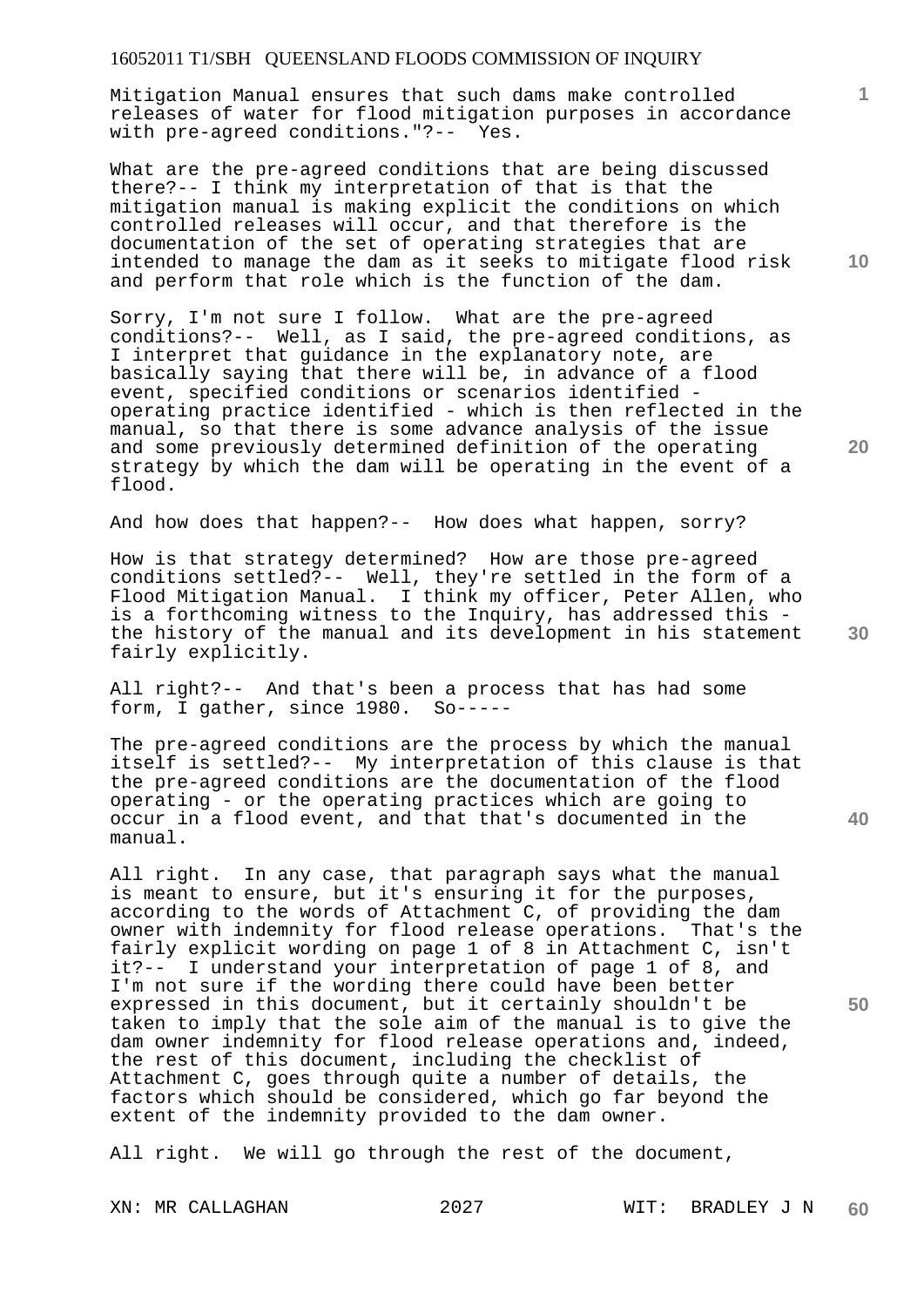Mitigation Manual ensures that such dams make controlled releases of water for flood mitigation purposes in accordance with pre-agreed conditions."?-- Yes.

What are the pre-agreed conditions that are being discussed there?-- I think my interpretation of that is that the mitigation manual is making explicit the conditions on which controlled releases will occur, and that therefore is the documentation of the set of operating strategies that are intended to manage the dam as it seeks to mitigate flood risk and perform that role which is the function of the dam.

Sorry, I'm not sure I follow. What are the pre-agreed conditions?-- Well, as I said, the pre-agreed conditions, as I interpret that guidance in the explanatory note, are basically saying that there will be, in advance of a flood event, specified conditions or scenarios identified operating practice identified - which is then reflected in the manual, so that there is some advance analysis of the issue and some previously determined definition of the operating strategy by which the dam will be operating in the event of a flood.

And how does that happen?-- How does what happen, sorry?

How is that strategy determined? How are those pre-agreed conditions settled?-- Well, they're settled in the form of a Flood Mitigation Manual. I think my officer, Peter Allen, who is a forthcoming witness to the Inquiry, has addressed this the history of the manual and its development in his statement fairly explicitly.

All right?-- And that's been a process that has had some form, I gather, since 1980. So-----

The pre-agreed conditions are the process by which the manual itself is settled?-- My interpretation of this clause is that the pre-agreed conditions are the documentation of the flood operating - or the operating practices which are going to occur in a flood event, and that that's documented in the manual.

All right. In any case, that paragraph says what the manual is meant to ensure, but it's ensuring it for the purposes, according to the words of Attachment C, of providing the dam owner with indemnity for flood release operations. That's the fairly explicit wording on page 1 of 8 in Attachment C, isn't it?-- I understand your interpretation of page 1 of 8, and I'm not sure if the wording there could have been better expressed in this document, but it certainly shouldn't be taken to imply that the sole aim of the manual is to give the dam owner indemnity for flood release operations and, indeed, the rest of this document, including the checklist of Attachment C, goes through quite a number of details, the factors which should be considered, which go far beyond the extent of the indemnity provided to the dam owner.

All right. We will go through the rest of the document,

**10** 

**1**

**20** 

**30** 

**40**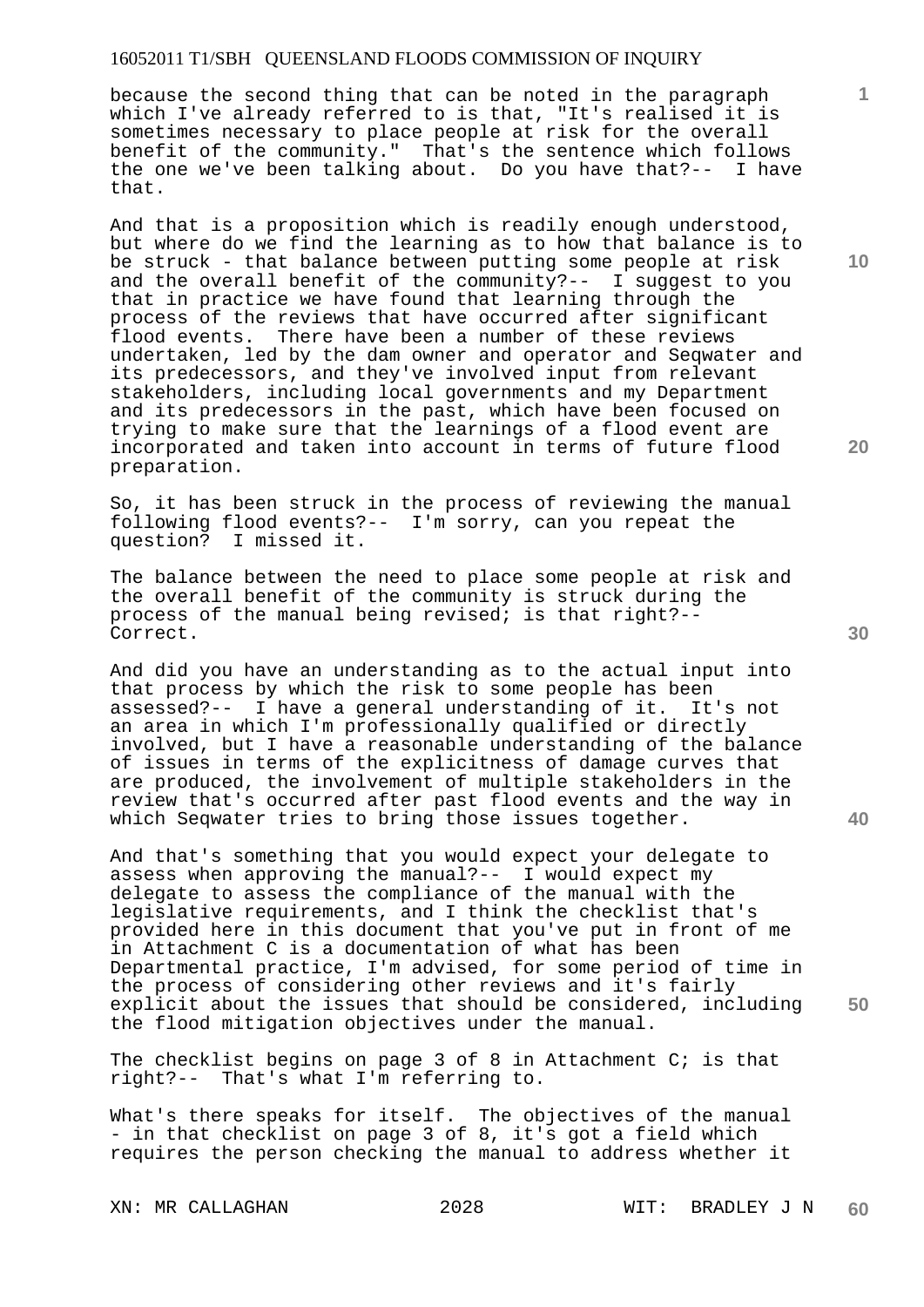because the second thing that can be noted in the paragraph which I've already referred to is that, "It's realised it is sometimes necessary to place people at risk for the overall benefit of the community." That's the sentence which follows the one we've been talking about. Do you have that?-- I have that.

And that is a proposition which is readily enough understood, but where do we find the learning as to how that balance is to be struck - that balance between putting some people at risk and the overall benefit of the community?-- I suggest to you that in practice we have found that learning through the process of the reviews that have occurred after significant<br>flood events. There have been a number of these reviews There have been a number of these reviews undertaken, led by the dam owner and operator and Seqwater and its predecessors, and they've involved input from relevant stakeholders, including local governments and my Department and its predecessors in the past, which have been focused on trying to make sure that the learnings of a flood event are incorporated and taken into account in terms of future flood preparation.

So, it has been struck in the process of reviewing the manual following flood events?-- I'm sorry, can you repeat the question? I missed it.

The balance between the need to place some people at risk and the overall benefit of the community is struck during the process of the manual being revised; is that right?-- Correct.

And did you have an understanding as to the actual input into that process by which the risk to some people has been<br>assessed?-- I have a general understanding of it. It's not assessed?-- I have a general understanding of it. an area in which I'm professionally qualified or directly involved, but I have a reasonable understanding of the balance of issues in terms of the explicitness of damage curves that are produced, the involvement of multiple stakeholders in the review that's occurred after past flood events and the way in which Seqwater tries to bring those issues together.

And that's something that you would expect your delegate to assess when approving the manual?-- I would expect my delegate to assess the compliance of the manual with the legislative requirements, and I think the checklist that's provided here in this document that you've put in front of me in Attachment C is a documentation of what has been Departmental practice, I'm advised, for some period of time in the process of considering other reviews and it's fairly explicit about the issues that should be considered, including the flood mitigation objectives under the manual.

The checklist begins on page 3 of 8 in Attachment C; is that right?-- That's what I'm referring to.

What's there speaks for itself. The objectives of the manual - in that checklist on page 3 of 8, it's got a field which requires the person checking the manual to address whether it

**10** 

**1**

**20** 

**30** 

**40**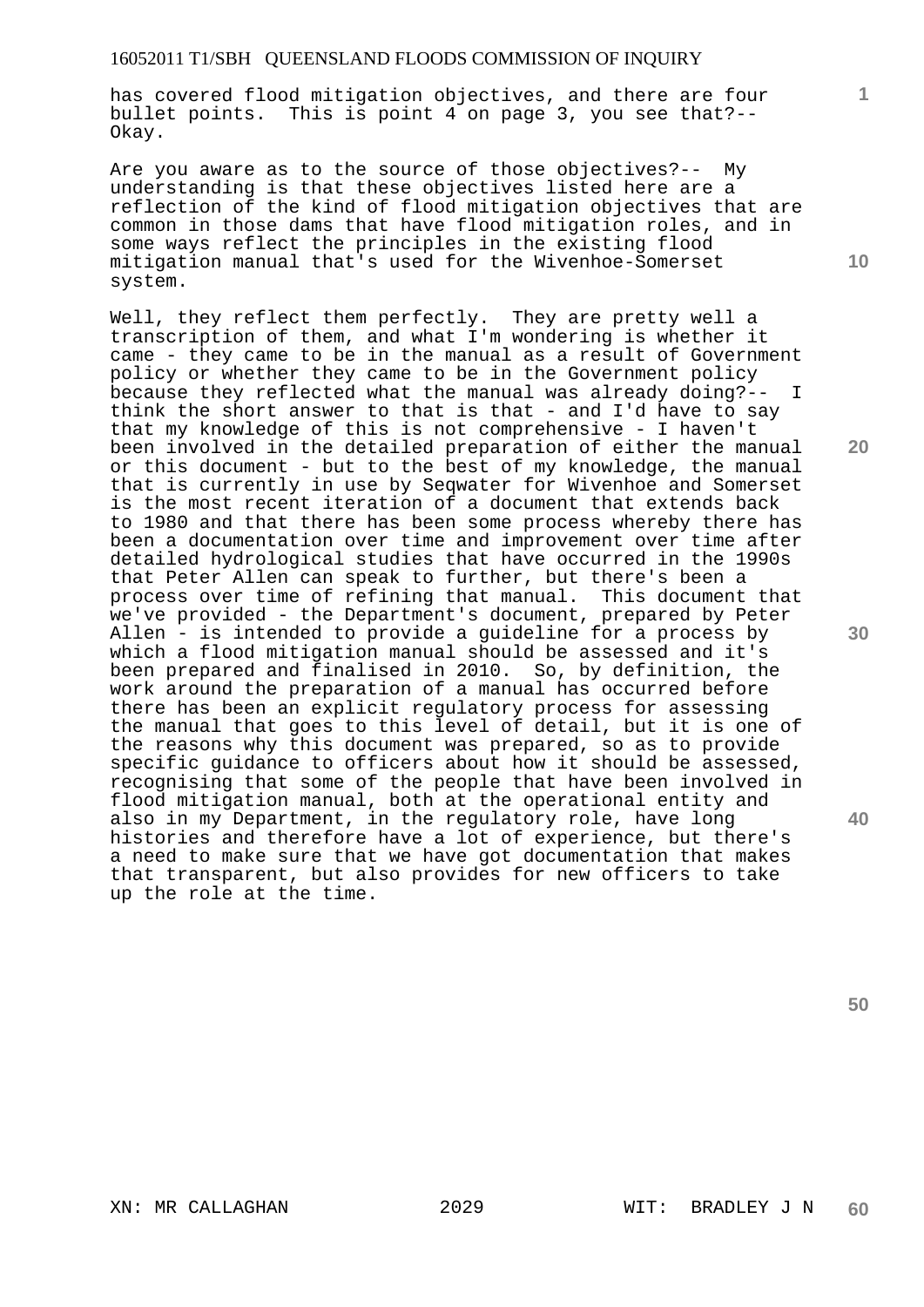has covered flood mitigation objectives, and there are four bullet points. This is point 4 on page 3, you see that?-- Okay.

Are you aware as to the source of those objectives?-- My understanding is that these objectives listed here are a reflection of the kind of flood mitigation objectives that are common in those dams that have flood mitigation roles, and in some ways reflect the principles in the existing flood mitigation manual that's used for the Wivenhoe-Somerset system.

Well, they reflect them perfectly. They are pretty well a transcription of them, and what I'm wondering is whether it came - they came to be in the manual as a result of Government policy or whether they came to be in the Government policy because they reflected what the manual was already doing?-- I think the short answer to that is that - and I'd have to say that my knowledge of this is not comprehensive - I haven't been involved in the detailed preparation of either the manual or this document - but to the best of my knowledge, the manual that is currently in use by Seqwater for Wivenhoe and Somerset is the most recent iteration of a document that extends back to 1980 and that there has been some process whereby there has been a documentation over time and improvement over time after detailed hydrological studies that have occurred in the 1990s that Peter Allen can speak to further, but there's been a process over time of refining that manual. This document that we've provided - the Department's document, prepared by Peter Allen - is intended to provide a guideline for a process by which a flood mitigation manual should be assessed and it's been prepared and finalised in 2010. So, by definition, the work around the preparation of a manual has occurred before there has been an explicit regulatory process for assessing the manual that goes to this level of detail, but it is one of the reasons why this document was prepared, so as to provide specific guidance to officers about how it should be assessed, recognising that some of the people that have been involved in flood mitigation manual, both at the operational entity and also in my Department, in the regulatory role, have long histories and therefore have a lot of experience, but there's a need to make sure that we have got documentation that makes that transparent, but also provides for new officers to take up the role at the time.

**10** 

**1**

**20** 

**40**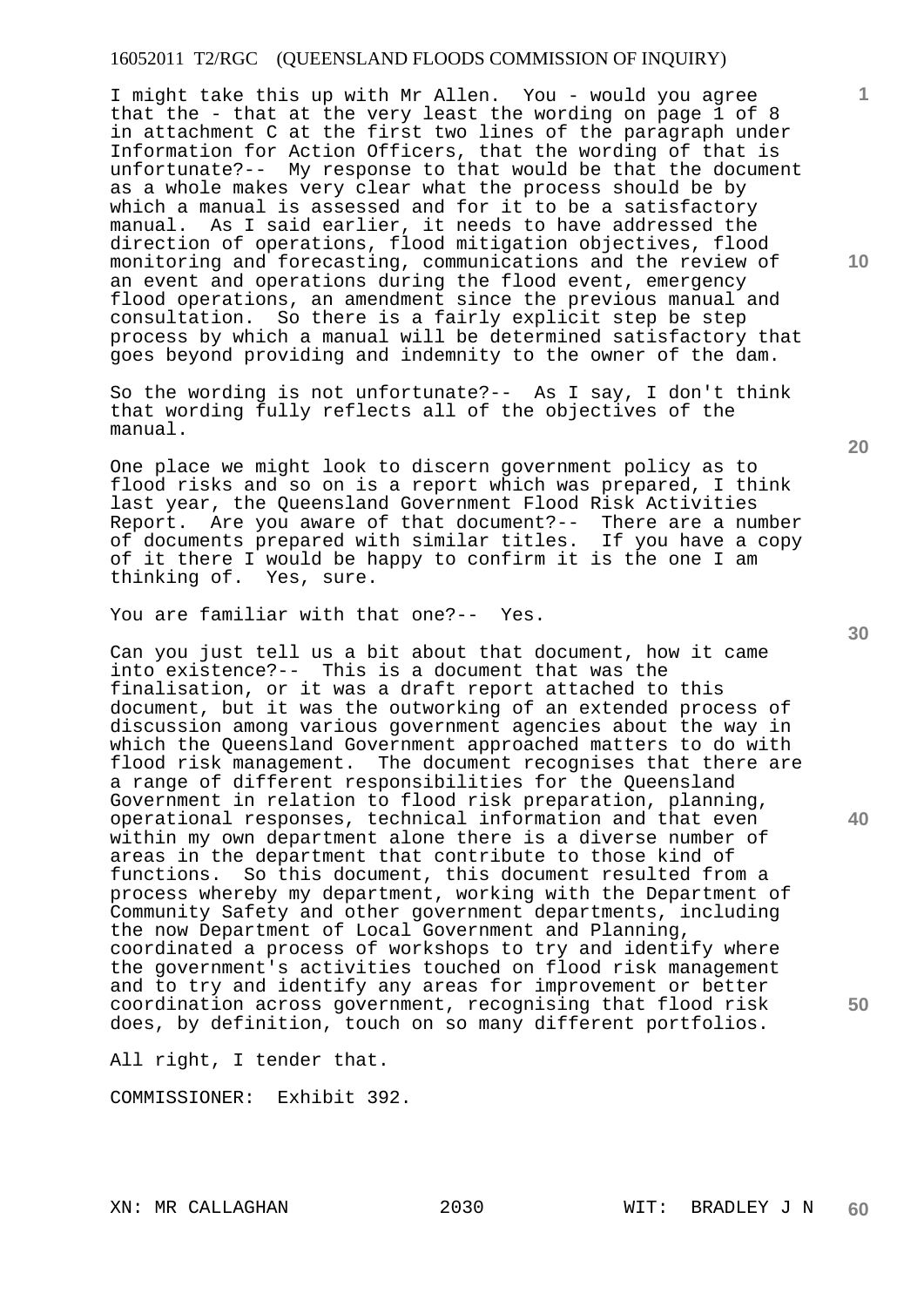I might take this up with Mr Allen. You - would you agree that the - that at the very least the wording on page 1 of 8 in attachment C at the first two lines of the paragraph under Information for Action Officers, that the wording of that is unfortunate?-- My response to that would be that the document as a whole makes very clear what the process should be by which a manual is assessed and for it to be a satisfactory manual. As I said earlier, it needs to have addressed the direction of operations, flood mitigation objectives, flood monitoring and forecasting, communications and the review of an event and operations during the flood event, emergency flood operations, an amendment since the previous manual and consultation. So there is a fairly explicit step be step process by which a manual will be determined satisfactory that goes beyond providing and indemnity to the owner of the dam.

So the wording is not unfortunate?-- As I say, I don't think that wording fully reflects all of the objectives of the manual.

One place we might look to discern government policy as to flood risks and so on is a report which was prepared, I think last year, the Queensland Government Flood Risk Activities Report. Are you aware of that document?-- There are a number of documents prepared with similar titles. If you have a copy of it there I would be happy to confirm it is the one I am thinking of. Yes, sure.

You are familiar with that one?-- Yes.

Can you just tell us a bit about that document, how it came into existence?-- This is a document that was the finalisation, or it was a draft report attached to this document, but it was the outworking of an extended process of discussion among various government agencies about the way in which the Queensland Government approached matters to do with flood risk management. The document recognises that there are a range of different responsibilities for the Queensland Government in relation to flood risk preparation, planning, operational responses, technical information and that even within my own department alone there is a diverse number of areas in the department that contribute to those kind of functions. So this document, this document resulted from a process whereby my department, working with the Department of Community Safety and other government departments, including the now Department of Local Government and Planning, coordinated a process of workshops to try and identify where the government's activities touched on flood risk management and to try and identify any areas for improvement or better coordination across government, recognising that flood risk does, by definition, touch on so many different portfolios.

All right, I tender that.

COMMISSIONER: Exhibit 392.

**20** 

**30** 

**40** 

**50** 

**10**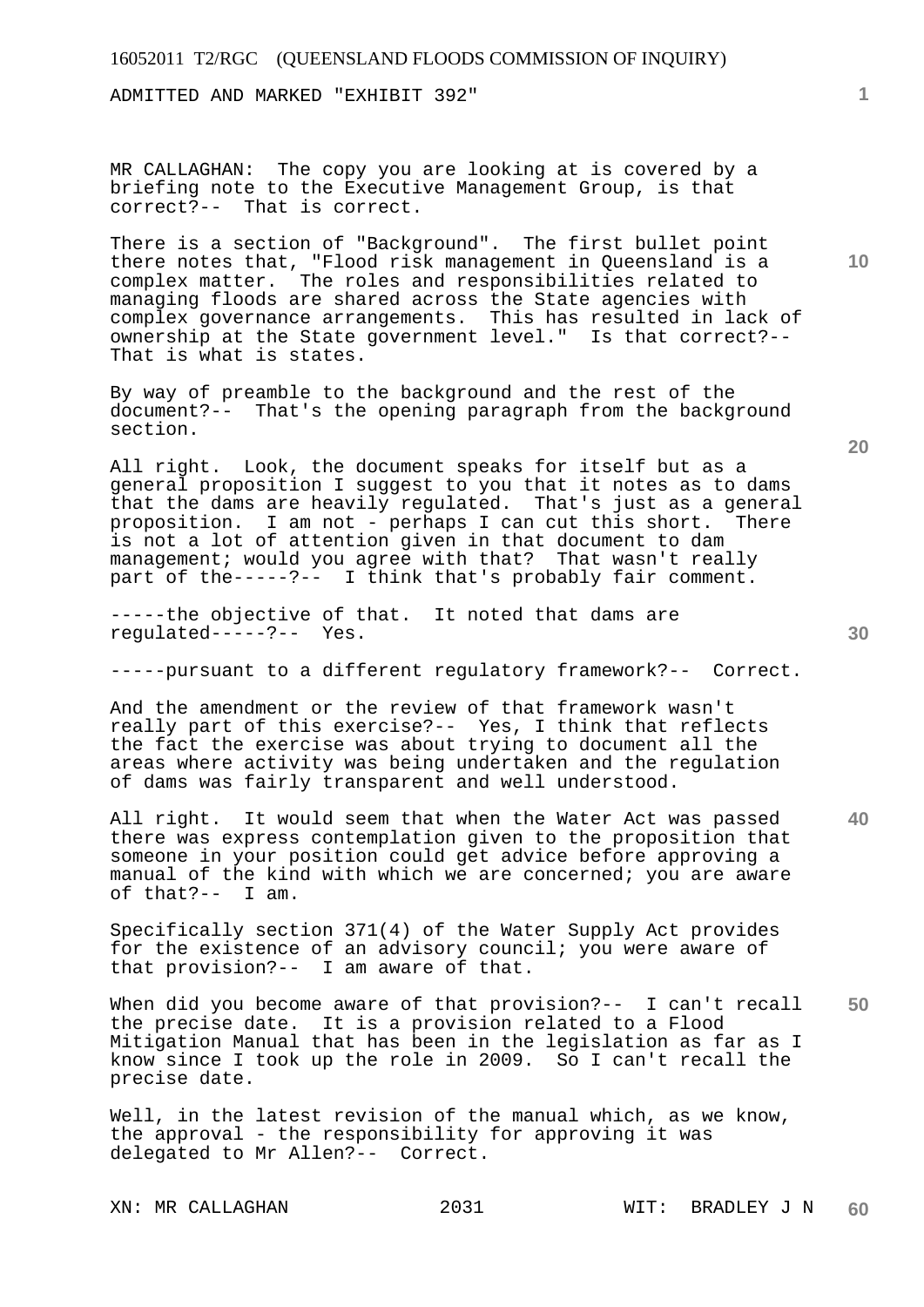ADMITTED AND MARKED "EXHIBIT 392"

MR CALLAGHAN: The copy you are looking at is covered by a briefing note to the Executive Management Group, is that correct?-- That is correct.

There is a section of "Background". The first bullet point there notes that, "Flood risk management in Queensland is a complex matter. The roles and responsibilities related to managing floods are shared across the State agencies with complex governance arrangements. This has resulted in lack of ownership at the State government level." Is that correct?-- That is what is states.

By way of preamble to the background and the rest of the document?-- That's the opening paragraph from the background section.

All right. Look, the document speaks for itself but as a general proposition I suggest to you that it notes as to dams that the dams are heavily regulated. That's just as a general proposition. I am not - perhaps I can cut this short. There is not a lot of attention given in that document to dam management; would you agree with that? That wasn't really part of the-----?-- I think that's probably fair comment.

-----the objective of that. It noted that dams are regulated-----?-- Yes.

-----pursuant to a different regulatory framework?-- Correct.

And the amendment or the review of that framework wasn't really part of this exercise?-- Yes, I think that reflects the fact the exercise was about trying to document all the areas where activity was being undertaken and the regulation of dams was fairly transparent and well understood.

All right. It would seem that when the Water Act was passed there was express contemplation given to the proposition that someone in your position could get advice before approving a manual of the kind with which we are concerned; you are aware of that?-- I am.

Specifically section 371(4) of the Water Supply Act provides for the existence of an advisory council; you were aware of that provision?-- I am aware of that.

**50**  When did you become aware of that provision?-- I can't recall the precise date. It is a provision related to a Flood Mitigation Manual that has been in the legislation as far as I know since I took up the role in 2009. So I can't recall the precise date.

Well, in the latest revision of the manual which, as we know, the approval - the responsibility for approving it was delegated to Mr Allen?-- Correct.

**20** 

**10** 

**1**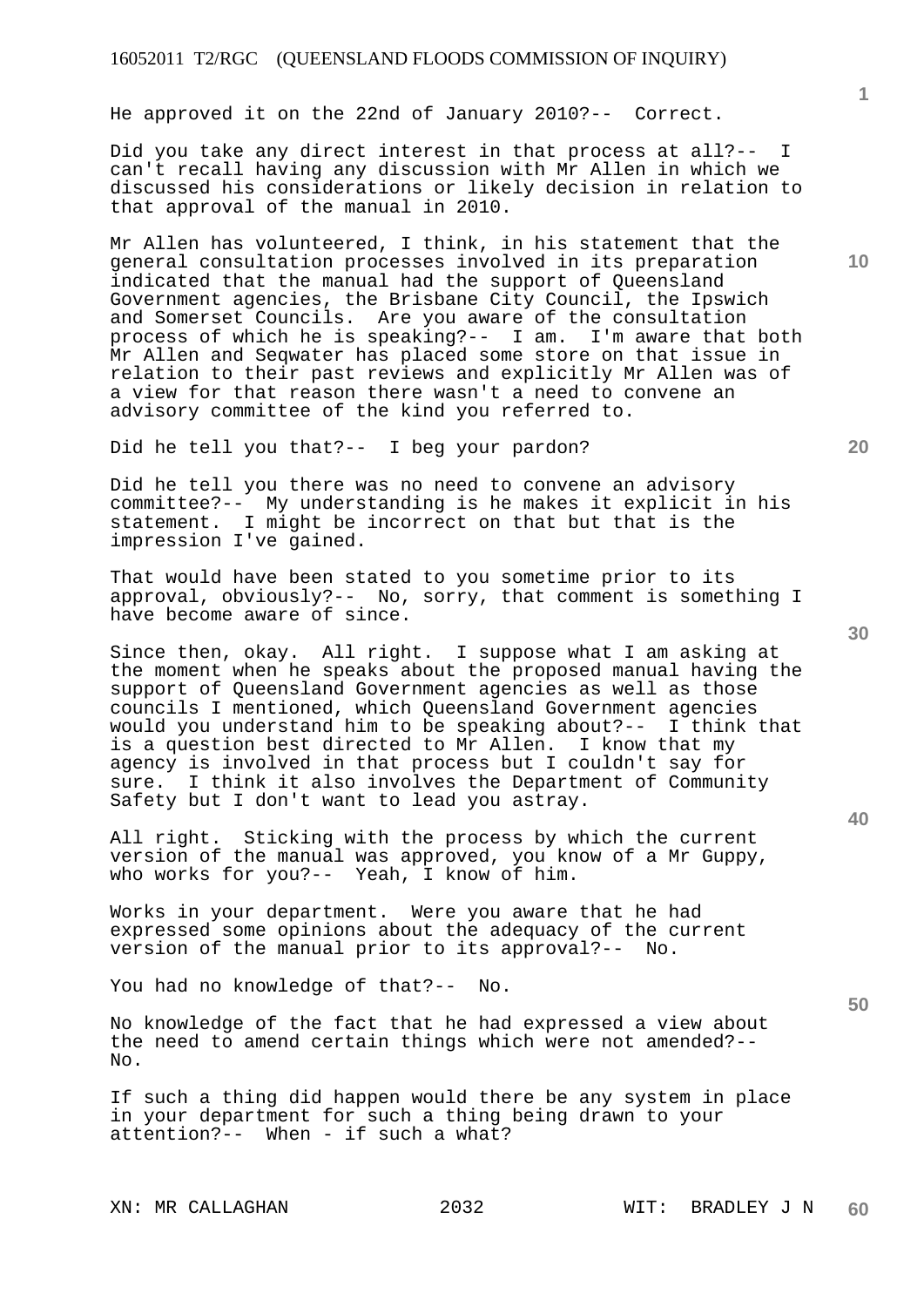He approved it on the 22nd of January 2010?-- Correct.

Did you take any direct interest in that process at all?-can't recall having any discussion with Mr Allen in which we discussed his considerations or likely decision in relation to that approval of the manual in 2010.

Mr Allen has volunteered, I think, in his statement that the general consultation processes involved in its preparation indicated that the manual had the support of Queensland Government agencies, the Brisbane City Council, the Ipswich and Somerset Councils. Are you aware of the consultation process of which he is speaking?-- I am. I'm aware that both Mr Allen and Seqwater has placed some store on that issue in relation to their past reviews and explicitly Mr Allen was of a view for that reason there wasn't a need to convene an advisory committee of the kind you referred to.

Did he tell you that?-- I beg your pardon?

Did he tell you there was no need to convene an advisory committee?-- My understanding is he makes it explicit in his statement. I might be incorrect on that but that is the impression I've gained.

That would have been stated to you sometime prior to its approval, obviously?-- No, sorry, that comment is something I have become aware of since.

Since then, okay. All right. I suppose what I am asking at the moment when he speaks about the proposed manual having the support of Queensland Government agencies as well as those councils I mentioned, which Queensland Government agencies would you understand him to be speaking about?-- I think that is a question best directed to Mr Allen. I know that my agency is involved in that process but I couldn't say for sure. I think it also involves the Department of Community Safety but I don't want to lead you astray.

All right. Sticking with the process by which the current version of the manual was approved, you know of a Mr Guppy, who works for you?-- Yeah, I know of him.

Works in your department. Were you aware that he had expressed some opinions about the adequacy of the current version of the manual prior to its approval?-- No.

You had no knowledge of that?-- No.

No knowledge of the fact that he had expressed a view about the need to amend certain things which were not amended?--  $N<sub>O</sub>$ .

If such a thing did happen would there be any system in place in your department for such a thing being drawn to your attention?-- When - if such a what?

**40** 

**50** 

**20** 

**10**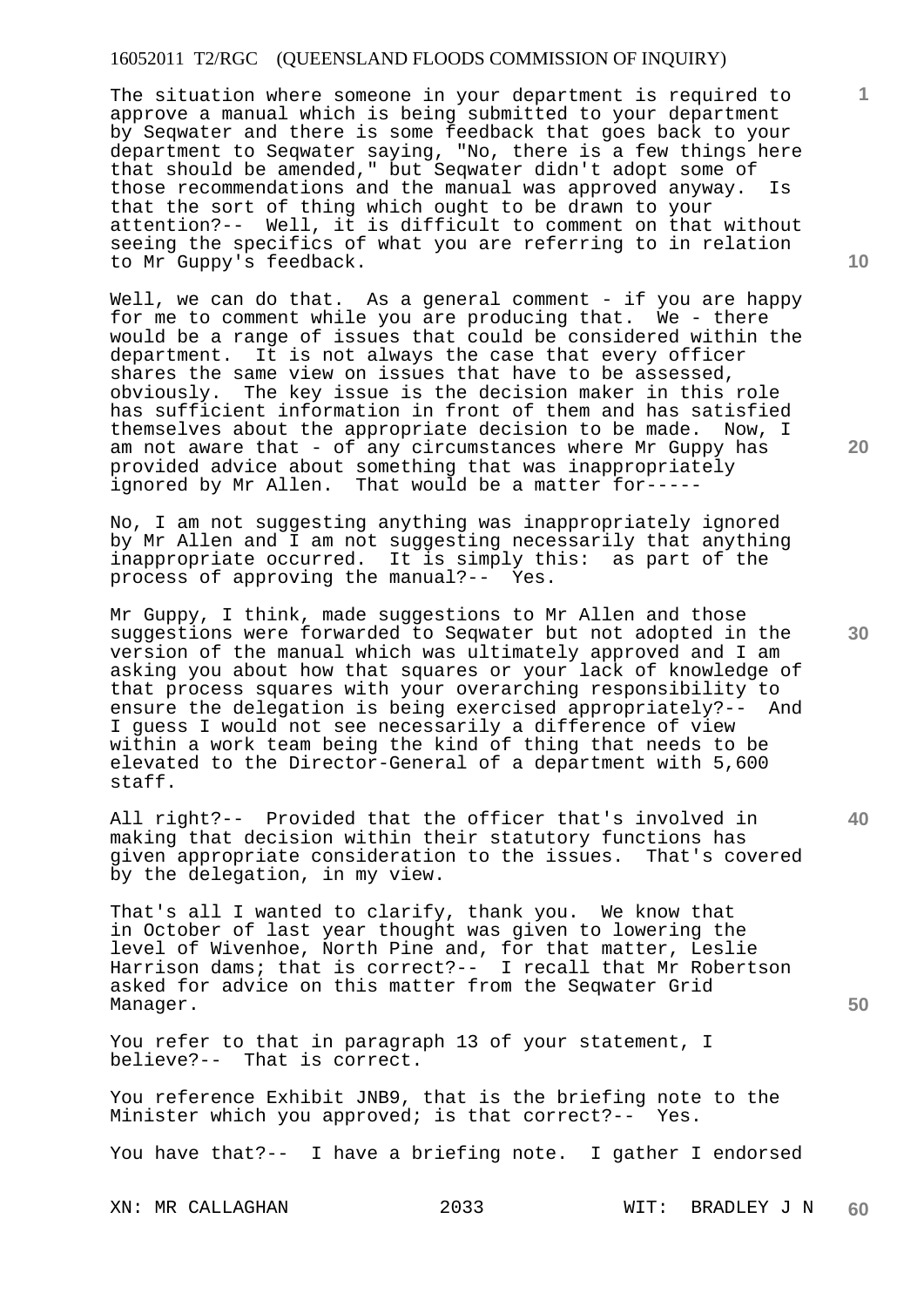The situation where someone in your department is required to approve a manual which is being submitted to your department by Seqwater and there is some feedback that goes back to your department to Seqwater saying, "No, there is a few things here that should be amended," but Seqwater didn't adopt some of those recommendations and the manual was approved anyway. Is that the sort of thing which ought to be drawn to your attention?-- Well, it is difficult to comment on that without seeing the specifics of what you are referring to in relation to Mr Guppy's feedback.

Well, we can do that. As a general comment - if you are happy for me to comment while you are producing that. We - there would be a range of issues that could be considered within the department. It is not always the case that every officer shares the same view on issues that have to be assessed, obviously. The key issue is the decision maker in this role has sufficient information in front of them and has satisfied themselves about the appropriate decision to be made. Now, I am not aware that - of any circumstances where Mr Guppy has provided advice about something that was inappropriately<br>ignored by Mr Allen. That would be a matter for-----That would be a matter for-----

No, I am not suggesting anything was inappropriately ignored by Mr Allen and I am not suggesting necessarily that anything inappropriate occurred. It is simply this: as part of the process of approving the manual?-- Yes.

Mr Guppy, I think, made suggestions to Mr Allen and those suggestions were forwarded to Seqwater but not adopted in the version of the manual which was ultimately approved and I am asking you about how that squares or your lack of knowledge of that process squares with your overarching responsibility to ensure the delegation is being exercised appropriately?-- And I guess I would not see necessarily a difference of view within a work team being the kind of thing that needs to be elevated to the Director-General of a department with 5,600 staff.

All right?-- Provided that the officer that's involved in making that decision within their statutory functions has given appropriate consideration to the issues. That's covered by the delegation, in my view.

That's all I wanted to clarify, thank you. We know that in October of last year thought was given to lowering the level of Wivenhoe, North Pine and, for that matter, Leslie Harrison dams; that is correct?-- I recall that Mr Robertson asked for advice on this matter from the Seqwater Grid Manager.

You refer to that in paragraph 13 of your statement, I believe?-- That is correct.

You reference Exhibit JNB9, that is the briefing note to the Minister which you approved; is that correct?-- Yes.

You have that?-- I have a briefing note. I gather I endorsed

**10** 

**1**

**30** 

**40**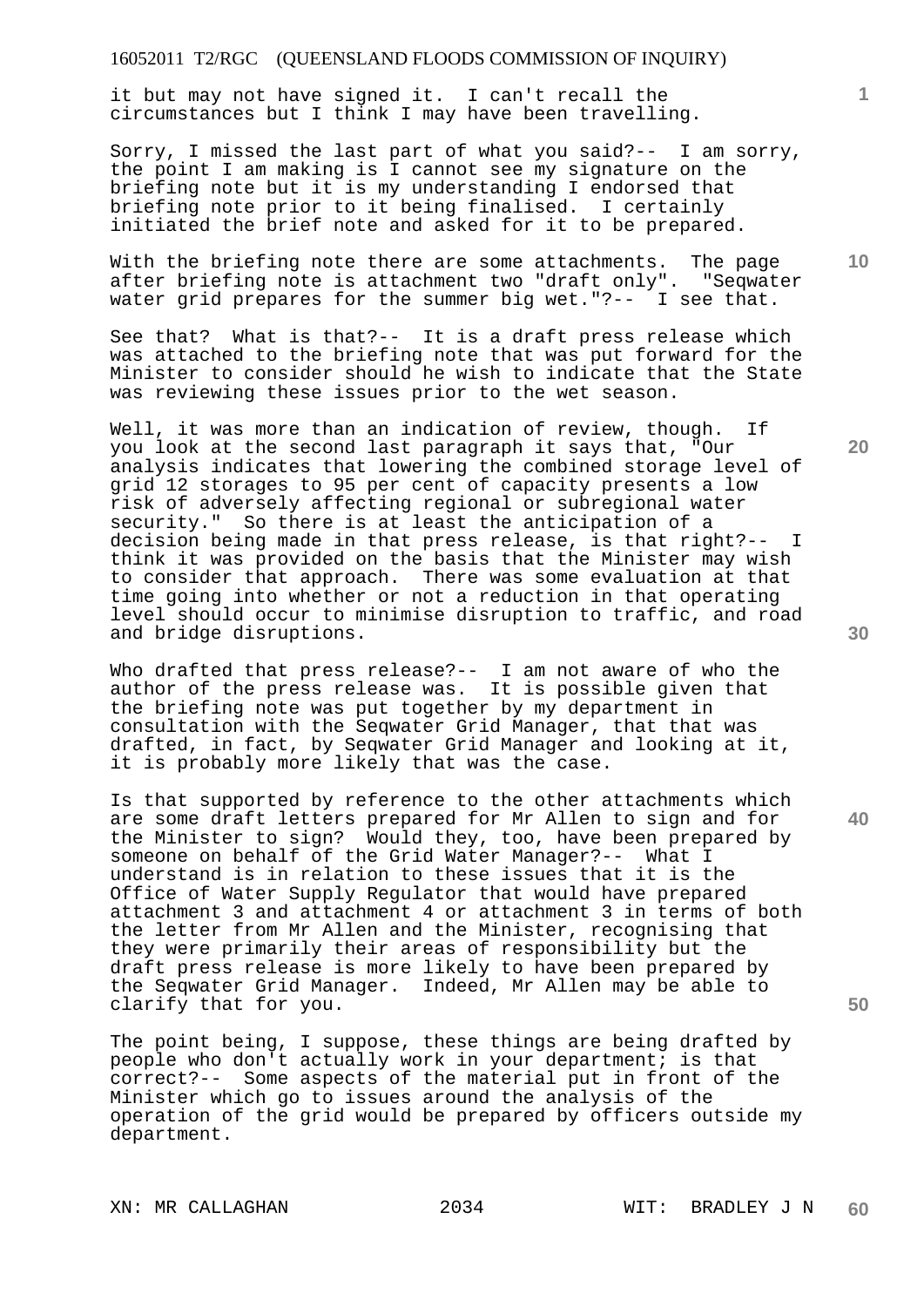it but may not have signed it. I can't recall the circumstances but I think I may have been travelling.

Sorry, I missed the last part of what you said?-- I am sorry, the point I am making is I cannot see my signature on the briefing note but it is my understanding I endorsed that briefing note prior to it being finalised. I certainly initiated the brief note and asked for it to be prepared.

With the briefing note there are some attachments. The page after briefing note is attachment two "draft only". "Seqwater water grid prepares for the summer big wet."?-- I see that.

See that? What is that?-- It is a draft press release which was attached to the briefing note that was put forward for the Minister to consider should he wish to indicate that the State was reviewing these issues prior to the wet season.

Well, it was more than an indication of review, though. If you look at the second last paragraph it says that, "Our analysis indicates that lowering the combined storage level of grid 12 storages to 95 per cent of capacity presents a low risk of adversely affecting regional or subregional water security." So there is at least the anticipation of a decision being made in that press release, is that right?-- I think it was provided on the basis that the Minister may wish to consider that approach. There was some evaluation at that time going into whether or not a reduction in that operating level should occur to minimise disruption to traffic, and road and bridge disruptions.

Who drafted that press release?-- I am not aware of who the author of the press release was. It is possible given that the briefing note was put together by my department in consultation with the Seqwater Grid Manager, that that was drafted, in fact, by Seqwater Grid Manager and looking at it, it is probably more likely that was the case.

Is that supported by reference to the other attachments which are some draft letters prepared for Mr Allen to sign and for the Minister to sign? Would they, too, have been prepared by someone on behalf of the Grid Water Manager?-- What I understand is in relation to these issues that it is the Office of Water Supply Regulator that would have prepared attachment 3 and attachment 4 or attachment 3 in terms of both the letter from Mr Allen and the Minister, recognising that they were primarily their areas of responsibility but the draft press release is more likely to have been prepared by the Seqwater Grid Manager. Indeed, Mr Allen may be able to clarify that for you.

The point being, I suppose, these things are being drafted by people who don't actually work in your department; is that correct?-- Some aspects of the material put in front of the Minister which go to issues around the analysis of the operation of the grid would be prepared by officers outside my department.

**30** 

**20** 

**50** 

**10**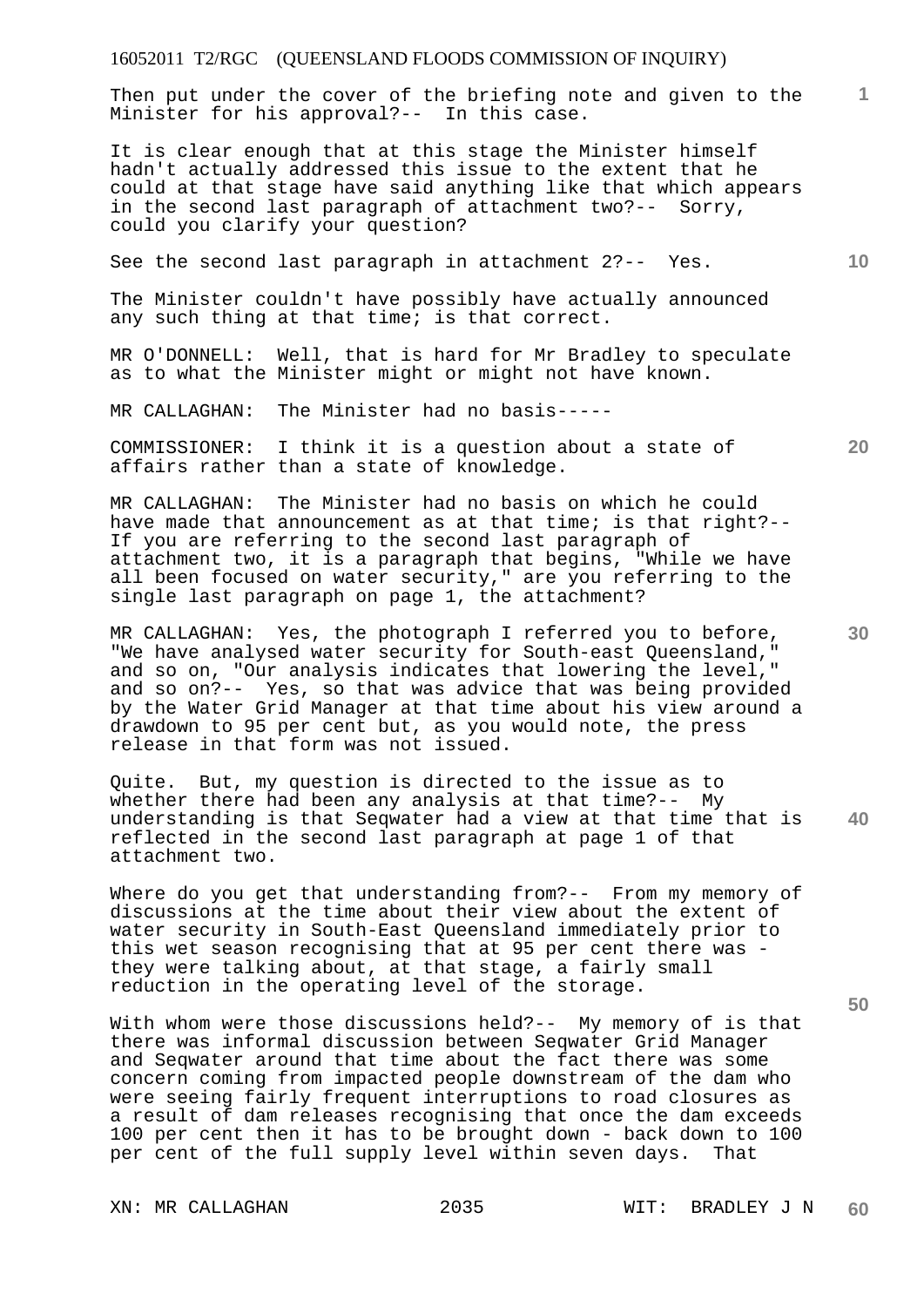Then put under the cover of the briefing note and given to the Minister for his approval?-- In this case.

It is clear enough that at this stage the Minister himself hadn't actually addressed this issue to the extent that he could at that stage have said anything like that which appears in the second last paragraph of attachment two?-- Sorry, could you clarify your question?

See the second last paragraph in attachment 2?-- Yes.

The Minister couldn't have possibly have actually announced any such thing at that time; is that correct.

MR O'DONNELL: Well, that is hard for Mr Bradley to speculate as to what the Minister might or might not have known.

MR CALLAGHAN: The Minister had no basis-----

COMMISSIONER: I think it is a question about a state of affairs rather than a state of knowledge.

MR CALLAGHAN: The Minister had no basis on which he could have made that announcement as at that time; is that right?-- If you are referring to the second last paragraph of attachment two, it is a paragraph that begins, "While we have all been focused on water security," are you referring to the single last paragraph on page 1, the attachment?

MR CALLAGHAN: Yes, the photograph I referred you to before, "We have analysed water security for South-east Queensland, and so on, "Our analysis indicates that lowering the level," and so on?-- Yes, so that was advice that was being provided by the Water Grid Manager at that time about his view around a drawdown to 95 per cent but, as you would note, the press release in that form was not issued.

**40**  Quite. But, my question is directed to the issue as to whether there had been any analysis at that time?-- My understanding is that Seqwater had a view at that time that is reflected in the second last paragraph at page 1 of that attachment two.

Where do you get that understanding from?-- From my memory of discussions at the time about their view about the extent of water security in South-East Queensland immediately prior to this wet season recognising that at 95 per cent there was they were talking about, at that stage, a fairly small reduction in the operating level of the storage.

With whom were those discussions held?-- My memory of is that there was informal discussion between Seqwater Grid Manager and Seqwater around that time about the fact there was some concern coming from impacted people downstream of the dam who were seeing fairly frequent interruptions to road closures as a result of dam releases recognising that once the dam exceeds 100 per cent then it has to be brought down - back down to 100 per cent of the full supply level within seven days. That

**20** 

**50** 

**10**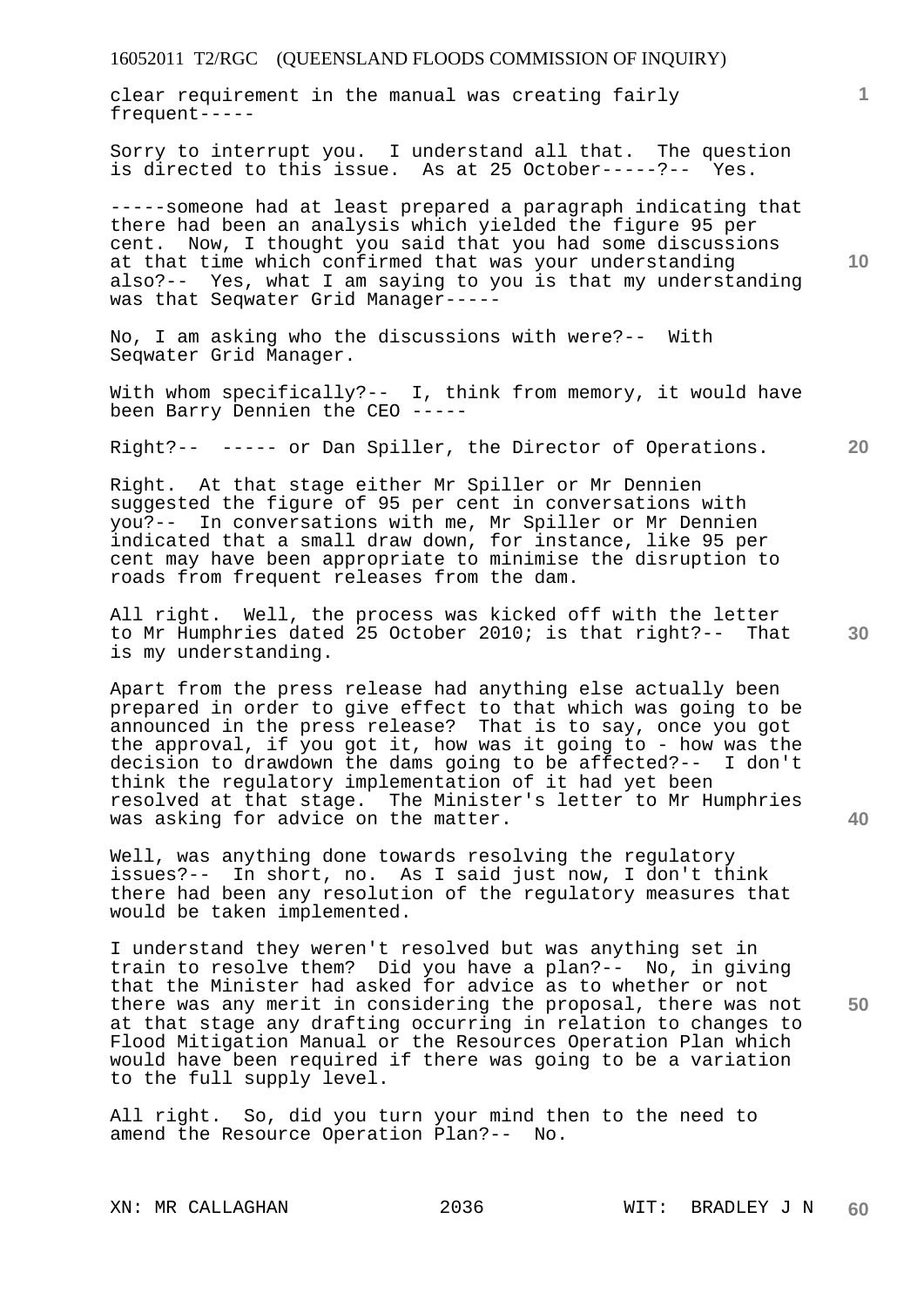clear requirement in the manual was creating fairly frequent-----

Sorry to interrupt you. I understand all that. The question is directed to this issue. As at 25 October-----?-- Yes.

-----someone had at least prepared a paragraph indicating that there had been an analysis which yielded the figure 95 per cent. Now, I thought you said that you had some discussions at that time which confirmed that was your understanding also?-- Yes, what I am saying to you is that my understanding was that Seqwater Grid Manager-----

No, I am asking who the discussions with were?-- With Seqwater Grid Manager.

With whom specifically?-- I, think from memory, it would have been Barry Dennien the CEO -----

Right?-- ----- or Dan Spiller, the Director of Operations.

Right. At that stage either Mr Spiller or Mr Dennien suggested the figure of 95 per cent in conversations with you?-- In conversations with me, Mr Spiller or Mr Dennien indicated that a small draw down, for instance, like 95 per cent may have been appropriate to minimise the disruption to roads from frequent releases from the dam.

All right. Well, the process was kicked off with the letter to Mr Humphries dated 25 October 2010; is that right?-- That is my understanding.

Apart from the press release had anything else actually been prepared in order to give effect to that which was going to be announced in the press release? That is to say, once you got the approval, if you got it, how was it going to - how was the decision to drawdown the dams going to be affected?-- I don't think the regulatory implementation of it had yet been resolved at that stage. The Minister's letter to Mr Humphries was asking for advice on the matter.

Well, was anything done towards resolving the regulatory issues?-- In short, no. As I said just now, I don't think there had been any resolution of the regulatory measures that would be taken implemented.

I understand they weren't resolved but was anything set in train to resolve them? Did you have a plan?-- No, in giving that the Minister had asked for advice as to whether or not there was any merit in considering the proposal, there was not at that stage any drafting occurring in relation to changes to Flood Mitigation Manual or the Resources Operation Plan which would have been required if there was going to be a variation to the full supply level.

All right. So, did you turn your mind then to the need to amend the Resource Operation Plan?-- No.

**10** 

**1**

**30** 

**20** 

**40**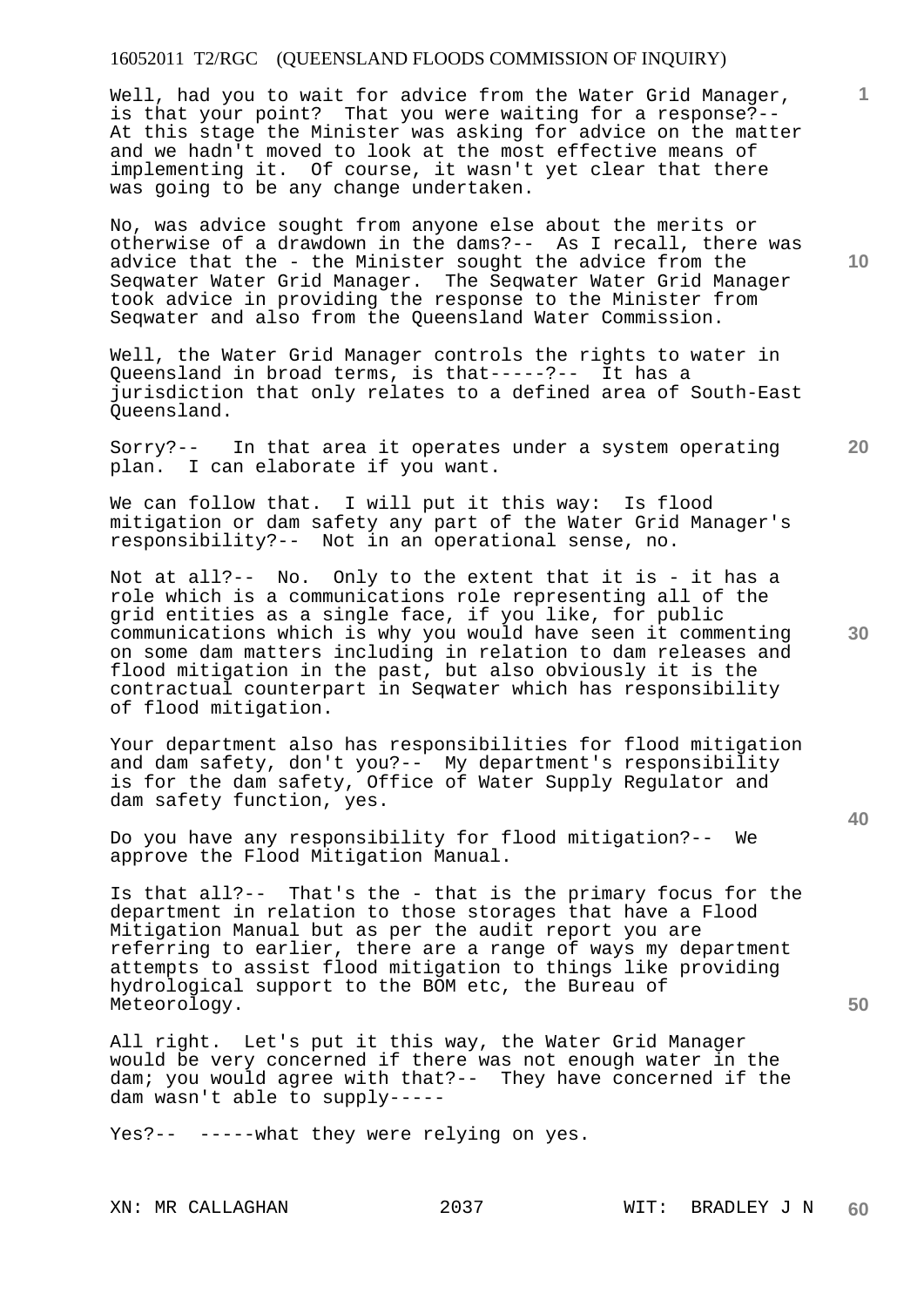Well, had you to wait for advice from the Water Grid Manager, is that your point? That you were waiting for a response?-- At this stage the Minister was asking for advice on the matter and we hadn't moved to look at the most effective means of implementing it. Of course, it wasn't yet clear that there was going to be any change undertaken.

No, was advice sought from anyone else about the merits or otherwise of a drawdown in the dams?-- As I recall, there was advice that the - the Minister sought the advice from the Seqwater Water Grid Manager. The Seqwater Water Grid Manager took advice in providing the response to the Minister from Seqwater and also from the Queensland Water Commission.

Well, the Water Grid Manager controls the rights to water in Queensland in broad terms, is that-----?-- It has a jurisdiction that only relates to a defined area of South-East Queensland.

Sorry?-- In that area it operates under a system operating plan. I can elaborate if you want.

We can follow that. I will put it this way: Is flood mitigation or dam safety any part of the Water Grid Manager's responsibility?-- Not in an operational sense, no.

Not at all?-- No. Only to the extent that it is - it has a role which is a communications role representing all of the grid entities as a single face, if you like, for public communications which is why you would have seen it commenting on some dam matters including in relation to dam releases and flood mitigation in the past, but also obviously it is the contractual counterpart in Seqwater which has responsibility of flood mitigation.

Your department also has responsibilities for flood mitigation and dam safety, don't you?-- My department's responsibility is for the dam safety, Office of Water Supply Regulator and dam safety function, yes.

Do you have any responsibility for flood mitigation?-- We approve the Flood Mitigation Manual.

Is that all?-- That's the - that is the primary focus for the department in relation to those storages that have a Flood Mitigation Manual but as per the audit report you are referring to earlier, there are a range of ways my department attempts to assist flood mitigation to things like providing hydrological support to the BOM etc, the Bureau of Meteorology.

All right. Let's put it this way, the Water Grid Manager would be very concerned if there was not enough water in the dam; you would agree with that?-- They have concerned if the dam wasn't able to supply-----

Yes?-- -----what they were relying on yes.

**10** 

**1**

**20** 

**30** 

**40**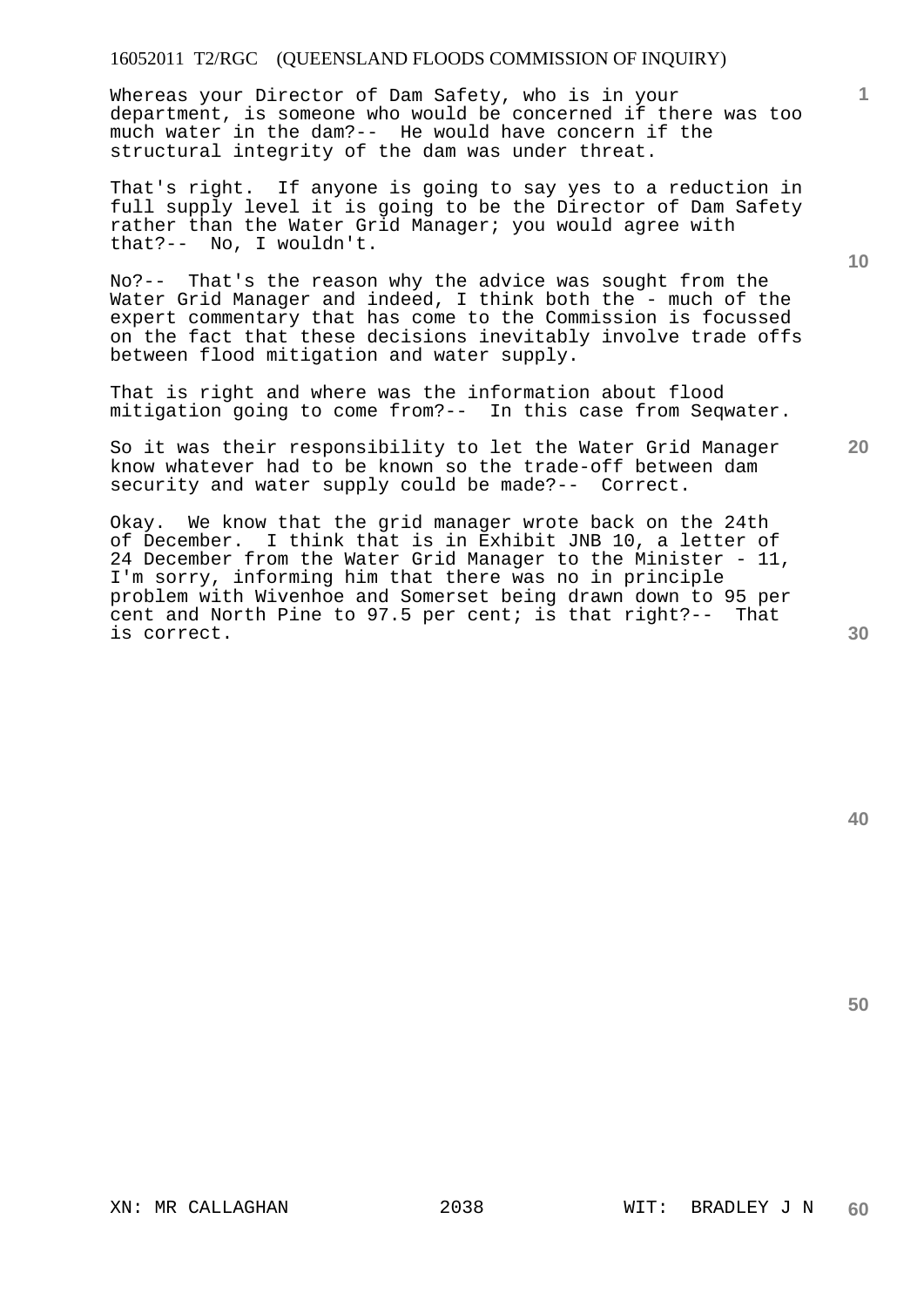Whereas your Director of Dam Safety, who is in your department, is someone who would be concerned if there was too much water in the dam?-- He would have concern if the structural integrity of the dam was under threat.

That's right. If anyone is going to say yes to a reduction in full supply level it is going to be the Director of Dam Safety rather than the Water Grid Manager; you would agree with that?-- No, I wouldn't.

No?-- That's the reason why the advice was sought from the Water Grid Manager and indeed, I think both the - much of the expert commentary that has come to the Commission is focussed on the fact that these decisions inevitably involve trade offs between flood mitigation and water supply.

That is right and where was the information about flood mitigation going to come from?-- In this case from Seqwater.

So it was their responsibility to let the Water Grid Manager know whatever had to be known so the trade-off between dam security and water supply could be made?-- Correct.

Okay. We know that the grid manager wrote back on the 24th of December. I think that is in Exhibit JNB 10, a letter of 24 December from the Water Grid Manager to the Minister - 11, I'm sorry, informing him that there was no in principle problem with Wivenhoe and Somerset being drawn down to 95 per cent and North Pine to 97.5 per cent; is that right?-- That is correct.

**20** 

**30** 

**40** 

**50** 

**1**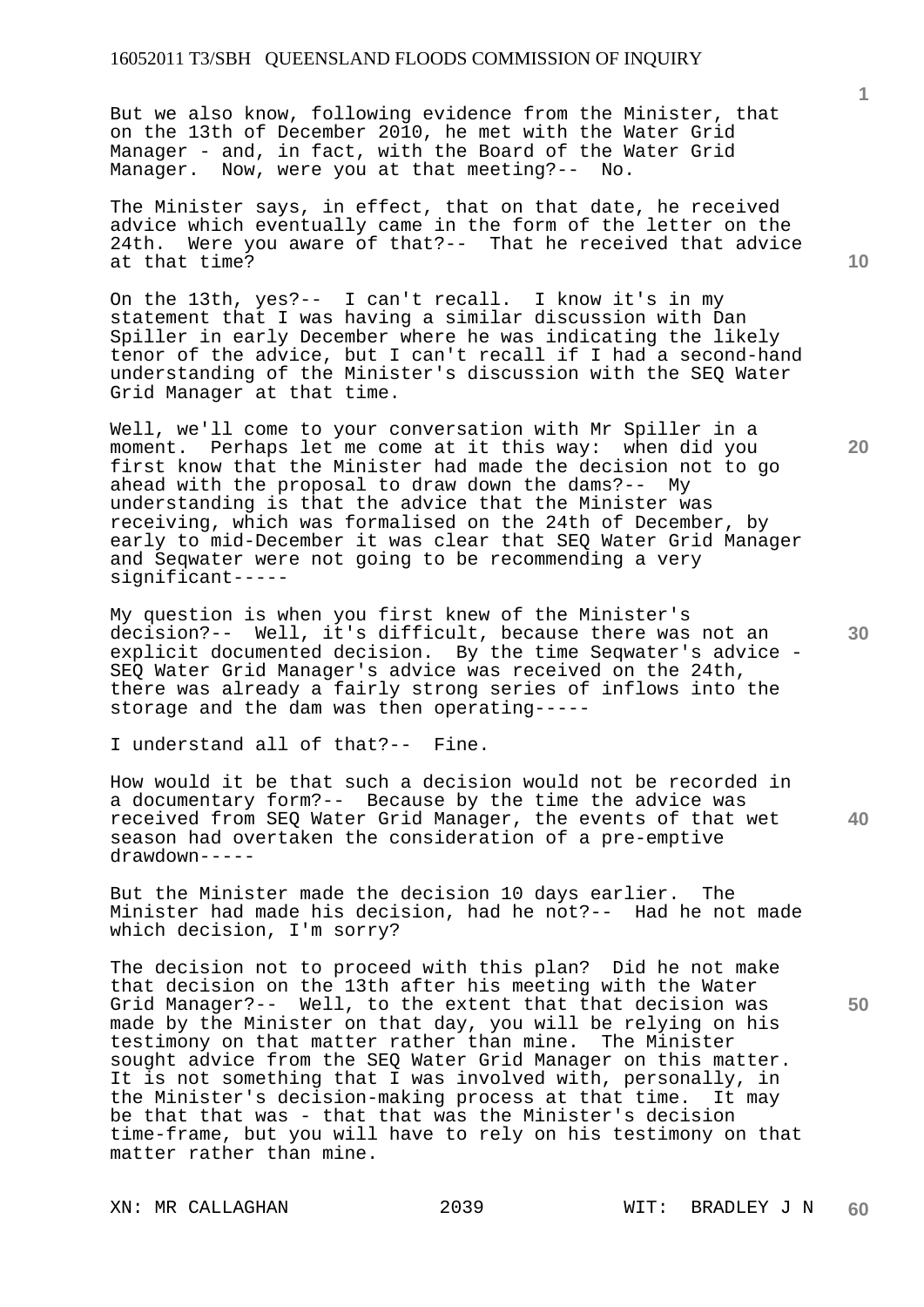But we also know, following evidence from the Minister, that on the 13th of December 2010, he met with the Water Grid Manager - and, in fact, with the Board of the Water Grid Manager. Now, were you at that meeting?-- No.

The Minister says, in effect, that on that date, he received advice which eventually came in the form of the letter on the 24th. Were you aware of that?-- That he received that advice at that time?

On the 13th, yes?-- I can't recall. I know it's in my statement that I was having a similar discussion with Dan Spiller in early December where he was indicating the likely tenor of the advice, but I can't recall if I had a second-hand understanding of the Minister's discussion with the SEQ Water Grid Manager at that time.

Well, we'll come to your conversation with Mr Spiller in a moment. Perhaps let me come at it this way: when did you first know that the Minister had made the decision not to go ahead with the proposal to draw down the dams?-- My understanding is that the advice that the Minister was receiving, which was formalised on the 24th of December, by early to mid-December it was clear that SEQ Water Grid Manager and Seqwater were not going to be recommending a very significant-----

My question is when you first knew of the Minister's decision?-- Well, it's difficult, because there was not an explicit documented decision. By the time Seqwater's advice - SEQ Water Grid Manager's advice was received on the 24th, there was already a fairly strong series of inflows into the storage and the dam was then operating-----

I understand all of that?-- Fine.

**40**  How would it be that such a decision would not be recorded in a documentary form?-- Because by the time the advice was received from SEQ Water Grid Manager, the events of that wet season had overtaken the consideration of a pre-emptive drawdown-----

But the Minister made the decision 10 days earlier. The Minister had made his decision, had he not?-- Had he not made which decision, I'm sorry?

The decision not to proceed with this plan? Did he not make that decision on the 13th after his meeting with the Water Grid Manager?-- Well, to the extent that that decision was made by the Minister on that day, you will be relying on his testimony on that matter rather than mine. The Minister sought advice from the SEQ Water Grid Manager on this matter. It is not something that I was involved with, personally, in the Minister's decision-making process at that time. It may be that that was - that that was the Minister's decision time-frame, but you will have to rely on his testimony on that matter rather than mine.

**20** 

**10**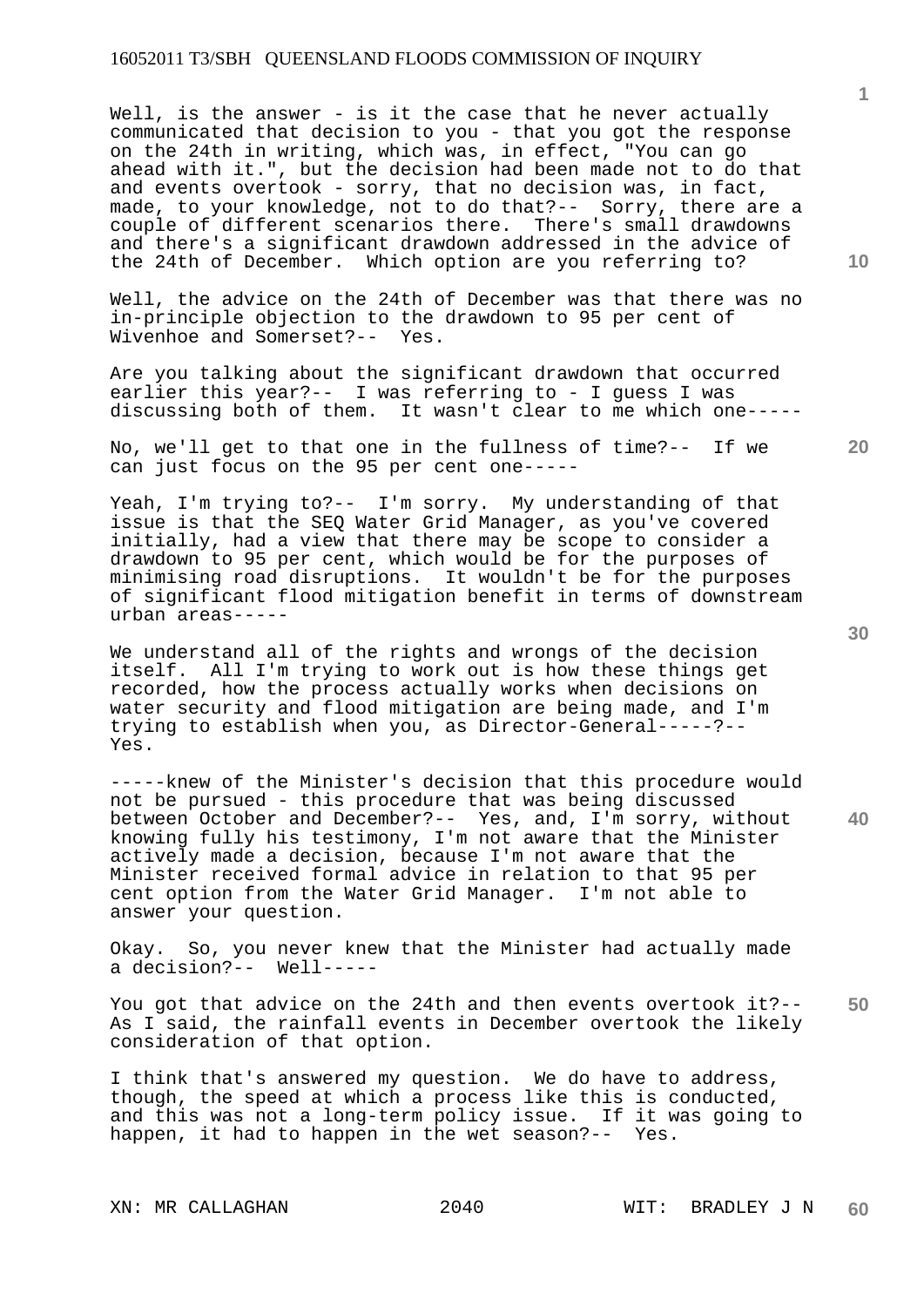Well, is the answer - is it the case that he never actually communicated that decision to you - that you got the response on the 24th in writing, which was, in effect, "You can go ahead with it.", but the decision had been made not to do that and events overtook - sorry, that no decision was, in fact, made, to your knowledge, not to do that?-- Sorry, there are a couple of different scenarios there. There's small drawdowns and there's a significant drawdown addressed in the advice of the 24th of December. Which option are you referring to?

Well, the advice on the 24th of December was that there was no in-principle objection to the drawdown to 95 per cent of Wivenhoe and Somerset?-- Yes.

Are you talking about the significant drawdown that occurred earlier this year?-- I was referring to - I guess I was discussing both of them. It wasn't clear to me which one-----

No, we'll get to that one in the fullness of time?-- If we can just focus on the 95 per cent one-----

Yeah, I'm trying to?-- I'm sorry. My understanding of that issue is that the SEQ Water Grid Manager, as you've covered initially, had a view that there may be scope to consider a drawdown to 95 per cent, which would be for the purposes of minimising road disruptions. It wouldn't be for the purposes of significant flood mitigation benefit in terms of downstream urban areas-----

We understand all of the rights and wrongs of the decision itself. All I'm trying to work out is how these things get recorded, how the process actually works when decisions on water security and flood mitigation are being made, and I'm trying to establish when you, as Director-General-----?-- Yes.

-----knew of the Minister's decision that this procedure would not be pursued - this procedure that was being discussed between October and December?-- Yes, and, I'm sorry, without knowing fully his testimony, I'm not aware that the Minister actively made a decision, because I'm not aware that the Minister received formal advice in relation to that 95 per cent option from the Water Grid Manager. I'm not able to answer your question.

Okay. So, you never knew that the Minister had actually made a decision?-- Well-----

**50**  You got that advice on the 24th and then events overtook it?-- As I said, the rainfall events in December overtook the likely consideration of that option.

I think that's answered my question. We do have to address, though, the speed at which a process like this is conducted, and this was not a long-term policy issue. If it was going to happen, it had to happen in the wet season?-- Yes.

**40** 

**20** 

**10**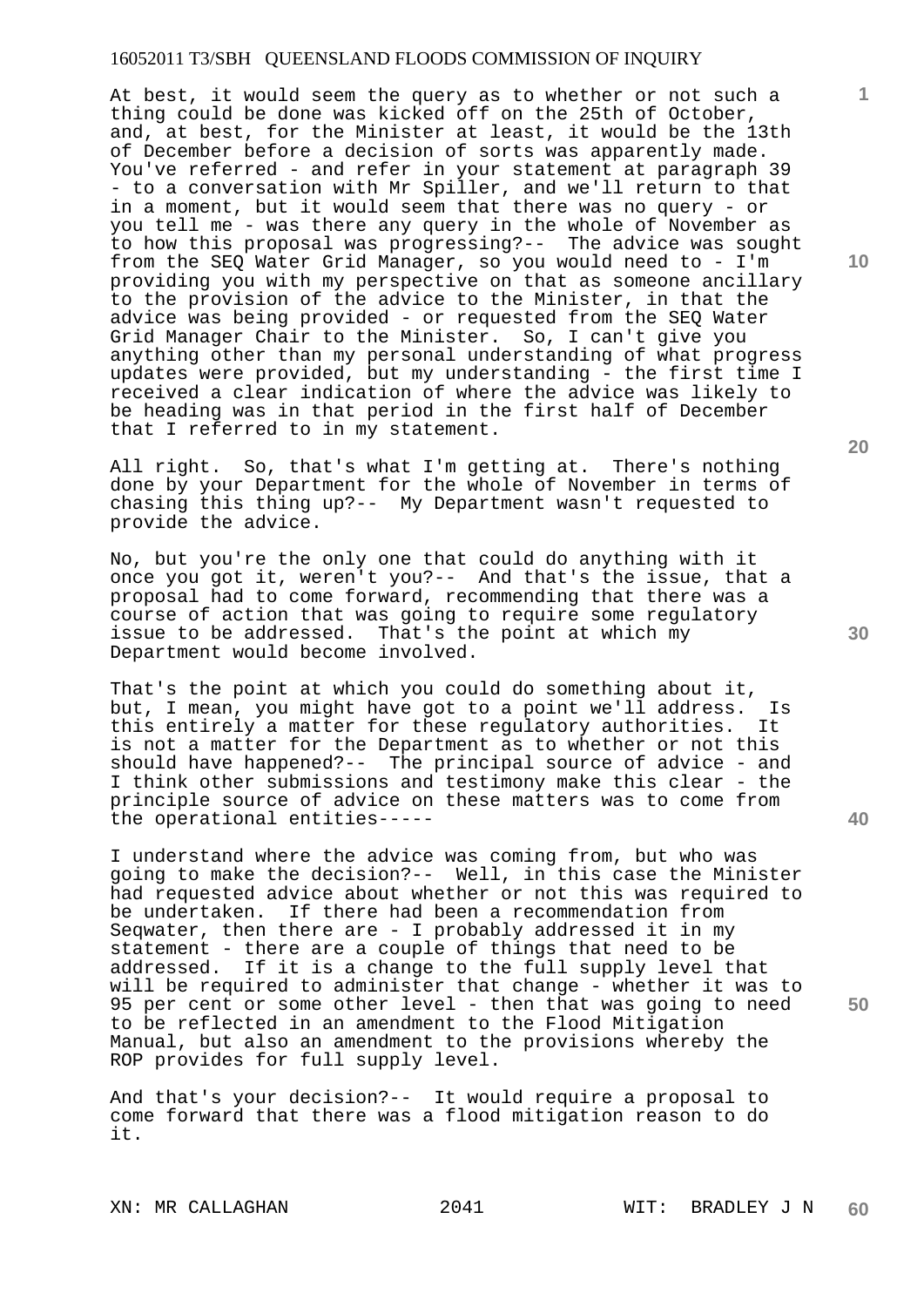At best, it would seem the query as to whether or not such a thing could be done was kicked off on the 25th of October, and, at best, for the Minister at least, it would be the 13th of December before a decision of sorts was apparently made. You've referred - and refer in your statement at paragraph 39 - to a conversation with Mr Spiller, and we'll return to that in a moment, but it would seem that there was no query - or you tell me - was there any query in the whole of November as to how this proposal was progressing?-- The advice was sought from the SEQ Water Grid Manager, so you would need to - I'm providing you with my perspective on that as someone ancillary to the provision of the advice to the Minister, in that the advice was being provided - or requested from the SEQ Water Grid Manager Chair to the Minister. So, I can't give you anything other than my personal understanding of what progress updates were provided, but my understanding - the first time I received a clear indication of where the advice was likely to be heading was in that period in the first half of December that I referred to in my statement.

All right. So, that's what I'm getting at. There's nothing done by your Department for the whole of November in terms of chasing this thing up?-- My Department wasn't requested to provide the advice.

No, but you're the only one that could do anything with it once you got it, weren't you?-- And that's the issue, that a proposal had to come forward, recommending that there was a course of action that was going to require some regulatory issue to be addressed. That's the point at which my Department would become involved.

That's the point at which you could do something about it, but, I mean, you might have got to a point we'll address. Is this entirely a matter for these regulatory authorities. It is not a matter for the Department as to whether or not this should have happened?-- The principal source of advice - and I think other submissions and testimony make this clear - the principle source of advice on these matters was to come from the operational entities-----

I understand where the advice was coming from, but who was going to make the decision?-- Well, in this case the Minister had requested advice about whether or not this was required to be undertaken. If there had been a recommendation from Seqwater, then there are - I probably addressed it in my statement - there are a couple of things that need to be addressed. If it is a change to the full supply level that will be required to administer that change - whether it was to 95 per cent or some other level - then that was going to need to be reflected in an amendment to the Flood Mitigation Manual, but also an amendment to the provisions whereby the ROP provides for full supply level.

And that's your decision?-- It would require a proposal to come forward that there was a flood mitigation reason to do it.

**20** 

**10** 

**1**

**40**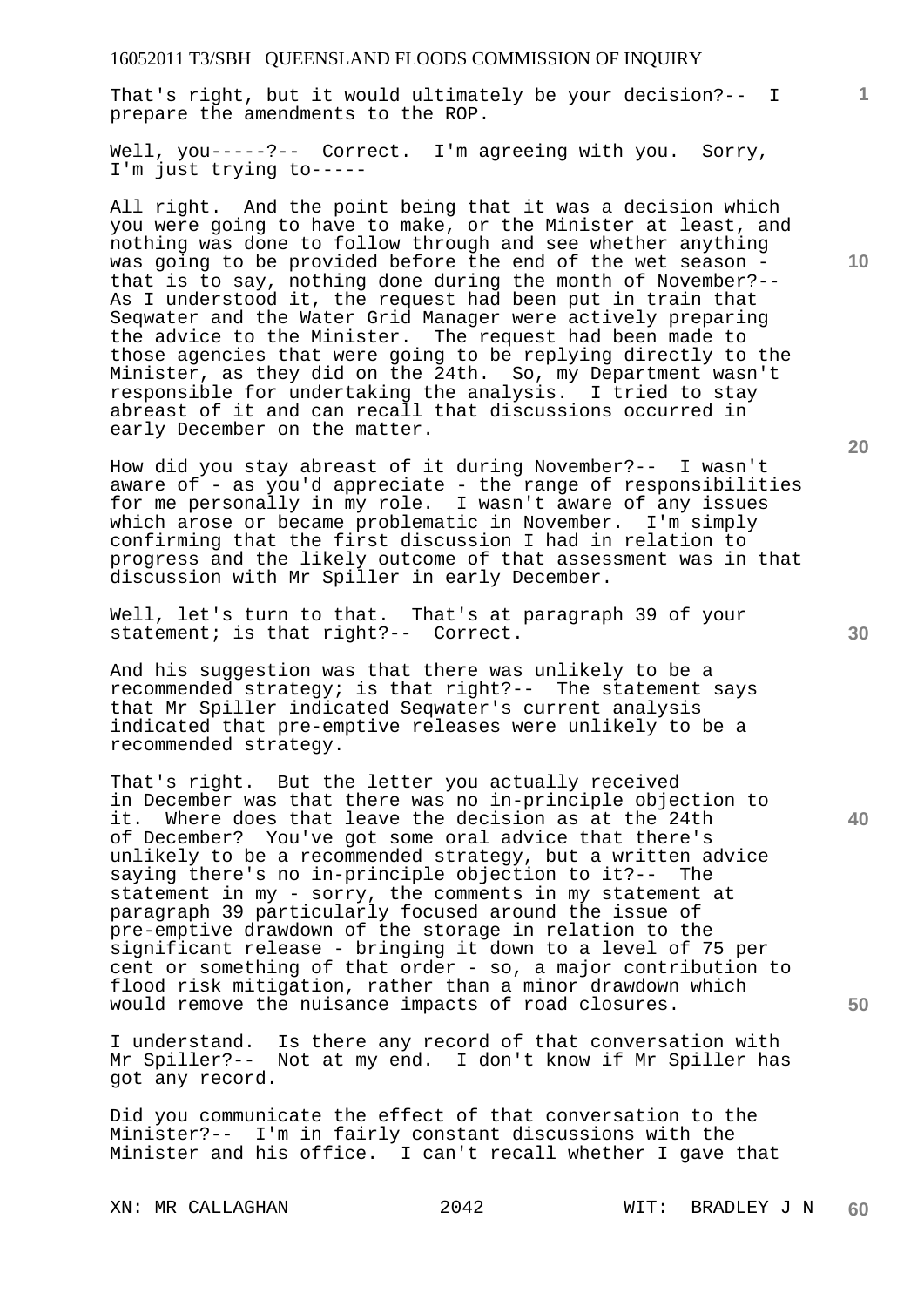That's right, but it would ultimately be your decision?-- I prepare the amendments to the ROP.

Well, you-----?-- Correct. I'm agreeing with you. Sorry, I'm just trying to-----

All right. And the point being that it was a decision which you were going to have to make, or the Minister at least, and nothing was done to follow through and see whether anything was going to be provided before the end of the wet season that is to say, nothing done during the month of November?-- As I understood it, the request had been put in train that Seqwater and the Water Grid Manager were actively preparing the advice to the Minister. The request had been made to those agencies that were going to be replying directly to the Minister, as they did on the 24th. So, my Department wasn't responsible for undertaking the analysis. I tried to stay abreast of it and can recall that discussions occurred in early December on the matter.

How did you stay abreast of it during November?-- I wasn't aware of - as you'd appreciate - the range of responsibilities for me personally in my role. I wasn't aware of any issues which arose or became problematic in November. I'm simply confirming that the first discussion I had in relation to progress and the likely outcome of that assessment was in that discussion with Mr Spiller in early December.

Well, let's turn to that. That's at paragraph 39 of your statement; is that right?-- Correct.

And his suggestion was that there was unlikely to be a recommended strategy; is that right?-- The statement says that Mr Spiller indicated Seqwater's current analysis indicated that pre-emptive releases were unlikely to be a recommended strategy.

That's right. But the letter you actually received in December was that there was no in-principle objection to it. Where does that leave the decision as at the 24th of December? You've got some oral advice that there's unlikely to be a recommended strategy, but a written advice saying there's no in-principle objection to it?-- The statement in my - sorry, the comments in my statement at paragraph 39 particularly focused around the issue of pre-emptive drawdown of the storage in relation to the significant release - bringing it down to a level of 75 per cent or something of that order - so, a major contribution to flood risk mitigation, rather than a minor drawdown which would remove the nuisance impacts of road closures.

I understand. Is there any record of that conversation with Mr Spiller?-- Not at my end. I don't know if Mr Spiller has got any record.

Did you communicate the effect of that conversation to the Minister?-- I'm in fairly constant discussions with the Minister and his office. I can't recall whether I gave that

**20** 

**1**

**10** 

**50**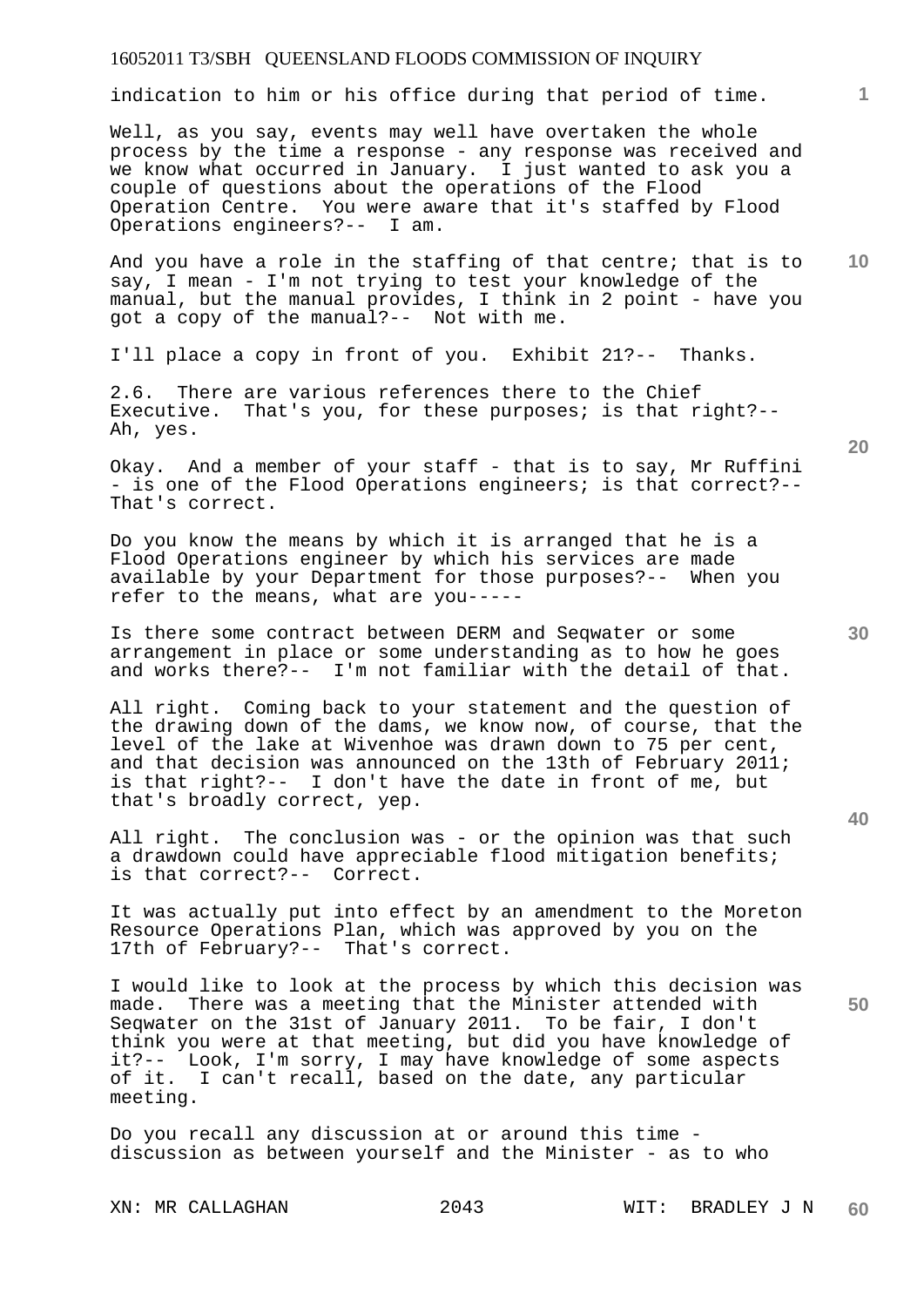indication to him or his office during that period of time.

Well, as you say, events may well have overtaken the whole process by the time a response - any response was received and we know what occurred in January. I just wanted to ask you a couple of questions about the operations of the Flood Operation Centre. You were aware that it's staffed by Flood Operations engineers?-- I am.

**10**  And you have a role in the staffing of that centre; that is to say, I mean - I'm not trying to test your knowledge of the manual, but the manual provides, I think in 2 point - have you got a copy of the manual?-- Not with me.

I'll place a copy in front of you. Exhibit 21?-- Thanks.

2.6. There are various references there to the Chief Executive. That's you, for these purposes; is that right?-- Ah, yes.

Okay. And a member of your staff - that is to say, Mr Ruffini - is one of the Flood Operations engineers; is that correct?-- That's correct.

Do you know the means by which it is arranged that he is a Flood Operations engineer by which his services are made available by your Department for those purposes?-- When you refer to the means, what are you-----

Is there some contract between DERM and Seqwater or some arrangement in place or some understanding as to how he goes and works there?-- I'm not familiar with the detail of that.

All right. Coming back to your statement and the question of the drawing down of the dams, we know now, of course, that the level of the lake at Wivenhoe was drawn down to 75 per cent, and that decision was announced on the 13th of February 2011; is that right?-- I don't have the date in front of me, but that's broadly correct, yep.

All right. The conclusion was - or the opinion was that such a drawdown could have appreciable flood mitigation benefits; is that correct?-- Correct.

It was actually put into effect by an amendment to the Moreton Resource Operations Plan, which was approved by you on the 17th of February?-- That's correct.

I would like to look at the process by which this decision was made. There was a meeting that the Minister attended with Seqwater on the 31st of January 2011. To be fair, I don't think you were at that meeting, but did you have knowledge of it?-- Look, I'm sorry, I may have knowledge of some aspects of it. I can't recall, based on the date, any particular meeting.

Do you recall any discussion at or around this time discussion as between yourself and the Minister - as to who

**20** 

**1**

**30** 

**50**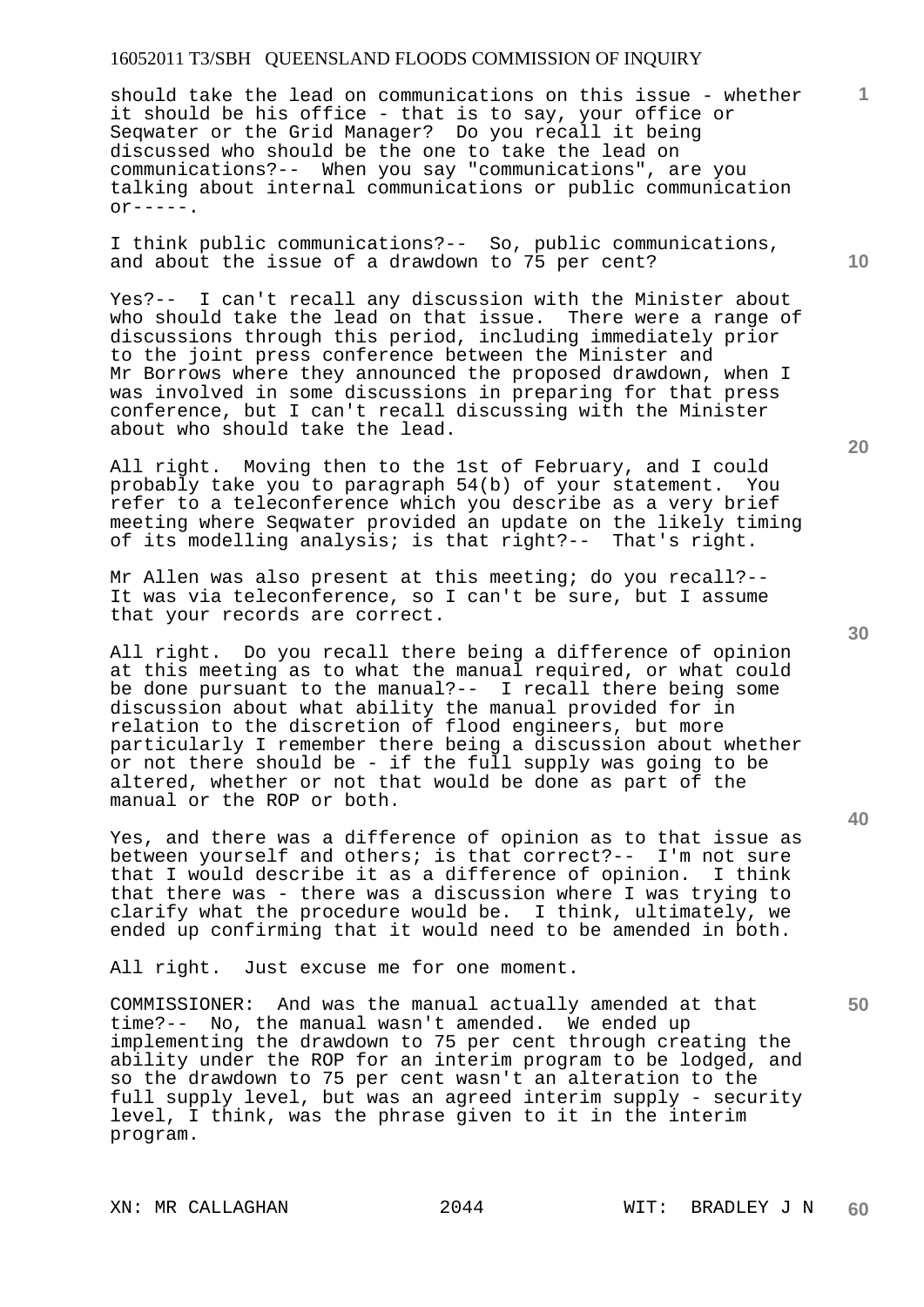should take the lead on communications on this issue - whether it should be his office - that is to say, your office or Seqwater or the Grid Manager? Do you recall it being discussed who should be the one to take the lead on communications?-- When you say "communications", are you talking about internal communications or public communication  $or---$ .

I think public communications?-- So, public communications, and about the issue of a drawdown to 75 per cent?

Yes?-- I can't recall any discussion with the Minister about who should take the lead on that issue. There were a range of discussions through this period, including immediately prior to the joint press conference between the Minister and Mr Borrows where they announced the proposed drawdown, when I was involved in some discussions in preparing for that press conference, but I can't recall discussing with the Minister about who should take the lead.

All right. Moving then to the 1st of February, and I could probably take you to paragraph 54(b) of your statement. You refer to a teleconference which you describe as a very brief meeting where Seqwater provided an update on the likely timing of its modelling analysis; is that right?-- That's right.

Mr Allen was also present at this meeting; do you recall?-- It was via teleconference, so I can't be sure, but I assume that your records are correct.

All right. Do you recall there being a difference of opinion at this meeting as to what the manual required, or what could be done pursuant to the manual?-- I recall there being some discussion about what ability the manual provided for in relation to the discretion of flood engineers, but more particularly I remember there being a discussion about whether or not there should be - if the full supply was going to be altered, whether or not that would be done as part of the manual or the ROP or both.

Yes, and there was a difference of opinion as to that issue as between yourself and others; is that correct?-- I'm not sure that I would describe it as a difference of opinion. I think that there was - there was a discussion where I was trying to clarify what the procedure would be. I think, ultimately, we ended up confirming that it would need to be amended in both.

All right. Just excuse me for one moment.

COMMISSIONER: And was the manual actually amended at that time?-- No, the manual wasn't amended. We ended up implementing the drawdown to 75 per cent through creating the ability under the ROP for an interim program to be lodged, and so the drawdown to 75 per cent wasn't an alteration to the full supply level, but was an agreed interim supply - security level, I think, was the phrase given to it in the interim program.

**10** 

**1**

**30** 

**20** 

**40**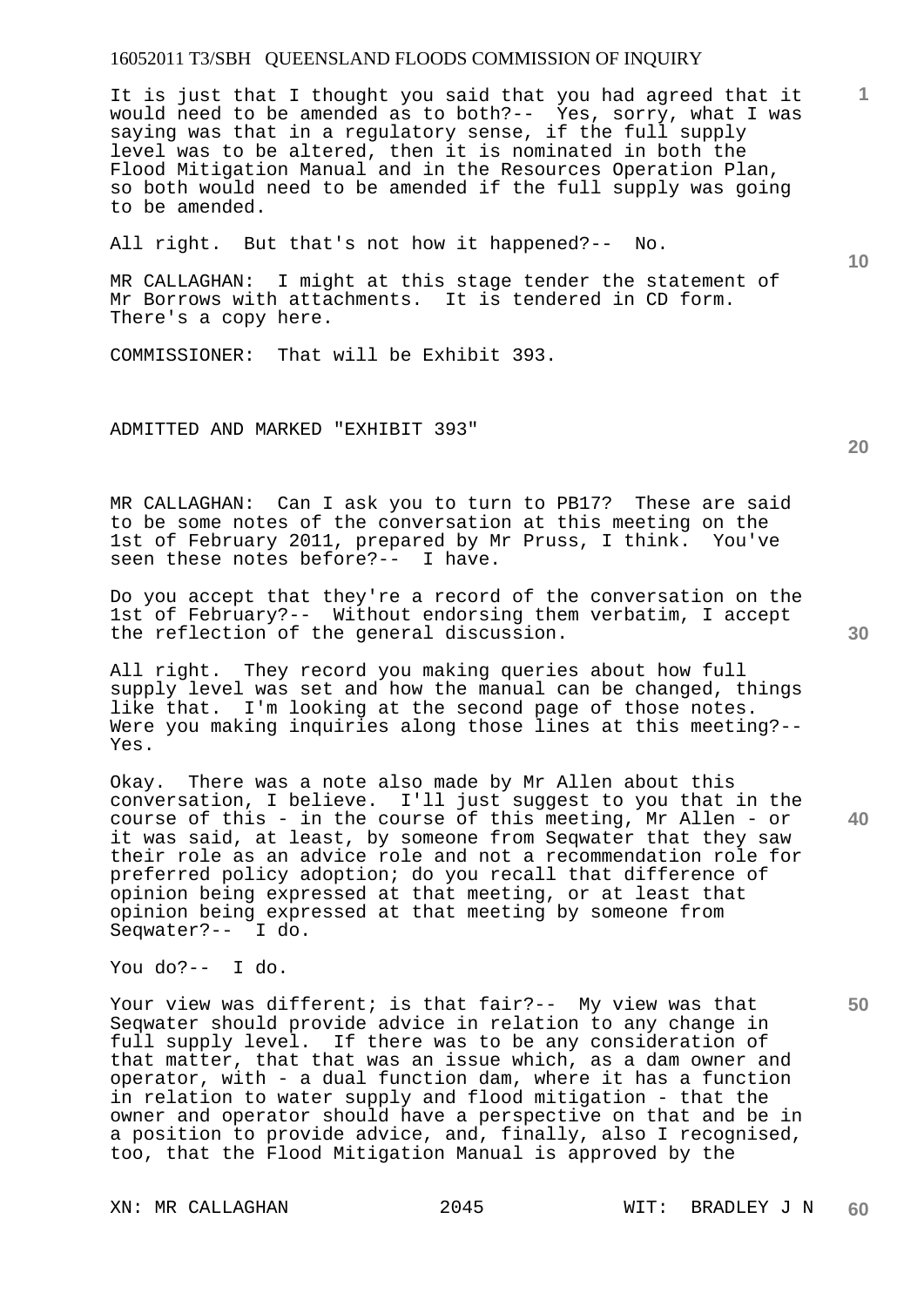It is just that I thought you said that you had agreed that it would need to be amended as to both?-- Yes, sorry, what I was saying was that in a regulatory sense, if the full supply level was to be altered, then it is nominated in both the Flood Mitigation Manual and in the Resources Operation Plan, so both would need to be amended if the full supply was going to be amended.

All right. But that's not how it happened?-- No.

MR CALLAGHAN: I might at this stage tender the statement of Mr Borrows with attachments. It is tendered in CD form. There's a copy here.

COMMISSIONER: That will be Exhibit 393.

#### ADMITTED AND MARKED "EXHIBIT 393"

MR CALLAGHAN: Can I ask you to turn to PB17? These are said to be some notes of the conversation at this meeting on the<br>1st of February 2011, prepared by Mr Pruss, I think. You've 1st of February 2011, prepared by Mr Pruss, I think. seen these notes before?-- I have.

Do you accept that they're a record of the conversation on the 1st of February?-- Without endorsing them verbatim, I accept the reflection of the general discussion.

All right. They record you making queries about how full supply level was set and how the manual can be changed, things like that. I'm looking at the second page of those notes. Were you making inquiries along those lines at this meeting?-- Yes.

Okay. There was a note also made by Mr Allen about this conversation, I believe. I'll just suggest to you that in the course of this - in the course of this meeting, Mr Allen - or it was said, at least, by someone from Seqwater that they saw their role as an advice role and not a recommendation role for preferred policy adoption; do you recall that difference of opinion being expressed at that meeting, or at least that opinion being expressed at that meeting by someone from Seqwater?-- I do.

You do?-- I do.

Your view was different; is that fair?-- My view was that Seqwater should provide advice in relation to any change in full supply level. If there was to be any consideration of that matter, that that was an issue which, as a dam owner and operator, with - a dual function dam, where it has a function in relation to water supply and flood mitigation - that the owner and operator should have a perspective on that and be in a position to provide advice, and, finally, also I recognised, too, that the Flood Mitigation Manual is approved by the

**20** 

**30** 

**1**

**10**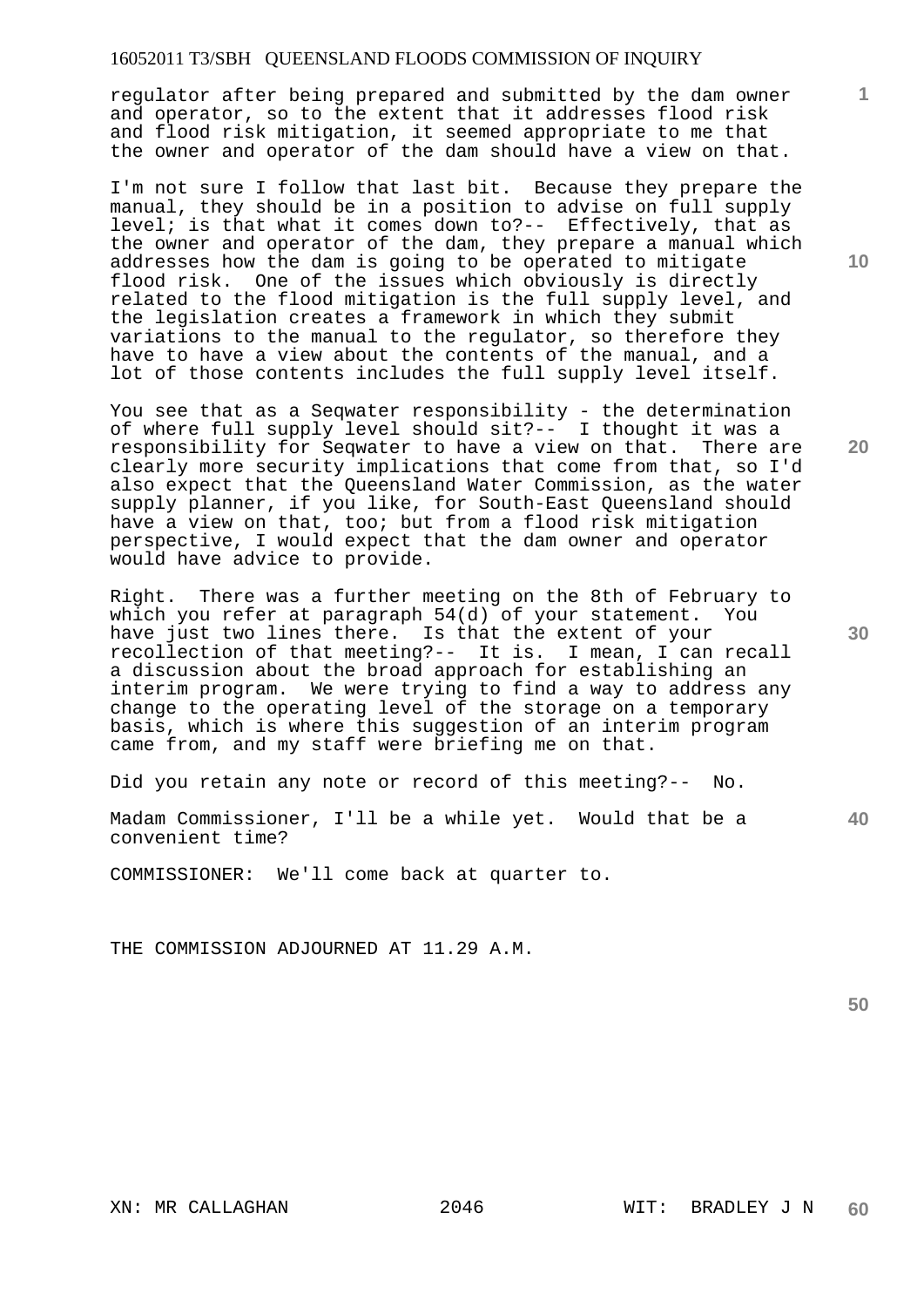regulator after being prepared and submitted by the dam owner and operator, so to the extent that it addresses flood risk and flood risk mitigation, it seemed appropriate to me that the owner and operator of the dam should have a view on that.

I'm not sure I follow that last bit. Because they prepare the manual, they should be in a position to advise on full supply level; is that what it comes down to ?-- Effectively, that as the owner and operator of the dam, they prepare a manual which addresses how the dam is going to be operated to mitigate flood risk. One of the issues which obviously is directly related to the flood mitigation is the full supply level, and the legislation creates a framework in which they submit variations to the manual to the regulator, so therefore they have to have a view about the contents of the manual, and a lot of those contents includes the full supply level itself.

You see that as a Seqwater responsibility - the determination of where full supply level should sit?-- I thought it was a responsibility for Seqwater to have a view on that. There are clearly more security implications that come from that, so I'd also expect that the Queensland Water Commission, as the water supply planner, if you like, for South-East Queensland should have a view on that, too; but from a flood risk mitigation perspective, I would expect that the dam owner and operator would have advice to provide.

Right. There was a further meeting on the 8th of February to which you refer at paragraph 54(d) of your statement. You have just two lines there. Is that the extent of your recollection of that meeting?-- It is. I mean, I can recall a discussion about the broad approach for establishing an interim program. We were trying to find a way to address any change to the operating level of the storage on a temporary basis, which is where this suggestion of an interim program came from, and my staff were briefing me on that.

Did you retain any note or record of this meeting?-- No.

**40**  Madam Commissioner, I'll be a while yet. Would that be a convenient time?

COMMISSIONER: We'll come back at quarter to.

THE COMMISSION ADJOURNED AT 11.29 A.M.

**50** 

**10** 

**1**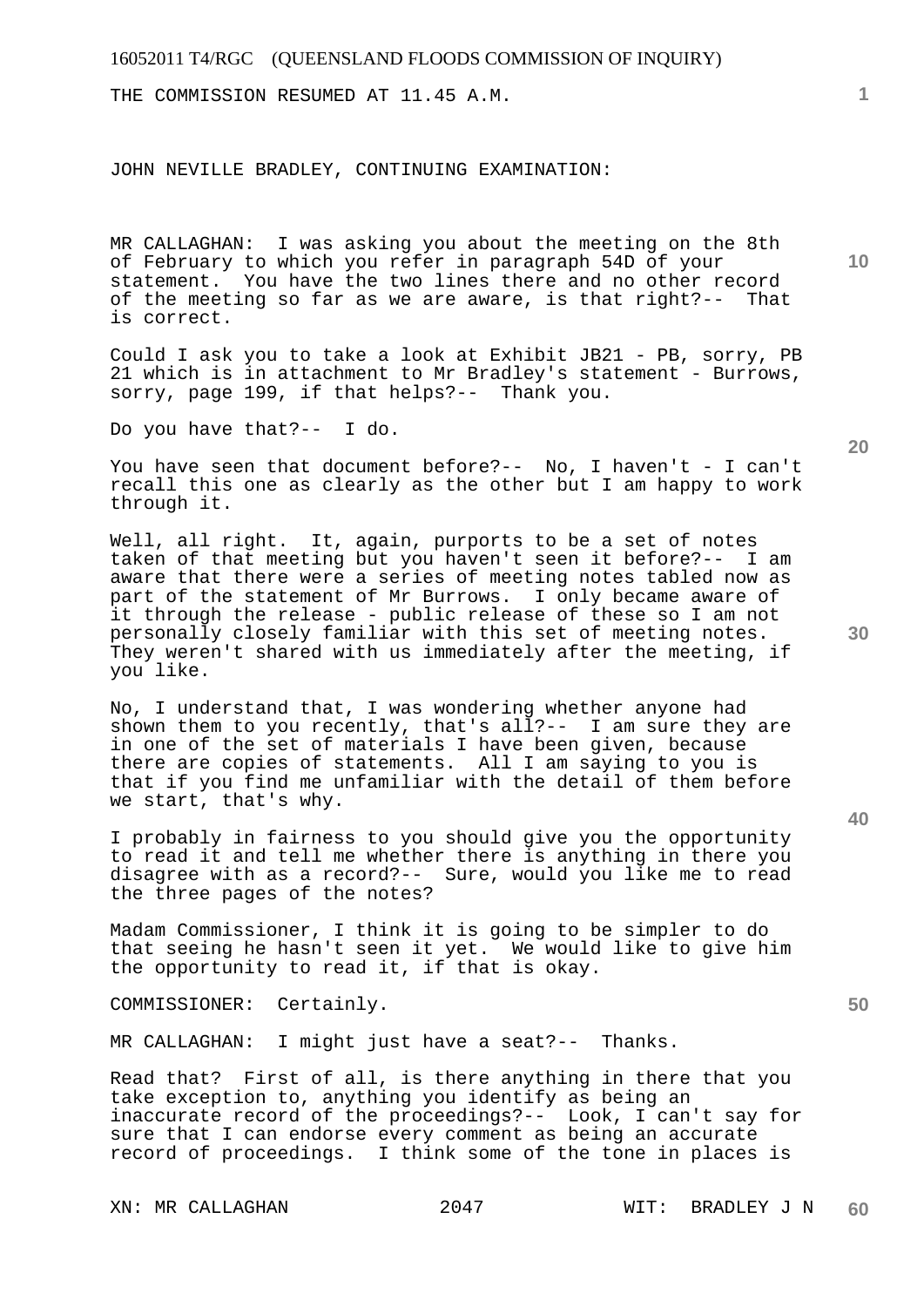THE COMMISSION RESUMED AT 11.45 A.M.

#### JOHN NEVILLE BRADLEY, CONTINUING EXAMINATION:

MR CALLAGHAN: I was asking you about the meeting on the 8th of February to which you refer in paragraph 54D of your statement. You have the two lines there and no other record of the meeting so far as we are aware, is that right?-- That is correct.

Could I ask you to take a look at Exhibit JB21 - PB, sorry, PB 21 which is in attachment to Mr Bradley's statement - Burrows, sorry, page 199, if that helps?-- Thank you.

Do you have that?-- I do.

You have seen that document before?-- No, I haven't - I can't recall this one as clearly as the other but I am happy to work through it.

Well, all right. It, again, purports to be a set of notes taken of that meeting but you haven't seen it before?-- I am aware that there were a series of meeting notes tabled now as part of the statement of Mr Burrows. I only became aware of it through the release - public release of these so I am not personally closely familiar with this set of meeting notes. They weren't shared with us immediately after the meeting, if you like.

No, I understand that, I was wondering whether anyone had shown them to you recently, that's all?-- I am sure they are in one of the set of materials I have been given, because there are copies of statements. All I am saying to you is that if you find me unfamiliar with the detail of them before we start, that's why.

I probably in fairness to you should give you the opportunity to read it and tell me whether there is anything in there you disagree with as a record?-- Sure, would you like me to read the three pages of the notes?

Madam Commissioner, I think it is going to be simpler to do that seeing he hasn't seen it yet. We would like to give him the opportunity to read it, if that is okay.

COMMISSIONER: Certainly.

MR CALLAGHAN: I might just have a seat?-- Thanks.

Read that? First of all, is there anything in there that you take exception to, anything you identify as being an inaccurate record of the proceedings?-- Look, I can't say for sure that I can endorse every comment as being an accurate record of proceedings. I think some of the tone in places is

**10** 

**1**

**20** 

**40**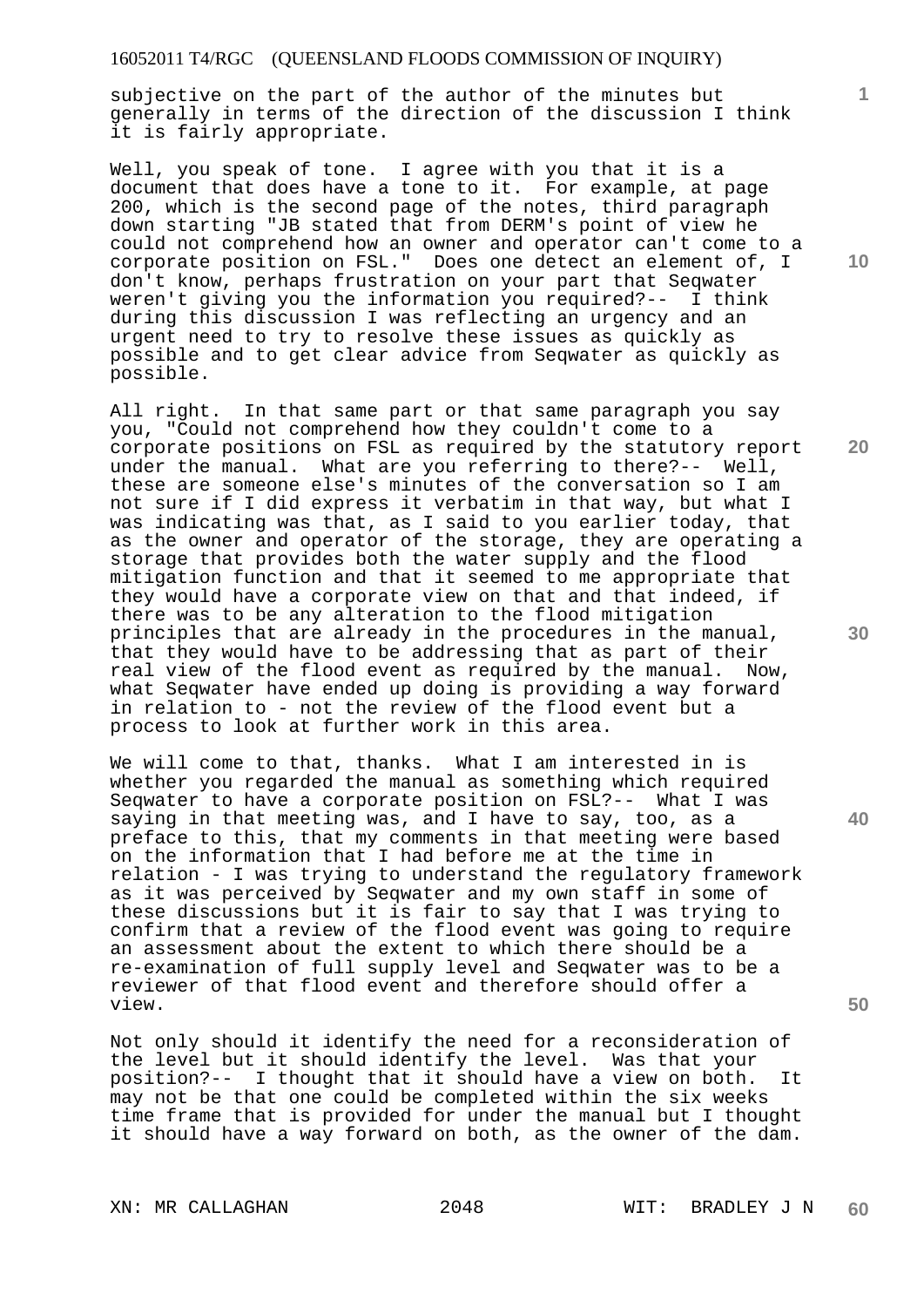subjective on the part of the author of the minutes but generally in terms of the direction of the discussion I think it is fairly appropriate.

Well, you speak of tone. I agree with you that it is a document that does have a tone to it. For example, at page 200, which is the second page of the notes, third paragraph down starting "JB stated that from DERM's point of view he could not comprehend how an owner and operator can't come to a corporate position on FSL." Does one detect an element of, I don't know, perhaps frustration on your part that Seqwater weren't giving you the information you required?-- I think during this discussion I was reflecting an urgency and an urgent need to try to resolve these issues as quickly as possible and to get clear advice from Seqwater as quickly as possible.

All right. In that same part or that same paragraph you say you, "Could not comprehend how they couldn't come to a corporate positions on FSL as required by the statutory report under the manual. What are you referring to there?-- Well, these are someone else's minutes of the conversation so I am not sure if I did express it verbatim in that way, but what I was indicating was that, as I said to you earlier today, that as the owner and operator of the storage, they are operating a storage that provides both the water supply and the flood mitigation function and that it seemed to me appropriate that they would have a corporate view on that and that indeed, if there was to be any alteration to the flood mitigation principles that are already in the procedures in the manual, that they would have to be addressing that as part of their real view of the flood event as required by the manual. Now, what Seqwater have ended up doing is providing a way forward in relation to - not the review of the flood event but a process to look at further work in this area.

We will come to that, thanks. What I am interested in is whether you regarded the manual as something which required Seqwater to have a corporate position on FSL?-- What I was saying in that meeting was, and I have to say, too, as a preface to this, that my comments in that meeting were based on the information that I had before me at the time in relation - I was trying to understand the regulatory framework as it was perceived by Seqwater and my own staff in some of these discussions but it is fair to say that I was trying to confirm that a review of the flood event was going to require an assessment about the extent to which there should be a re-examination of full supply level and Seqwater was to be a reviewer of that flood event and therefore should offer a view.

Not only should it identify the need for a reconsideration of the level but it should identify the level. Was that your position?-- I thought that it should have a view on both. It may not be that one could be completed within the six weeks time frame that is provided for under the manual but I thought it should have a way forward on both, as the owner of the dam.

XN: MR CALLAGHAN 2048 WIT: BRADLEY J N

**10** 

**1**

**20** 

**30** 

**40**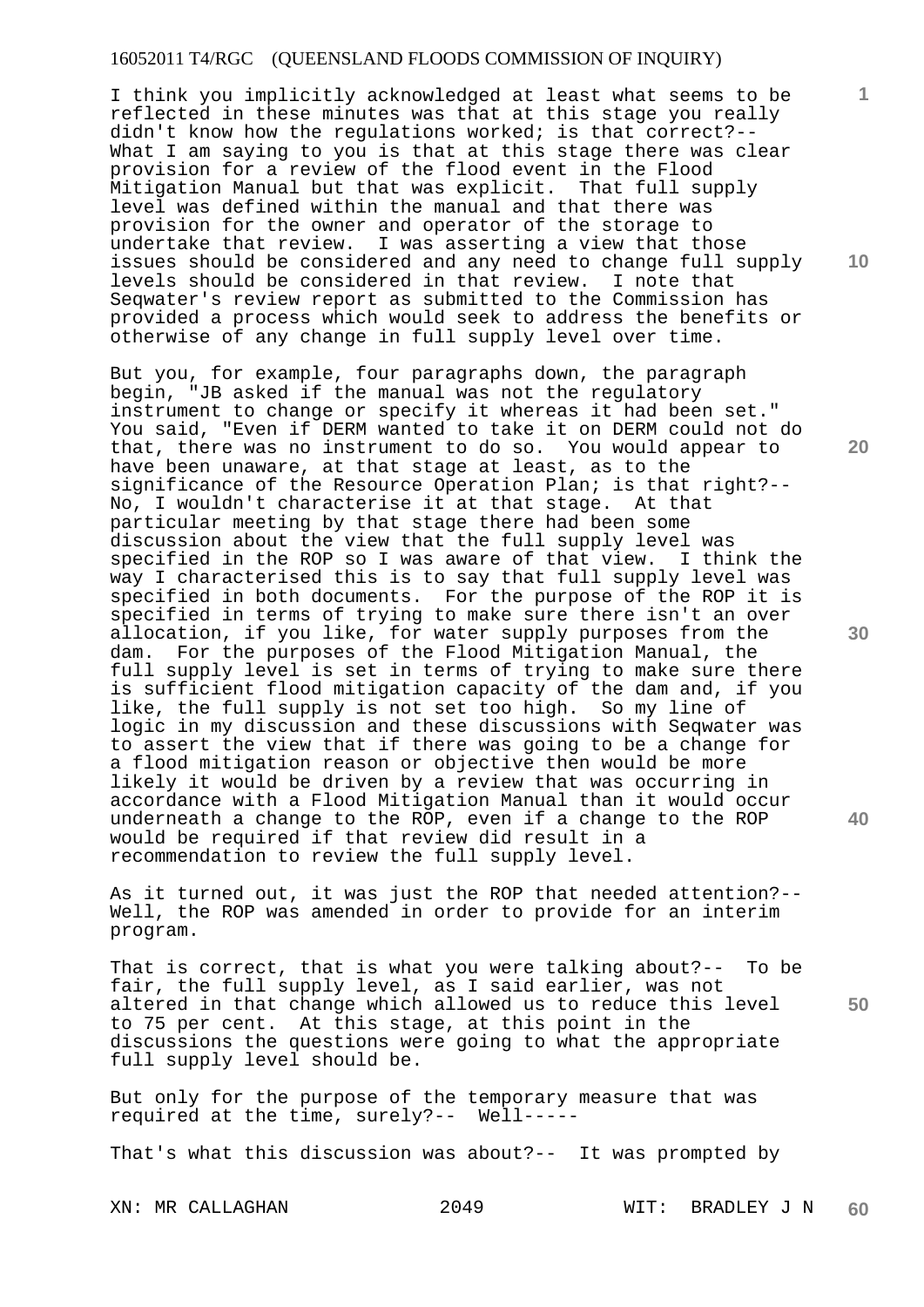I think you implicitly acknowledged at least what seems to be reflected in these minutes was that at this stage you really didn't know how the regulations worked; is that correct?-- What I am saying to you is that at this stage there was clear provision for a review of the flood event in the Flood Mitigation Manual but that was explicit. That full supply level was defined within the manual and that there was provision for the owner and operator of the storage to undertake that review. I was asserting a view that those issues should be considered and any need to change full supply levels should be considered in that review. I note that Seqwater's review report as submitted to the Commission has provided a process which would seek to address the benefits or otherwise of any change in full supply level over time.

But you, for example, four paragraphs down, the paragraph begin, "JB asked if the manual was not the regulatory instrument to change or specify it whereas it had been set." You said, "Even if DERM wanted to take it on DERM could not do that, there was no instrument to do so. You would appear to have been unaware, at that stage at least, as to the significance of the Resource Operation Plan; is that right?-- No, I wouldn't characterise it at that stage. At that particular meeting by that stage there had been some discussion about the view that the full supply level was specified in the ROP so I was aware of that view. I think the way I characterised this is to say that full supply level was specified in both documents. For the purpose of the ROP it is specified in terms of trying to make sure there isn't an over allocation, if you like, for water supply purposes from the dam. For the purposes of the Flood Mitigation Manual, the full supply level is set in terms of trying to make sure there is sufficient flood mitigation capacity of the dam and, if you like, the full supply is not set too high. So my line of logic in my discussion and these discussions with Seqwater was to assert the view that if there was going to be a change for a flood mitigation reason or objective then would be more likely it would be driven by a review that was occurring in accordance with a Flood Mitigation Manual than it would occur underneath a change to the ROP, even if a change to the ROP would be required if that review did result in a recommendation to review the full supply level.

As it turned out, it was just the ROP that needed attention?-- Well, the ROP was amended in order to provide for an interim program.

That is correct, that is what you were talking about?-- To be fair, the full supply level, as I said earlier, was not altered in that change which allowed us to reduce this level to 75 per cent. At this stage, at this point in the discussions the questions were going to what the appropriate full supply level should be.

But only for the purpose of the temporary measure that was required at the time, surely?-- Well-----

That's what this discussion was about?-- It was prompted by

**10** 

**1**

**20** 

**30** 

**40**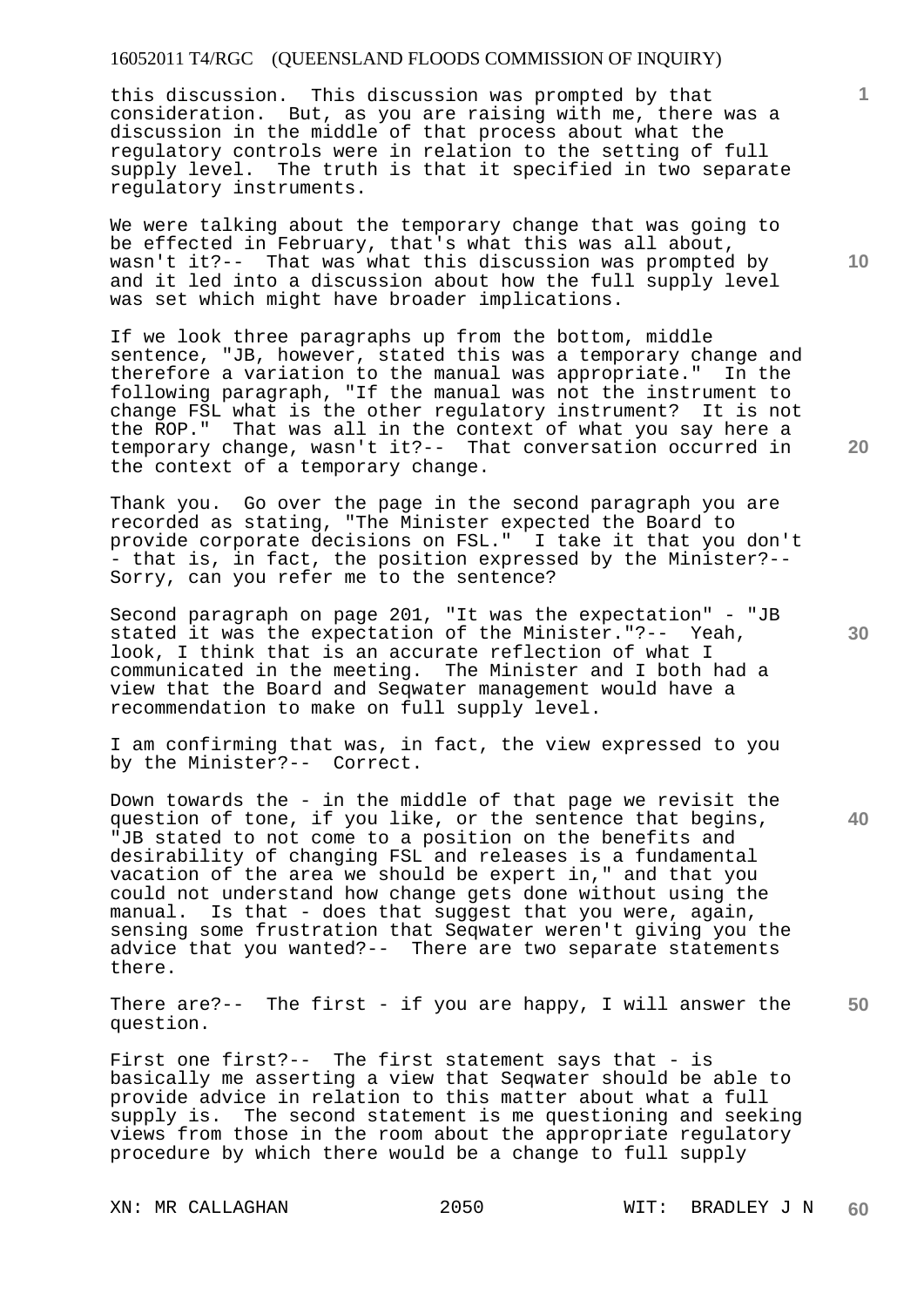this discussion. This discussion was prompted by that consideration. But, as you are raising with me, there was a discussion in the middle of that process about what the regulatory controls were in relation to the setting of full supply level. The truth is that it specified in two separate regulatory instruments.

We were talking about the temporary change that was going to be effected in February, that's what this was all about, wasn't it?-- That was what this discussion was prompted by and it led into a discussion about how the full supply level was set which might have broader implications.

If we look three paragraphs up from the bottom, middle sentence, "JB, however, stated this was a temporary change and therefore a variation to the manual was appropriate." In the following paragraph, "If the manual was not the instrument to change FSL what is the other regulatory instrument? It is not the ROP." That was all in the context of what you say here a temporary change, wasn't it?-- That conversation occurred in the context of a temporary change.

Thank you. Go over the page in the second paragraph you are recorded as stating, "The Minister expected the Board to provide corporate decisions on FSL." I take it that you don't - that is, in fact, the position expressed by the Minister?-- Sorry, can you refer me to the sentence?

Second paragraph on page 201, "It was the expectation" - "JB stated it was the expectation of the Minister."?-- Yeah, look, I think that is an accurate reflection of what I communicated in the meeting. The Minister and I both had a view that the Board and Seqwater management would have a recommendation to make on full supply level.

I am confirming that was, in fact, the view expressed to you by the Minister?-- Correct.

Down towards the - in the middle of that page we revisit the question of tone, if you like, or the sentence that begins, "JB stated to not come to a position on the benefits and desirability of changing FSL and releases is a fundamental vacation of the area we should be expert in," and that you could not understand how change gets done without using the manual. Is that - does that suggest that you were, again, sensing some frustration that Seqwater weren't giving you the advice that you wanted?-- There are two separate statements there.

**50**  There are?-- The first - if you are happy, I will answer the question.

First one first?-- The first statement says that - is basically me asserting a view that Seqwater should be able to provide advice in relation to this matter about what a full supply is. The second statement is me questioning and seeking views from those in the room about the appropriate regulatory procedure by which there would be a change to full supply

**10** 

**1**

**20**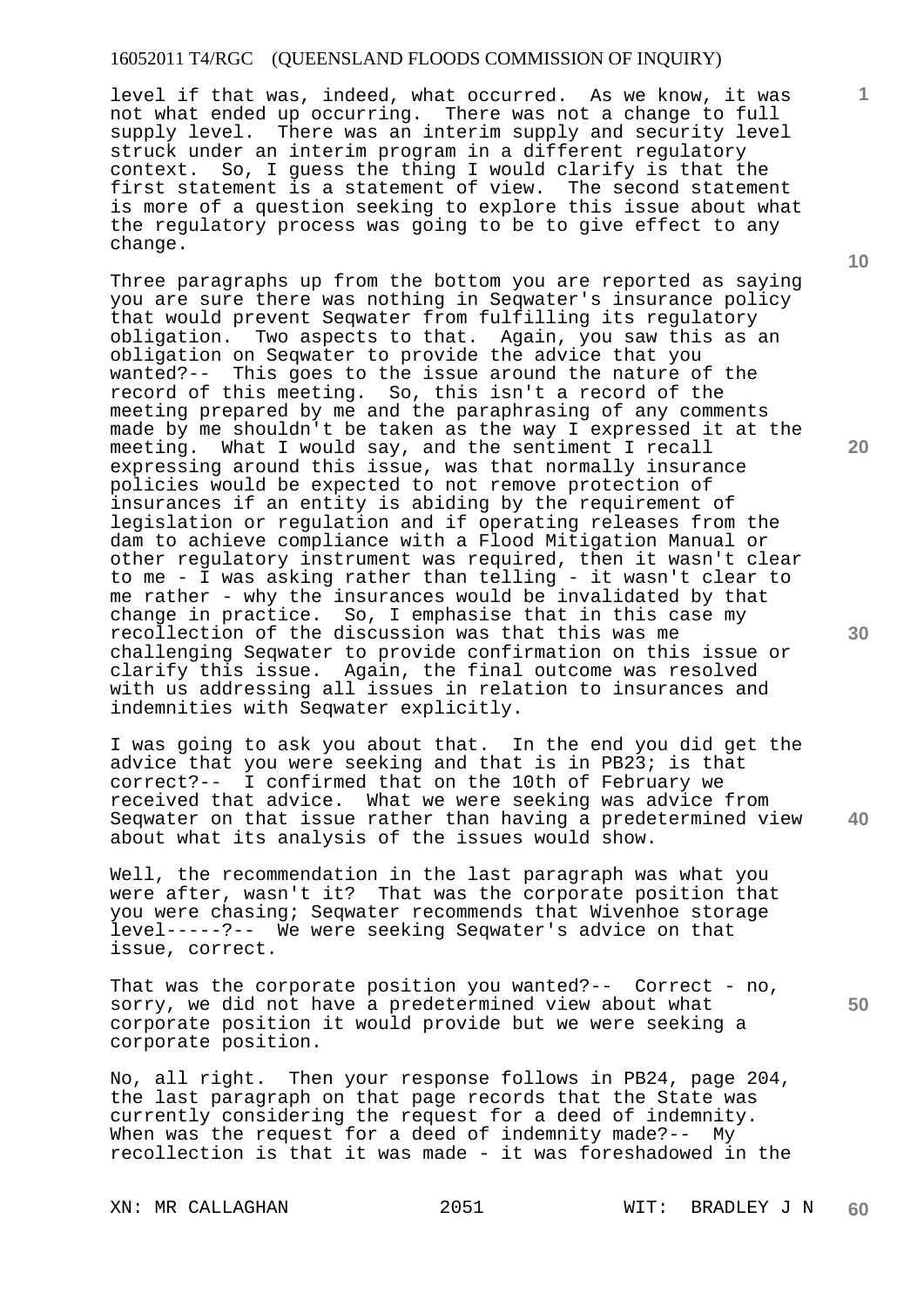level if that was, indeed, what occurred. As we know, it was not what ended up occurring. There was not a change to full supply level. There was an interim supply and security level struck under an interim program in a different regulatory context. So, I guess the thing I would clarify is that the first statement is a statement of view. The second statement is more of a question seeking to explore this issue about what the regulatory process was going to be to give effect to any change.

Three paragraphs up from the bottom you are reported as saying you are sure there was nothing in Seqwater's insurance policy that would prevent Seqwater from fulfilling its regulatory obligation. Two aspects to that. Again, you saw this as an obligation on Seqwater to provide the advice that you wanted?-- This goes to the issue around the nature of the record of this meeting. So, this isn't a record of the meeting prepared by me and the paraphrasing of any comments made by me shouldn't be taken as the way I expressed it at the meeting. What I would say, and the sentiment I recall expressing around this issue, was that normally insurance policies would be expected to not remove protection of insurances if an entity is abiding by the requirement of legislation or regulation and if operating releases from the dam to achieve compliance with a Flood Mitigation Manual or other regulatory instrument was required, then it wasn't clear to me - I was asking rather than telling - it wasn't clear to me rather - why the insurances would be invalidated by that change in practice. So, I emphasise that in this case my recollection of the discussion was that this was me challenging Seqwater to provide confirmation on this issue or clarify this issue. Again, the final outcome was resolved with us addressing all issues in relation to insurances and indemnities with Seqwater explicitly.

I was going to ask you about that. In the end you did get the advice that you were seeking and that is in PB23; is that correct?-- I confirmed that on the 10th of February we received that advice. What we were seeking was advice from Seqwater on that issue rather than having a predetermined view about what its analysis of the issues would show.

Well, the recommendation in the last paragraph was what you were after, wasn't it? That was the corporate position that you were chasing; Seqwater recommends that Wivenhoe storage level-----?-- We were seeking Seqwater's advice on that issue, correct.

That was the corporate position you wanted?-- Correct - no, sorry, we did not have a predetermined view about what corporate position it would provide but we were seeking a corporate position.

No, all right. Then your response follows in PB24, page 204, the last paragraph on that page records that the State was currently considering the request for a deed of indemnity. When was the request for a deed of indemnity made?-- My recollection is that it was made - it was foreshadowed in the

**10** 

**1**

**20** 

**30** 

**40**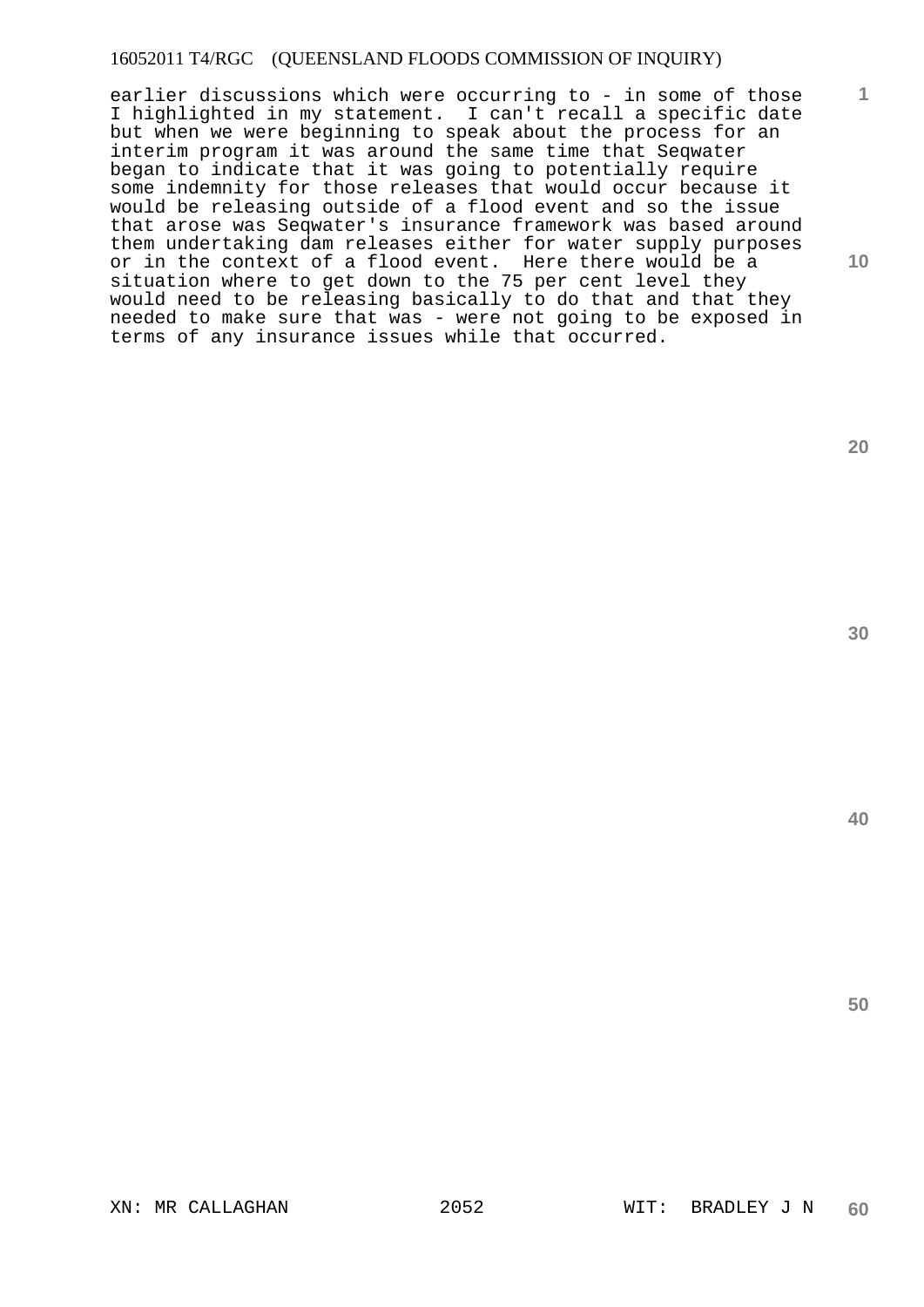**10**  earlier discussions which were occurring to - in some of those I highlighted in my statement. I can't recall a specific date but when we were beginning to speak about the process for an interim program it was around the same time that Seqwater began to indicate that it was going to potentially require some indemnity for those releases that would occur because it would be releasing outside of a flood event and so the issue that arose was Seqwater's insurance framework was based around them undertaking dam releases either for water supply purposes or in the context of a flood event. Here there would be a situation where to get down to the 75 per cent level they would need to be releasing basically to do that and that they needed to make sure that was - were not going to be exposed in terms of any insurance issues while that occurred.

**30** 

**20** 

**1**

**40**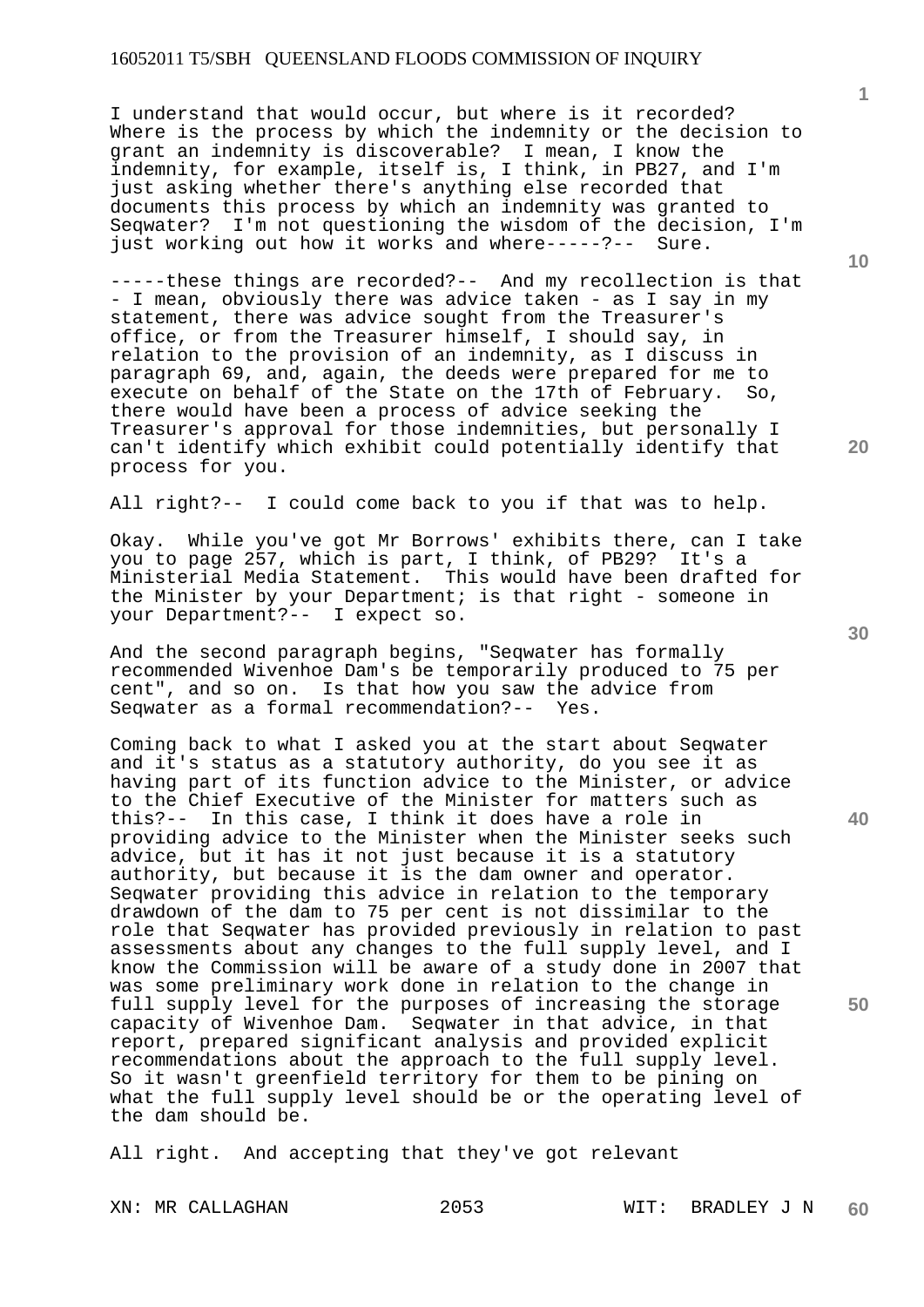I understand that would occur, but where is it recorded? Where is the process by which the indemnity or the decision to grant an indemnity is discoverable? I mean, I know the indemnity, for example, itself is, I think, in PB27, and I'm just asking whether there's anything else recorded that documents this process by which an indemnity was granted to Seqwater? I'm not questioning the wisdom of the decision, I'm just working out how it works and where-----?-- Sure.

-----these things are recorded?-- And my recollection is that - I mean, obviously there was advice taken - as I say in my statement, there was advice sought from the Treasurer's office, or from the Treasurer himself, I should say, in relation to the provision of an indemnity, as I discuss in paragraph 69, and, again, the deeds were prepared for me to execute on behalf of the State on the 17th of February. So, there would have been a process of advice seeking the Treasurer's approval for those indemnities, but personally I can't identify which exhibit could potentially identify that process for you.

All right?-- I could come back to you if that was to help.

Okay. While you've got Mr Borrows' exhibits there, can I take you to page 257, which is part, I think, of PB29? It's a Ministerial Media Statement. This would have been drafted for the Minister by your Department; is that right - someone in your Department?-- I expect so.

And the second paragraph begins, "Seqwater has formally recommended Wivenhoe Dam's be temporarily produced to 75 per Is that how you saw the advice from Seqwater as a formal recommendation?-- Yes.

Coming back to what I asked you at the start about Seqwater and it's status as a statutory authority, do you see it as having part of its function advice to the Minister, or advice to the Chief Executive of the Minister for matters such as this?-- In this case, I think it does have a role in providing advice to the Minister when the Minister seeks such advice, but it has it not just because it is a statutory authority, but because it is the dam owner and operator. Seqwater providing this advice in relation to the temporary drawdown of the dam to 75 per cent is not dissimilar to the role that Seqwater has provided previously in relation to past assessments about any changes to the full supply level, and I know the Commission will be aware of a study done in 2007 that was some preliminary work done in relation to the change in full supply level for the purposes of increasing the storage capacity of Wivenhoe Dam. Seqwater in that advice, in that report, prepared significant analysis and provided explicit recommendations about the approach to the full supply level. So it wasn't greenfield territory for them to be pining on what the full supply level should be or the operating level of the dam should be.

All right. And accepting that they've got relevant

**40** 

**50** 

**20** 

**10**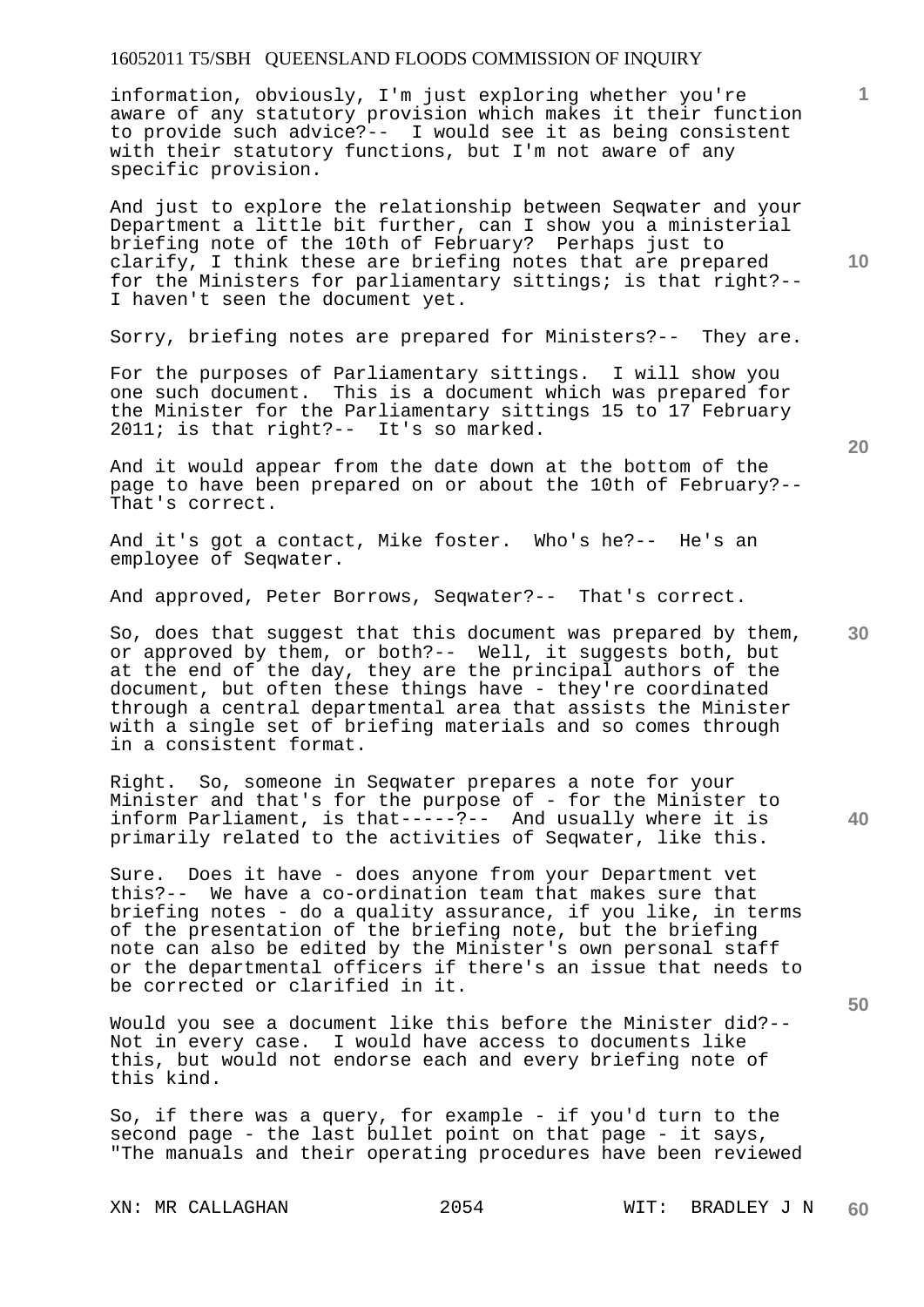information, obviously, I'm just exploring whether you're aware of any statutory provision which makes it their function to provide such advice?-- I would see it as being consistent with their statutory functions, but I'm not aware of any specific provision.

And just to explore the relationship between Seqwater and your Department a little bit further, can I show you a ministerial briefing note of the 10th of February? Perhaps just to clarify, I think these are briefing notes that are prepared for the Ministers for parliamentary sittings; is that right?-- I haven't seen the document yet.

Sorry, briefing notes are prepared for Ministers?-- They are.

For the purposes of Parliamentary sittings. I will show you one such document. This is a document which was prepared for the Minister for the Parliamentary sittings 15 to 17 February 2011; is that right?-- It's so marked.

And it would appear from the date down at the bottom of the page to have been prepared on or about the 10th of February?-- That's correct.

And it's got a contact, Mike foster. Who's he?-- He's an employee of Seqwater.

And approved, Peter Borrows, Seqwater?-- That's correct.

**30**  So, does that suggest that this document was prepared by them, or approved by them, or both?-- Well, it suggests both, but at the end of the day, they are the principal authors of the document, but often these things have - they're coordinated through a central departmental area that assists the Minister with a single set of briefing materials and so comes through in a consistent format.

Right. So, someone in Seqwater prepares a note for your Minister and that's for the purpose of - for the Minister to inform Parliament, is that-----?-- And usually where it is primarily related to the activities of Seqwater, like this.

Sure. Does it have - does anyone from your Department vet this?-- We have a co-ordination team that makes sure that briefing notes - do a quality assurance, if you like, in terms of the presentation of the briefing note, but the briefing note can also be edited by the Minister's own personal staff or the departmental officers if there's an issue that needs to be corrected or clarified in it.

Would you see a document like this before the Minister did?-- Not in every case. I would have access to documents like this, but would not endorse each and every briefing note of this kind.

So, if there was a query, for example - if you'd turn to the second page - the last bullet point on that page - it says, "The manuals and their operating procedures have been reviewed

**20** 

**40** 

**50** 

**1**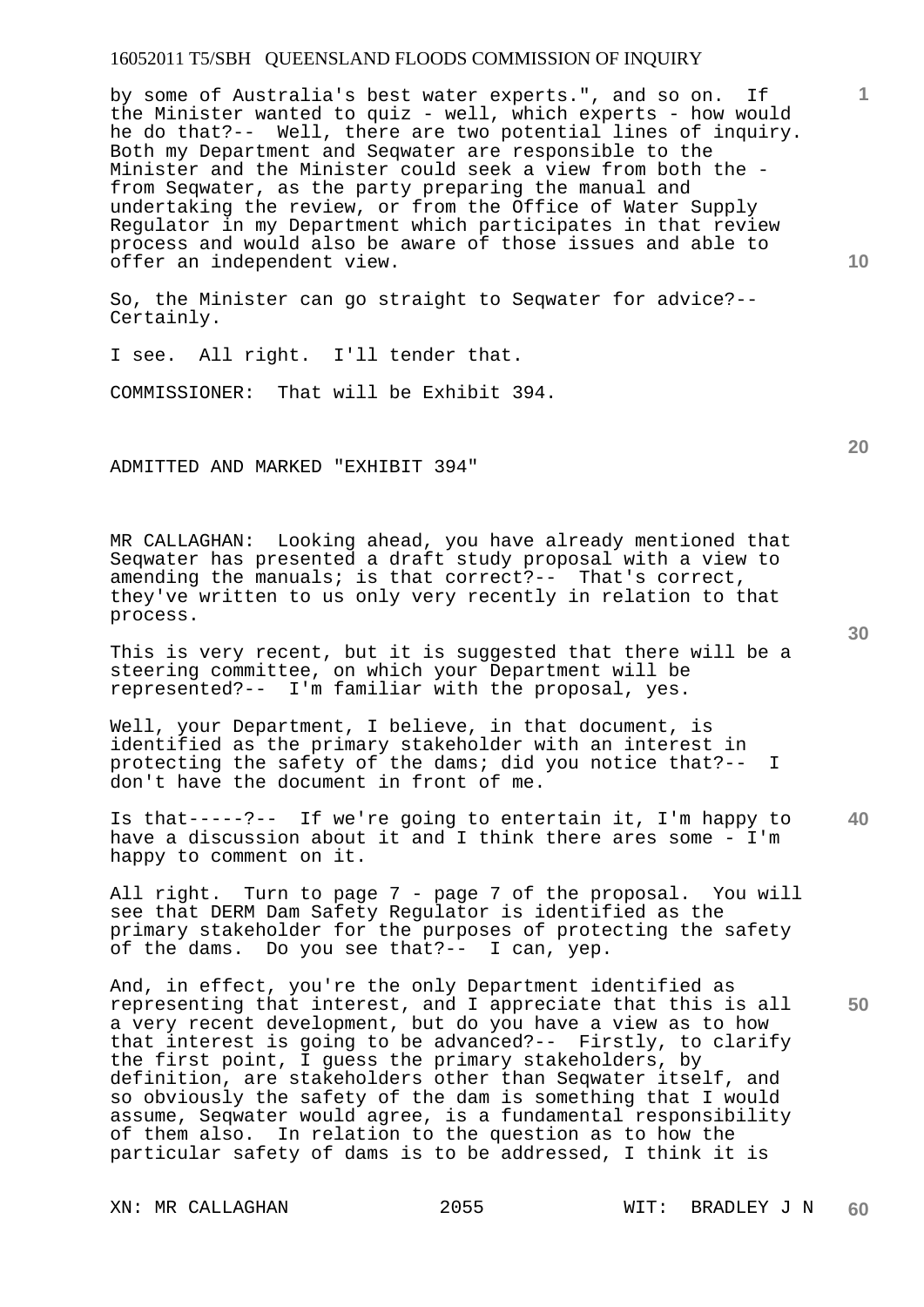by some of Australia's best water experts.", and so on. If the Minister wanted to quiz - well, which experts - how would he do that?-- Well, there are two potential lines of inquiry. Both my Department and Seqwater are responsible to the Minister and the Minister could seek a view from both the from Seqwater, as the party preparing the manual and undertaking the review, or from the Office of Water Supply Regulator in my Department which participates in that review process and would also be aware of those issues and able to offer an independent view.

So, the Minister can go straight to Seqwater for advice?-- Certainly.

I see. All right. I'll tender that.

COMMISSIONER: That will be Exhibit 394.

ADMITTED AND MARKED "EXHIBIT 394"

MR CALLAGHAN: Looking ahead, you have already mentioned that Seqwater has presented a draft study proposal with a view to amending the manuals; is that correct?-- That's correct, they've written to us only very recently in relation to that process.

This is very recent, but it is suggested that there will be a steering committee, on which your Department will be represented?-- I'm familiar with the proposal, yes.

Well, your Department, I believe, in that document, is identified as the primary stakeholder with an interest in protecting the safety of the dams; did you notice that?-- I don't have the document in front of me.

**40**  Is that-----?-- If we're going to entertain it, I'm happy to have a discussion about it and I think there ares some - I'm happy to comment on it.

All right. Turn to page 7 - page 7 of the proposal. You will see that DERM Dam Safety Regulator is identified as the primary stakeholder for the purposes of protecting the safety of the dams. Do you see that?-- I can, yep.

**50**  And, in effect, you're the only Department identified as representing that interest, and I appreciate that this is all a very recent development, but do you have a view as to how that interest is going to be advanced?-- Firstly, to clarify the first point, I guess the primary stakeholders, by definition, are stakeholders other than Seqwater itself, and so obviously the safety of the dam is something that I would assume, Seqwater would agree, is a fundamental responsibility of them also. In relation to the question as to how the particular safety of dams is to be addressed, I think it is

**10** 

**20** 

**1**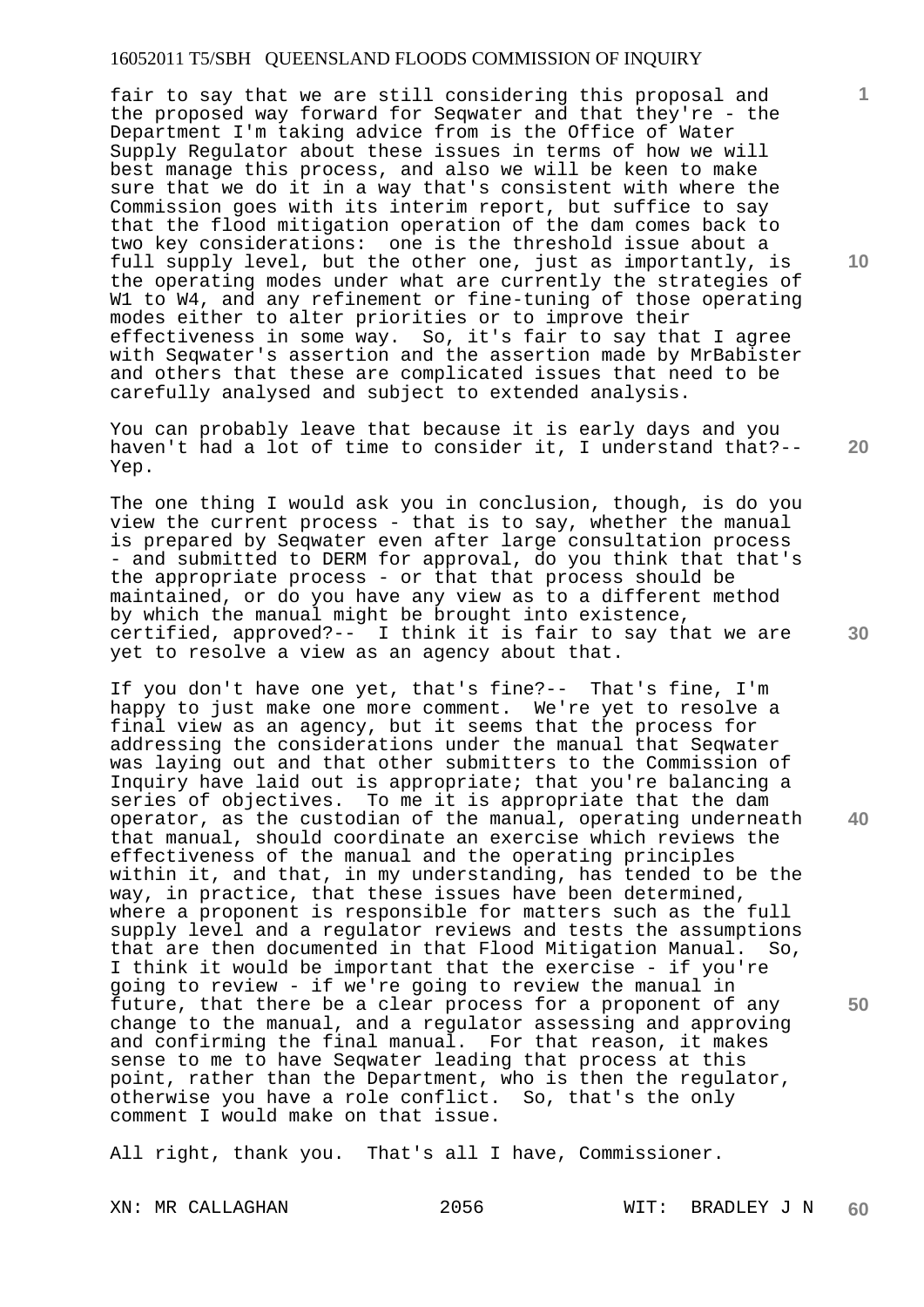fair to say that we are still considering this proposal and the proposed way forward for Seqwater and that they're - the Department I'm taking advice from is the Office of Water Supply Regulator about these issues in terms of how we will best manage this process, and also we will be keen to make sure that we do it in a way that's consistent with where the Commission goes with its interim report, but suffice to say that the flood mitigation operation of the dam comes back to two key considerations: one is the threshold issue about a full supply level, but the other one, just as importantly, is the operating modes under what are currently the strategies of W1 to W4, and any refinement or fine-tuning of those operating modes either to alter priorities or to improve their effectiveness in some way. So, it's fair to say that I agree with Seqwater's assertion and the assertion made by MrBabister and others that these are complicated issues that need to be carefully analysed and subject to extended analysis.

You can probably leave that because it is early days and you haven't had a lot of time to consider it, I understand that?-- Yep.

The one thing I would ask you in conclusion, though, is do you view the current process - that is to say, whether the manual is prepared by Seqwater even after large consultation process - and submitted to DERM for approval, do you think that that's the appropriate process - or that that process should be maintained, or do you have any view as to a different method by which the manual might be brought into existence, certified, approved?-- I think it is fair to say that we are yet to resolve a view as an agency about that.

If you don't have one yet, that's fine?-- That's fine, I'm happy to just make one more comment. We're yet to resolve a final view as an agency, but it seems that the process for addressing the considerations under the manual that Seqwater was laying out and that other submitters to the Commission of Inquiry have laid out is appropriate; that you're balancing a series of objectives. To me it is appropriate that the dam operator, as the custodian of the manual, operating underneath that manual, should coordinate an exercise which reviews the effectiveness of the manual and the operating principles within it, and that, in my understanding, has tended to be the way, in practice, that these issues have been determined, where a proponent is responsible for matters such as the full supply level and a regulator reviews and tests the assumptions that are then documented in that Flood Mitigation Manual. So, I think it would be important that the exercise - if you're going to review - if we're going to review the manual in future, that there be a clear process for a proponent of any change to the manual, and a regulator assessing and approving and confirming the final manual. For that reason, it makes sense to me to have Seqwater leading that process at this point, rather than the Department, who is then the regulator, otherwise you have a role conflict. So, that's the only comment I would make on that issue.

All right, thank you. That's all I have, Commissioner.

**10** 

**1**

**20** 

**30** 

**50**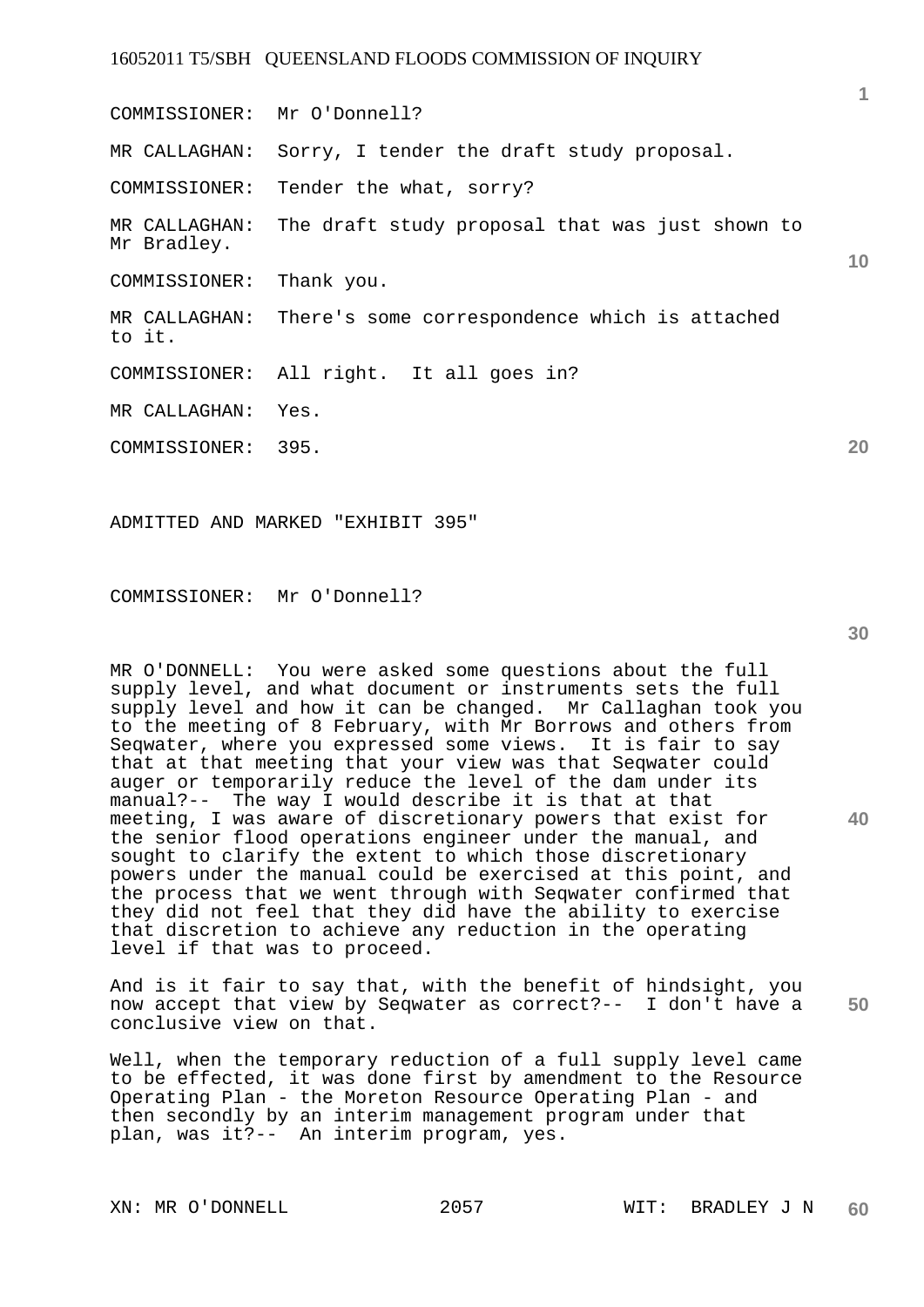**1 10 20**  COMMISSIONER: Mr O'Donnell? MR CALLAGHAN: Sorry, I tender the draft study proposal. COMMISSIONER: Tender the what, sorry? MR CALLAGHAN: The draft study proposal that was just shown to Mr Bradley. COMMISSIONER: Thank you. MR CALLAGHAN: There's some correspondence which is attached to it. COMMISSIONER: All right. It all goes in? MR CALLAGHAN: Yes. COMMISSIONER: 395.

ADMITTED AND MARKED "EXHIBIT 395"

COMMISSIONER: Mr O'Donnell?

MR O'DONNELL: You were asked some questions about the full supply level, and what document or instruments sets the full supply level and how it can be changed. Mr Callaghan took you to the meeting of 8 February, with Mr Borrows and others from Seqwater, where you expressed some views. It is fair to say that at that meeting that your view was that Seqwater could auger or temporarily reduce the level of the dam under its manual?-- The way I would describe it is that at that meeting, I was aware of discretionary powers that exist for the senior flood operations engineer under the manual, and sought to clarify the extent to which those discretionary powers under the manual could be exercised at this point, and the process that we went through with Seqwater confirmed that they did not feel that they did have the ability to exercise that discretion to achieve any reduction in the operating level if that was to proceed.

**50**  And is it fair to say that, with the benefit of hindsight, you now accept that view by Seqwater as correct?-- I don't have a conclusive view on that.

Well, when the temporary reduction of a full supply level came to be effected, it was done first by amendment to the Resource Operating Plan - the Moreton Resource Operating Plan - and then secondly by an interim management program under that plan, was it?-- An interim program, yes.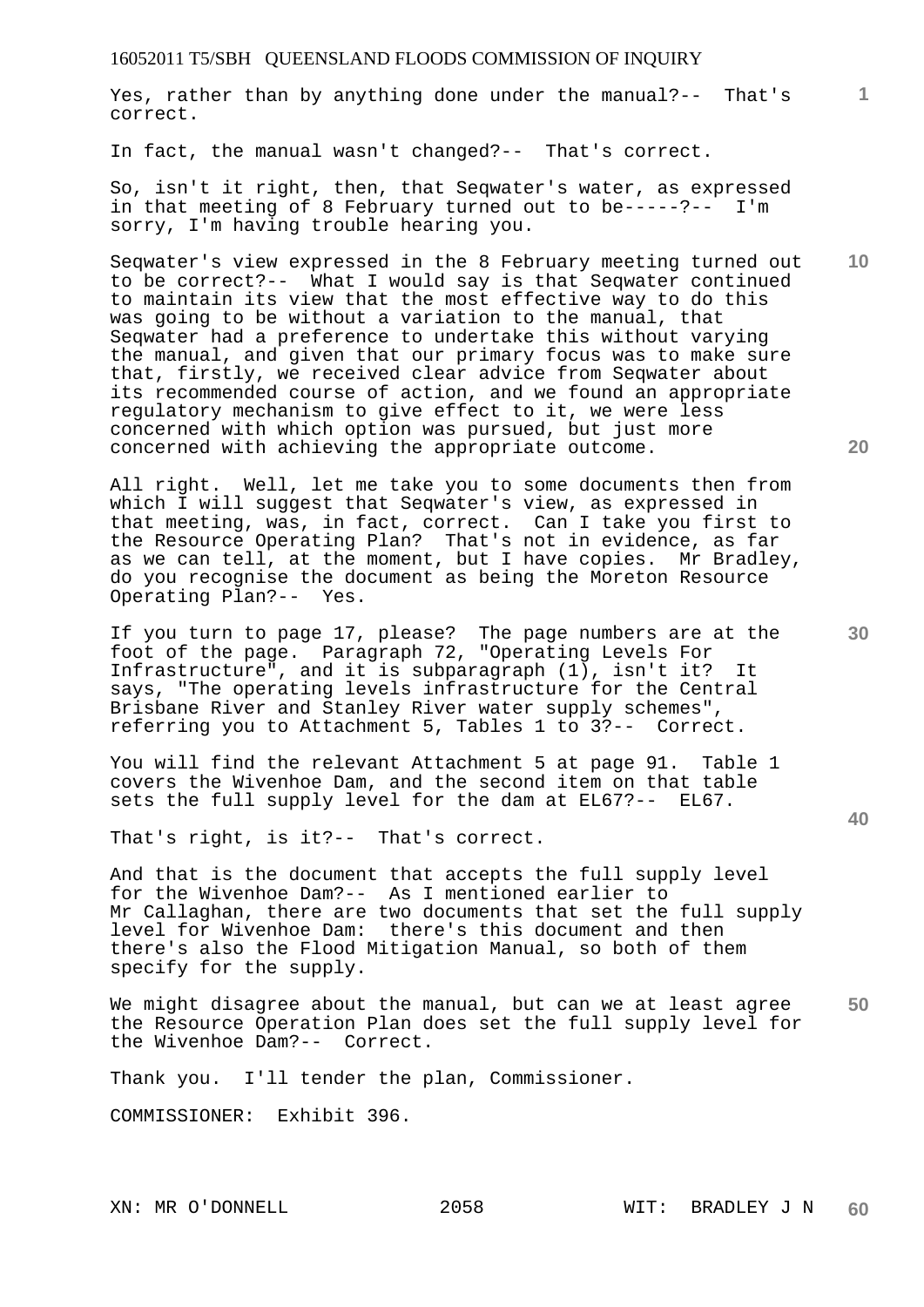**1** Yes, rather than by anything done under the manual?-- That's correct.

In fact, the manual wasn't changed?-- That's correct.

So, isn't it right, then, that Seqwater's water, as expressed in that meeting of 8 February turned out to be-----?-- I'm sorry, I'm having trouble hearing you.

Seqwater's view expressed in the 8 February meeting turned out to be correct?-- What I would say is that Seqwater continued to maintain its view that the most effective way to do this was going to be without a variation to the manual, that Seqwater had a preference to undertake this without varying the manual, and given that our primary focus was to make sure that, firstly, we received clear advice from Seqwater about its recommended course of action, and we found an appropriate regulatory mechanism to give effect to it, we were less concerned with which option was pursued, but just more concerned with achieving the appropriate outcome.

All right. Well, let me take you to some documents then from which I will suggest that Seqwater's view, as expressed in that meeting, was, in fact, correct. Can I take you first to the Resource Operating Plan? That's not in evidence, as far as we can tell, at the moment, but I have copies. Mr Bradley, do you recognise the document as being the Moreton Resource Operating Plan?-- Yes.

If you turn to page 17, please? The page numbers are at the foot of the page. Paragraph 72, "Operating Levels For Infrastructure", and it is subparagraph (1), isn't it? It says, "The operating levels infrastructure for the Central Brisbane River and Stanley River water supply schemes", referring you to Attachment 5, Tables 1 to 3?-- Correct.

You will find the relevant Attachment 5 at page 91. Table 1 covers the Wivenhoe Dam, and the second item on that table sets the full supply level for the dam at EL67?-- EL67.

That's right, is it?-- That's correct.

And that is the document that accepts the full supply level for the Wivenhoe Dam?-- As I mentioned earlier to Mr Callaghan, there are two documents that set the full supply level for Wivenhoe Dam: there's this document and then there's also the Flood Mitigation Manual, so both of them specify for the supply.

**50**  We might disagree about the manual, but can we at least agree the Resource Operation Plan does set the full supply level for the Wivenhoe Dam?-- Correct.

Thank you. I'll tender the plan, Commissioner.

COMMISSIONER: Exhibit 396.

**20** 

**30**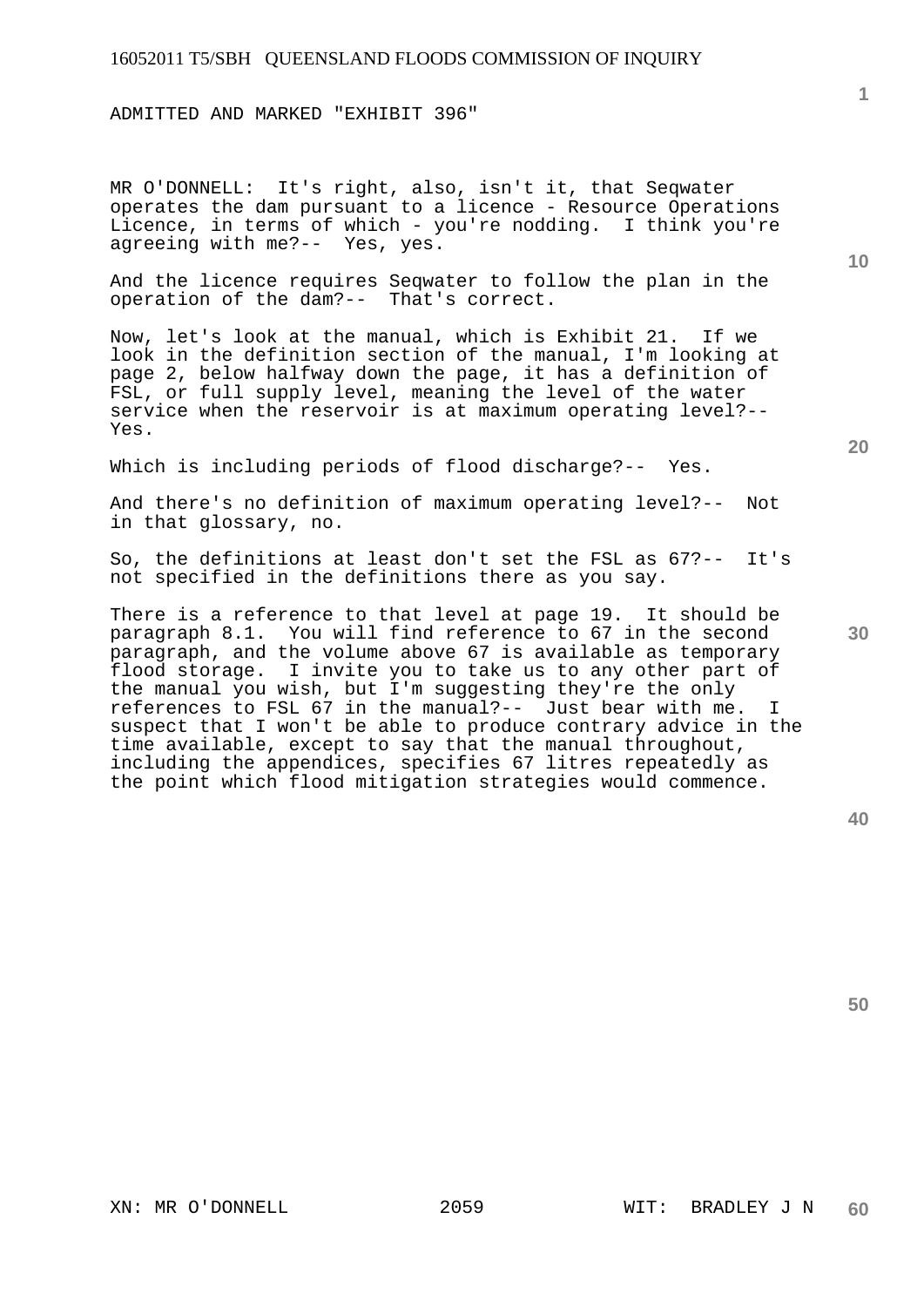ADMITTED AND MARKED "EXHIBIT 396"

MR O'DONNELL: It's right, also, isn't it, that Seqwater operates the dam pursuant to a licence - Resource Operations Licence, in terms of which - you're nodding. I think you're agreeing with me?-- Yes, yes.

And the licence requires Seqwater to follow the plan in the operation of the dam?-- That's correct.

Now, let's look at the manual, which is Exhibit 21. If we look in the definition section of the manual, I'm looking at page 2, below halfway down the page, it has a definition of FSL, or full supply level, meaning the level of the water service when the reservoir is at maximum operating level?-- Yes.

Which is including periods of flood discharge?-- Yes.

And there's no definition of maximum operating level?-- Not in that glossary, no.

So, the definitions at least don't set the FSL as 67?-- It's not specified in the definitions there as you say.

There is a reference to that level at page 19. It should be paragraph 8.1. You will find reference to 67 in the second paragraph, and the volume above 67 is available as temporary flood storage. I invite you to take us to any other part of the manual you wish, but I'm suggesting they're the only references to FSL 67 in the manual?-- Just bear with me. I suspect that I won't be able to produce contrary advice in the time available, except to say that the manual throughout, including the appendices, specifies 67 litres repeatedly as the point which flood mitigation strategies would commence.

**40** 

**50** 

**30** 

**1**

**10**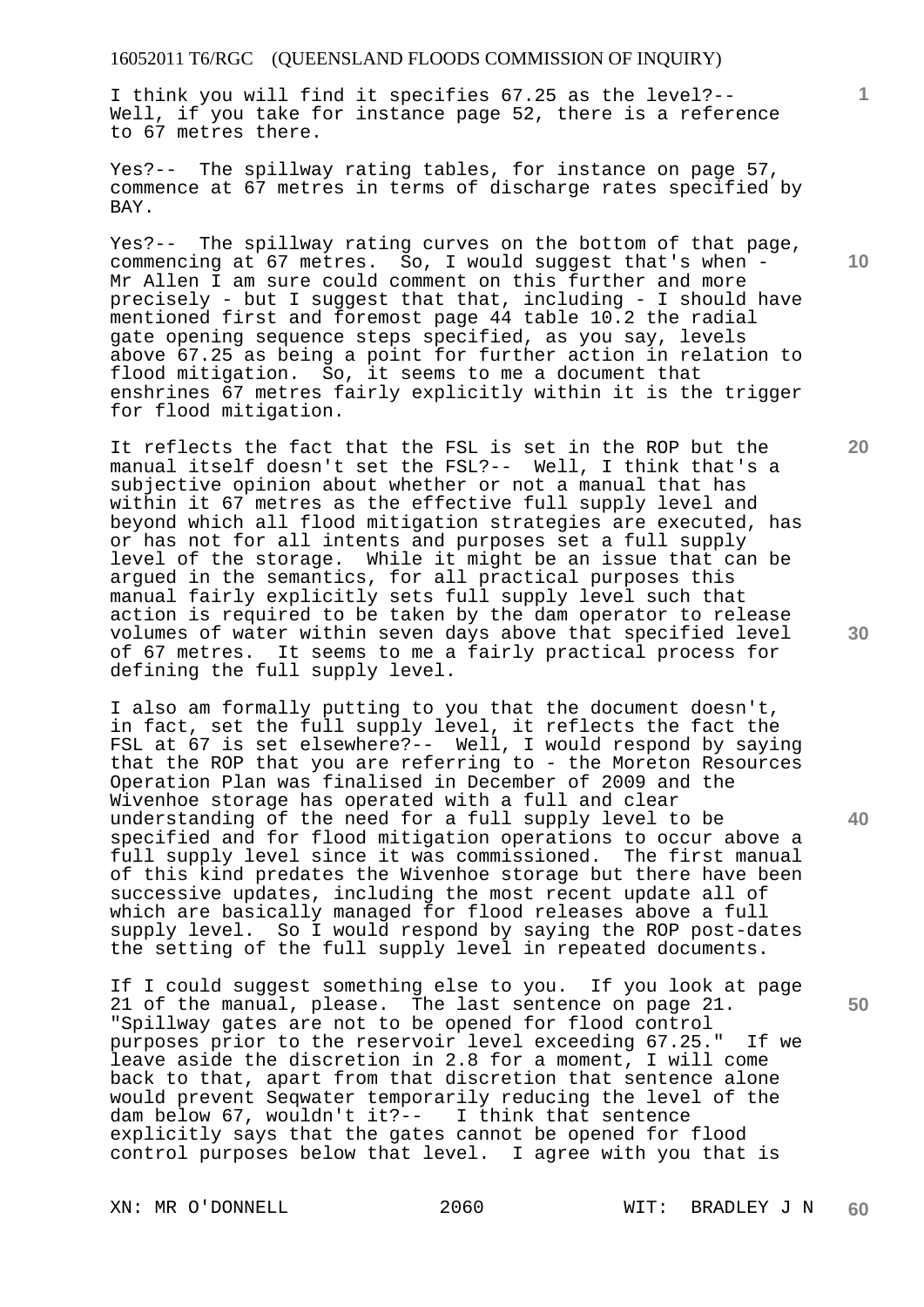I think you will find it specifies 67.25 as the level?-- Well, if you take for instance page 52, there is a reference to 67 metres there.

Yes?-- The spillway rating tables, for instance on page 57, commence at 67 metres in terms of discharge rates specified by BAY.

Yes?-- The spillway rating curves on the bottom of that page, commencing at 67 metres. So, I would suggest that's when - Mr Allen I am sure could comment on this further and more precisely - but I suggest that that, including - I should have mentioned first and foremost page 44 table 10.2 the radial gate opening sequence steps specified, as you say, levels above 67.25 as being a point for further action in relation to flood mitigation. So, it seems to me a document that enshrines 67 metres fairly explicitly within it is the trigger for flood mitigation.

It reflects the fact that the FSL is set in the ROP but the manual itself doesn't set the FSL?-- Well, I think that's a subjective opinion about whether or not a manual that has within it 67 metres as the effective full supply level and beyond which all flood mitigation strategies are executed, has or has not for all intents and purposes set a full supply level of the storage. While it might be an issue that can be argued in the semantics, for all practical purposes this manual fairly explicitly sets full supply level such that action is required to be taken by the dam operator to release volumes of water within seven days above that specified level of 67 metres. It seems to me a fairly practical process for defining the full supply level.

I also am formally putting to you that the document doesn't, in fact, set the full supply level, it reflects the fact the FSL at 67 is set elsewhere?-- Well, I would respond by saying that the ROP that you are referring to - the Moreton Resources Operation Plan was finalised in December of 2009 and the Wivenhoe storage has operated with a full and clear understanding of the need for a full supply level to be specified and for flood mitigation operations to occur above a full supply level since it was commissioned. The first manual of this kind predates the Wivenhoe storage but there have been successive updates, including the most recent update all of which are basically managed for flood releases above a full supply level. So I would respond by saying the ROP post-dates the setting of the full supply level in repeated documents.

If I could suggest something else to you. If you look at page 21 of the manual, please. The last sentence on page 21. "Spillway gates are not to be opened for flood control purposes prior to the reservoir level exceeding 67.25." If we leave aside the discretion in 2.8 for a moment, I will come back to that, apart from that discretion that sentence alone would prevent Seqwater temporarily reducing the level of the dam below 67, wouldn't it?-- I think that sentence explicitly says that the gates cannot be opened for flood control purposes below that level. I agree with you that is

**10** 

**1**

**30** 

**40**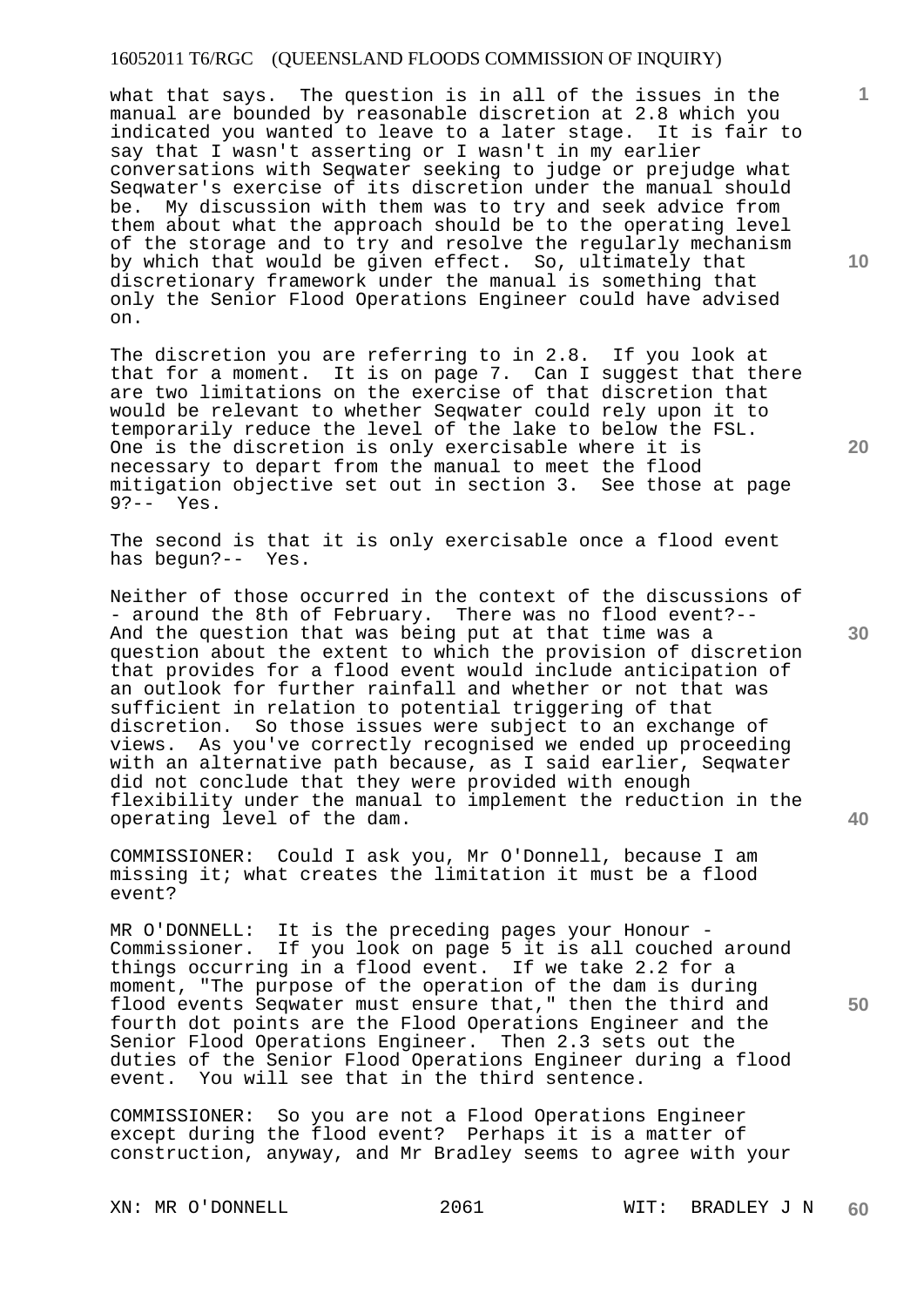what that says. The question is in all of the issues in the manual are bounded by reasonable discretion at 2.8 which you indicated you wanted to leave to a later stage. It is fair to say that I wasn't asserting or I wasn't in my earlier conversations with Seqwater seeking to judge or prejudge what Seqwater's exercise of its discretion under the manual should be. My discussion with them was to try and seek advice from them about what the approach should be to the operating level of the storage and to try and resolve the regularly mechanism by which that would be given effect. So, ultimately that discretionary framework under the manual is something that only the Senior Flood Operations Engineer could have advised on.

The discretion you are referring to in 2.8. If you look at that for a moment. It is on page 7. Can I suggest that there are two limitations on the exercise of that discretion that would be relevant to whether Seqwater could rely upon it to temporarily reduce the level of the lake to below the FSL. One is the discretion is only exercisable where it is necessary to depart from the manual to meet the flood mitigation objective set out in section 3. See those at page<br>92-- Yes Yes.

The second is that it is only exercisable once a flood event has begun?-- Yes.

Neither of those occurred in the context of the discussions of - around the 8th of February. There was no flood event?-- And the question that was being put at that time was a question about the extent to which the provision of discretion that provides for a flood event would include anticipation of an outlook for further rainfall and whether or not that was sufficient in relation to potential triggering of that discretion. So those issues were subject to an exchange of views. As you've correctly recognised we ended up proceeding with an alternative path because, as I said earlier, Seqwater did not conclude that they were provided with enough flexibility under the manual to implement the reduction in the operating level of the dam.

COMMISSIONER: Could I ask you, Mr O'Donnell, because I am missing it; what creates the limitation it must be a flood event?

MR O'DONNELL: It is the preceding pages your Honour - Commissioner. If you look on page 5 it is all couched around things occurring in a flood event. If we take 2.2 for a moment, "The purpose of the operation of the dam is during flood events Seqwater must ensure that," then the third and fourth dot points are the Flood Operations Engineer and the Senior Flood Operations Engineer. Then 2.3 sets out the duties of the Senior Flood Operations Engineer during a flood event. You will see that in the third sentence.

COMMISSIONER: So you are not a Flood Operations Engineer except during the flood event? Perhaps it is a matter of construction, anyway, and Mr Bradley seems to agree with your

**10** 

**1**

**20** 

**30** 

**50**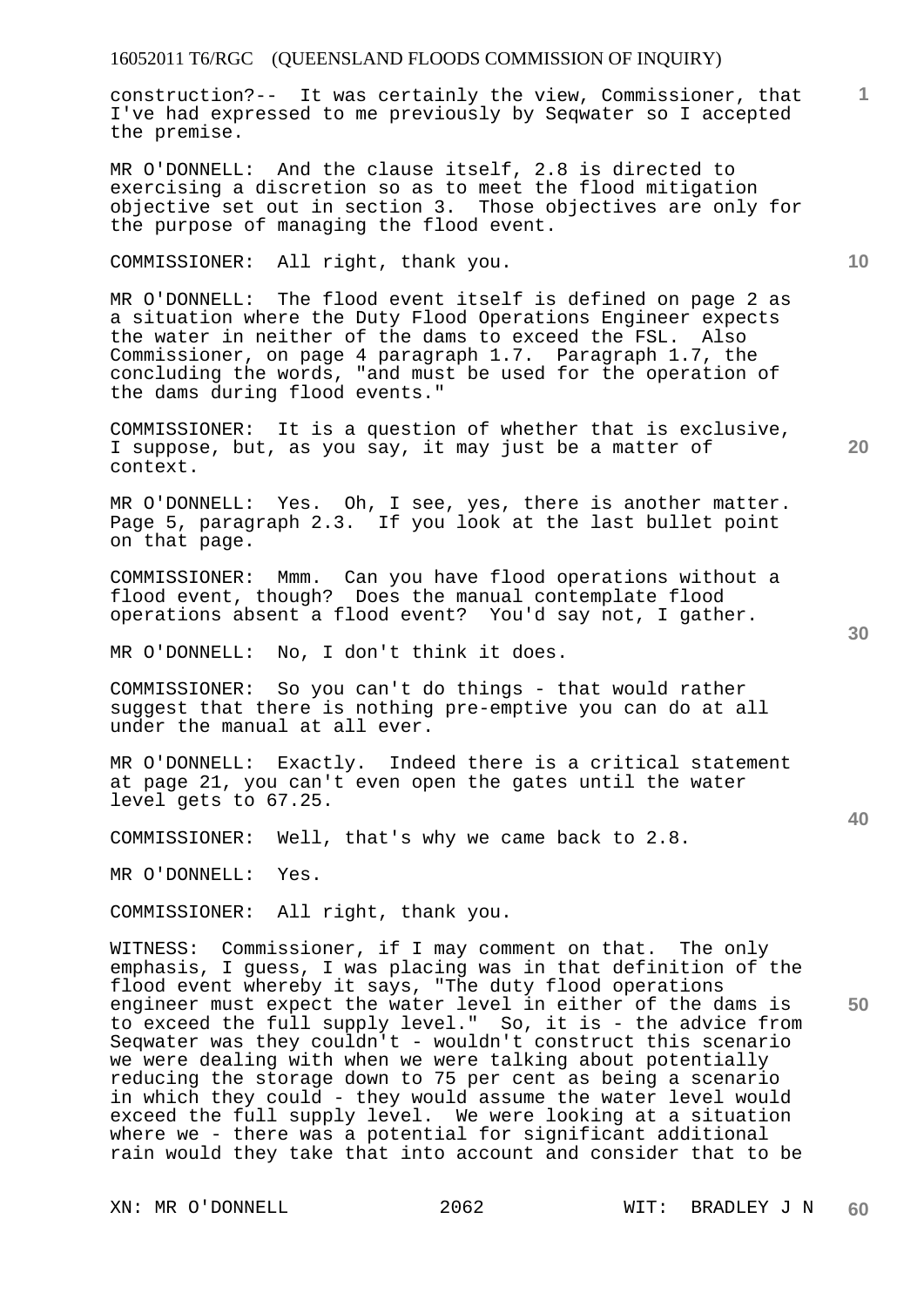construction?-- It was certainly the view, Commissioner, that I've had expressed to me previously by Seqwater so I accepted the premise.

MR O'DONNELL: And the clause itself, 2.8 is directed to exercising a discretion so as to meet the flood mitigation objective set out in section 3. Those objectives are only for the purpose of managing the flood event.

# COMMISSIONER: All right, thank you.

MR O'DONNELL: The flood event itself is defined on page 2 as a situation where the Duty Flood Operations Engineer expects the water in neither of the dams to exceed the FSL. Also Commissioner, on page 4 paragraph 1.7. Paragraph 1.7, the concluding the words, "and must be used for the operation of the dams during flood events."

COMMISSIONER: It is a question of whether that is exclusive, I suppose, but, as you say, it may just be a matter of context.

MR O'DONNELL: Yes. Oh, I see, yes, there is another matter. Page 5, paragraph 2.3. If you look at the last bullet point on that page.

COMMISSIONER: Mmm. Can you have flood operations without a flood event, though? Does the manual contemplate flood operations absent a flood event? You'd say not, I gather.

MR O'DONNELL: No, I don't think it does.

COMMISSIONER: So you can't do things - that would rather suggest that there is nothing pre-emptive you can do at all under the manual at all ever.

MR O'DONNELL: Exactly. Indeed there is a critical statement at page 21, you can't even open the gates until the water level gets to 67.25.

COMMISSIONER: Well, that's why we came back to 2.8.

MR O'DONNELL: Yes.

COMMISSIONER: All right, thank you.

**50**  WITNESS: Commissioner, if I may comment on that. The only emphasis, I guess, I was placing was in that definition of the flood event whereby it says, "The duty flood operations engineer must expect the water level in either of the dams is to exceed the full supply level." So, it is - the advice from Seqwater was they couldn't - wouldn't construct this scenario we were dealing with when we were talking about potentially reducing the storage down to 75 per cent as being a scenario in which they could - they would assume the water level would exceed the full supply level. We were looking at a situation where we - there was a potential for significant additional rain would they take that into account and consider that to be

**30** 

**20** 

**10**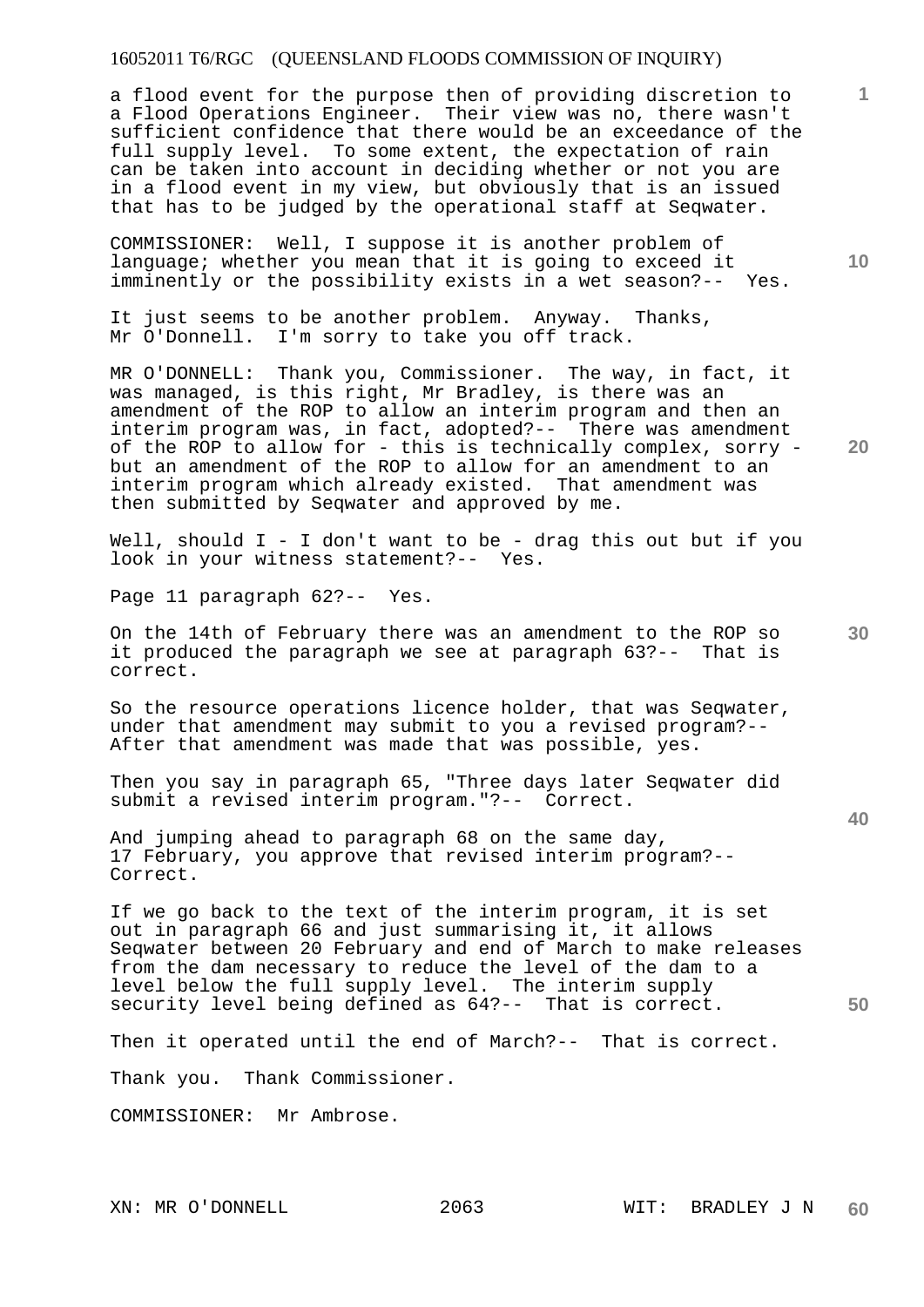a flood event for the purpose then of providing discretion to a Flood Operations Engineer. Their view was no, there wasn't sufficient confidence that there would be an exceedance of the full supply level. To some extent, the expectation of rain can be taken into account in deciding whether or not you are in a flood event in my view, but obviously that is an issued that has to be judged by the operational staff at Seqwater.

COMMISSIONER: Well, I suppose it is another problem of language; whether you mean that it is going to exceed it imminently or the possibility exists in a wet season?-- Yes.

It just seems to be another problem. Anyway. Thanks, Mr O'Donnell. I'm sorry to take you off track.

MR O'DONNELL: Thank you, Commissioner. The way, in fact, it was managed, is this right, Mr Bradley, is there was an amendment of the ROP to allow an interim program and then an interim program was, in fact, adopted?-- There was amendment of the ROP to allow for - this is technically complex, sorry but an amendment of the ROP to allow for an amendment to an interim program which already existed. That amendment was interim program which already existed. then submitted by Seqwater and approved by me.

Well, should  $I - I$  don't want to be - drag this out but if you look in your witness statement?-- Yes.

Page 11 paragraph 62?-- Yes.

**30**  On the 14th of February there was an amendment to the ROP so it produced the paragraph we see at paragraph 63?-- That is correct.

So the resource operations licence holder, that was Seqwater, under that amendment may submit to you a revised program?-- After that amendment was made that was possible, yes.

Then you say in paragraph 65, "Three days later Seqwater did submit a revised interim program."?-- Correct.

And jumping ahead to paragraph 68 on the same day, 17 February, you approve that revised interim program?-- Correct.

If we go back to the text of the interim program, it is set out in paragraph 66 and just summarising it, it allows Seqwater between 20 February and end of March to make releases from the dam necessary to reduce the level of the dam to a level below the full supply level. The interim supply security level being defined as 64?-- That is correct.

Then it operated until the end of March?-- That is correct.

Thank you. Thank Commissioner.

COMMISSIONER: Mr Ambrose.

**10** 

**1**

**20** 

**40**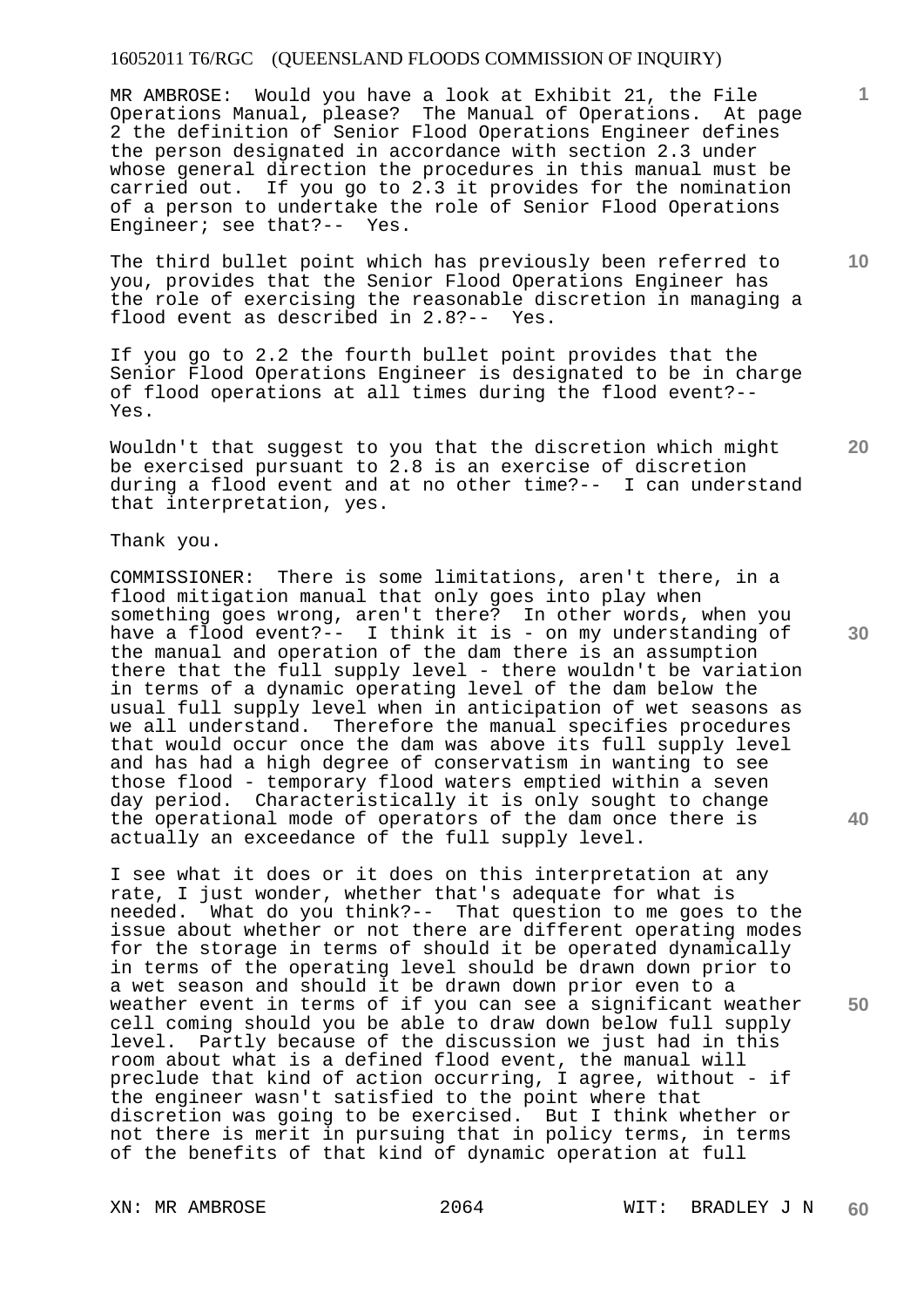MR AMBROSE: Would you have a look at Exhibit 21, the File Operations Manual, please? The Manual of Operations. At page 2 the definition of Senior Flood Operations Engineer defines the person designated in accordance with section 2.3 under whose general direction the procedures in this manual must be carried out. If you go to 2.3 it provides for the nomination of a person to undertake the role of Senior Flood Operations Engineer; see that?-- Yes.

The third bullet point which has previously been referred to you, provides that the Senior Flood Operations Engineer has the role of exercising the reasonable discretion in managing a flood event as described in 2.8?-- Yes.

If you go to 2.2 the fourth bullet point provides that the Senior Flood Operations Engineer is designated to be in charge of flood operations at all times during the flood event?-- Yes.

Wouldn't that suggest to you that the discretion which might be exercised pursuant to 2.8 is an exercise of discretion during a flood event and at no other time?-- I can understand that interpretation, yes.

# Thank you.

COMMISSIONER: There is some limitations, aren't there, in a flood mitigation manual that only goes into play when something goes wrong, aren't there? In other words, when you have a flood event?-- I think it is - on my understanding of the manual and operation of the dam there is an assumption there that the full supply level - there wouldn't be variation in terms of a dynamic operating level of the dam below the usual full supply level when in anticipation of wet seasons as we all understand. Therefore the manual specifies procedures that would occur once the dam was above its full supply level and has had a high degree of conservatism in wanting to see those flood - temporary flood waters emptied within a seven day period. Characteristically it is only sought to change the operational mode of operators of the dam once there is actually an exceedance of the full supply level.

I see what it does or it does on this interpretation at any rate, I just wonder, whether that's adequate for what is needed. What do you think?-- That question to me goes to the issue about whether or not there are different operating modes for the storage in terms of should it be operated dynamically in terms of the operating level should be drawn down prior to a wet season and should it be drawn down prior even to a weather event in terms of if you can see a significant weather cell coming should you be able to draw down below full supply level. Partly because of the discussion we just had in this room about what is a defined flood event, the manual will preclude that kind of action occurring, I agree, without - if the engineer wasn't satisfied to the point where that discretion was going to be exercised. But I think whether or not there is merit in pursuing that in policy terms, in terms of the benefits of that kind of dynamic operation at full

**10** 

**1**

**20** 

**30** 

**40**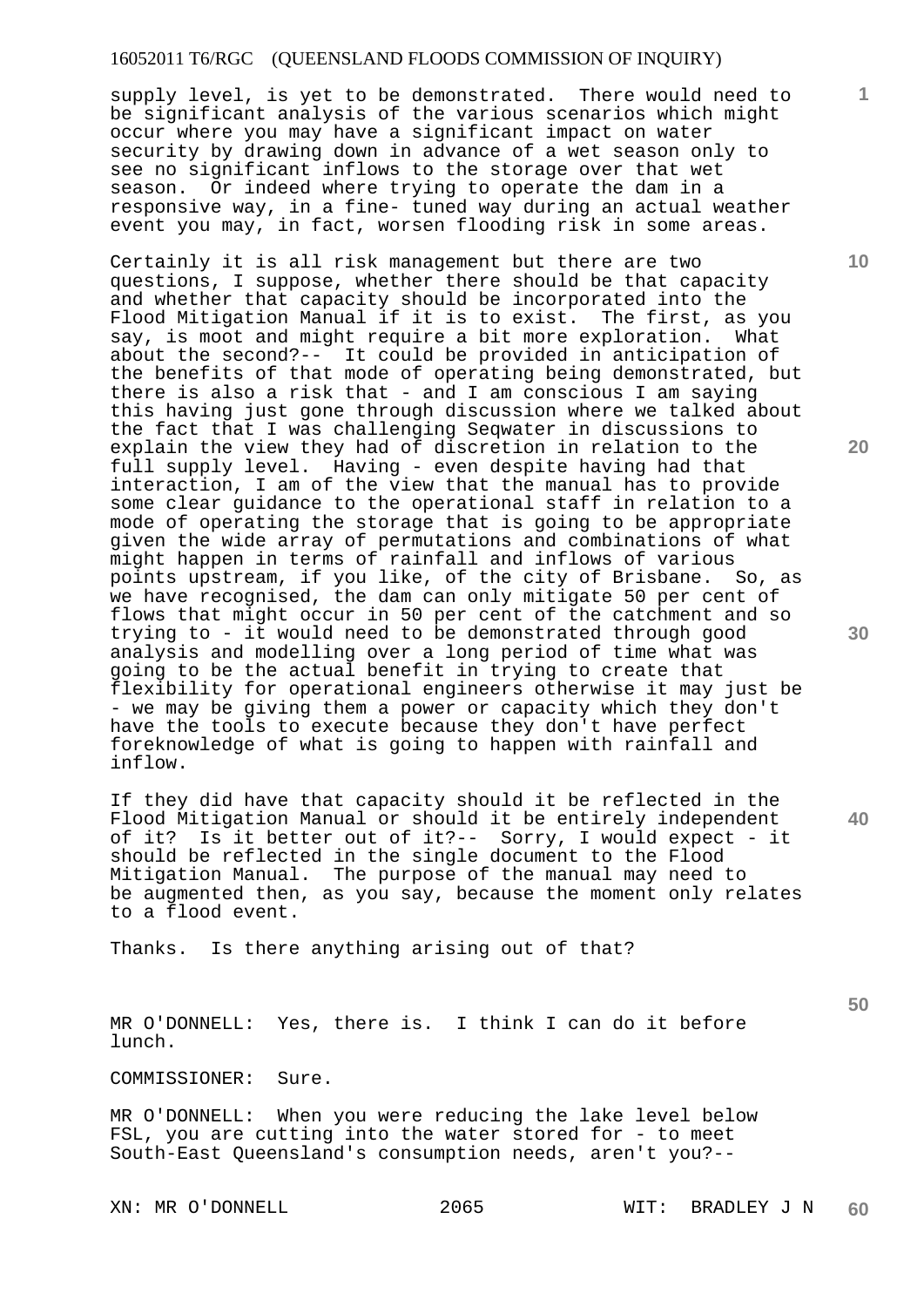supply level, is yet to be demonstrated. There would need to be significant analysis of the various scenarios which might occur where you may have a significant impact on water security by drawing down in advance of a wet season only to see no significant inflows to the storage over that wet season. Or indeed where trying to operate the dam in a responsive way, in a fine- tuned way during an actual weather event you may, in fact, worsen flooding risk in some areas.

Certainly it is all risk management but there are two questions, I suppose, whether there should be that capacity and whether that capacity should be incorporated into the Flood Mitigation Manual if it is to exist. The first, as you say, is moot and might require a bit more exploration. What about the second?-- It could be provided in anticipation of the benefits of that mode of operating being demonstrated, but there is also a risk that - and I am conscious I am saying this having just gone through discussion where we talked about the fact that I was challenging Seqwater in discussions to explain the view they had of discretion in relation to the full supply level. Having - even despite having had that interaction, I am of the view that the manual has to provide some clear guidance to the operational staff in relation to a mode of operating the storage that is going to be appropriate given the wide array of permutations and combinations of what might happen in terms of rainfall and inflows of various points upstream, if you like, of the city of Brisbane. So, as we have recognised, the dam can only mitigate 50 per cent of flows that might occur in 50 per cent of the catchment and so trying to - it would need to be demonstrated through good analysis and modelling over a long period of time what was going to be the actual benefit in trying to create that flexibility for operational engineers otherwise it may just be - we may be giving them a power or capacity which they don't have the tools to execute because they don't have perfect foreknowledge of what is going to happen with rainfall and inflow.

If they did have that capacity should it be reflected in the Flood Mitigation Manual or should it be entirely independent of it? Is it better out of it?-- Sorry, I would expect - it should be reflected in the single document to the Flood Mitigation Manual. The purpose of the manual may need to be augmented then, as you say, because the moment only relates to a flood event.

Thanks. Is there anything arising out of that?

MR O'DONNELL: Yes, there is. I think I can do it before lunch.

COMMISSIONER: Sure.

MR O'DONNELL: When you were reducing the lake level below FSL, you are cutting into the water stored for - to meet South-East Queensland's consumption needs, aren't you?--

**10** 

**1**

**20** 

**30** 

**40**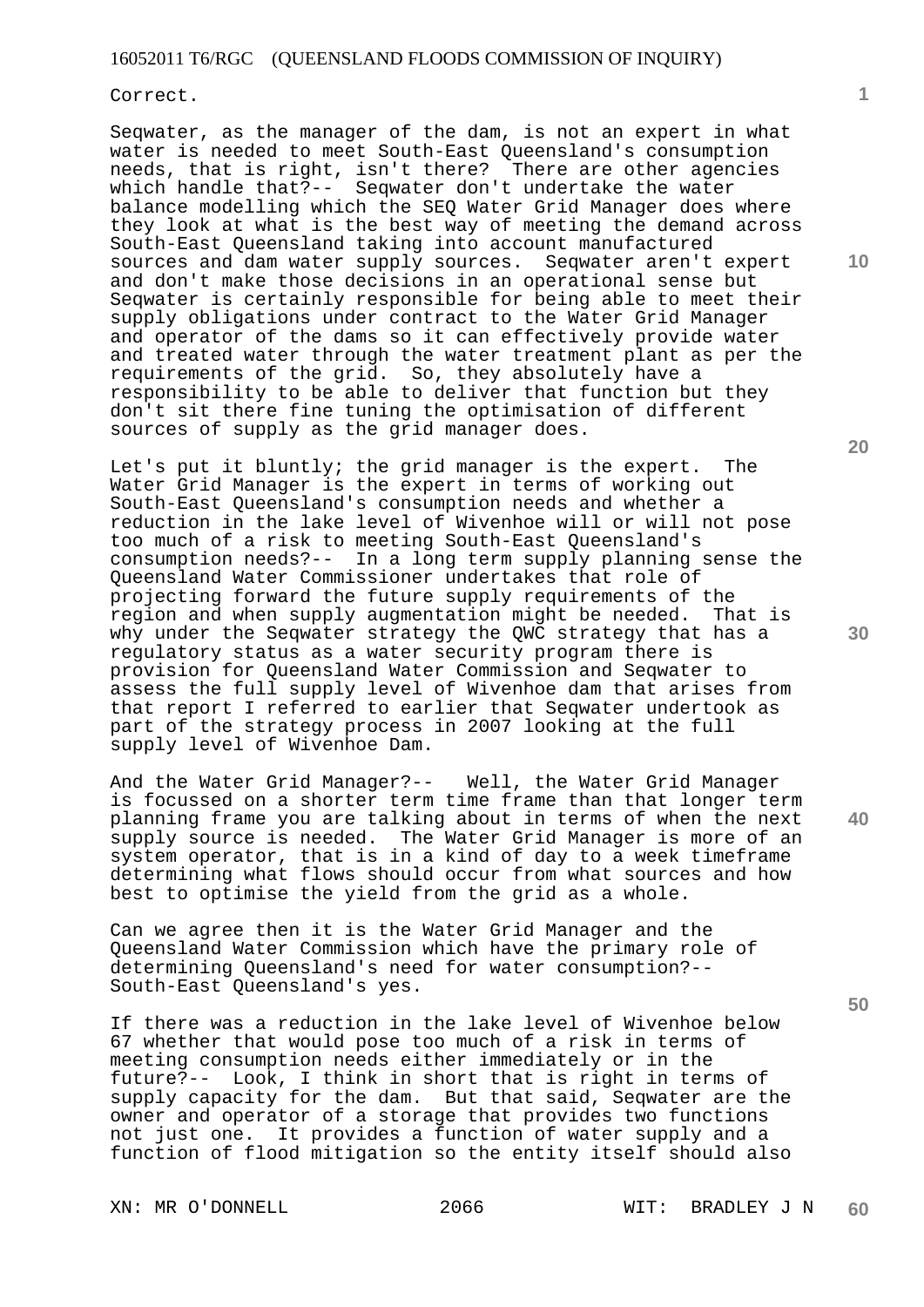Correct.

Seqwater, as the manager of the dam, is not an expert in what water is needed to meet South-East Queensland's consumption needs, that is right, isn't there? There are other agencies which handle that?-- Seqwater don't undertake the water balance modelling which the SEQ Water Grid Manager does where they look at what is the best way of meeting the demand across South-East Queensland taking into account manufactured sources and dam water supply sources. Seqwater aren't expert and don't make those decisions in an operational sense but Seqwater is certainly responsible for being able to meet their supply obligations under contract to the Water Grid Manager and operator of the dams so it can effectively provide water and treated water through the water treatment plant as per the requirements of the grid. So, they absolutely have a responsibility to be able to deliver that function but they don't sit there fine tuning the optimisation of different sources of supply as the grid manager does.

Let's put it bluntly; the grid manager is the expert. The Water Grid Manager is the expert in terms of working out South-East Queensland's consumption needs and whether a reduction in the lake level of Wivenhoe will or will not pose too much of a risk to meeting South-East Queensland's consumption needs?-- In a long term supply planning sense the Queensland Water Commissioner undertakes that role of projecting forward the future supply requirements of the region and when supply augmentation might be needed. That is why under the Seqwater strategy the QWC strategy that has a regulatory status as a water security program there is provision for Queensland Water Commission and Seqwater to assess the full supply level of Wivenhoe dam that arises from that report I referred to earlier that Seqwater undertook as part of the strategy process in 2007 looking at the full supply level of Wivenhoe Dam.

And the Water Grid Manager?-- Well, the Water Grid Manager is focussed on a shorter term time frame than that longer term planning frame you are talking about in terms of when the next supply source is needed. The Water Grid Manager is more of an system operator, that is in a kind of day to a week timeframe determining what flows should occur from what sources and how best to optimise the yield from the grid as a whole.

Can we agree then it is the Water Grid Manager and the Queensland Water Commission which have the primary role of determining Queensland's need for water consumption?-- South-East Queensland's yes.

If there was a reduction in the lake level of Wivenhoe below 67 whether that would pose too much of a risk in terms of meeting consumption needs either immediately or in the future?-- Look, I think in short that is right in terms of supply capacity for the dam. But that said, Seqwater are the owner and operator of a storage that provides two functions not just one. It provides a function of water supply and a function of flood mitigation so the entity itself should also

**20** 

**1**

**10** 

**40**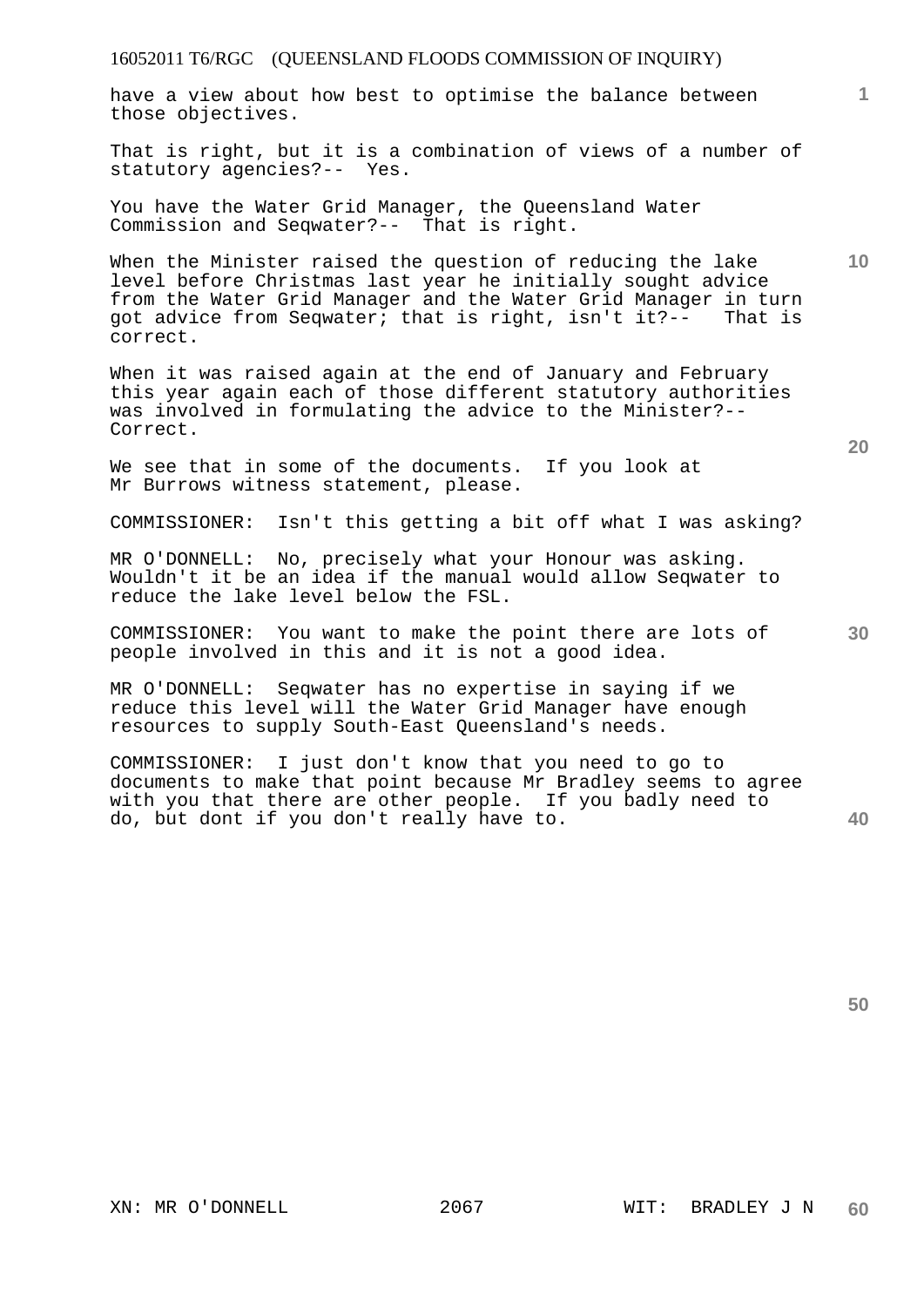have a view about how best to optimise the balance between those objectives.

That is right, but it is a combination of views of a number of statutory agencies?-- Yes.

You have the Water Grid Manager, the Queensland Water Commission and Seqwater?-- That is right.

When the Minister raised the question of reducing the lake level before Christmas last year he initially sought advice from the Water Grid Manager and the Water Grid Manager in turn got advice from Seqwater; that is right, isn't it?-- That is correct.

When it was raised again at the end of January and February this year again each of those different statutory authorities was involved in formulating the advice to the Minister?-- Correct.

We see that in some of the documents. If you look at Mr Burrows witness statement, please.

COMMISSIONER: Isn't this getting a bit off what I was asking?

MR O'DONNELL: No, precisely what your Honour was asking. Wouldn't it be an idea if the manual would allow Seqwater to reduce the lake level below the FSL.

COMMISSIONER: You want to make the point there are lots of people involved in this and it is not a good idea.

MR O'DONNELL: Seqwater has no expertise in saying if we reduce this level will the Water Grid Manager have enough resources to supply South-East Queensland's needs.

COMMISSIONER: I just don't know that you need to go to documents to make that point because Mr Bradley seems to agree with you that there are other people. If you badly need to do, but dont if you don't really have to.

**40** 

**50** 

**20** 

**1**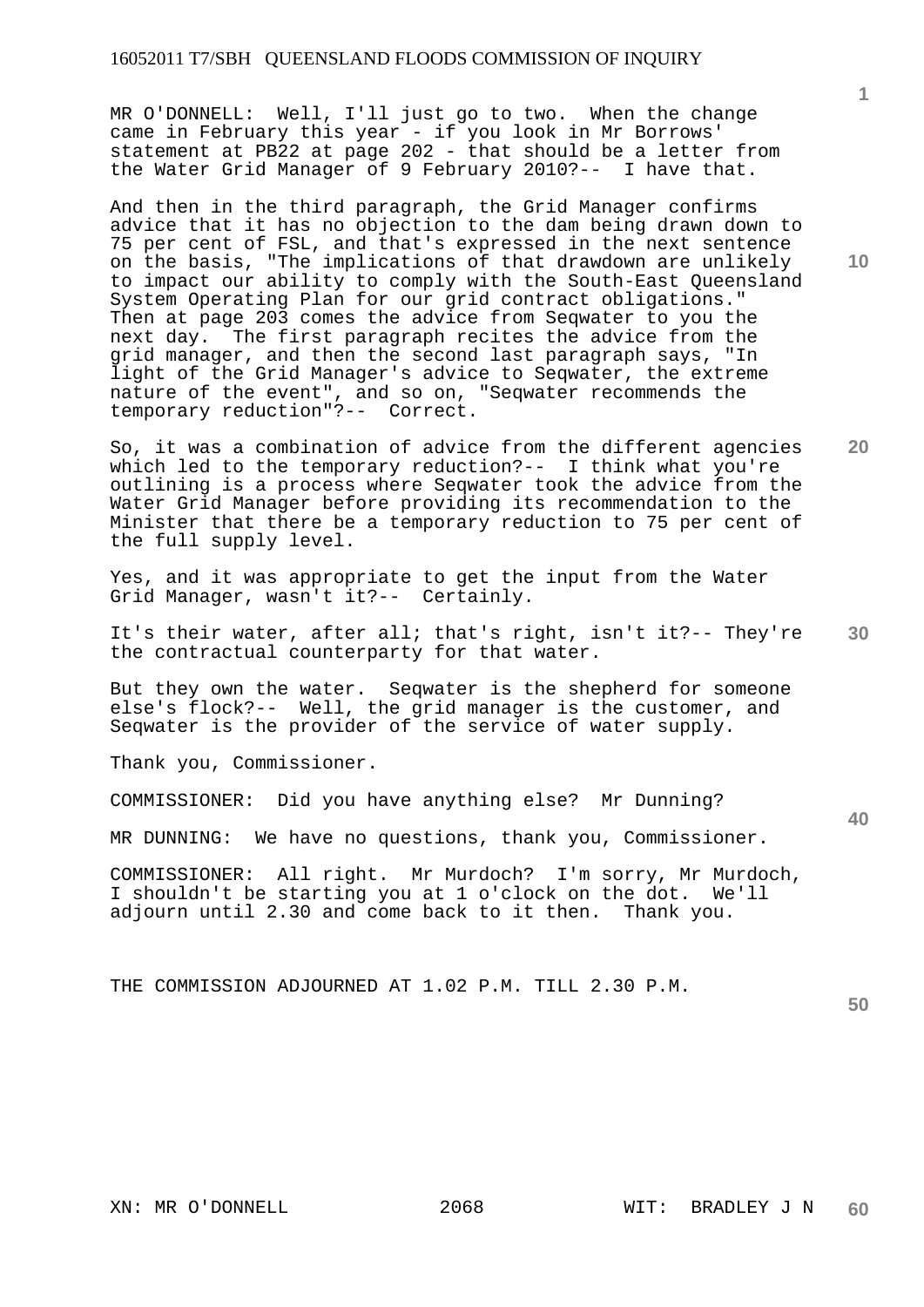MR O'DONNELL: Well, I'll just go to two. When the change came in February this year - if you look in Mr Borrows' statement at PB22 at page 202 - that should be a letter from the Water Grid Manager of 9 February 2010?-- I have that.

And then in the third paragraph, the Grid Manager confirms advice that it has no objection to the dam being drawn down to 75 per cent of FSL, and that's expressed in the next sentence on the basis, "The implications of that drawdown are unlikely to impact our ability to comply with the South-East Queensland System Operating Plan for our grid contract obligations." Then at page 203 comes the advice from Seqwater to you the next day. The first paragraph recites the advice from the grid manager, and then the second last paragraph says, "In light of the Grid Manager's advice to Seqwater, the extreme nature of the event", and so on, "Seqwater recommends the temporary reduction"?-- Correct.

**20**  So, it was a combination of advice from the different agencies which led to the temporary reduction?-- I think what you're outlining is a process where Seqwater took the advice from the Water Grid Manager before providing its recommendation to the Minister that there be a temporary reduction to 75 per cent of the full supply level.

Yes, and it was appropriate to get the input from the Water Grid Manager, wasn't it?-- Certainly.

**30**  It's their water, after all; that's right, isn't it?-- They're the contractual counterparty for that water.

But they own the water. Seqwater is the shepherd for someone else's flock?-- Well, the grid manager is the customer, and Seqwater is the provider of the service of water supply.

Thank you, Commissioner.

COMMISSIONER: Did you have anything else? Mr Dunning?

MR DUNNING: We have no questions, thank you, Commissioner.

COMMISSIONER: All right. Mr Murdoch? I'm sorry, Mr Murdoch, I shouldn't be starting you at 1 o'clock on the dot. We'll adjourn until 2.30 and come back to it then. Thank you.

THE COMMISSION ADJOURNED AT 1.02 P.M. TILL 2.30 P.M.

**50** 

**40** 

**1**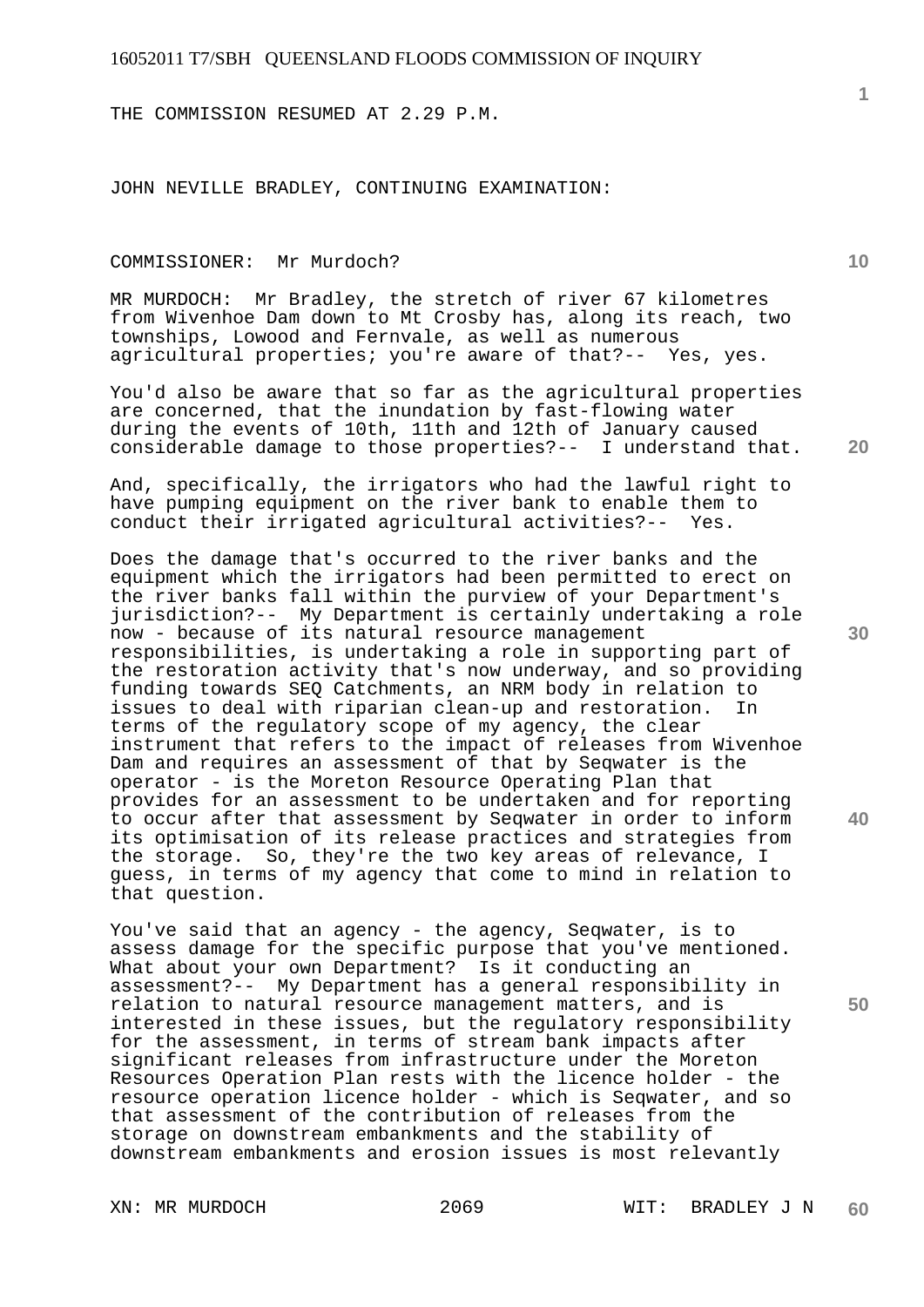THE COMMISSION RESUMED AT 2.29 P.M.

JOHN NEVILLE BRADLEY, CONTINUING EXAMINATION:

## COMMISSIONER: Mr Murdoch?

MR MURDOCH: Mr Bradley, the stretch of river 67 kilometres from Wivenhoe Dam down to Mt Crosby has, along its reach, two townships, Lowood and Fernvale, as well as numerous agricultural properties; you're aware of that?-- Yes, yes.

You'd also be aware that so far as the agricultural properties are concerned, that the inundation by fast-flowing water during the events of 10th, 11th and 12th of January caused considerable damage to those properties?-- I understand that.

And, specifically, the irrigators who had the lawful right to have pumping equipment on the river bank to enable them to conduct their irrigated agricultural activities?-- Yes.

Does the damage that's occurred to the river banks and the equipment which the irrigators had been permitted to erect on the river banks fall within the purview of your Department's jurisdiction?-- My Department is certainly undertaking a role now - because of its natural resource management responsibilities, is undertaking a role in supporting part of the restoration activity that's now underway, and so providing funding towards SEQ Catchments, an NRM body in relation to<br>issues to deal with riparian clean-up and restoration. In issues to deal with riparian clean-up and restoration. terms of the regulatory scope of my agency, the clear instrument that refers to the impact of releases from Wivenhoe Dam and requires an assessment of that by Seqwater is the operator - is the Moreton Resource Operating Plan that provides for an assessment to be undertaken and for reporting to occur after that assessment by Seqwater in order to inform its optimisation of its release practices and strategies from the storage. So, they're the two key areas of relevance, I guess, in terms of my agency that come to mind in relation to that question.

You've said that an agency - the agency, Seqwater, is to assess damage for the specific purpose that you've mentioned. What about your own Department? Is it conducting an assessment?-- My Department has a general responsibility in relation to natural resource management matters, and is interested in these issues, but the regulatory responsibility for the assessment, in terms of stream bank impacts after significant releases from infrastructure under the Moreton Resources Operation Plan rests with the licence holder - the resource operation licence holder - which is Seqwater, and so that assessment of the contribution of releases from the storage on downstream embankments and the stability of downstream embankments and erosion issues is most relevantly

**20** 

**10** 

**30** 

**40**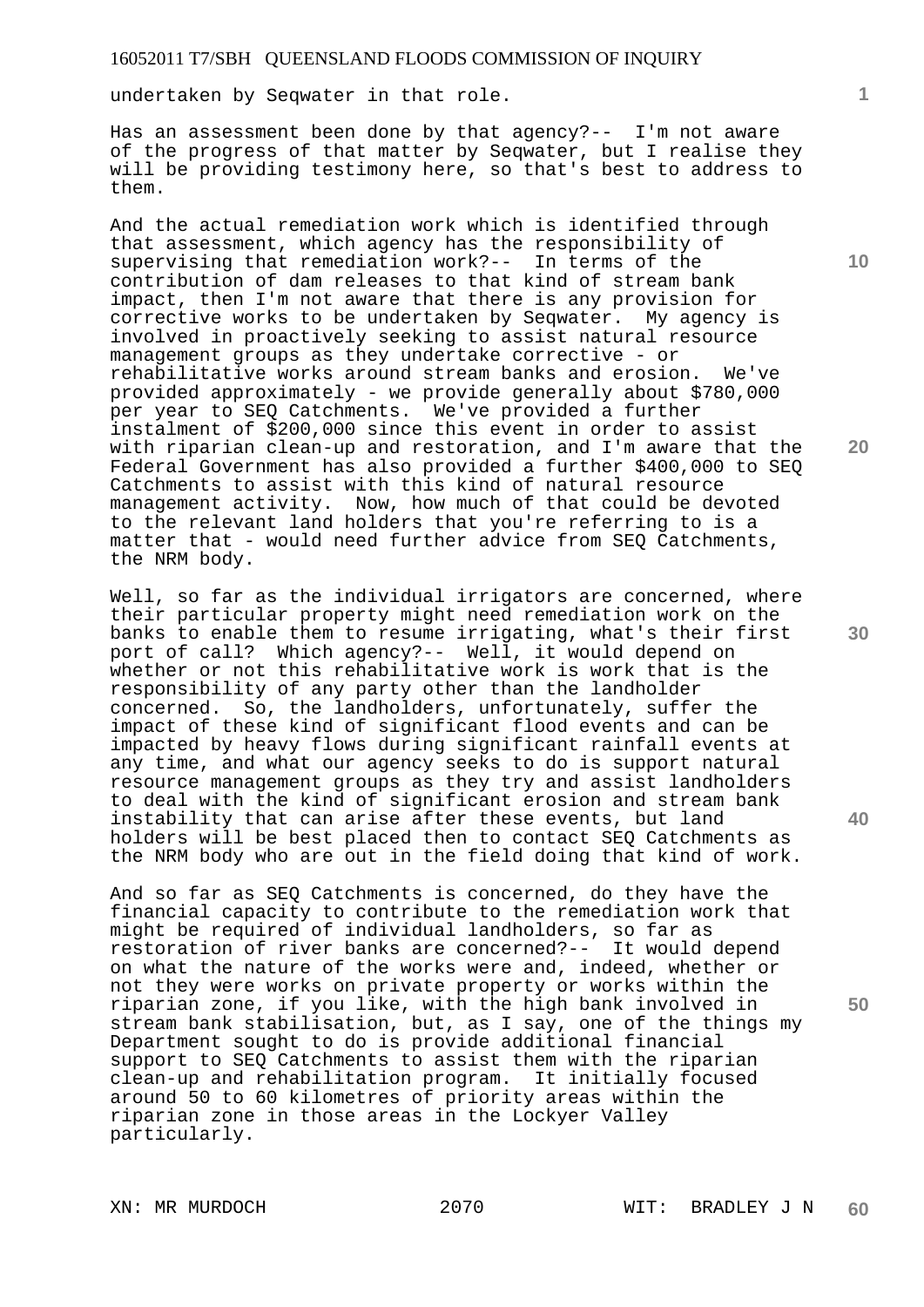undertaken by Seqwater in that role.

Has an assessment been done by that agency?-- I'm not aware of the progress of that matter by Seqwater, but I realise they will be providing testimony here, so that's best to address to them.

And the actual remediation work which is identified through that assessment, which agency has the responsibility of supervising that remediation work?-- In terms of the contribution of dam releases to that kind of stream bank impact, then I'm not aware that there is any provision for corrective works to be undertaken by Seqwater. My agency is involved in proactively seeking to assist natural resource management groups as they undertake corrective - or rehabilitative works around stream banks and erosion. We've provided approximately - we provide generally about \$780,000 per year to SEQ Catchments. We've provided a further instalment of \$200,000 since this event in order to assist with riparian clean-up and restoration, and I'm aware that the Federal Government has also provided a further \$400,000 to SEQ Catchments to assist with this kind of natural resource management activity. Now, how much of that could be devoted to the relevant land holders that you're referring to is a matter that - would need further advice from SEQ Catchments, the NRM body.

Well, so far as the individual irrigators are concerned, where their particular property might need remediation work on the banks to enable them to resume irrigating, what's their first port of call? Which agency?-- Well, it would depend on whether or not this rehabilitative work is work that is the responsibility of any party other than the landholder concerned. So, the landholders, unfortunately, suffer the impact of these kind of significant flood events and can be impacted by heavy flows during significant rainfall events at any time, and what our agency seeks to do is support natural resource management groups as they try and assist landholders to deal with the kind of significant erosion and stream bank instability that can arise after these events, but land holders will be best placed then to contact SEQ Catchments as the NRM body who are out in the field doing that kind of work.

And so far as SEQ Catchments is concerned, do they have the financial capacity to contribute to the remediation work that might be required of individual landholders, so far as restoration of river banks are concerned?-- It would depend on what the nature of the works were and, indeed, whether or not they were works on private property or works within the riparian zone, if you like, with the high bank involved in stream bank stabilisation, but, as I say, one of the things my Department sought to do is provide additional financial support to SEQ Catchments to assist them with the riparian clean-up and rehabilitation program. It initially focused around 50 to 60 kilometres of priority areas within the riparian zone in those areas in the Lockyer Valley particularly.

**10** 

**1**

**20**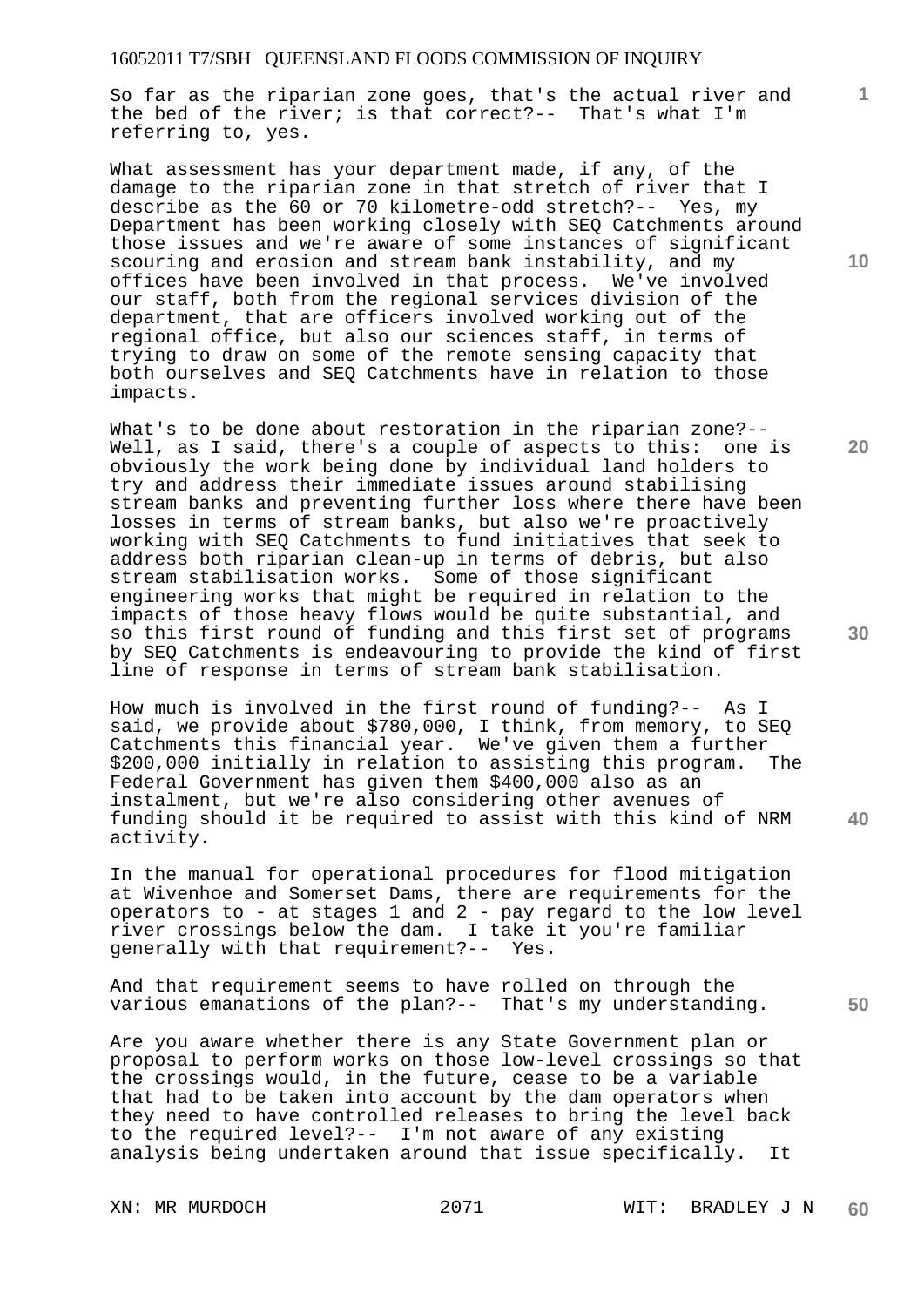So far as the riparian zone goes, that's the actual river and the bed of the river; is that correct?-- That's what I'm referring to, yes.

What assessment has your department made, if any, of the damage to the riparian zone in that stretch of river that I describe as the 60 or 70 kilometre-odd stretch?-- Yes, my Department has been working closely with SEQ Catchments around those issues and we're aware of some instances of significant scouring and erosion and stream bank instability, and my offices have been involved in that process. We've involved our staff, both from the regional services division of the department, that are officers involved working out of the regional office, but also our sciences staff, in terms of trying to draw on some of the remote sensing capacity that both ourselves and SEQ Catchments have in relation to those impacts.

What's to be done about restoration in the riparian zone?-- Well, as I said, there's a couple of aspects to this: one is obviously the work being done by individual land holders to try and address their immediate issues around stabilising stream banks and preventing further loss where there have been losses in terms of stream banks, but also we're proactively working with SEQ Catchments to fund initiatives that seek to address both riparian clean-up in terms of debris, but also stream stabilisation works. Some of those significant engineering works that might be required in relation to the impacts of those heavy flows would be quite substantial, and so this first round of funding and this first set of programs by SEQ Catchments is endeavouring to provide the kind of first line of response in terms of stream bank stabilisation.

How much is involved in the first round of funding?-- As I said, we provide about \$780,000, I think, from memory, to SEQ Catchments this financial year. We've given them a further<br>\$200.000 initially in relation to assisting this program. The \$200,000 initially in relation to assisting this program. Federal Government has given them \$400,000 also as an instalment, but we're also considering other avenues of funding should it be required to assist with this kind of NRM activity.

In the manual for operational procedures for flood mitigation at Wivenhoe and Somerset Dams, there are requirements for the operators to - at stages 1 and 2 - pay regard to the low level river crossings below the dam. I take it you're familiar generally with that requirement?-- Yes.

And that requirement seems to have rolled on through the various emanations of the plan?-- That's my understanding.

Are you aware whether there is any State Government plan or proposal to perform works on those low-level crossings so that the crossings would, in the future, cease to be a variable that had to be taken into account by the dam operators when they need to have controlled releases to bring the level back to the required level?-- I'm not aware of any existing analysis being undertaken around that issue specifically. It

**10** 

**1**

**20** 

**30** 

**40**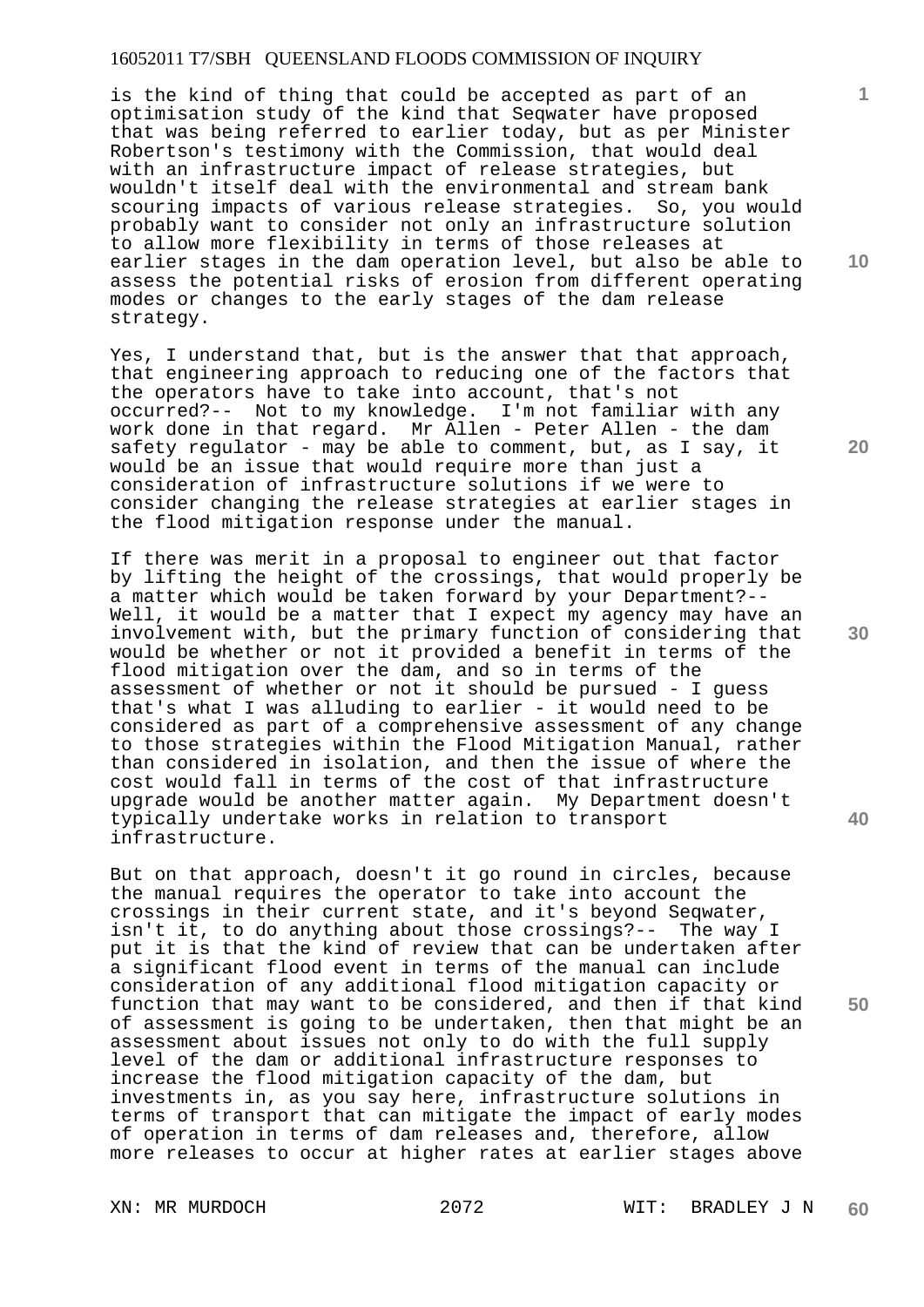is the kind of thing that could be accepted as part of an optimisation study of the kind that Seqwater have proposed that was being referred to earlier today, but as per Minister Robertson's testimony with the Commission, that would deal with an infrastructure impact of release strategies, but wouldn't itself deal with the environmental and stream bank scouring impacts of various release strategies. So, you would probably want to consider not only an infrastructure solution to allow more flexibility in terms of those releases at earlier stages in the dam operation level, but also be able to assess the potential risks of erosion from different operating modes or changes to the early stages of the dam release strategy.

Yes, I understand that, but is the answer that that approach, that engineering approach to reducing one of the factors that the operators have to take into account, that's not occurred?-- Not to my knowledge. I'm not familiar with any work done in that regard. Mr Allen - Peter Allen - the dam safety regulator - may be able to comment, but, as I say, it would be an issue that would require more than just a consideration of infrastructure solutions if we were to consider changing the release strategies at earlier stages in the flood mitigation response under the manual.

If there was merit in a proposal to engineer out that factor by lifting the height of the crossings, that would properly be a matter which would be taken forward by your Department?-- Well, it would be a matter that I expect my agency may have an involvement with, but the primary function of considering that would be whether or not it provided a benefit in terms of the flood mitigation over the dam, and so in terms of the assessment of whether or not it should be pursued - I guess that's what I was alluding to earlier - it would need to be considered as part of a comprehensive assessment of any change to those strategies within the Flood Mitigation Manual, rather than considered in isolation, and then the issue of where the cost would fall in terms of the cost of that infrastructure upgrade would be another matter again. My Department doesn't typically undertake works in relation to transport infrastructure.

But on that approach, doesn't it go round in circles, because the manual requires the operator to take into account the crossings in their current state, and it's beyond Seqwater, isn't it, to do anything about those crossings?-- The way I put it is that the kind of review that can be undertaken after a significant flood event in terms of the manual can include consideration of any additional flood mitigation capacity or function that may want to be considered, and then if that kind of assessment is going to be undertaken, then that might be an assessment about issues not only to do with the full supply level of the dam or additional infrastructure responses to increase the flood mitigation capacity of the dam, but investments in, as you say here, infrastructure solutions in terms of transport that can mitigate the impact of early modes of operation in terms of dam releases and, therefore, allow more releases to occur at higher rates at earlier stages above

**10** 

**1**

**20** 

**30** 

**40**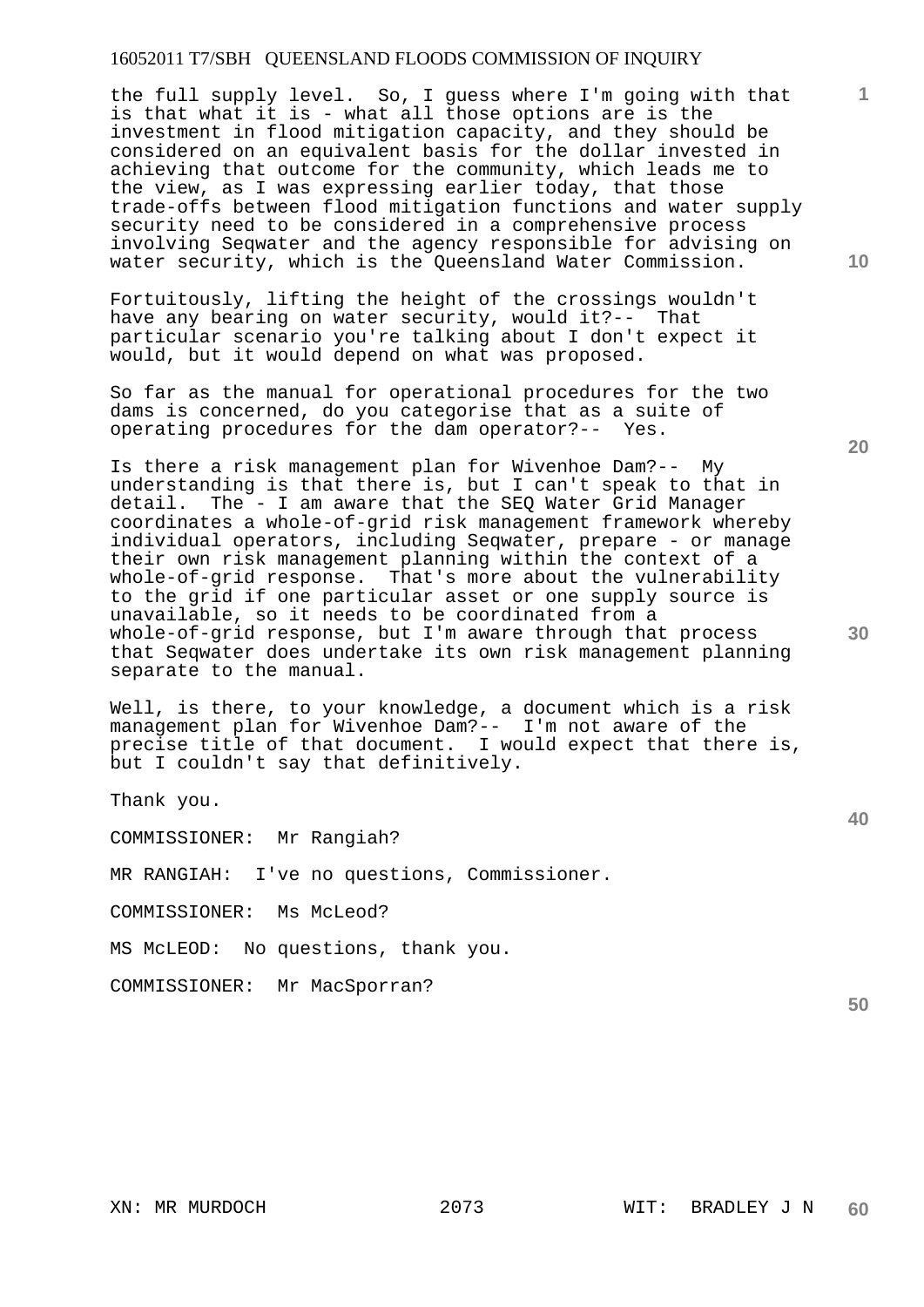the full supply level. So, I guess where I'm going with that is that what it is - what all those options are is the investment in flood mitigation capacity, and they should be considered on an equivalent basis for the dollar invested in achieving that outcome for the community, which leads me to the view, as I was expressing earlier today, that those trade-offs between flood mitigation functions and water supply security need to be considered in a comprehensive process involving Seqwater and the agency responsible for advising on water security, which is the Queensland Water Commission.

Fortuitously, lifting the height of the crossings wouldn't have any bearing on water security, would it?-- That particular scenario you're talking about I don't expect it would, but it would depend on what was proposed.

So far as the manual for operational procedures for the two dams is concerned, do you categorise that as a suite of operating procedures for the dam operator?-- Yes.

Is there a risk management plan for Wivenhoe Dam?-- My understanding is that there is, but I can't speak to that in detail. The - I am aware that the SEQ Water Grid Manager coordinates a whole-of-grid risk management framework whereby individual operators, including Seqwater, prepare - or manage their own risk management planning within the context of a whole-of-grid response. That's more about the vulnerability to the grid if one particular asset or one supply source is unavailable, so it needs to be coordinated from a whole-of-grid response, but I'm aware through that process that Seqwater does undertake its own risk management planning separate to the manual.

Well, is there, to your knowledge, a document which is a risk management plan for Wivenhoe Dam?-- I'm not aware of the precise title of that document. I would expect that there is, but I couldn't say that definitively.

Thank you.

COMMISSIONER: Mr Rangiah?

MR RANGIAH: I've no questions, Commissioner.

COMMISSIONER: Ms McLeod?

MS McLEOD: No questions, thank you.

COMMISSIONER: Mr MacSporran?

**10** 

**1**

**40**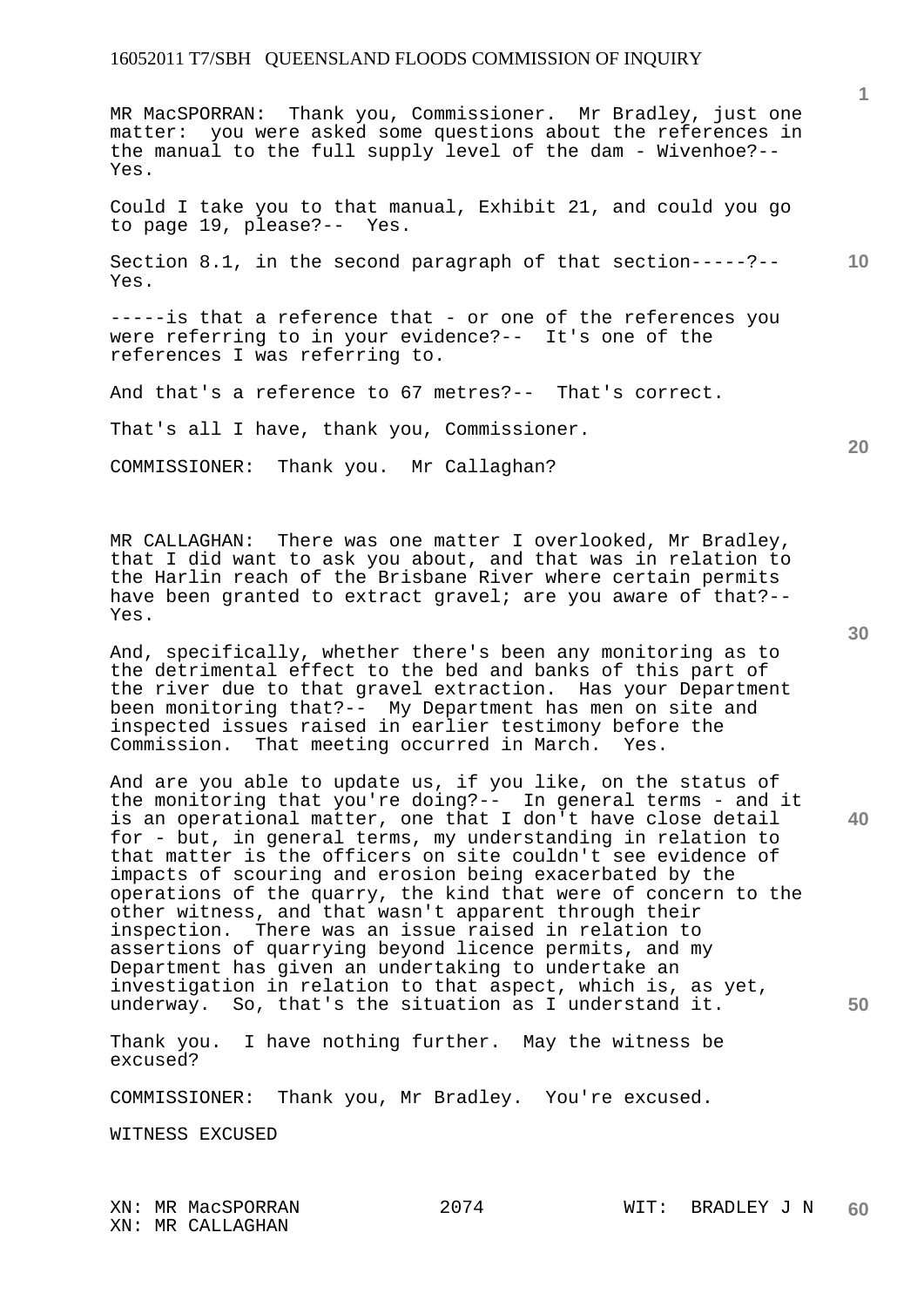MR MacSPORRAN: Thank you, Commissioner. Mr Bradley, just one matter: you were asked some questions about the references in the manual to the full supply level of the dam - Wivenhoe?-- Yes.

Could I take you to that manual, Exhibit 21, and could you go to page 19, please?-- Yes.

**10**  Section 8.1, in the second paragraph of that section-----?-- Yes.

-----is that a reference that - or one of the references you were referring to in your evidence?-- It's one of the references I was referring to.

And that's a reference to 67 metres?-- That's correct.

That's all I have, thank you, Commissioner.

COMMISSIONER: Thank you. Mr Callaghan?

MR CALLAGHAN: There was one matter I overlooked, Mr Bradley, that I did want to ask you about, and that was in relation to the Harlin reach of the Brisbane River where certain permits have been granted to extract gravel; are you aware of that?--Yes.

And, specifically, whether there's been any monitoring as to the detrimental effect to the bed and banks of this part of the river due to that gravel extraction. Has your Department been monitoring that?-- My Department has men on site and inspected issues raised in earlier testimony before the Commission. That meeting occurred in March. Yes.

And are you able to update us, if you like, on the status of the monitoring that you're doing?-- In general terms - and it is an operational matter, one that I don't have close detail for - but, in general terms, my understanding in relation to that matter is the officers on site couldn't see evidence of impacts of scouring and erosion being exacerbated by the operations of the quarry, the kind that were of concern to the other witness, and that wasn't apparent through their inspection. There was an issue raised in relation to assertions of quarrying beyond licence permits, and my Department has given an undertaking to undertake an investigation in relation to that aspect, which is, as yet, underway. So, that's the situation as I understand it.

Thank you. I have nothing further. May the witness be excused?

COMMISSIONER: Thank you, Mr Bradley. You're excused.

WITNESS EXCUSED

XN: MR MacSPORRAN 2074 WIT: BRADLEY J N XN: MR CALLAGHAN

**40** 

**50** 

**20**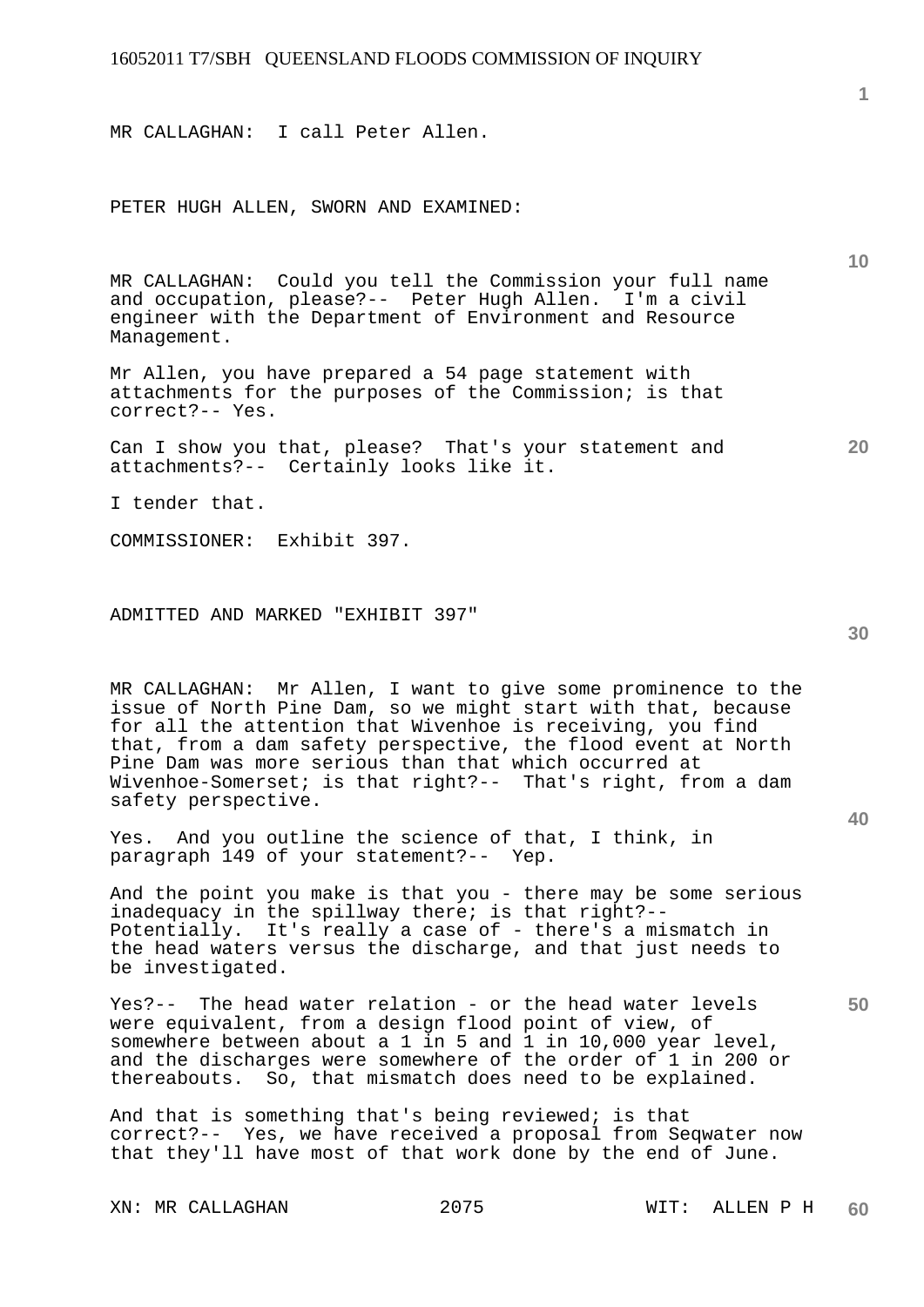MR CALLAGHAN: I call Peter Allen.

PETER HUGH ALLEN, SWORN AND EXAMINED:

MR CALLAGHAN: Could you tell the Commission your full name and occupation, please?-- Peter Hugh Allen. I'm a civil engineer with the Department of Environment and Resource Management.

Mr Allen, you have prepared a 54 page statement with attachments for the purposes of the Commission; is that correct?-- Yes.

Can I show you that, please? That's your statement and attachments?-- Certainly looks like it.

I tender that.

COMMISSIONER: Exhibit 397.

ADMITTED AND MARKED "EXHIBIT 397"

MR CALLAGHAN: Mr Allen, I want to give some prominence to the issue of North Pine Dam, so we might start with that, because for all the attention that Wivenhoe is receiving, you find that, from a dam safety perspective, the flood event at North Pine Dam was more serious than that which occurred at Wivenhoe-Somerset; is that right?-- That's right, from a dam safety perspective.

Yes. And you outline the science of that, I think, in paragraph 149 of your statement?-- Yep.

And the point you make is that you - there may be some serious inadequacy in the spillway there; is that right?-- Potentially. It's really a case of - there's a mismatch in the head waters versus the discharge, and that just needs to be investigated.

Yes?-- The head water relation - or the head water levels were equivalent, from a design flood point of view, of somewhere between about a 1 in 5 and 1 in 10,000 year level, and the discharges were somewhere of the order of 1 in 200 or thereabouts. So, that mismatch does need to be explained.

And that is something that's being reviewed; is that correct?-- Yes, we have received a proposal from Seqwater now that they'll have most of that work done by the end of June.

**40** 

**50** 

**20** 

**10**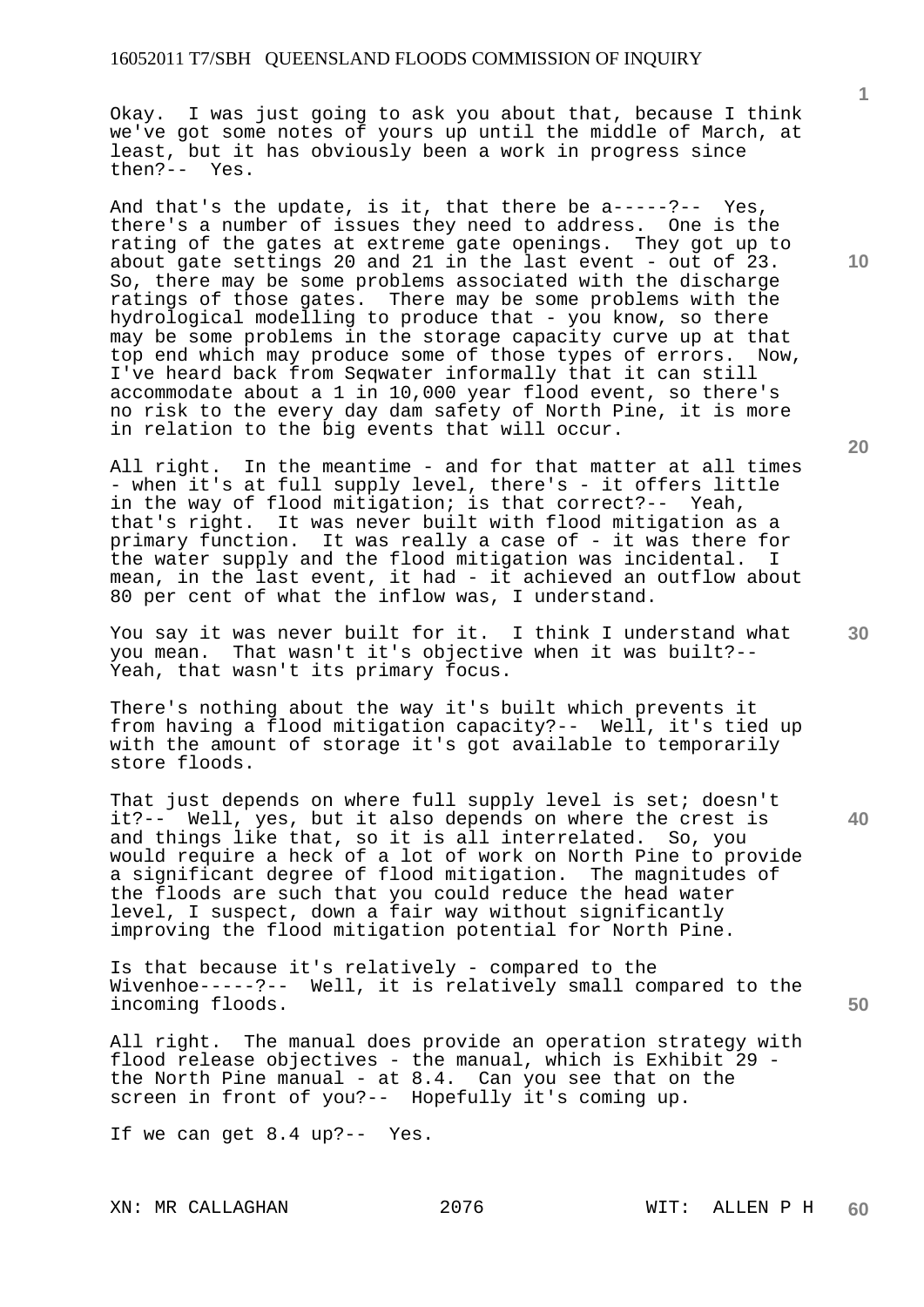Okay. I was just going to ask you about that, because I think we've got some notes of yours up until the middle of March, at least, but it has obviously been a work in progress since then?-- Yes.

And that's the update, is it, that there be a-----?-- Yes, there's a number of issues they need to address. One is the rating of the gates at extreme gate openings. They got up to about gate settings 20 and 21 in the last event - out of 23. So, there may be some problems associated with the discharge ratings of those gates. There may be some problems with the hydrological modelling to produce that - you know, so there may be some problems in the storage capacity curve up at that top end which may produce some of those types of errors. Now, I've heard back from Seqwater informally that it can still accommodate about a 1 in 10,000 year flood event, so there's no risk to the every day dam safety of North Pine, it is more in relation to the big events that will occur.

All right. In the meantime - and for that matter at all times - when it's at full supply level, there's - it offers little in the way of flood mitigation; is that correct?-- Yeah, that's right. It was never built with flood mitigation as a primary function. It was really a case of - it was there for the water supply and the flood mitigation was incidental. I mean, in the last event, it had - it achieved an outflow about 80 per cent of what the inflow was, I understand.

You say it was never built for it. I think I understand what you mean. That wasn't it's objective when it was built?-- Yeah, that wasn't its primary focus.

There's nothing about the way it's built which prevents it from having a flood mitigation capacity?-- Well, it's tied up with the amount of storage it's got available to temporarily store floods.

That just depends on where full supply level is set; doesn't it?-- Well, yes, but it also depends on where the crest is and things like that, so it is all interrelated. So, you would require a heck of a lot of work on North Pine to provide a significant degree of flood mitigation. The magnitudes of the floods are such that you could reduce the head water level, I suspect, down a fair way without significantly improving the flood mitigation potential for North Pine.

Is that because it's relatively - compared to the Wivenhoe-----?-- Well, it is relatively small compared to the incoming floods.

All right. The manual does provide an operation strategy with flood release objectives - the manual, which is Exhibit 29 the North Pine manual - at 8.4. Can you see that on the screen in front of you?-- Hopefully it's coming up.

If we can get 8.4 up?-- Yes.

**20** 

**1**

**40** 

**50**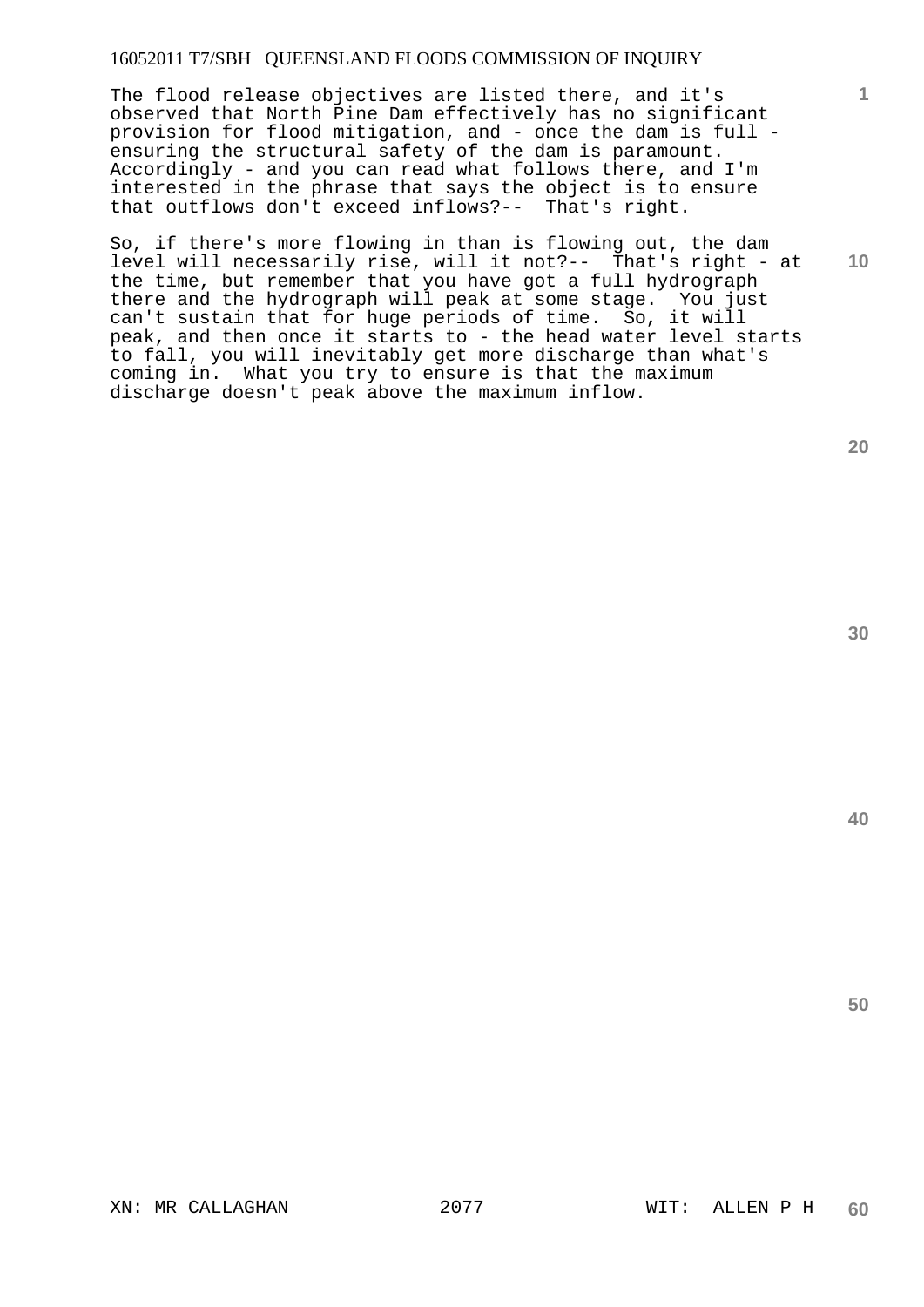The flood release objectives are listed there, and it's observed that North Pine Dam effectively has no significant provision for flood mitigation, and - once the dam is full ensuring the structural safety of the dam is paramount. Accordingly - and you can read what follows there, and I'm interested in the phrase that says the object is to ensure that outflows don't exceed inflows?-- That's right.

So, if there's more flowing in than is flowing out, the dam level will necessarily rise, will it not?-- That's right - at the time, but remember that you have got a full hydrograph there and the hydrograph will peak at some stage. You just can't sustain that for huge periods of time. So, it will peak, and then once it starts to - the head water level starts to fall, you will inevitably get more discharge than what's coming in. What you try to ensure is that the maximum discharge doesn't peak above the maximum inflow.

**20** 

**10** 

**1**

**30**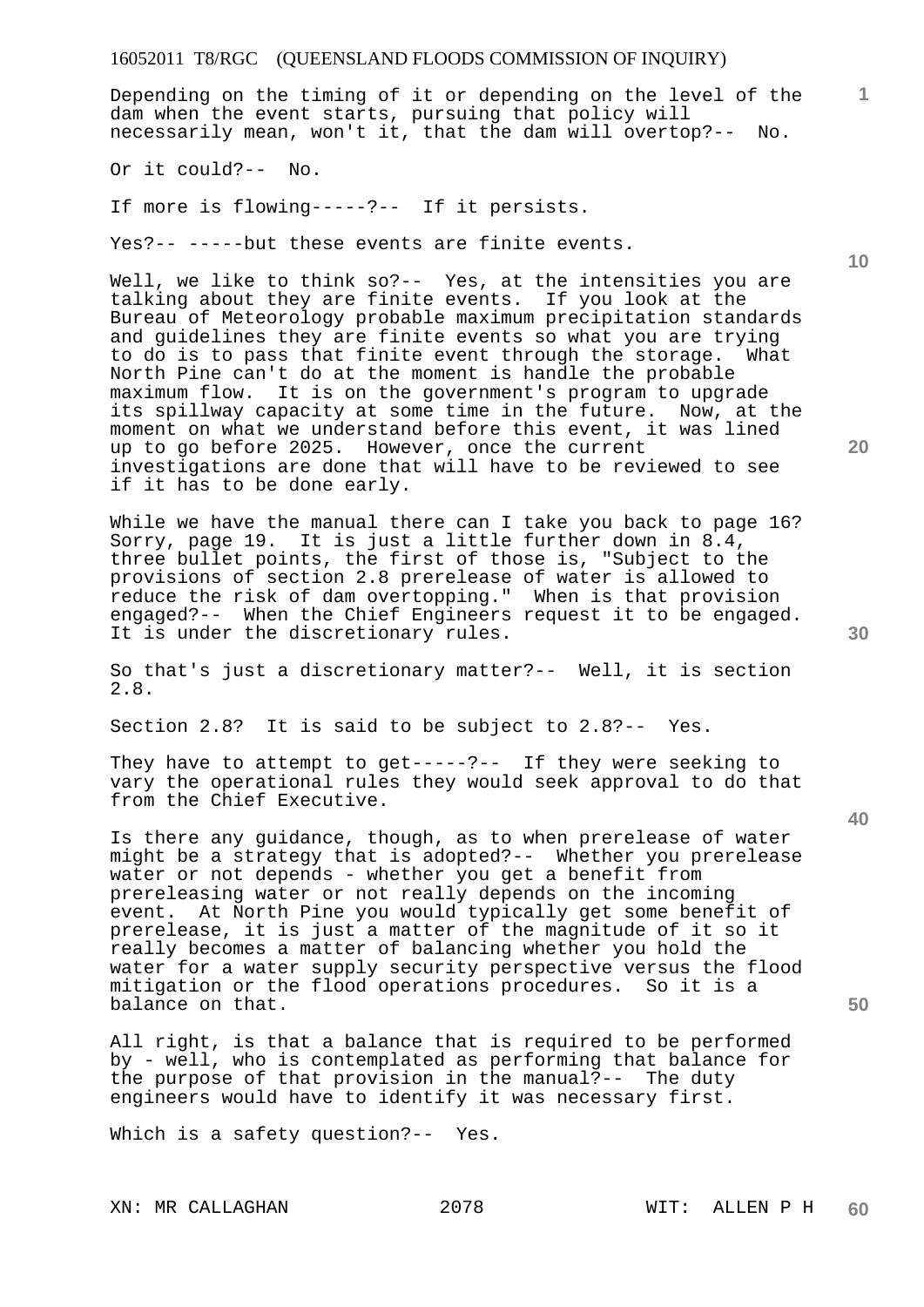Depending on the timing of it or depending on the level of the dam when the event starts, pursuing that policy will necessarily mean, won't it, that the dam will overtop?-- No.

Or it could?-- No.

If more is flowing-----?-- If it persists.

Yes?-- -----but these events are finite events.

Well, we like to think so?-- Yes, at the intensities you are talking about they are finite events. If you look at the Bureau of Meteorology probable maximum precipitation standards and guidelines they are finite events so what you are trying to do is to pass that finite event through the storage. What North Pine can't do at the moment is handle the probable maximum flow. It is on the government's program to upgrade its spillway capacity at some time in the future. Now, at the moment on what we understand before this event, it was lined up to go before 2025. However, once the current investigations are done that will have to be reviewed to see if it has to be done early.

While we have the manual there can I take you back to page 16? Sorry, page 19. It is just a little further down in 8.4, three bullet points, the first of those is, "Subject to the provisions of section 2.8 prerelease of water is allowed to reduce the risk of dam overtopping." When is that provision engaged?-- When the Chief Engineers request it to be engaged. It is under the discretionary rules.

So that's just a discretionary matter?-- Well, it is section 2.8.

Section 2.8? It is said to be subject to 2.8?-- Yes.

They have to attempt to get-----?-- If they were seeking to vary the operational rules they would seek approval to do that from the Chief Executive.

Is there any guidance, though, as to when prerelease of water might be a strategy that is adopted?-- Whether you prerelease water or not depends - whether you get a benefit from prereleasing water or not really depends on the incoming event. At North Pine you would typically get some benefit of prerelease, it is just a matter of the magnitude of it so it really becomes a matter of balancing whether you hold the water for a water supply security perspective versus the flood mitigation or the flood operations procedures. So it is a balance on that.

All right, is that a balance that is required to be performed by - well, who is contemplated as performing that balance for the purpose of that provision in the manual?-- The duty engineers would have to identify it was necessary first.

Which is a safety question?-- Yes.

**10** 

**1**

**20** 

**40**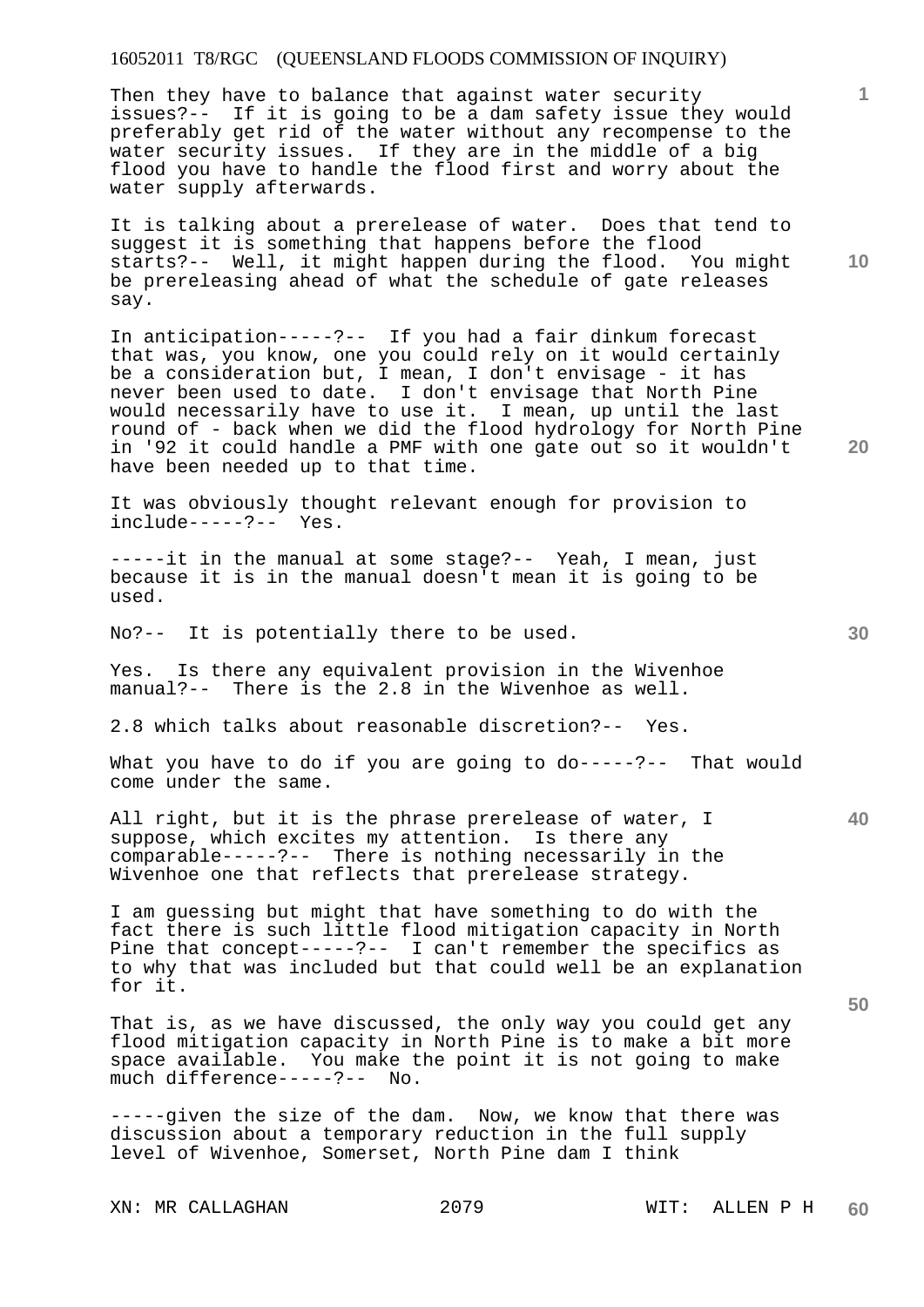Then they have to balance that against water security issues?-- If it is going to be a dam safety issue they would preferably get rid of the water without any recompense to the water security issues. If they are in the middle of a big flood you have to handle the flood first and worry about the water supply afterwards.

It is talking about a prerelease of water. Does that tend to suggest it is something that happens before the flood starts?-- Well, it might happen during the flood. You might be prereleasing ahead of what the schedule of gate releases say.

In anticipation-----?-- If you had a fair dinkum forecast that was, you know, one you could rely on it would certainly be a consideration but, I mean, I don't envisage - it has never been used to date. I don't envisage that North Pine would necessarily have to use it. I mean, up until the last round of - back when we did the flood hydrology for North Pine in '92 it could handle a PMF with one gate out so it wouldn't have been needed up to that time.

It was obviously thought relevant enough for provision to include-----?-- Yes.

-----it in the manual at some stage?-- Yeah, I mean, just because it is in the manual doesn't mean it is going to be used.

No?-- It is potentially there to be used.

Yes. Is there any equivalent provision in the Wivenhoe manual?-- There is the 2.8 in the Wivenhoe as well.

2.8 which talks about reasonable discretion?-- Yes.

What you have to do if you are going to do-----?-- That would come under the same.

All right, but it is the phrase prerelease of water, I suppose, which excites my attention. Is there any comparable-----?-- There is nothing necessarily in the Wivenhoe one that reflects that prerelease strategy.

I am guessing but might that have something to do with the fact there is such little flood mitigation capacity in North Pine that concept-----?-- I can't remember the specifics as to why that was included but that could well be an explanation for it.

That is, as we have discussed, the only way you could get any flood mitigation capacity in North Pine is to make a bit more space available. You make the point it is not going to make much difference-----?-- No.

-----given the size of the dam. Now, we know that there was discussion about a temporary reduction in the full supply level of Wivenhoe, Somerset, North Pine dam I think

XN: MR CALLAGHAN 2079 WIT: ALLEN P H

**10** 

**20** 

**1**

**40**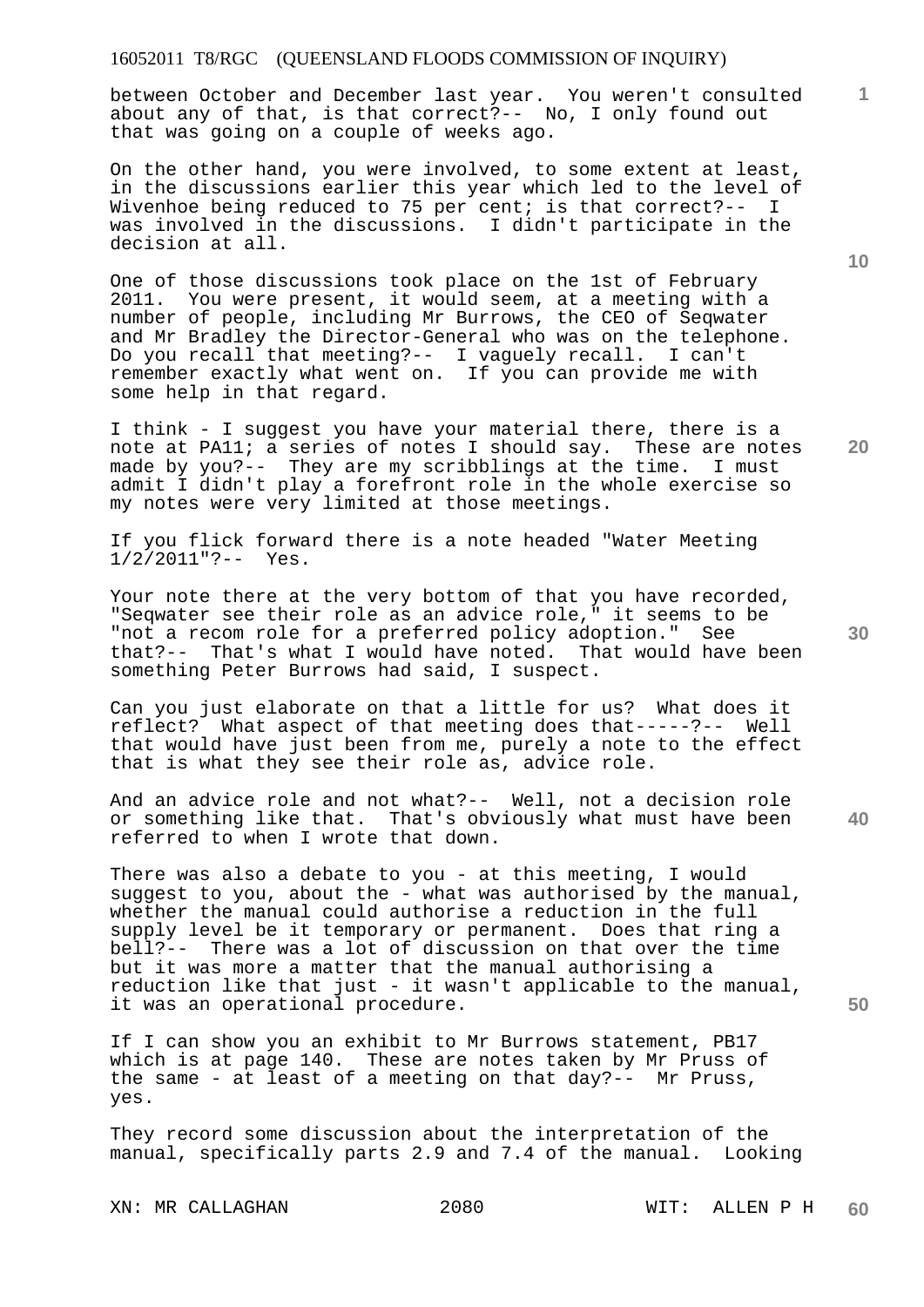between October and December last year. You weren't consulted about any of that, is that correct?-- No, I only found out that was going on a couple of weeks ago.

On the other hand, you were involved, to some extent at least, in the discussions earlier this year which led to the level of Wivenhoe being reduced to 75 per cent; is that correct?-- I was involved in the discussions. I didn't participate in the decision at all.

One of those discussions took place on the 1st of February 2011. You were present, it would seem, at a meeting with a number of people, including Mr Burrows, the CEO of Seqwater and Mr Bradley the Director-General who was on the telephone. Do you recall that meeting?-- I vaguely recall. I can't remember exactly what went on. If you can provide me with some help in that regard.

I think - I suggest you have your material there, there is a note at PA11; a series of notes I should say. These are notes made by you?-- They are my scribblings at the time. I must admit I didn't play a forefront role in the whole exercise so my notes were very limited at those meetings.

If you flick forward there is a note headed "Water Meeting 1/2/2011"?-- Yes.

Your note there at the very bottom of that you have recorded, "Seqwater see their role as an advice role," it seems to be "not a recom role for a preferred policy adoption." See that?-- That's what I would have noted. That would have been something Peter Burrows had said, I suspect.

Can you just elaborate on that a little for us? What does it reflect? What aspect of that meeting does that-----?-- Well that would have just been from me, purely a note to the effect that is what they see their role as, advice role.

**40**  And an advice role and not what?-- Well, not a decision role or something like that. That's obviously what must have been referred to when I wrote that down.

There was also a debate to you - at this meeting, I would suggest to you, about the - what was authorised by the manual, whether the manual could authorise a reduction in the full supply level be it temporary or permanent. Does that ring a bell?-- There was a lot of discussion on that over the time but it was more a matter that the manual authorising a reduction like that just - it wasn't applicable to the manual, it was an operational procedure.

If I can show you an exhibit to Mr Burrows statement, PB17 which is at page 140. These are notes taken by Mr Pruss of the same - at least of a meeting on that day?-- Mr Pruss, yes.

They record some discussion about the interpretation of the manual, specifically parts 2.9 and 7.4 of the manual. Looking

XN: MR CALLAGHAN 2080 WIT: ALLEN P H

**10** 

**1**

**30** 

**50**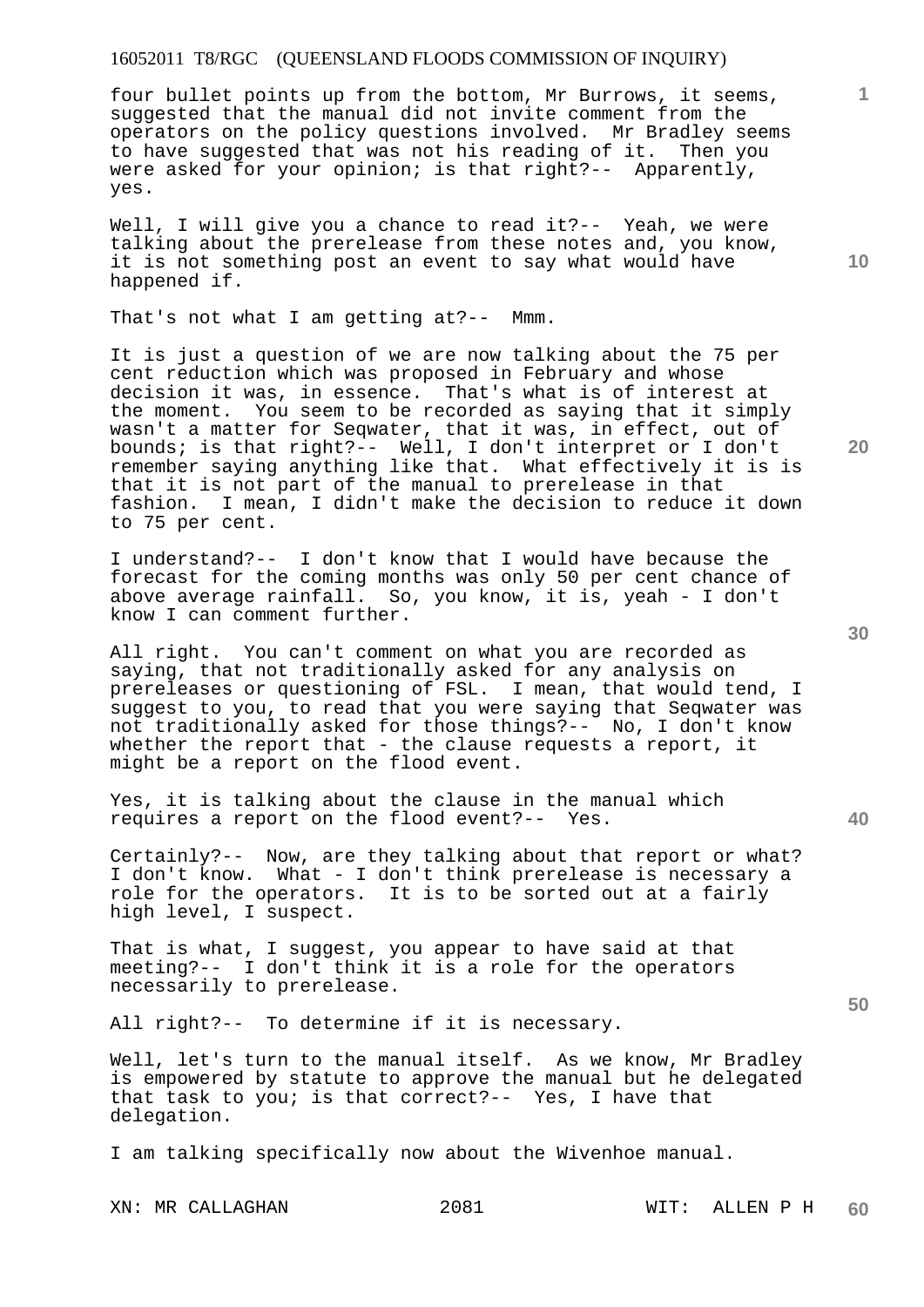four bullet points up from the bottom, Mr Burrows, it seems, suggested that the manual did not invite comment from the operators on the policy questions involved. Mr Bradley seems to have suggested that was not his reading of it. Then you were asked for your opinion; is that right?-- Apparently, yes.

Well, I will give you a chance to read it ?-- Yeah, we were talking about the prerelease from these notes and, you know, it is not something post an event to say what would have happened if.

That's not what I am getting at?-- Mmm.

It is just a question of we are now talking about the 75 per cent reduction which was proposed in February and whose decision it was, in essence. That's what is of interest at the moment. You seem to be recorded as saying that it simply wasn't a matter for Seqwater, that it was, in effect, out of bounds; is that right?-- Well, I don't interpret or I don't remember saying anything like that. What effectively it is is that it is not part of the manual to prerelease in that fashion. I mean, I didn't make the decision to reduce it down to 75 per cent.

I understand?-- I don't know that I would have because the forecast for the coming months was only 50 per cent chance of above average rainfall. So, you know, it is, yeah - I don't know I can comment further.

All right. You can't comment on what you are recorded as saying, that not traditionally asked for any analysis on prereleases or questioning of FSL. I mean, that would tend, I suggest to you, to read that you were saying that Seqwater was not traditionally asked for those things?-- No, I don't know whether the report that - the clause requests a report, it might be a report on the flood event.

Yes, it is talking about the clause in the manual which requires a report on the flood event?-- Yes.

Certainly?-- Now, are they talking about that report or what? I don't know. What - I don't think prerelease is necessary a role for the operators. It is to be sorted out at a fairly high level, I suspect.

That is what, I suggest, you appear to have said at that meeting?-- I don't think it is a role for the operators necessarily to prerelease.

All right?-- To determine if it is necessary.

Well, let's turn to the manual itself. As we know, Mr Bradley is empowered by statute to approve the manual but he delegated that task to you; is that correct?-- Yes, I have that delegation.

I am talking specifically now about the Wivenhoe manual.

XN: MR CALLAGHAN 2081 WIT: ALLEN P H

**30** 

**20** 

**40** 

**1**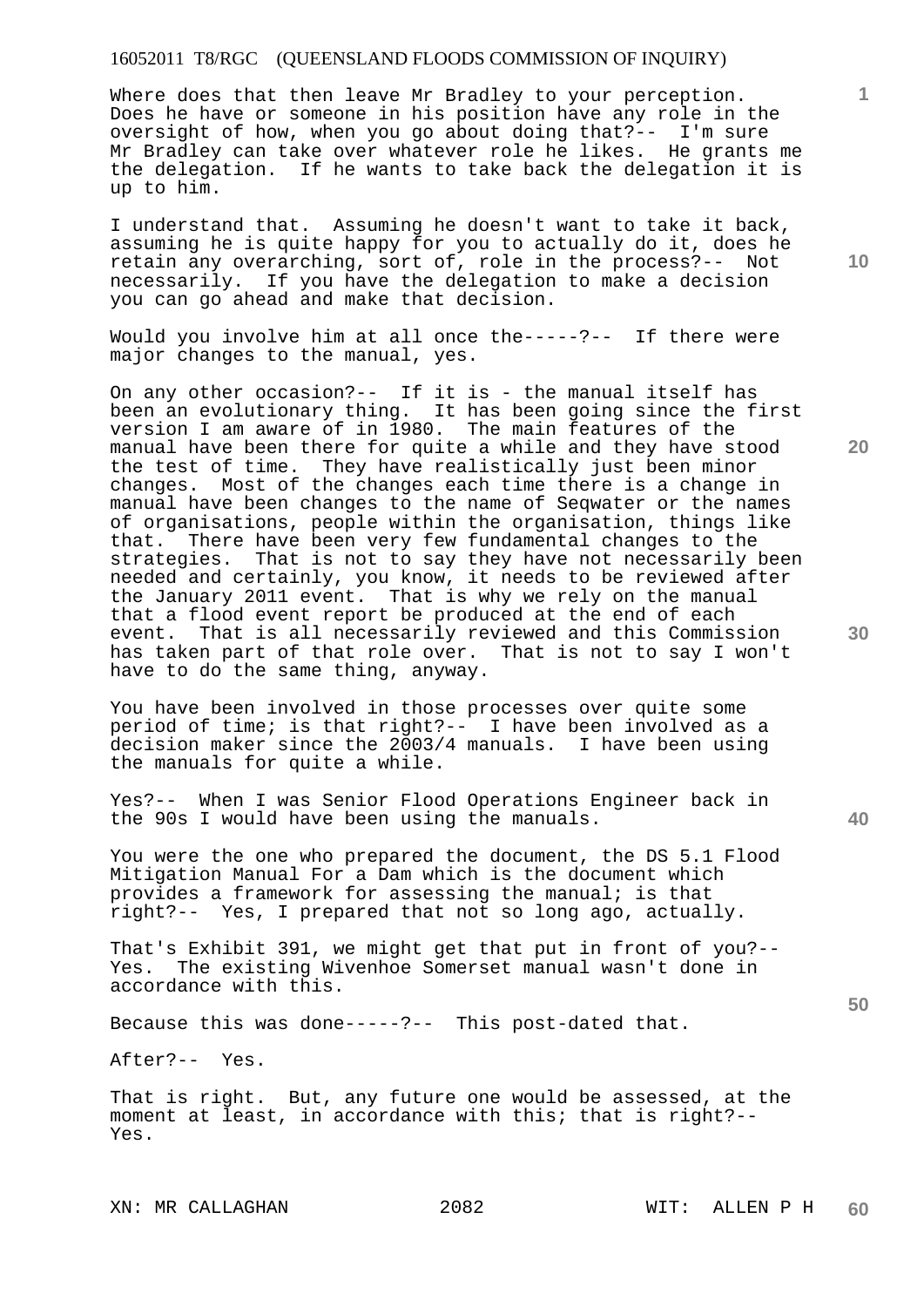Where does that then leave Mr Bradley to your perception. Does he have or someone in his position have any role in the oversight of how, when you go about doing that?-- I'm sure Mr Bradley can take over whatever role he likes. He grants me the delegation. If he wants to take back the delegation it is up to him.

I understand that. Assuming he doesn't want to take it back, assuming he is quite happy for you to actually do it, does he retain any overarching, sort of, role in the process?-- Not necessarily. If you have the delegation to make a decision you can go ahead and make that decision.

Would you involve him at all once the-----?-- If there were major changes to the manual, yes.

On any other occasion?-- If it is - the manual itself has been an evolutionary thing. It has been going since the first version I am aware of in 1980. The main features of the manual have been there for quite a while and they have stood the test of time. They have realistically just been minor changes. Most of the changes each time there is a change in manual have been changes to the name of Seqwater or the names of organisations, people within the organisation, things like that. There have been very few fundamental changes to the strategies. That is not to say they have not necessarily been needed and certainly, you know, it needs to be reviewed after the January 2011 event. That is why we rely on the manual that a flood event report be produced at the end of each event. That is all necessarily reviewed and this Commission has taken part of that role over. That is not to say I won't have to do the same thing, anyway.

You have been involved in those processes over quite some period of time; is that right?-- I have been involved as a decision maker since the 2003/4 manuals. I have been using the manuals for quite a while.

Yes?-- When I was Senior Flood Operations Engineer back in the 90s I would have been using the manuals.

You were the one who prepared the document, the DS 5.1 Flood Mitigation Manual For a Dam which is the document which provides a framework for assessing the manual; is that right?-- Yes, I prepared that not so long ago, actually.

That's Exhibit 391, we might get that put in front of you?--<br>Yes. The existing Wivenhoe Somerset manual wasn't done in The existing Wivenhoe Somerset manual wasn't done in accordance with this.

Because this was done-----?-- This post-dated that.

After?-- Yes.

That is right. But, any future one would be assessed, at the moment at least, in accordance with this; that is right?-- Yes.

XN: MR CALLAGHAN 2082 WIT: ALLEN P H

**10** 

**1**

**20** 

**50**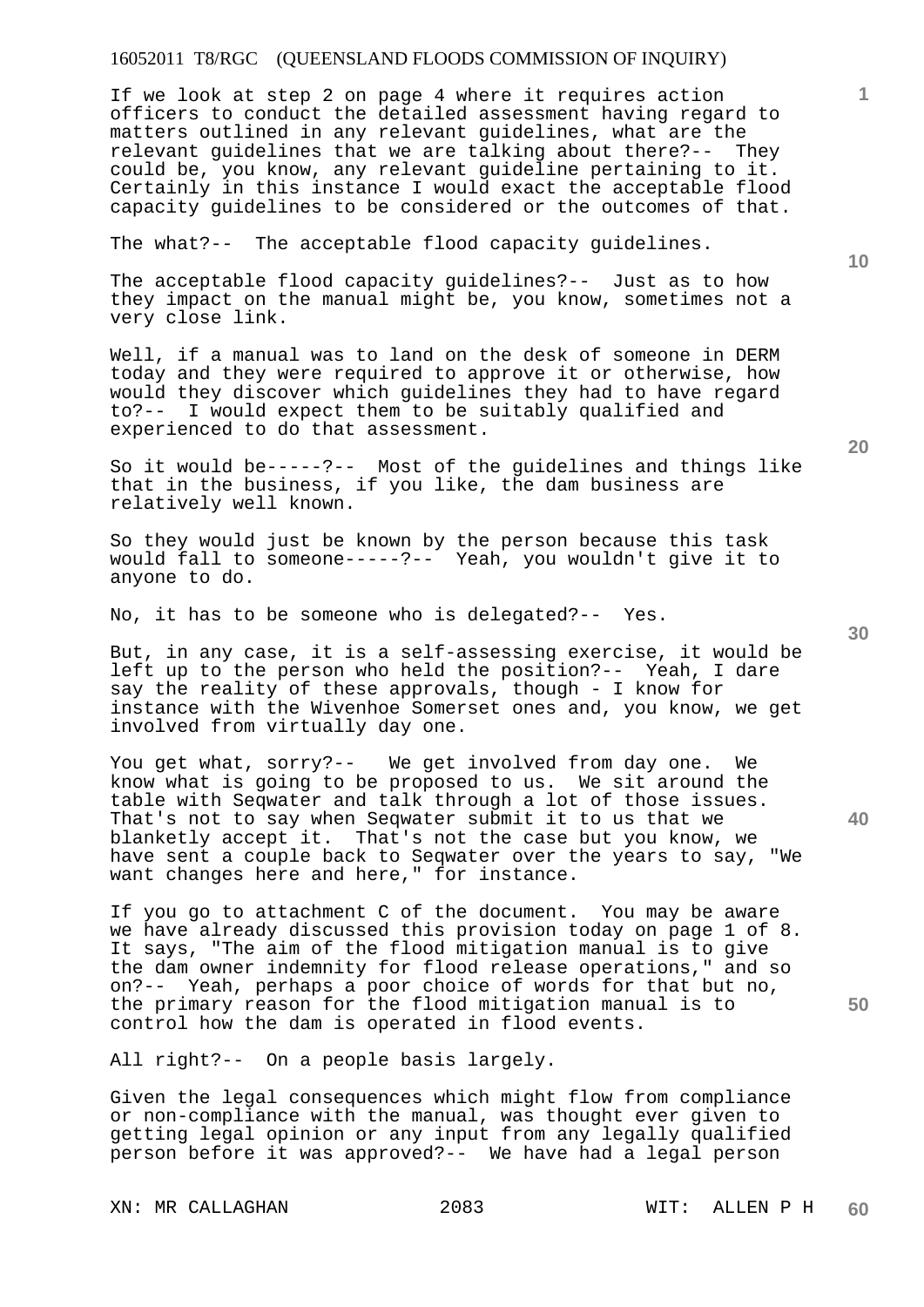If we look at step 2 on page 4 where it requires action officers to conduct the detailed assessment having regard to matters outlined in any relevant guidelines, what are the relevant guidelines that we are talking about there?-- They could be, you know, any relevant guideline pertaining to it. Certainly in this instance I would exact the acceptable flood capacity guidelines to be considered or the outcomes of that.

The what?-- The acceptable flood capacity guidelines.

The acceptable flood capacity guidelines?-- Just as to how they impact on the manual might be, you know, sometimes not a very close link.

Well, if a manual was to land on the desk of someone in DERM today and they were required to approve it or otherwise, how would they discover which guidelines they had to have regard to?-- I would expect them to be suitably qualified and experienced to do that assessment.

So it would be-----?-- Most of the guidelines and things like that in the business, if you like, the dam business are relatively well known.

So they would just be known by the person because this task would fall to someone-----?-- Yeah, you wouldn't give it to anyone to do.

No, it has to be someone who is delegated?-- Yes.

But, in any case, it is a self-assessing exercise, it would be left up to the person who held the position?-- Yeah, I dare say the reality of these approvals, though - I know for instance with the Wivenhoe Somerset ones and, you know, we get involved from virtually day one.

You get what, sorry?-- We get involved from day one. We know what is going to be proposed to us. We sit around the table with Seqwater and talk through a lot of those issues. That's not to say when Seqwater submit it to us that we blanketly accept it. That's not the case but you know, we have sent a couple back to Seqwater over the years to say, "We want changes here and here," for instance.

If you go to attachment C of the document. You may be aware we have already discussed this provision today on page 1 of 8. It says, "The aim of the flood mitigation manual is to give the dam owner indemnity for flood release operations," and so on?-- Yeah, perhaps a poor choice of words for that but no, the primary reason for the flood mitigation manual is to control how the dam is operated in flood events.

All right?-- On a people basis largely.

Given the legal consequences which might flow from compliance or non-compliance with the manual, was thought ever given to getting legal opinion or any input from any legally qualified person before it was approved?-- We have had a legal person

XN: MR CALLAGHAN 2083 WIT: ALLEN P H

**1**

**30** 

**20** 

**40**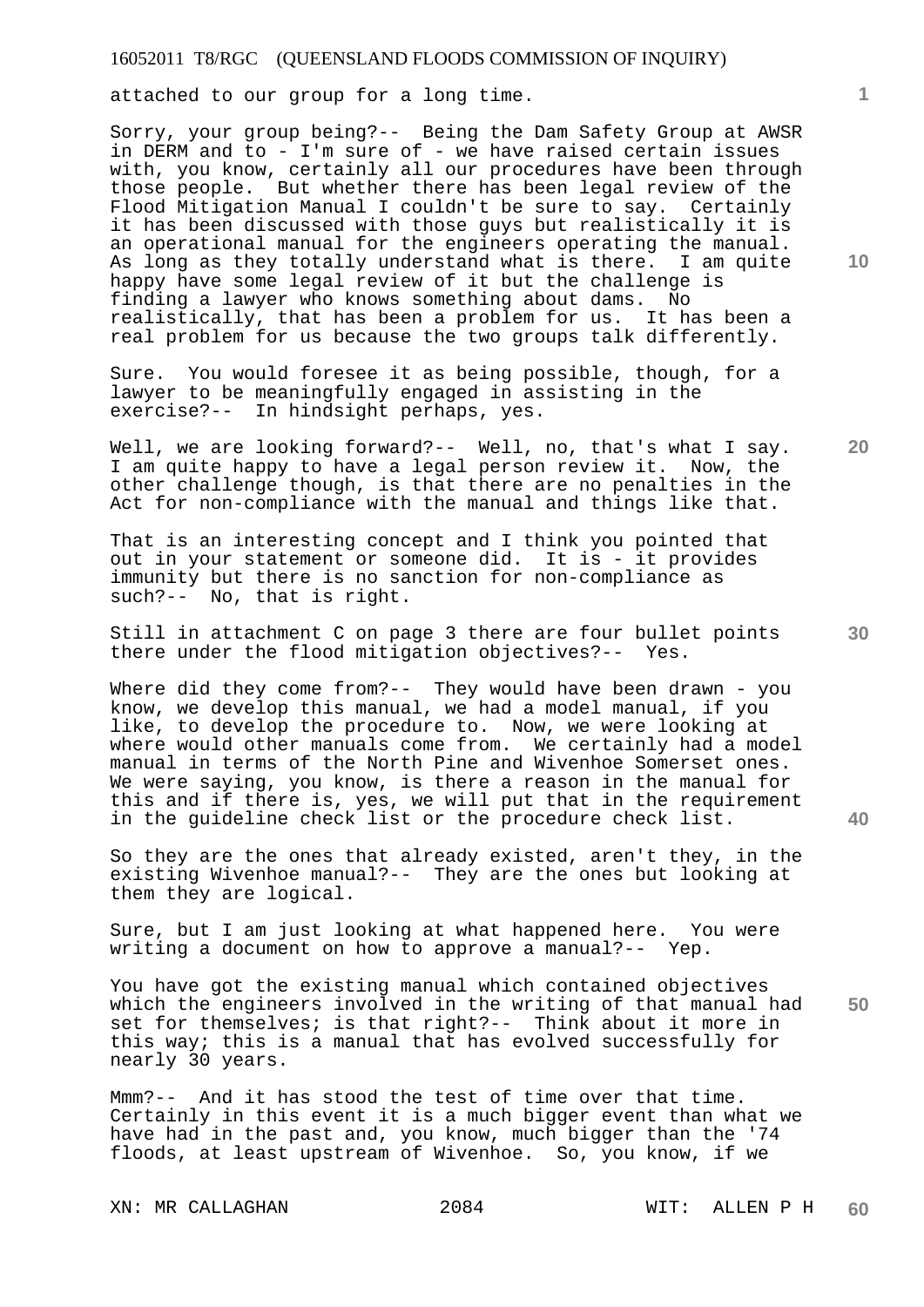attached to our group for a long time.

Sorry, your group being?-- Being the Dam Safety Group at AWSR in DERM and to - I'm sure of - we have raised certain issues with, you know, certainly all our procedures have been through those people. But whether there has been legal review of the Flood Mitigation Manual I couldn't be sure to say. Certainly it has been discussed with those guys but realistically it is an operational manual for the engineers operating the manual. As long as they totally understand what is there. I am quite happy have some legal review of it but the challenge is finding a lawyer who knows something about dams. No realistically, that has been a problem for us. It has been a real problem for us because the two groups talk differently.

Sure. You would foresee it as being possible, though, for a lawyer to be meaningfully engaged in assisting in the exercise?-- In hindsight perhaps, yes.

Well, we are looking forward?-- Well, no, that's what I say. I am quite happy to have a legal person review it. Now, the other challenge though, is that there are no penalties in the Act for non-compliance with the manual and things like that.

That is an interesting concept and I think you pointed that out in your statement or someone did. It is - it provides immunity but there is no sanction for non-compliance as such?-- No, that is right.

Still in attachment C on page 3 there are four bullet points there under the flood mitigation objectives?-- Yes.

Where did they come from?-- They would have been drawn - you know, we develop this manual, we had a model manual, if you like, to develop the procedure to. Now, we were looking at where would other manuals come from. We certainly had a model manual in terms of the North Pine and Wivenhoe Somerset ones. We were saying, you know, is there a reason in the manual for this and if there is, yes, we will put that in the requirement in the guideline check list or the procedure check list.

So they are the ones that already existed, aren't they, in the existing Wivenhoe manual?-- They are the ones but looking at them they are logical.

Sure, but I am just looking at what happened here. You were writing a document on how to approve a manual?-- Yep.

**50**  You have got the existing manual which contained objectives which the engineers involved in the writing of that manual had set for themselves; is that right?-- Think about it more in this way; this is a manual that has evolved successfully for nearly 30 years.

Mmm?-- And it has stood the test of time over that time. Certainly in this event it is a much bigger event than what we have had in the past and, you know, much bigger than the '74 floods, at least upstream of Wivenhoe. So, you know, if we

XN: MR CALLAGHAN 2084 WIT: ALLEN P H

**10** 

**1**

**20**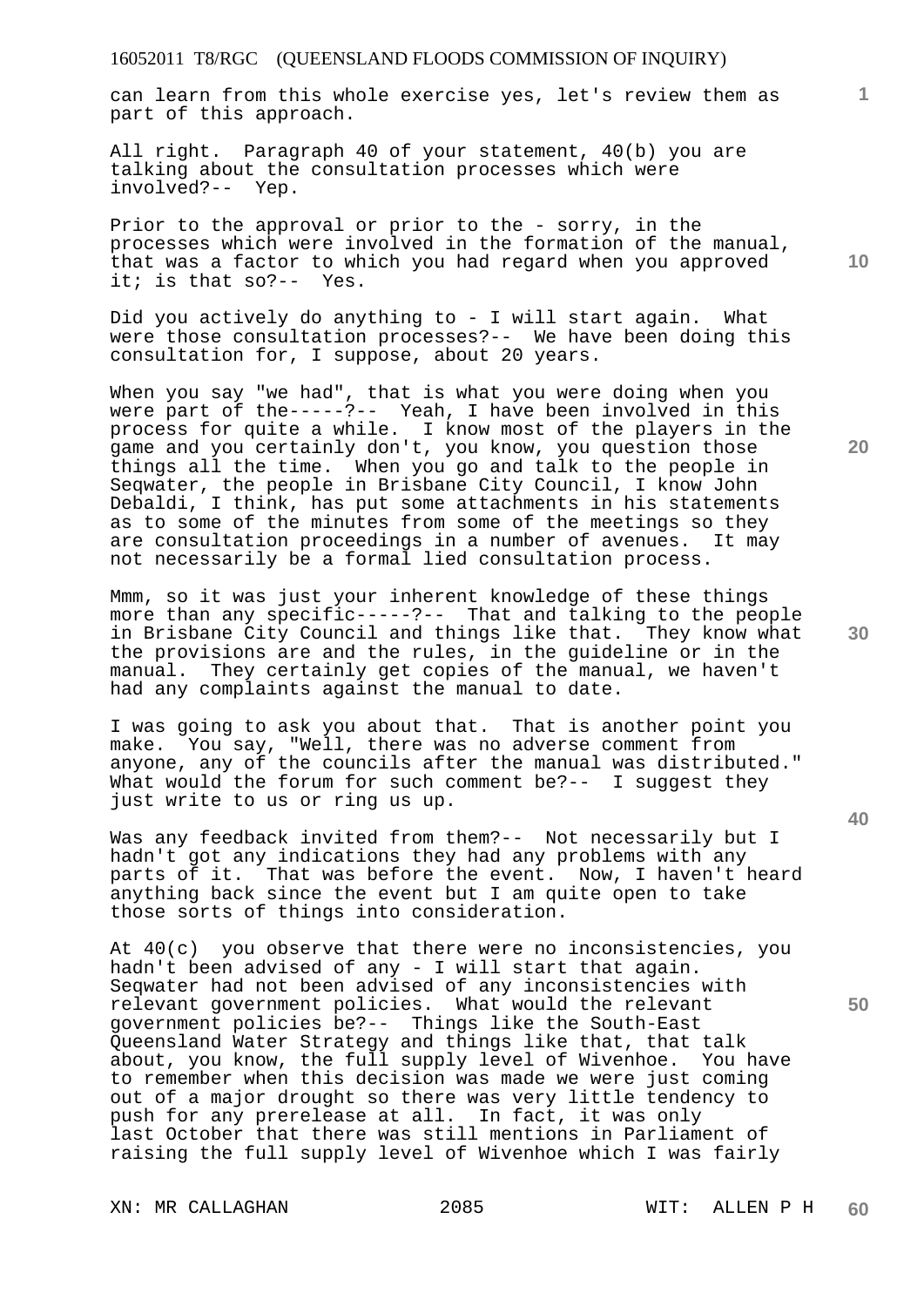can learn from this whole exercise yes, let's review them as part of this approach.

All right. Paragraph 40 of your statement, 40(b) you are talking about the consultation processes which were involved?-- Yep.

Prior to the approval or prior to the - sorry, in the processes which were involved in the formation of the manual, that was a factor to which you had regard when you approved it; is that so?-- Yes.

Did you actively do anything to - I will start again. What were those consultation processes?-- We have been doing this consultation for, I suppose, about 20 years.

When you say "we had", that is what you were doing when you were part of the-----?-- Yeah, I have been involved in this process for quite a while. I know most of the players in the game and you certainly don't, you know, you question those things all the time. When you go and talk to the people in Seqwater, the people in Brisbane City Council, I know John Debaldi, I think, has put some attachments in his statements as to some of the minutes from some of the meetings so they are consultation proceedings in a number of avenues. It may not necessarily be a formal lied consultation process.

Mmm, so it was just your inherent knowledge of these things more than any specific-----?-- That and talking to the people in Brisbane City Council and things like that. They know what the provisions are and the rules, in the guideline or in the manual. They certainly get copies of the manual, we haven't had any complaints against the manual to date.

I was going to ask you about that. That is another point you make. You say, "Well, there was no adverse comment from anyone, any of the councils after the manual was distributed." What would the forum for such comment be?-- I suggest they just write to us or ring us up.

Was any feedback invited from them?-- Not necessarily but I hadn't got any indications they had any problems with any parts of it. That was before the event. Now, I haven't heard anything back since the event but I am quite open to take those sorts of things into consideration.

At 40(c) you observe that there were no inconsistencies, you hadn't been advised of any - I will start that again. Seqwater had not been advised of any inconsistencies with relevant government policies. What would the relevant government policies be?-- Things like the South-East Queensland Water Strategy and things like that, that talk about, you know, the full supply level of Wivenhoe. You have to remember when this decision was made we were just coming out of a major drought so there was very little tendency to push for any prerelease at all. In fact, it was only last October that there was still mentions in Parliament of raising the full supply level of Wivenhoe which I was fairly

**20** 

**10** 

**1**

**50**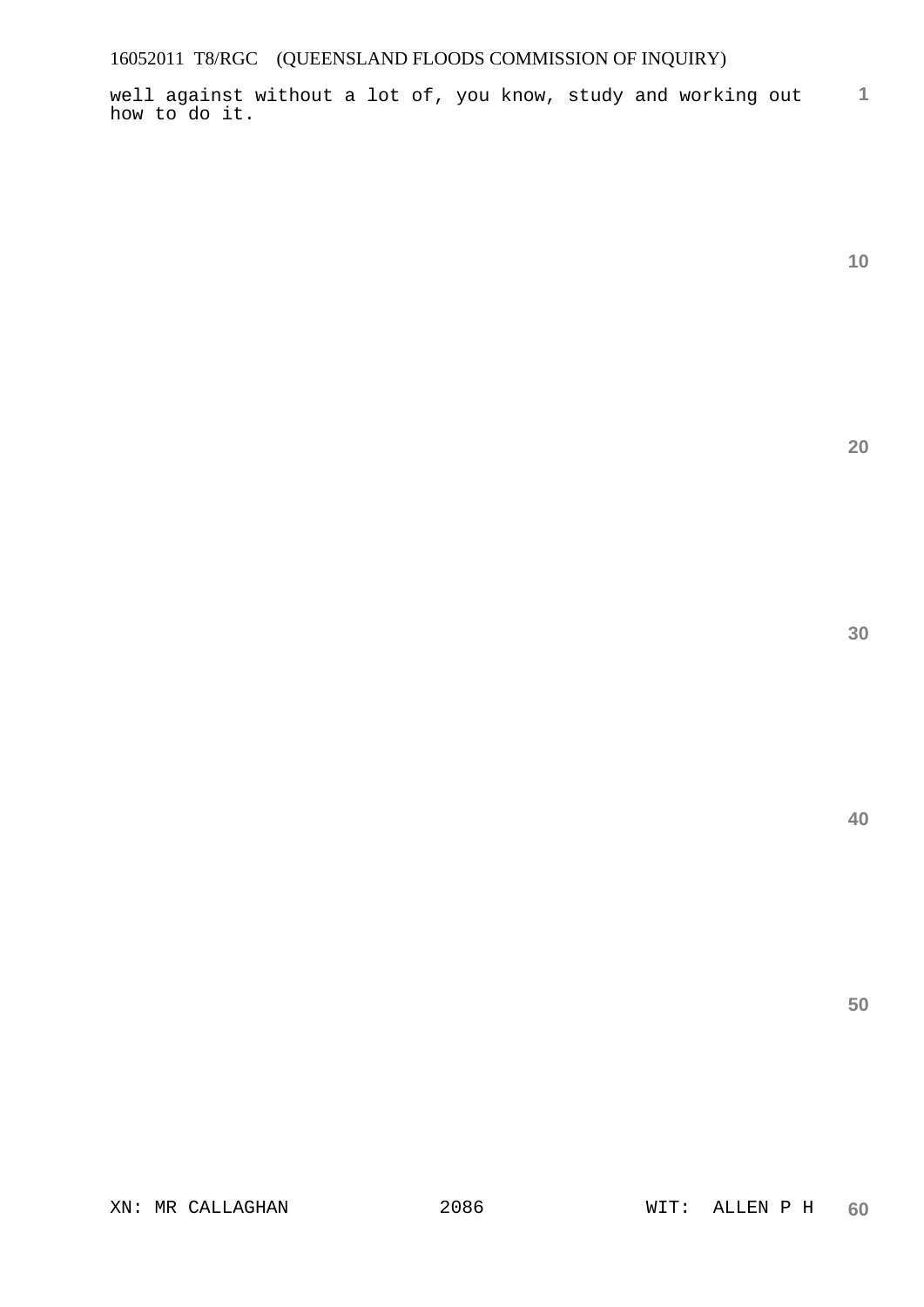well against without a lot of, you know, study and working out how to do it.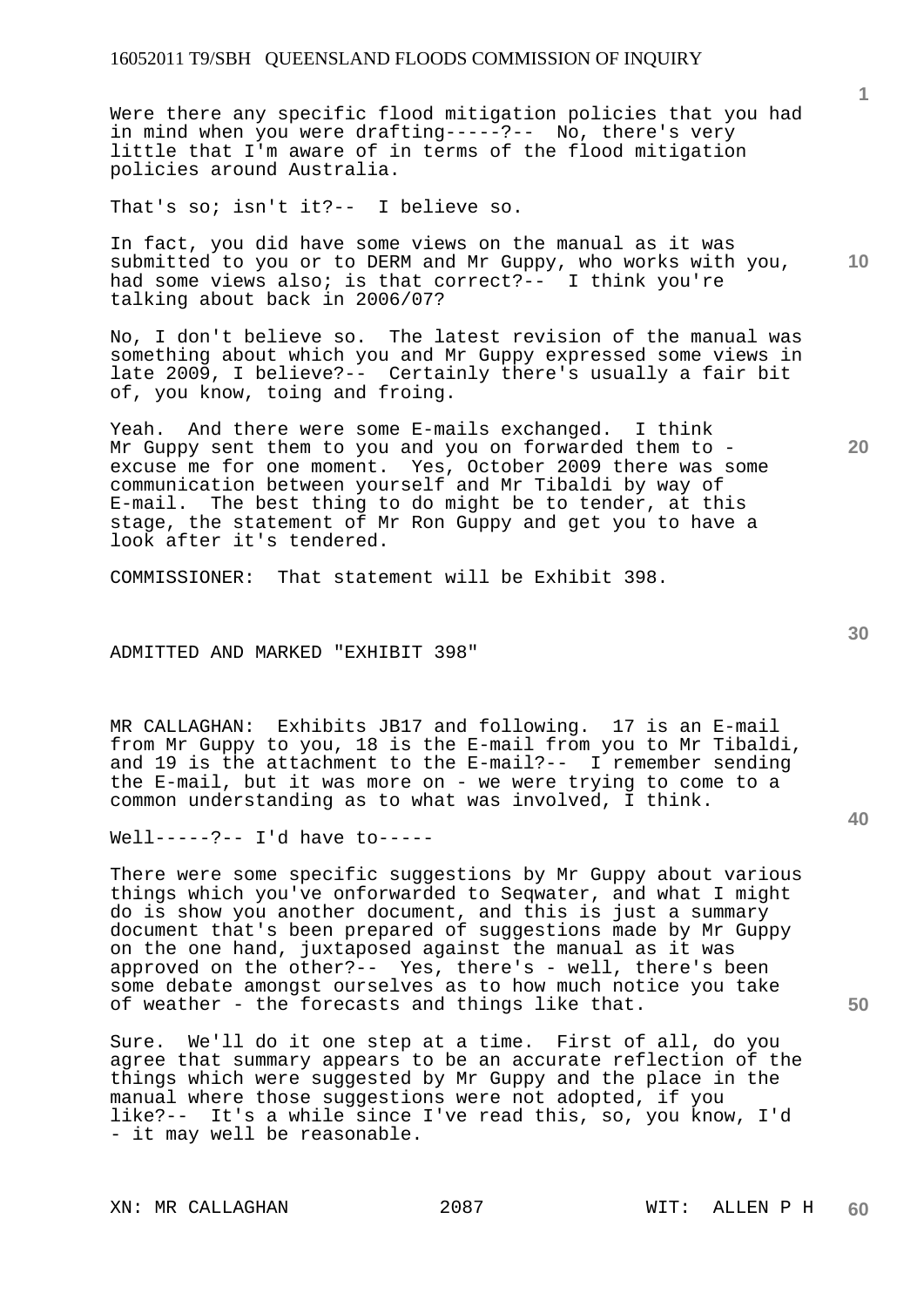Were there any specific flood mitigation policies that you had in mind when you were drafting-----?-- No, there's very little that I'm aware of in terms of the flood mitigation policies around Australia.

That's so; isn't it?-- I believe so.

**10**  In fact, you did have some views on the manual as it was submitted to you or to DERM and Mr Guppy, who works with you, had some views also; is that correct?-- I think you're talking about back in 2006/07?

No, I don't believe so. The latest revision of the manual was something about which you and Mr Guppy expressed some views in late 2009, I believe?-- Certainly there's usually a fair bit of, you know, toing and froing.

Yeah. And there were some E-mails exchanged. I think Mr Guppy sent them to you and you on forwarded them to excuse me for one moment. Yes, October 2009 there was some communication between yourself and Mr Tibaldi by way of E-mail. The best thing to do might be to tender, at this stage, the statement of Mr Ron Guppy and get you to have a look after it's tendered.

COMMISSIONER: That statement will be Exhibit 398.

ADMITTED AND MARKED "EXHIBIT 398"

MR CALLAGHAN: Exhibits JB17 and following. 17 is an E-mail from Mr Guppy to you, 18 is the E-mail from you to Mr Tibaldi, and 19 is the attachment to the E-mail?-- I remember sending the E-mail, but it was more on - we were trying to come to a common understanding as to what was involved, I think.

Well-----?-- I'd have to-----

There were some specific suggestions by Mr Guppy about various things which you've onforwarded to Seqwater, and what I might do is show you another document, and this is just a summary document that's been prepared of suggestions made by Mr Guppy on the one hand, juxtaposed against the manual as it was approved on the other?-- Yes, there's - well, there's been some debate amongst ourselves as to how much notice you take of weather - the forecasts and things like that.

Sure. We'll do it one step at a time. First of all, do you agree that summary appears to be an accurate reflection of the things which were suggested by Mr Guppy and the place in the manual where those suggestions were not adopted, if you like?-- It's a while since I've read this, so, you know, I'd - it may well be reasonable.

XN: MR CALLAGHAN 2087 WIT: ALLEN P H

**1**

**30** 

**20**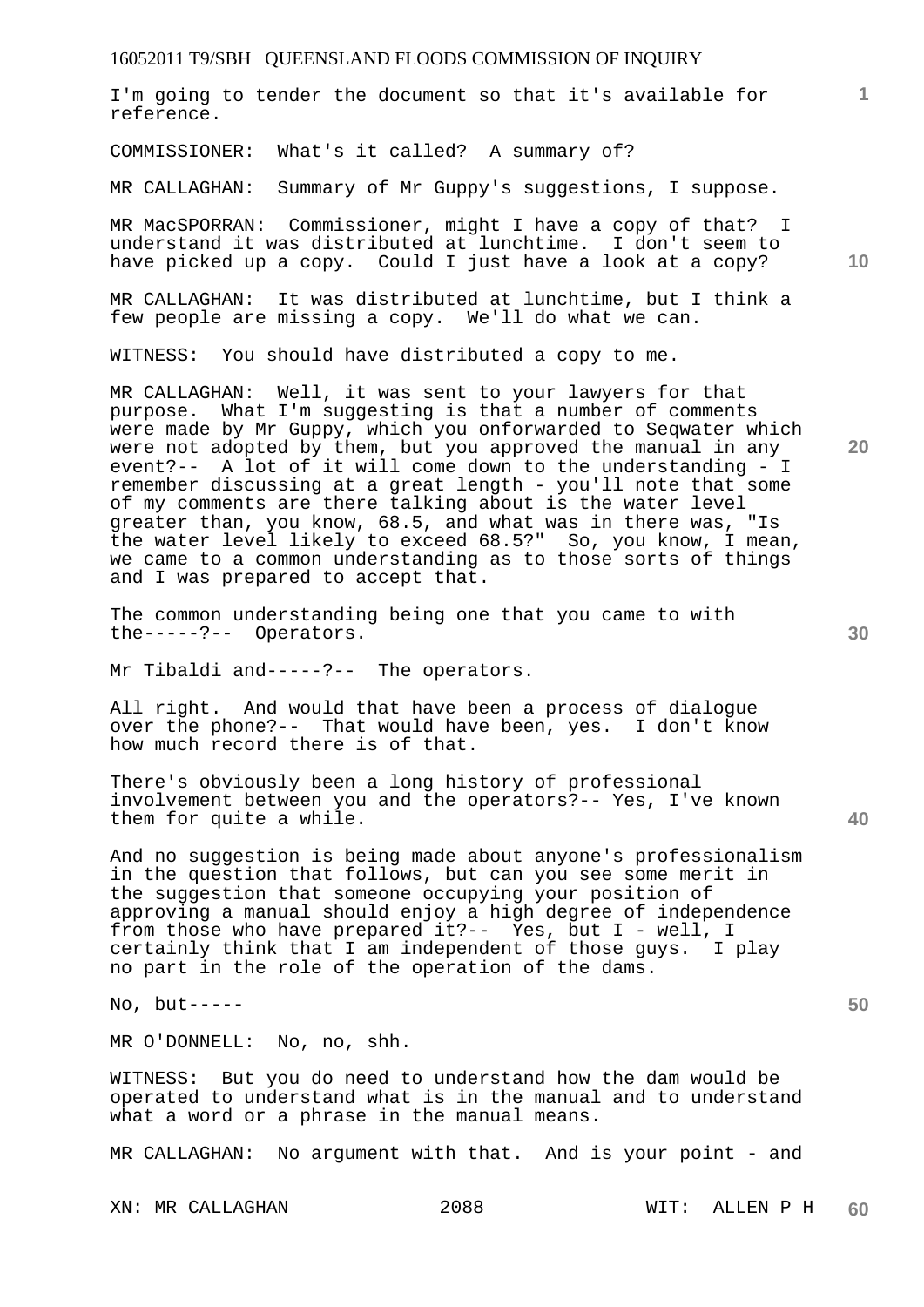I'm going to tender the document so that it's available for reference.

COMMISSIONER: What's it called? A summary of?

MR CALLAGHAN: Summary of Mr Guppy's suggestions, I suppose.

MR MacSPORRAN: Commissioner, might I have a copy of that? I understand it was distributed at lunchtime. I don't seem to have picked up a copy. Could I just have a look at a copy?

MR CALLAGHAN: It was distributed at lunchtime, but I think a few people are missing a copy. We'll do what we can.

WITNESS: You should have distributed a copy to me.

MR CALLAGHAN: Well, it was sent to your lawyers for that purpose. What I'm suggesting is that a number of comments were made by Mr Guppy, which you onforwarded to Seqwater which were not adopted by them, but you approved the manual in any event?-- A lot of it will come down to the understanding - I remember discussing at a great length - you'll note that some of my comments are there talking about is the water level greater than, you know, 68.5, and what was in there was, "Is the water level likely to exceed 68.5?" So, you know, I mean, we came to a common understanding as to those sorts of things and I was prepared to accept that.

The common understanding being one that you came to with the-----?-- Operators.

Mr Tibaldi and-----?-- The operators.

All right. And would that have been a process of dialogue over the phone?-- That would have been, yes. I don't know how much record there is of that.

There's obviously been a long history of professional involvement between you and the operators?-- Yes, I've known them for quite a while.

And no suggestion is being made about anyone's professionalism in the question that follows, but can you see some merit in the suggestion that someone occupying your position of approving a manual should enjoy a high degree of independence from those who have prepared it?-- Yes, but I - well, I certainly think that I am independent of those guys. I play no part in the role of the operation of the dams.

No, but-----

MR O'DONNELL: No, no, shh.

WITNESS: But you do need to understand how the dam would be operated to understand what is in the manual and to understand what a word or a phrase in the manual means.

MR CALLAGHAN: No argument with that. And is your point - and

**10** 

**1**

**30** 

**20**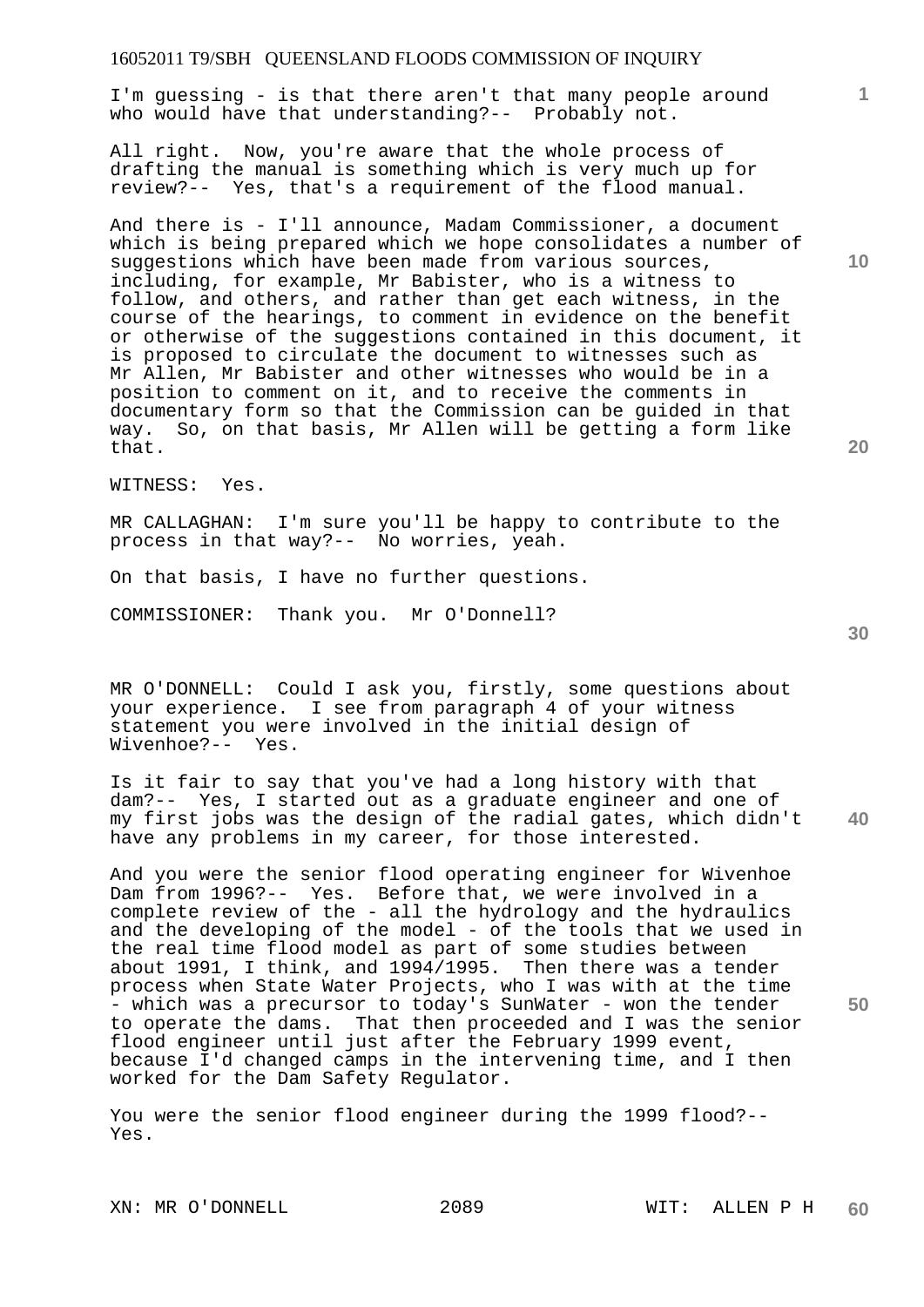I'm guessing - is that there aren't that many people around who would have that understanding?-- Probably not.

All right. Now, you're aware that the whole process of drafting the manual is something which is very much up for review?-- Yes, that's a requirement of the flood manual.

And there is - I'll announce, Madam Commissioner, a document which is being prepared which we hope consolidates a number of suggestions which have been made from various sources, including, for example, Mr Babister, who is a witness to follow, and others, and rather than get each witness, in the course of the hearings, to comment in evidence on the benefit or otherwise of the suggestions contained in this document, it is proposed to circulate the document to witnesses such as Mr Allen, Mr Babister and other witnesses who would be in a position to comment on it, and to receive the comments in documentary form so that the Commission can be guided in that way. So, on that basis, Mr Allen will be getting a form like that.

WITNESS: Yes.

MR CALLAGHAN: I'm sure you'll be happy to contribute to the process in that way?-- No worries, yeah.

On that basis, I have no further questions.

COMMISSIONER: Thank you. Mr O'Donnell?

MR O'DONNELL: Could I ask you, firstly, some questions about your experience. I see from paragraph 4 of your witness statement you were involved in the initial design of Wivenhoe?-- Yes.

**40**  Is it fair to say that you've had a long history with that dam?-- Yes, I started out as a graduate engineer and one of my first jobs was the design of the radial gates, which didn't have any problems in my career, for those interested.

And you were the senior flood operating engineer for Wivenhoe Dam from 1996?-- Yes. Before that, we were involved in a complete review of the - all the hydrology and the hydraulics and the developing of the model - of the tools that we used in the real time flood model as part of some studies between about 1991, I think, and 1994/1995. Then there was a tender process when State Water Projects, who I was with at the time - which was a precursor to today's SunWater - won the tender to operate the dams. That then proceeded and I was the senior flood engineer until just after the February 1999 event, because I'd changed camps in the intervening time, and I then worked for the Dam Safety Regulator.

You were the senior flood engineer during the 1999 flood?-- Yes.

**10** 

**1**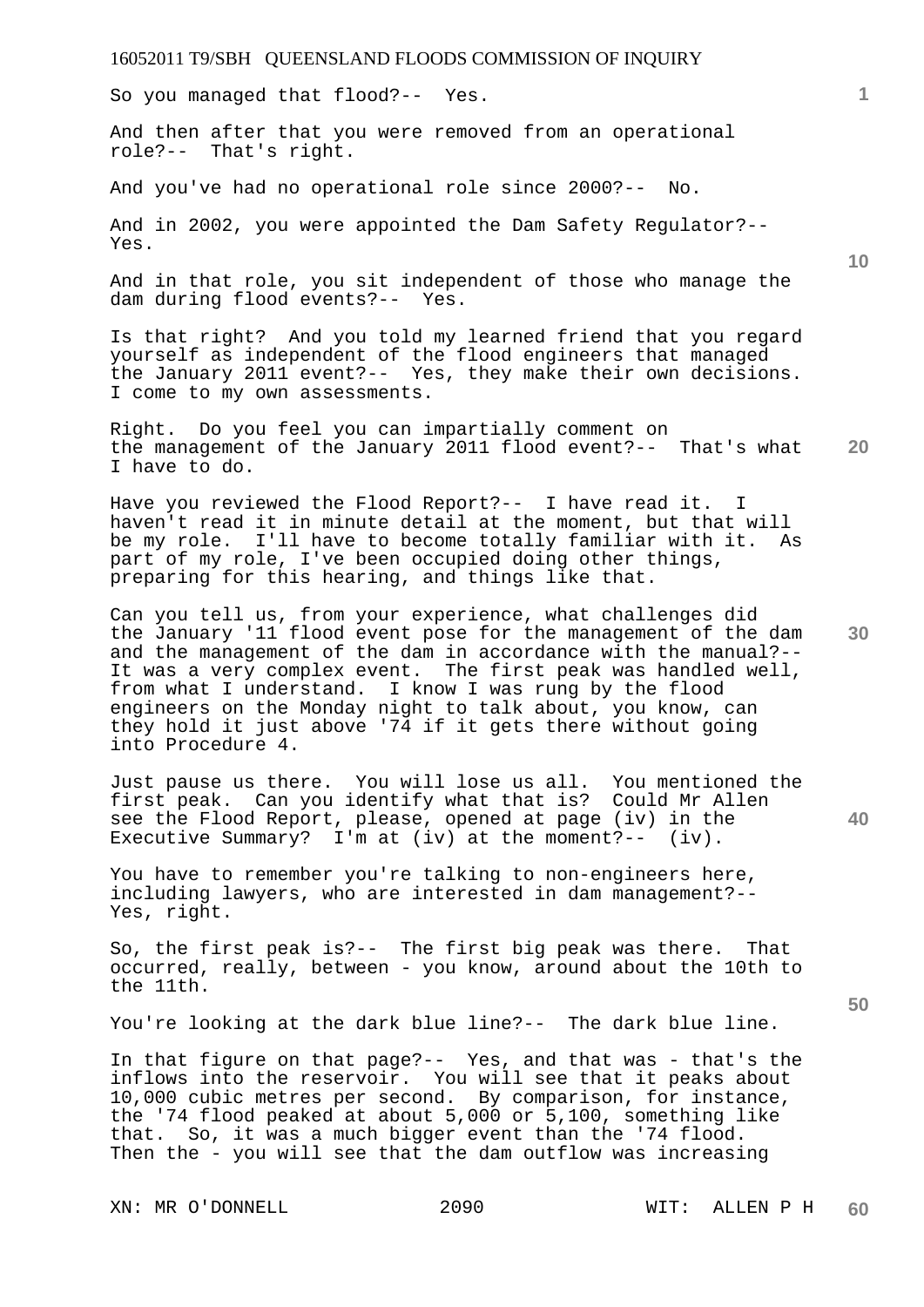So you managed that flood?-- Yes.

And then after that you were removed from an operational role?-- That's right.

And you've had no operational role since 2000?-- No.

And in 2002, you were appointed the Dam Safety Regulator?-- Yes.

And in that role, you sit independent of those who manage the dam during flood events?-- Yes.

Is that right? And you told my learned friend that you regard yourself as independent of the flood engineers that managed the January 2011 event?-- Yes, they make their own decisions. I come to my own assessments.

**20**  Right. Do you feel you can impartially comment on the management of the January 2011 flood event?-- That's what I have to do.

Have you reviewed the Flood Report?-- I have read it. I haven't read it in minute detail at the moment, but that will be my role. I'll have to become totally familiar with it. As part of my role, I've been occupied doing other things, preparing for this hearing, and things like that.

**30**  Can you tell us, from your experience, what challenges did the January '11 flood event pose for the management of the dam and the management of the dam in accordance with the manual?-- It was a very complex event. The first peak was handled well, from what I understand. I know I was rung by the flood engineers on the Monday night to talk about, you know, can they hold it just above '74 if it gets there without going into Procedure 4.

**40**  Just pause us there. You will lose us all. You mentioned the first peak. Can you identify what that is? Could Mr Allen see the Flood Report, please, opened at page (iv) in the Executive Summary? I'm at (iv) at the moment?-- (iv).

You have to remember you're talking to non-engineers here, including lawyers, who are interested in dam management?-- Yes, right.

So, the first peak is?-- The first big peak was there. That occurred, really, between - you know, around about the 10th to the 11th.

You're looking at the dark blue line?-- The dark blue line.

In that figure on that page?-- Yes, and that was - that's the inflows into the reservoir. You will see that it peaks about 10,000 cubic metres per second. By comparison, for instance, the '74 flood peaked at about 5,000 or 5,100, something like that. So, it was a much bigger event than the '74 flood. Then the - you will see that the dam outflow was increasing

**50**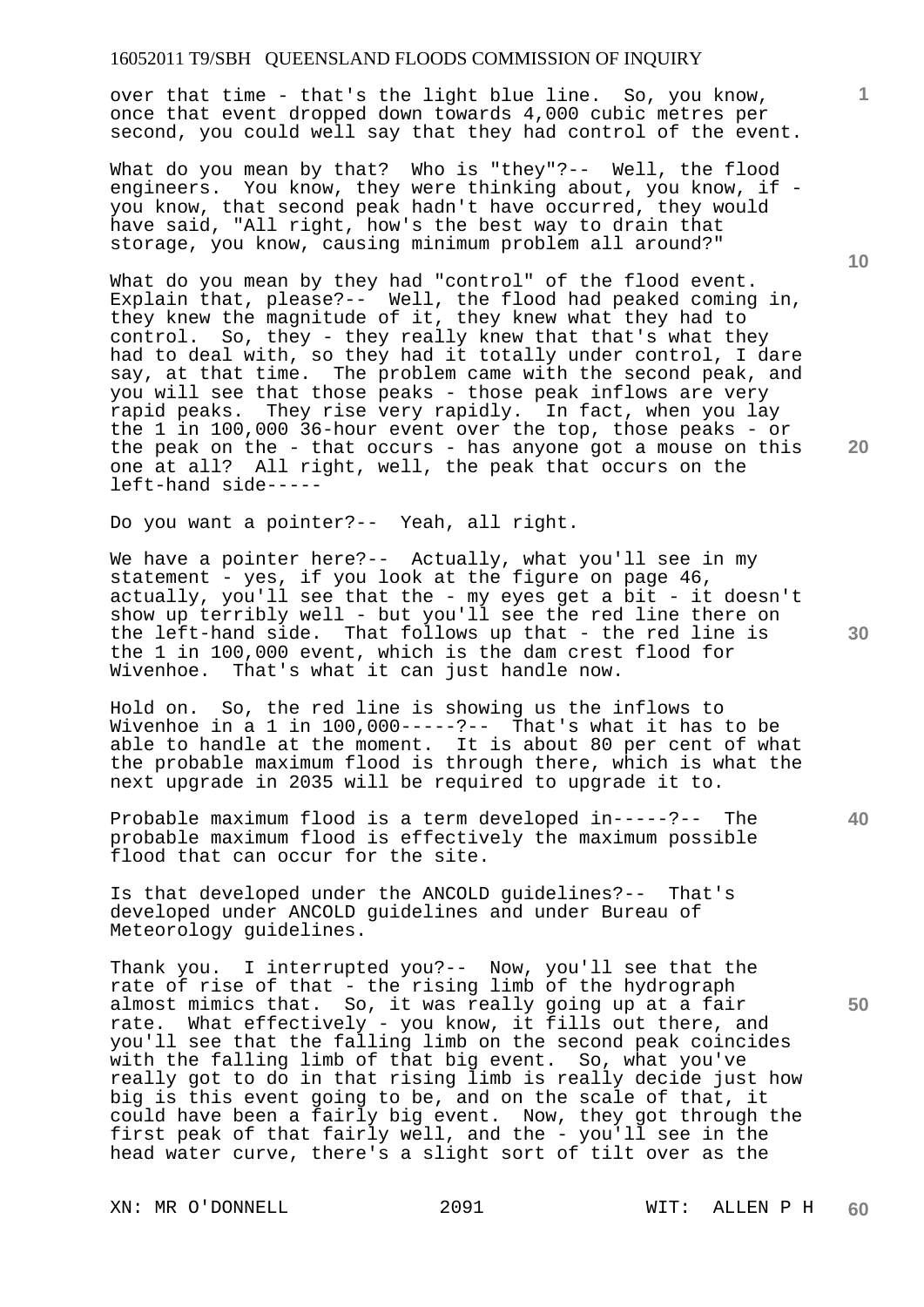over that time - that's the light blue line. So, you know, once that event dropped down towards 4,000 cubic metres per second, you could well say that they had control of the event.

What do you mean by that? Who is "they"?-- Well, the flood engineers. You know, they were thinking about, you know, if you know, that second peak hadn't have occurred, they would have said, "All right, how's the best way to drain that storage, you know, causing minimum problem all around?"

What do you mean by they had "control" of the flood event. Explain that, please?-- Well, the flood had peaked coming in, they knew the magnitude of it, they knew what they had to control. So, they - they really knew that that's what they had to deal with, so they had it totally under control, I dare say, at that time. The problem came with the second peak, and you will see that those peaks - those peak inflows are very rapid peaks. They rise very rapidly. In fact, when you lay the 1 in 100,000 36-hour event over the top, those peaks - or the peak on the - that occurs - has anyone got a mouse on this one at all? All right, well, the peak that occurs on the left-hand side-----

Do you want a pointer?-- Yeah, all right.

We have a pointer here?-- Actually, what you'll see in my statement - yes, if you look at the figure on page 46, actually, you'll see that the - my eyes get a bit - it doesn't show up terribly well - but you'll see the red line there on the left-hand side. That follows up that - the red line is the 1 in 100,000 event, which is the dam crest flood for Wivenhoe. That's what it can just handle now.

Hold on. So, the red line is showing us the inflows to Wivenhoe in a 1 in 100,000-----?-- That's what it has to be able to handle at the moment. It is about 80 per cent of what the probable maximum flood is through there, which is what the next upgrade in 2035 will be required to upgrade it to.

Probable maximum flood is a term developed in-----?-- The probable maximum flood is effectively the maximum possible flood that can occur for the site.

Is that developed under the ANCOLD guidelines?-- That's developed under ANCOLD guidelines and under Bureau of Meteorology guidelines.

Thank you. I interrupted you?-- Now, you'll see that the rate of rise of that - the rising limb of the hydrograph almost mimics that. So, it was really going up at a fair rate. What effectively - you know, it fills out there, and you'll see that the falling limb on the second peak coincides with the falling limb of that big event. So, what you've really got to do in that rising limb is really decide just how big is this event going to be, and on the scale of that, it could have been a fairly big event. Now, they got through the first peak of that fairly well, and the - you'll see in the head water curve, there's a slight sort of tilt over as the

XN: MR O'DONNELL 2091 WIT: ALLEN P H

**10** 

**1**

**20** 

**30** 

**40**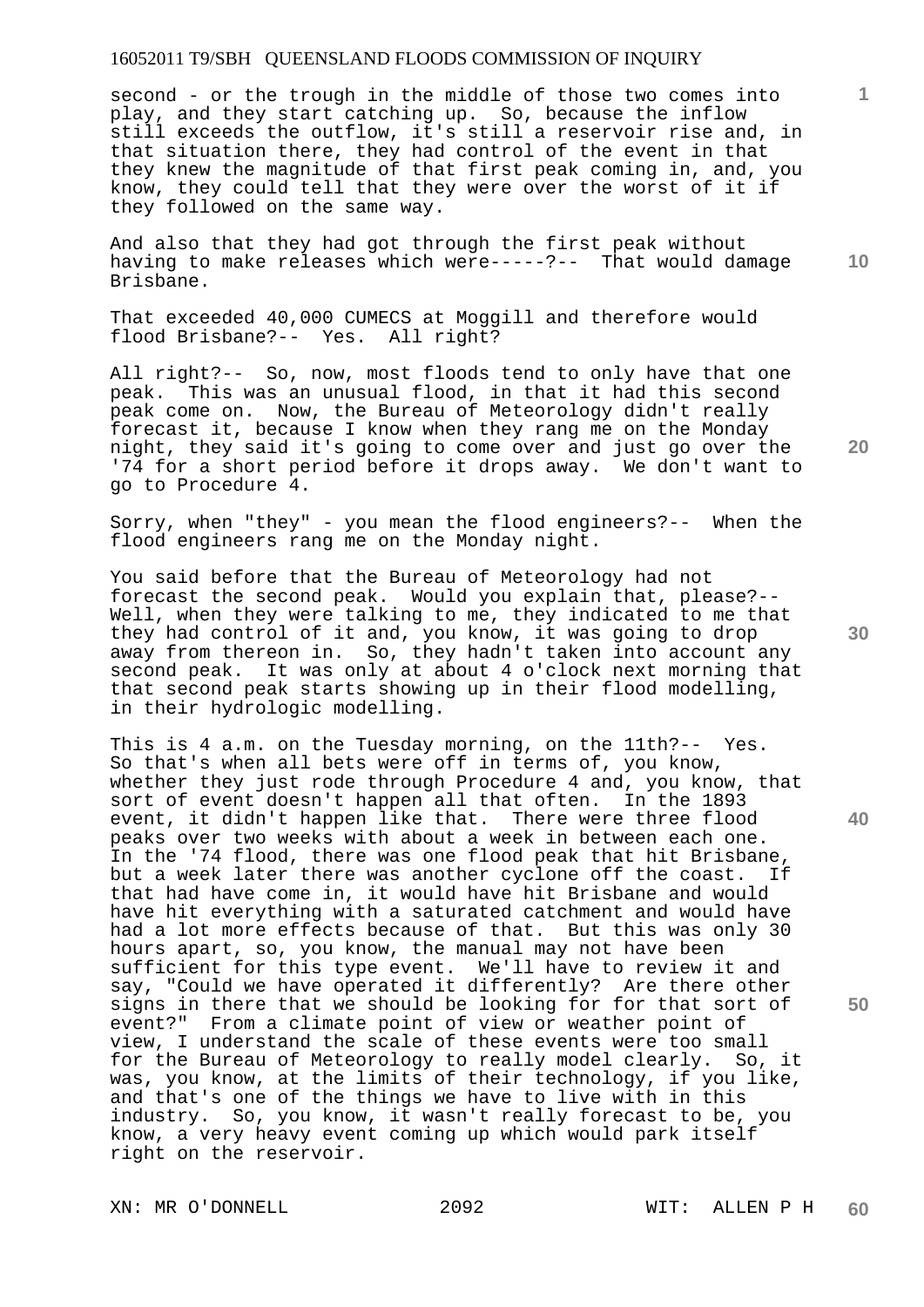second - or the trough in the middle of those two comes into play, and they start catching up. So, because the inflow still exceeds the outflow, it's still a reservoir rise and, in that situation there, they had control of the event in that they knew the magnitude of that first peak coming in, and, you know, they could tell that they were over the worst of it if they followed on the same way.

And also that they had got through the first peak without having to make releases which were-----?-- That would damage Brisbane.

That exceeded 40,000 CUMECS at Moggill and therefore would flood Brisbane?-- Yes. All right?

All right?-- So, now, most floods tend to only have that one peak. This was an unusual flood, in that it had this second peak come on. Now, the Bureau of Meteorology didn't really forecast it, because I know when they rang me on the Monday night, they said it's going to come over and just go over the '74 for a short period before it drops away. We don't want to go to Procedure 4.

Sorry, when "they" - you mean the flood engineers?-- When the flood engineers rang me on the Monday night.

You said before that the Bureau of Meteorology had not forecast the second peak. Would you explain that, please?-- Well, when they were talking to me, they indicated to me that they had control of it and, you know, it was going to drop away from thereon in. So, they hadn't taken into account any second peak. It was only at about 4 o'clock next morning that that second peak starts showing up in their flood modelling, in their hydrologic modelling.

This is 4 a.m. on the Tuesday morning, on the 11th?-- Yes. So that's when all bets were off in terms of, you know, whether they just rode through Procedure 4 and, you know, that sort of event doesn't happen all that often. In the 1893 event, it didn't happen like that. There were three flood peaks over two weeks with about a week in between each one. In the '74 flood, there was one flood peak that hit Brisbane, but a week later there was another cyclone off the coast. If that had have come in, it would have hit Brisbane and would have hit everything with a saturated catchment and would have had a lot more effects because of that. But this was only 30 hours apart, so, you know, the manual may not have been sufficient for this type event. We'll have to review it and say, "Could we have operated it differently? Are there other signs in there that we should be looking for for that sort of event?" From a climate point of view or weather point of view, I understand the scale of these events were too small for the Bureau of Meteorology to really model clearly. So, it was, you know, at the limits of their technology, if you like, and that's one of the things we have to live with in this industry. So, you know, it wasn't really forecast to be, you know, a very heavy event coming up which would park itself right on the reservoir.

**20** 

**40** 

**50** 

**30** 

**10**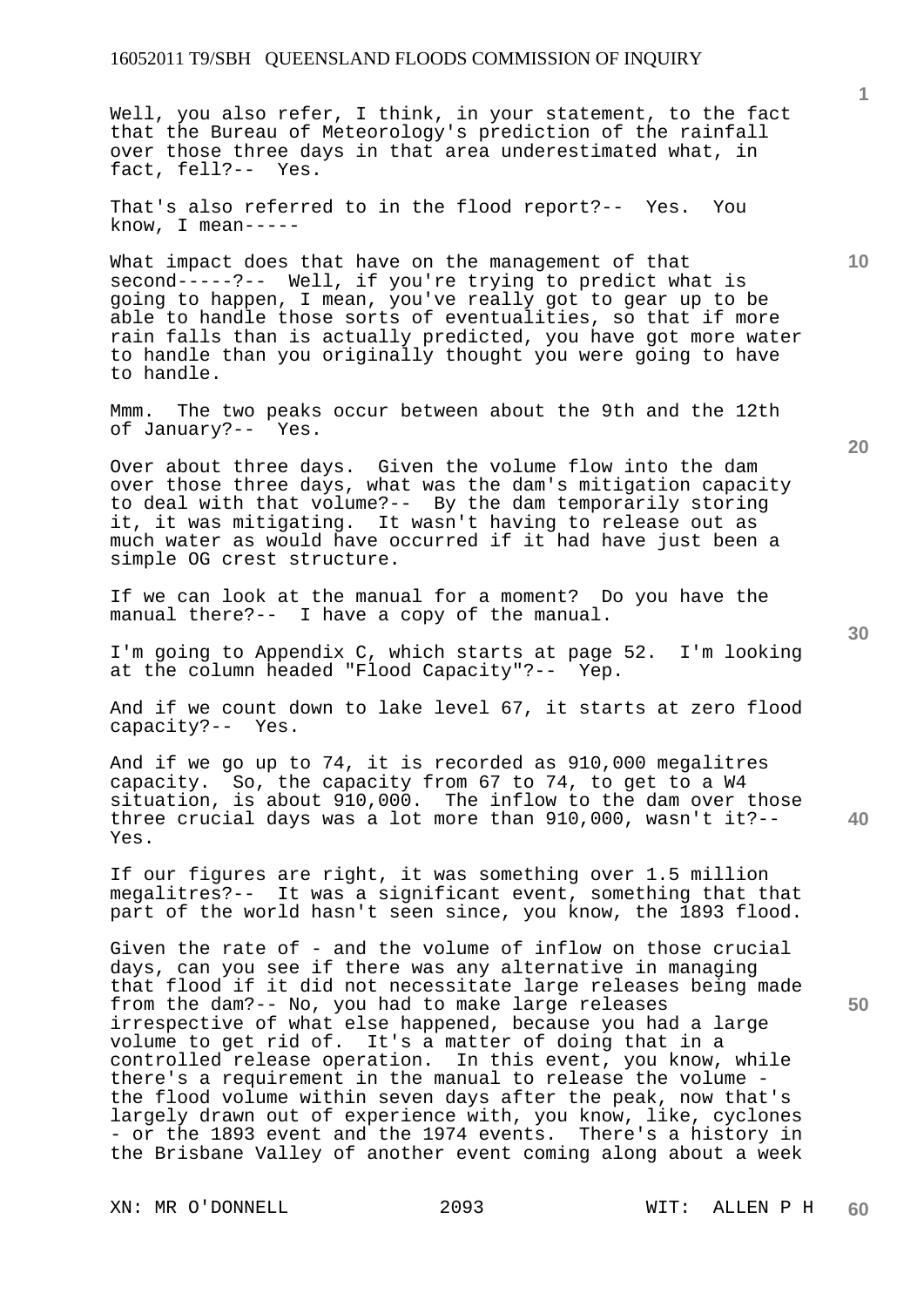### 16052011 T9/SBH QUEENSLAND FLOODS COMMISSION OF INQUIRY

Well, you also refer, I think, in your statement, to the fact that the Bureau of Meteorology's prediction of the rainfall over those three days in that area underestimated what, in fact, fell?-- Yes.

That's also referred to in the flood report?-- Yes. You know, I mean-----

What impact does that have on the management of that second-----?-- Well, if you're trying to predict what is going to happen, I mean, you've really got to gear up to be able to handle those sorts of eventualities, so that if more rain falls than is actually predicted, you have got more water to handle than you originally thought you were going to have to handle.

Mmm. The two peaks occur between about the 9th and the 12th of January?-- Yes.

Over about three days. Given the volume flow into the dam over those three days, what was the dam's mitigation capacity to deal with that volume?-- By the dam temporarily storing it, it was mitigating. It wasn't having to release out as much water as would have occurred if it had have just been a simple OG crest structure.

If we can look at the manual for a moment? Do you have the manual there?-- I have a copy of the manual.

I'm going to Appendix C, which starts at page 52. I'm looking at the column headed "Flood Capacity"?-- Yep.

And if we count down to lake level 67, it starts at zero flood capacity?-- Yes.

And if we go up to 74, it is recorded as 910,000 megalitres capacity. So, the capacity from 67 to 74, to get to a W4 situation, is about 910,000. The inflow to the dam over those three crucial days was a lot more than 910,000, wasn't it?-- Yes.

If our figures are right, it was something over 1.5 million megalitres?-- It was a significant event, something that that part of the world hasn't seen since, you know, the 1893 flood.

Given the rate of - and the volume of inflow on those crucial days, can you see if there was any alternative in managing that flood if it did not necessitate large releases being made from the dam?-- No, you had to make large releases irrespective of what else happened, because you had a large volume to get rid of. It's a matter of doing that in a controlled release operation. In this event, you know, while there's a requirement in the manual to release the volume the flood volume within seven days after the peak, now that's largely drawn out of experience with, you know, like, cyclones - or the 1893 event and the 1974 events. There's a history in the Brisbane Valley of another event coming along about a week

XN: MR O'DONNELL 2093 WIT: ALLEN P H

**20** 

**50** 

**30** 

**10**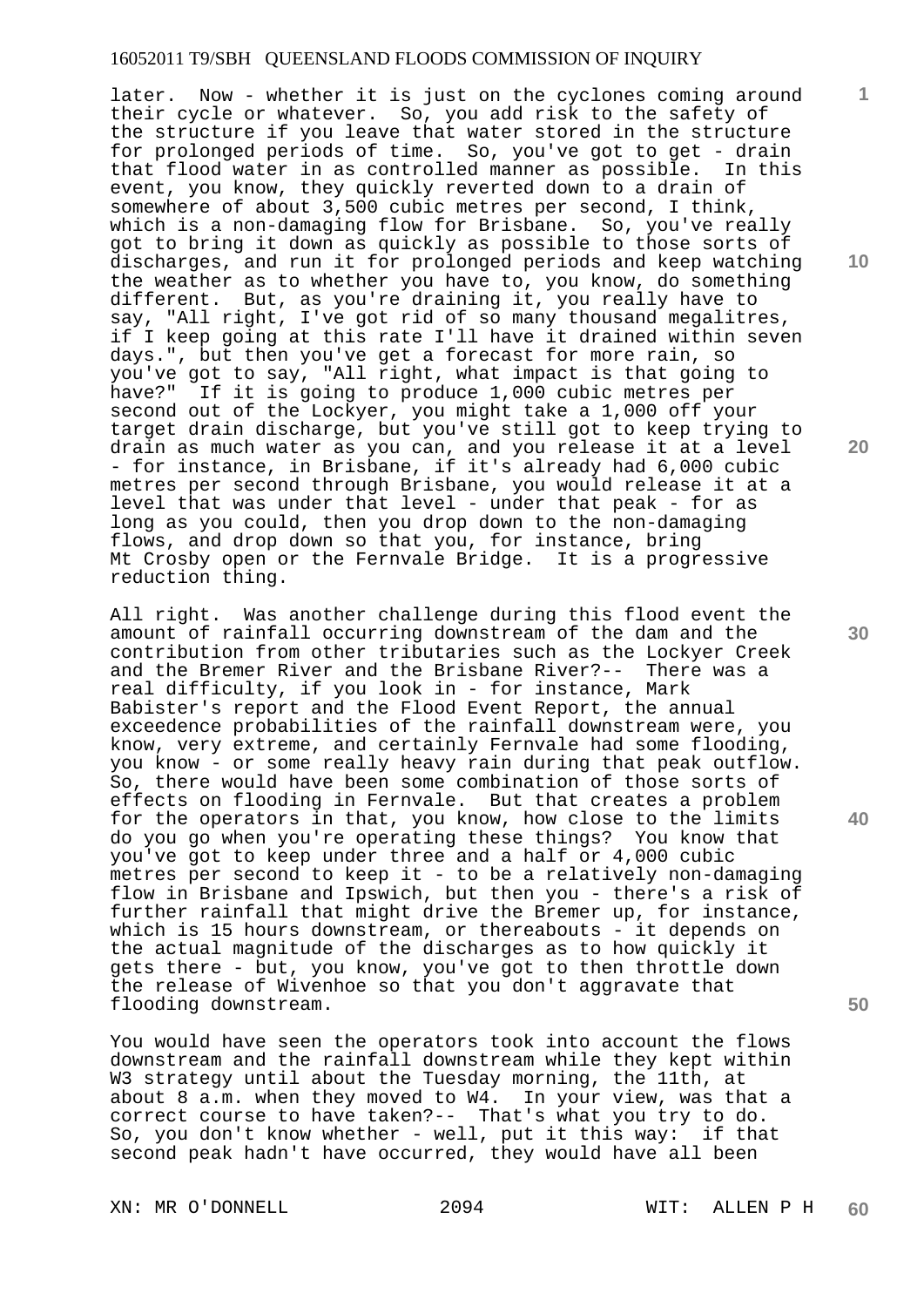#### 16052011 T9/SBH QUEENSLAND FLOODS COMMISSION OF INQUIRY

later. Now - whether it is just on the cyclones coming around their cycle or whatever. So, you add risk to the safety of the structure if you leave that water stored in the structure for prolonged periods of time. So, you've got to get - drain that flood water in as controlled manner as possible. In this event, you know, they quickly reverted down to a drain of somewhere of about 3,500 cubic metres per second, I think, which is a non-damaging flow for Brisbane. So, you've really got to bring it down as quickly as possible to those sorts of discharges, and run it for prolonged periods and keep watching the weather as to whether you have to, you know, do something different. But, as you're draining it, you really have to say, "All right, I've got rid of so many thousand megalitres, if I keep going at this rate I'll have it drained within seven days.", but then you've get a forecast for more rain, so you've got to say, "All right, what impact is that going to have?" If it is going to produce 1,000 cubic metres per second out of the Lockyer, you might take a 1,000 off your target drain discharge, but you've still got to keep trying to drain as much water as you can, and you release it at a level - for instance, in Brisbane, if it's already had 6,000 cubic metres per second through Brisbane, you would release it at a level that was under that level - under that peak - for as long as you could, then you drop down to the non-damaging flows, and drop down so that you, for instance, bring Mt Crosby open or the Fernvale Bridge. It is a progressive reduction thing.

All right. Was another challenge during this flood event the amount of rainfall occurring downstream of the dam and the contribution from other tributaries such as the Lockyer Creek and the Bremer River and the Brisbane River?-- There was a real difficulty, if you look in - for instance, Mark Babister's report and the Flood Event Report, the annual exceedence probabilities of the rainfall downstream were, you know, very extreme, and certainly Fernvale had some flooding, you know - or some really heavy rain during that peak outflow. So, there would have been some combination of those sorts of effects on flooding in Fernvale. But that creates a problem for the operators in that, you know, how close to the limits do you go when you're operating these things? You know that you've got to keep under three and a half or 4,000 cubic metres per second to keep it - to be a relatively non-damaging flow in Brisbane and Ipswich, but then you - there's a risk of further rainfall that might drive the Bremer up, for instance, which is 15 hours downstream, or thereabouts - it depends on the actual magnitude of the discharges as to how quickly it gets there - but, you know, you've got to then throttle down the release of Wivenhoe so that you don't aggravate that flooding downstream.

You would have seen the operators took into account the flows downstream and the rainfall downstream while they kept within W3 strategy until about the Tuesday morning, the 11th, at about 8 a.m. when they moved to W4. In your view, was that a correct course to have taken?-- That's what you try to do. So, you don't know whether - well, put it this way: if that second peak hadn't have occurred, they would have all been

XN: MR O'DONNELL 2094 WIT: ALLEN P H

**10** 

**1**

**20** 

**30** 

**50**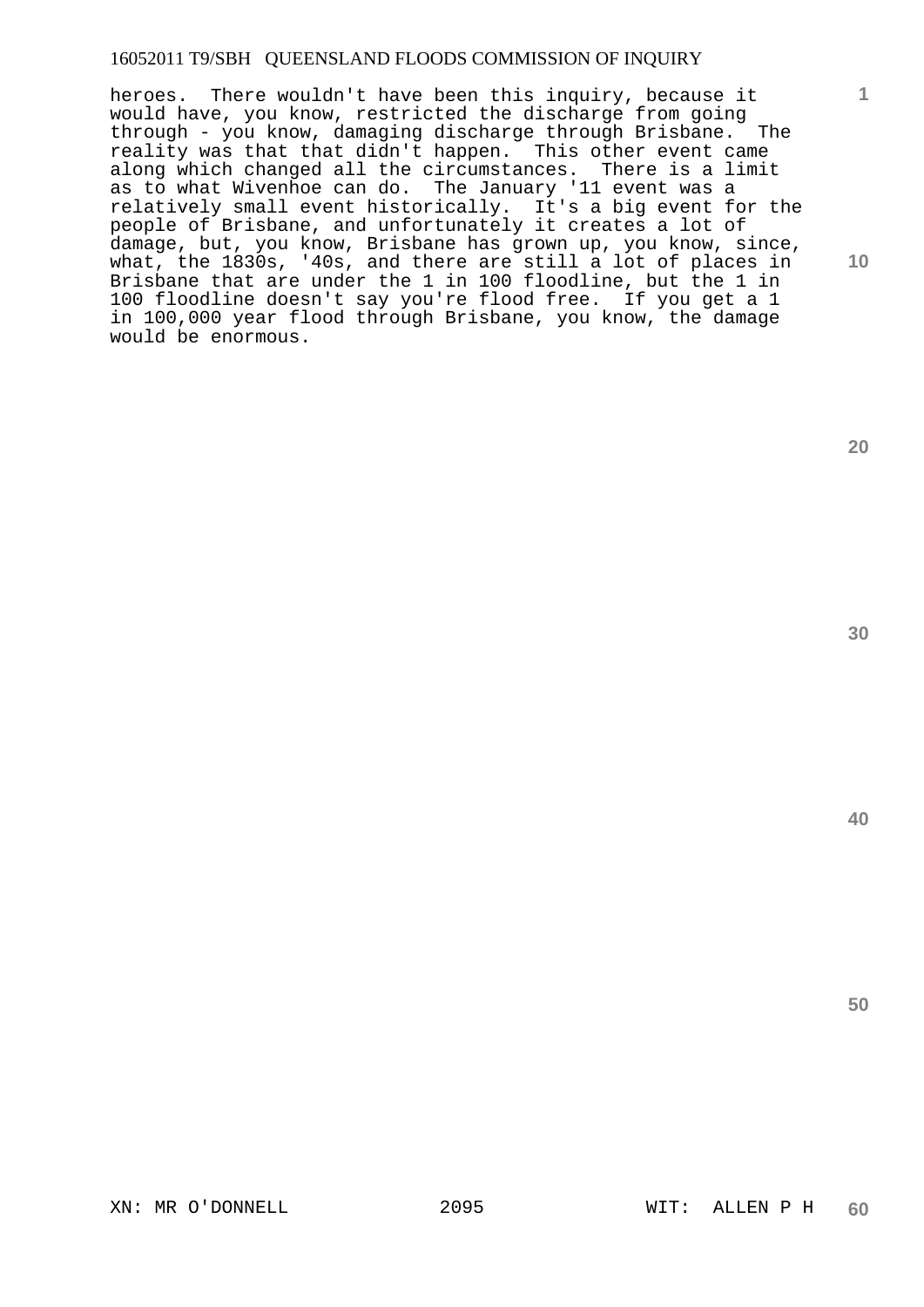## 16052011 T9/SBH QUEENSLAND FLOODS COMMISSION OF INQUIRY

heroes. There wouldn't have been this inquiry, because it would have, you know, restricted the discharge from going<br>through - you know, damaging discharge through Brisbane. The through - you know, damaging discharge through Brisbane. reality was that that didn't happen. This other event came along which changed all the circumstances. There is a limit as to what Wivenhoe can do. The January '11 event was a relatively small event historically. It's a big event for the people of Brisbane, and unfortunately it creates a lot of damage, but, you know, Brisbane has grown up, you know, since, what, the 1830s, '40s, and there are still a lot of places in Brisbane that are under the 1 in 100 floodline, but the 1 in 100 floodline doesn't say you're flood free. If you get a 1 in 100,000 year flood through Brisbane, you know, the damage would be enormous.

**20** 

**1**

**10** 

**40**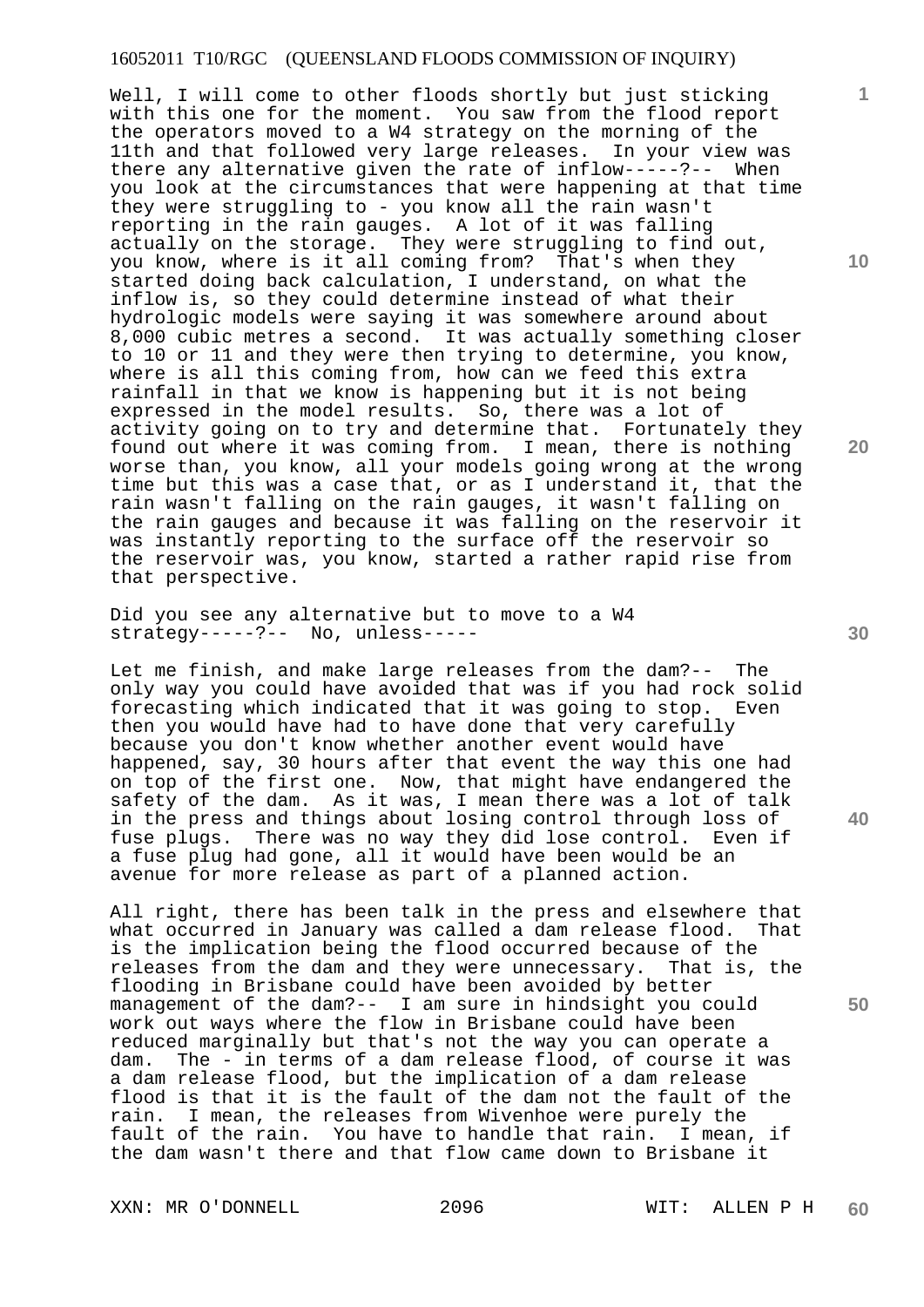Well, I will come to other floods shortly but just sticking with this one for the moment. You saw from the flood report the operators moved to a W4 strategy on the morning of the 11th and that followed very large releases. In your view was there any alternative given the rate of inflow-----?-- When you look at the circumstances that were happening at that time they were struggling to - you know all the rain wasn't reporting in the rain gauges. A lot of it was falling actually on the storage. They were struggling to find out, you know, where is it all coming from? That's when they started doing back calculation, I understand, on what the inflow is, so they could determine instead of what their hydrologic models were saying it was somewhere around about 8,000 cubic metres a second. It was actually something closer to 10 or 11 and they were then trying to determine, you know, where is all this coming from, how can we feed this extra rainfall in that we know is happening but it is not being expressed in the model results. So, there was a lot of activity going on to try and determine that. Fortunately they found out where it was coming from. I mean, there is nothing worse than, you know, all your models going wrong at the wrong time but this was a case that, or as I understand it, that the rain wasn't falling on the rain gauges, it wasn't falling on the rain gauges and because it was falling on the reservoir it was instantly reporting to the surface off the reservoir so the reservoir was, you know, started a rather rapid rise from that perspective.

Did you see any alternative but to move to a W4 strategy-----?-- No, unless-----

Let me finish, and make large releases from the dam?-- The only way you could have avoided that was if you had rock solid forecasting which indicated that it was going to stop. Even then you would have had to have done that very carefully because you don't know whether another event would have happened, say, 30 hours after that event the way this one had on top of the first one. Now, that might have endangered the safety of the dam. As it was, I mean there was a lot of talk in the press and things about losing control through loss of fuse plugs. There was no way they did lose control. Even if a fuse plug had gone, all it would have been would be an avenue for more release as part of a planned action.

All right, there has been talk in the press and elsewhere that what occurred in January was called a dam release flood. That is the implication being the flood occurred because of the releases from the dam and they were unnecessary. That is, the flooding in Brisbane could have been avoided by better management of the dam?-- I am sure in hindsight you could work out ways where the flow in Brisbane could have been reduced marginally but that's not the way you can operate a dam. The - in terms of a dam release flood, of course it was a dam release flood, but the implication of a dam release flood is that it is the fault of the dam not the fault of the rain. I mean, the releases from Wivenhoe were purely the fault of the rain. You have to handle that rain. I mean, if the dam wasn't there and that flow came down to Brisbane it

XXN: MR O'DONNELL 2096 WIT: ALLEN P H

**60** 

**40** 

**50** 

**20** 

**10**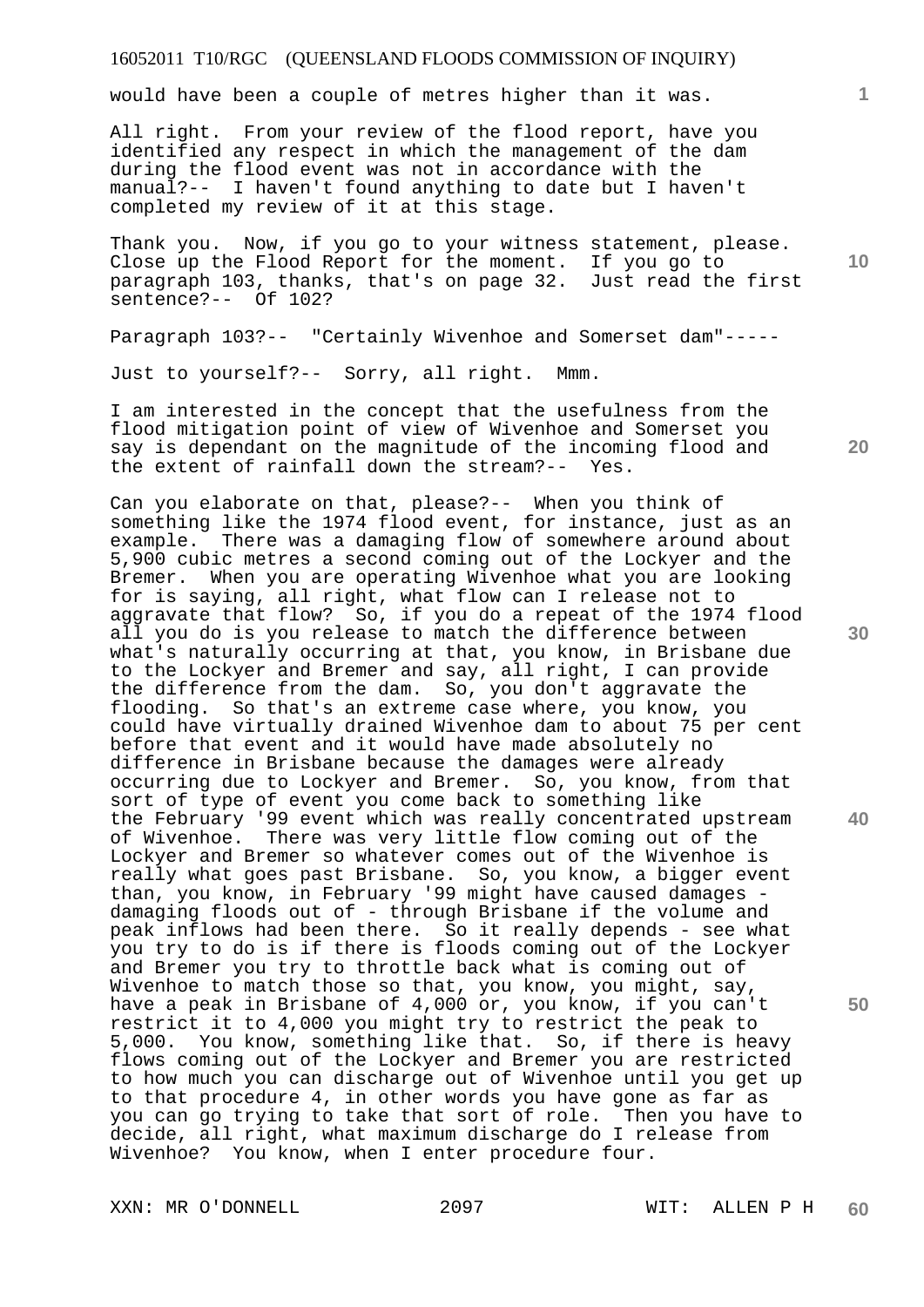would have been a couple of metres higher than it was.

All right. From your review of the flood report, have you identified any respect in which the management of the dam during the flood event was not in accordance with the manual?-- I haven't found anything to date but I haven't completed my review of it at this stage.

Thank you. Now, if you go to your witness statement, please. Close up the Flood Report for the moment. If you go to paragraph 103, thanks, that's on page 32. Just read the first sentence?-- Of 102?

Paragraph 103?-- "Certainly Wivenhoe and Somerset dam"-----

Just to yourself?-- Sorry, all right. Mmm.

I am interested in the concept that the usefulness from the flood mitigation point of view of Wivenhoe and Somerset you say is dependant on the magnitude of the incoming flood and the extent of rainfall down the stream?-- Yes.

Can you elaborate on that, please?-- When you think of something like the 1974 flood event, for instance, just as an example. There was a damaging flow of somewhere around about 5,900 cubic metres a second coming out of the Lockyer and the Bremer. When you are operating Wivenhoe what you are looking for is saying, all right, what flow can I release not to aggravate that flow? So, if you do a repeat of the 1974 flood all you do is you release to match the difference between what's naturally occurring at that, you know, in Brisbane due to the Lockyer and Bremer and say, all right, I can provide the difference from the dam. So, you don't aggravate the flooding. So that's an extreme case where, you know, you could have virtually drained Wivenhoe dam to about 75 per cent before that event and it would have made absolutely no difference in Brisbane because the damages were already occurring due to Lockyer and Bremer. So, you know, from that sort of type of event you come back to something like the February '99 event which was really concentrated upstream of Wivenhoe. There was very little flow coming out of the Lockyer and Bremer so whatever comes out of the Wivenhoe is really what goes past Brisbane. So, you know, a bigger event than, you know, in February '99 might have caused damages damaging floods out of - through Brisbane if the volume and peak inflows had been there. So it really depends - see what you try to do is if there is floods coming out of the Lockyer and Bremer you try to throttle back what is coming out of Wivenhoe to match those so that, you know, you might, say, have a peak in Brisbane of 4,000 or, you know, if you can't restrict it to 4,000 you might try to restrict the peak to 5,000. You know, something like that. So, if there is heavy flows coming out of the Lockyer and Bremer you are restricted to how much you can discharge out of Wivenhoe until you get up to that procedure 4, in other words you have gone as far as you can go trying to take that sort of role. Then you have to decide, all right, what maximum discharge do I release from Wivenhoe? You know, when I enter procedure four.

XXN: MR O'DONNELL 2097 WIT: ALLEN P H

**20** 

**10** 

**1**

**30** 

**40**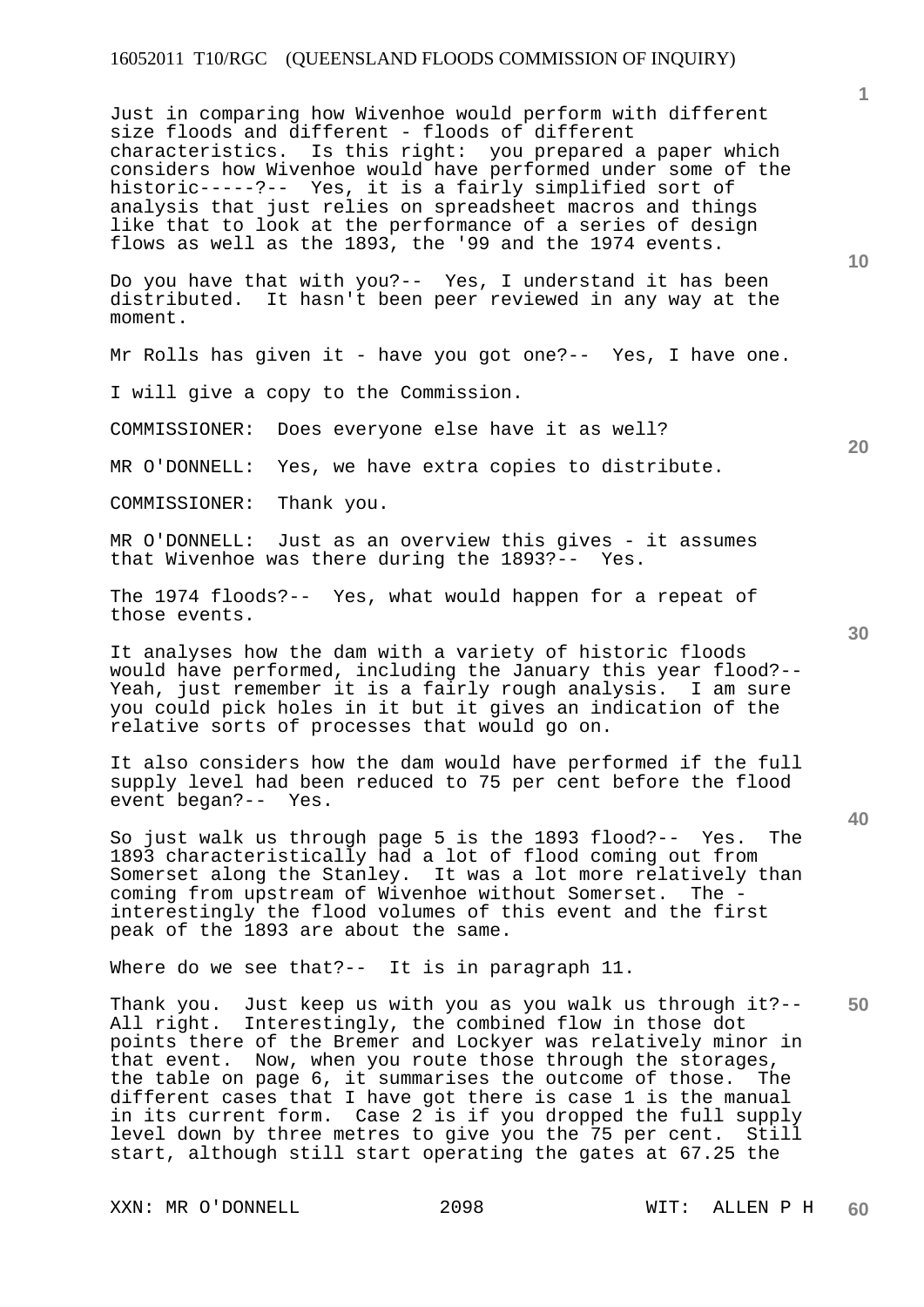Just in comparing how Wivenhoe would perform with different size floods and different - floods of different characteristics. Is this right: you prepared a paper which considers how Wivenhoe would have performed under some of the historic-----?-- Yes, it is a fairly simplified sort of analysis that just relies on spreadsheet macros and things like that to look at the performance of a series of design flows as well as the 1893, the '99 and the 1974 events.

Do you have that with you?-- Yes, I understand it has been distributed. It hasn't been peer reviewed in any way at the moment.

Mr Rolls has given it - have you got one?-- Yes, I have one.

I will give a copy to the Commission.

COMMISSIONER: Does everyone else have it as well?

MR O'DONNELL: Yes, we have extra copies to distribute.

COMMISSIONER: Thank you.

MR O'DONNELL: Just as an overview this gives - it assumes that Wivenhoe was there during the 1893?-- Yes.

The 1974 floods?-- Yes, what would happen for a repeat of those events.

It analyses how the dam with a variety of historic floods would have performed, including the January this year flood?-- Yeah, just remember it is a fairly rough analysis. I am sure you could pick holes in it but it gives an indication of the relative sorts of processes that would go on.

It also considers how the dam would have performed if the full supply level had been reduced to 75 per cent before the flood event began?-- Yes.

So just walk us through page 5 is the 1893 flood?-- Yes. The 1893 characteristically had a lot of flood coming out from Somerset along the Stanley. It was a lot more relatively than coming from upstream of Wivenhoe without Somerset. The interestingly the flood volumes of this event and the first peak of the 1893 are about the same.

Where do we see that?-- It is in paragraph 11.

**50**  Thank you. Just keep us with you as you walk us through it?-- All right. Interestingly, the combined flow in those dot points there of the Bremer and Lockyer was relatively minor in that event. Now, when you route those through the storages, the table on page 6, it summarises the outcome of those. The different cases that I have got there is case 1 is the manual in its current form. Case 2 is if you dropped the full supply level down by three metres to give you the 75 per cent. Still start, although still start operating the gates at 67.25 the

XXN: MR O'DONNELL 2098 WIT: ALLEN P H

**20** 

**10** 

**1**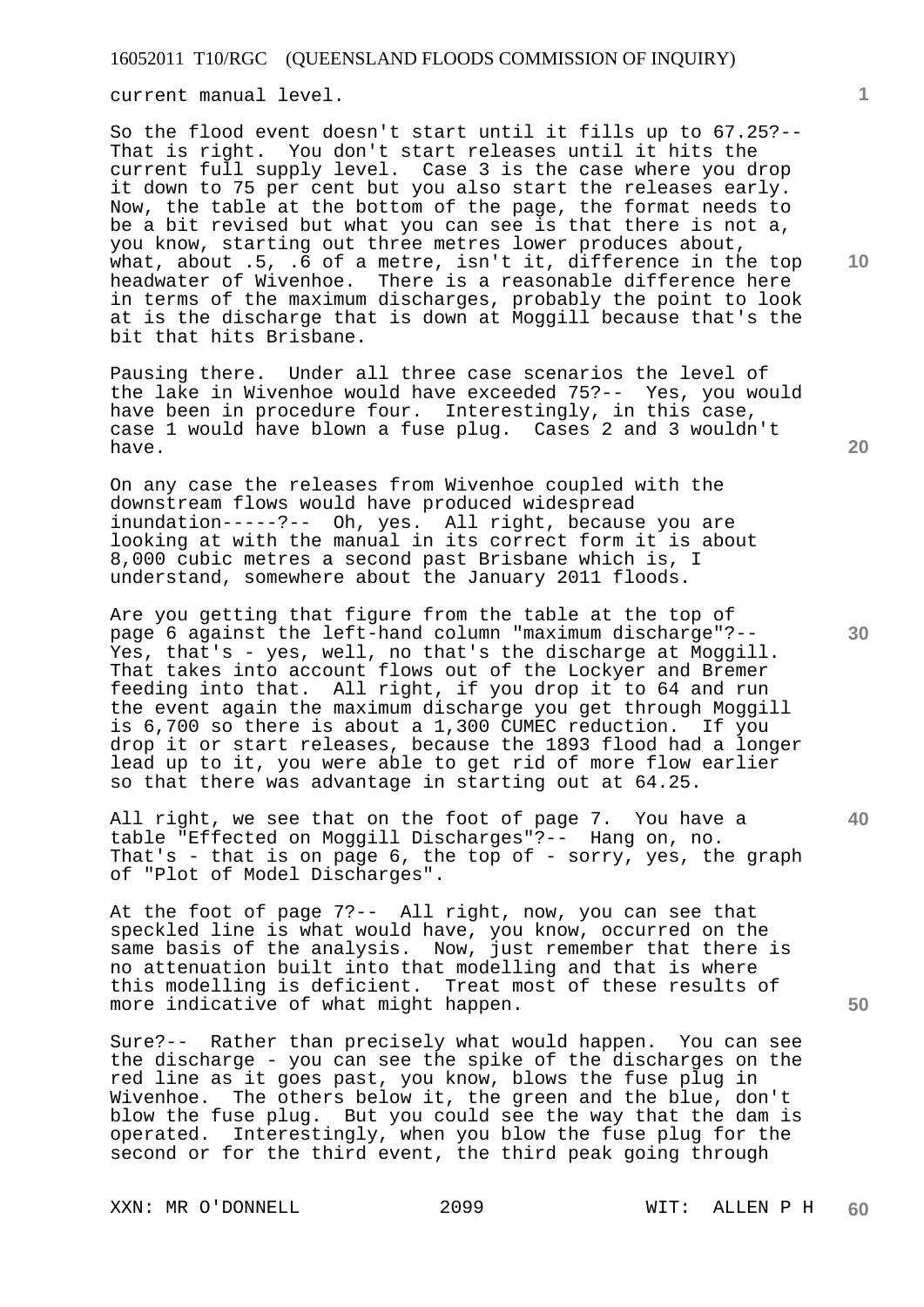current manual level.

So the flood event doesn't start until it fills up to 67.25?-- That is right. You don't start releases until it hits the current full supply level. Case 3 is the case where you drop it down to 75 per cent but you also start the releases early. Now, the table at the bottom of the page, the format needs to be a bit revised but what you can see is that there is not a, you know, starting out three metres lower produces about, what, about .5, .6 of a metre, isn't it, difference in the top headwater of Wivenhoe. There is a reasonable difference here in terms of the maximum discharges, probably the point to look at is the discharge that is down at Moggill because that's the bit that hits Brisbane.

Pausing there. Under all three case scenarios the level of the lake in Wivenhoe would have exceeded 75?-- Yes, you would have been in procedure four. Interestingly, in this case, case 1 would have blown a fuse plug. Cases 2 and 3 wouldn't have.

On any case the releases from Wivenhoe coupled with the downstream flows would have produced widespread inundation-----?-- Oh, yes. All right, because you are looking at with the manual in its correct form it is about 8,000 cubic metres a second past Brisbane which is, I understand, somewhere about the January 2011 floods.

Are you getting that figure from the table at the top of page 6 against the left-hand column "maximum discharge"?-- Yes, that's - yes, well, no that's the discharge at Moggill. That takes into account flows out of the Lockyer and Bremer feeding into that. All right, if you drop it to 64 and run the event again the maximum discharge you get through Moggill is 6,700 so there is about a 1,300 CUMEC reduction. If you drop it or start releases, because the 1893 flood had a longer lead up to it, you were able to get rid of more flow earlier so that there was advantage in starting out at 64.25.

All right, we see that on the foot of page 7. You have a table "Effected on Moggill Discharges"?-- Hang on, no. That's - that is on page 6, the top of - sorry, yes, the graph of "Plot of Model Discharges".

At the foot of page 7?-- All right, now, you can see that speckled line is what would have, you know, occurred on the same basis of the analysis. Now, just remember that there is no attenuation built into that modelling and that is where this modelling is deficient. Treat most of these results of more indicative of what might happen.

Sure?-- Rather than precisely what would happen. You can see the discharge - you can see the spike of the discharges on the red line as it goes past, you know, blows the fuse plug in Wivenhoe. The others below it, the green and the blue, don't blow the fuse plug. But you could see the way that the dam is operated. Interestingly, when you blow the fuse plug for the second or for the third event, the third peak going through

XXN: MR O'DONNELL 2099 WIT: ALLEN P H

**10** 

**1**

**20** 

**30** 

**40**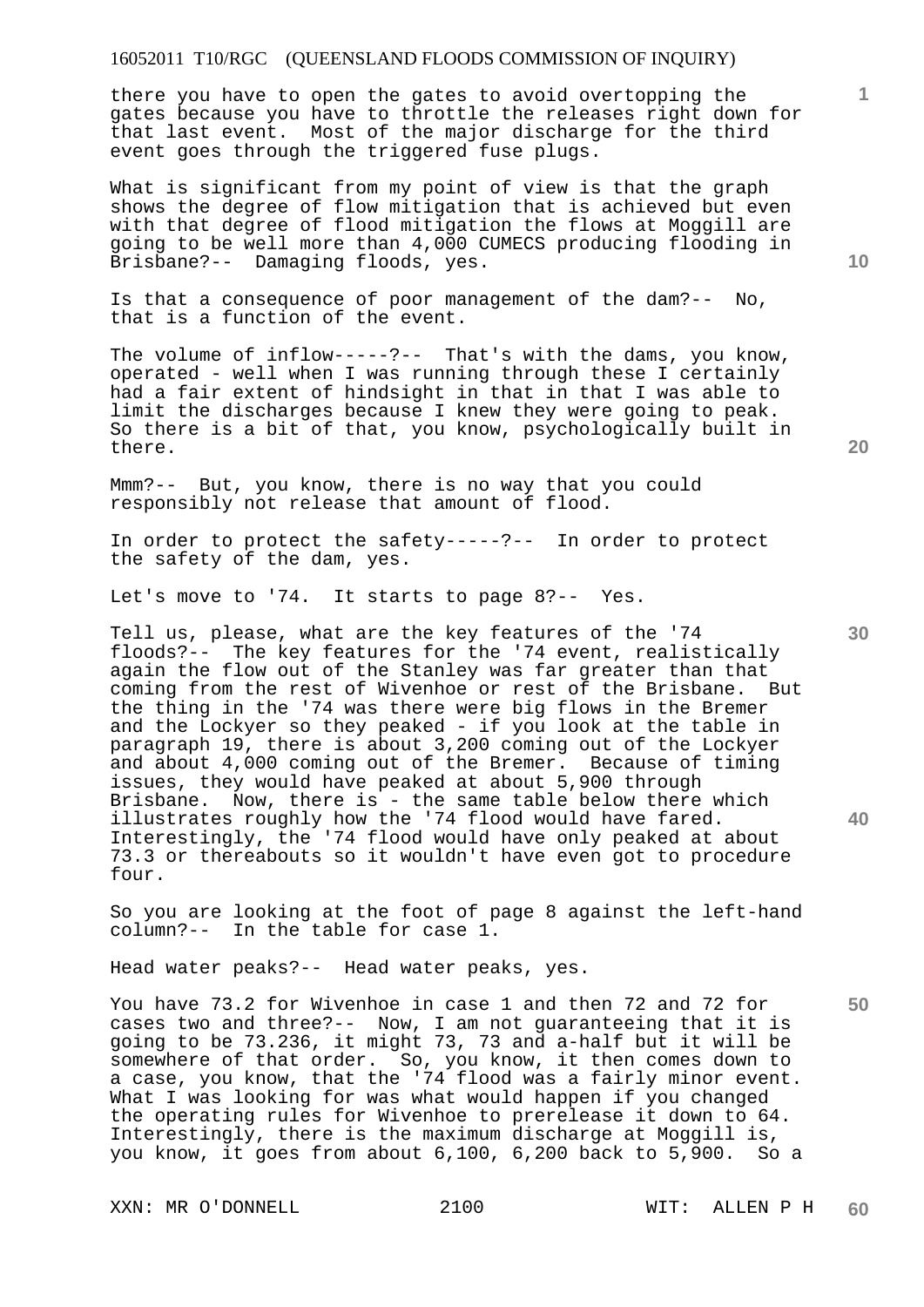there you have to open the gates to avoid overtopping the gates because you have to throttle the releases right down for that last event. Most of the major discharge for the third event goes through the triggered fuse plugs.

What is significant from my point of view is that the graph shows the degree of flow mitigation that is achieved but even with that degree of flood mitigation the flows at Moggill are going to be well more than 4,000 CUMECS producing flooding in Brisbane?-- Damaging floods, yes.

Is that a consequence of poor management of the dam?-- No, that is a function of the event.

The volume of inflow-----?-- That's with the dams, you know, operated - well when I was running through these I certainly had a fair extent of hindsight in that in that I was able to limit the discharges because I knew they were going to peak. So there is a bit of that, you know, psychologically built in there.

Mmm?-- But, you know, there is no way that you could responsibly not release that amount of flood.

In order to protect the safety-----?-- In order to protect the safety of the dam, yes.

Let's move to '74. It starts to page 8?-- Yes.

Tell us, please, what are the key features of the '74 floods?-- The key features for the '74 event, realistically again the flow out of the Stanley was far greater than that coming from the rest of Wivenhoe or rest of the Brisbane. But the thing in the '74 was there were big flows in the Bremer and the Lockyer so they peaked - if you look at the table in paragraph 19, there is about 3,200 coming out of the Lockyer and about  $4,000$  coming out of the Bremer. issues, they would have peaked at about 5,900 through Brisbane. Now, there is - the same table below there which illustrates roughly how the '74 flood would have fared. Interestingly, the '74 flood would have only peaked at about 73.3 or thereabouts so it wouldn't have even got to procedure four.

So you are looking at the foot of page 8 against the left-hand column?-- In the table for case 1.

Head water peaks?-- Head water peaks, yes.

You have 73.2 for Wivenhoe in case 1 and then 72 and 72 for cases two and three?-- Now, I am not guaranteeing that it is going to be 73.236, it might 73, 73 and a-half but it will be somewhere of that order. So, you know, it then comes down to a case, you know, that the '74 flood was a fairly minor event. What I was looking for was what would happen if you changed the operating rules for Wivenhoe to prerelease it down to 64. Interestingly, there is the maximum discharge at Moggill is, you know, it goes from about 6,100, 6,200 back to 5,900. So a

XXN: MR O'DONNELL 2100 WIT: ALLEN P H

**10** 

**1**

**20** 

**30** 

**40**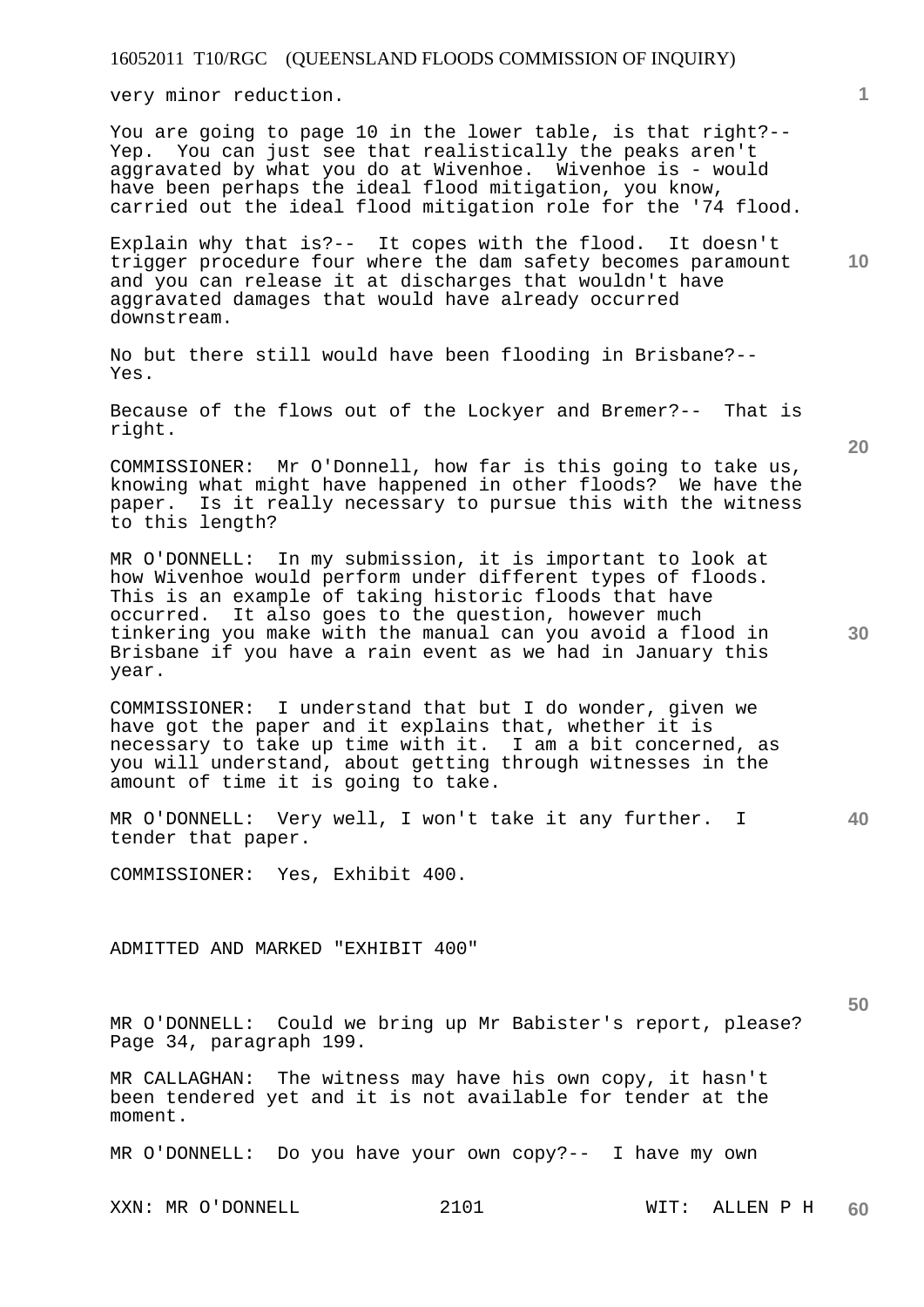very minor reduction.

You are going to page 10 in the lower table, is that right?-- Yep. You can just see that realistically the peaks aren't aggravated by what you do at Wivenhoe. Wivenhoe is - would have been perhaps the ideal flood mitigation, you know, carried out the ideal flood mitigation role for the '74 flood.

Explain why that is?-- It copes with the flood. It doesn't trigger procedure four where the dam safety becomes paramount and you can release it at discharges that wouldn't have aggravated damages that would have already occurred downstream.

No but there still would have been flooding in Brisbane?-- Yes.

Because of the flows out of the Lockyer and Bremer?-- That is right.

COMMISSIONER: Mr O'Donnell, how far is this going to take us, knowing what might have happened in other floods? We have the paper. Is it really necessary to pursue this with the witness to this length?

MR O'DONNELL: In my submission, it is important to look at how Wivenhoe would perform under different types of floods. This is an example of taking historic floods that have occurred. It also goes to the question, however much tinkering you make with the manual can you avoid a flood in Brisbane if you have a rain event as we had in January this year.

COMMISSIONER: I understand that but I do wonder, given we have got the paper and it explains that, whether it is necessary to take up time with it. I am a bit concerned, as you will understand, about getting through witnesses in the amount of time it is going to take.

**40**  MR O'DONNELL: Very well, I won't take it any further. I tender that paper.

COMMISSIONER: Yes, Exhibit 400.

ADMITTED AND MARKED "EXHIBIT 400"

MR O'DONNELL: Could we bring up Mr Babister's report, please? Page 34, paragraph 199.

MR CALLAGHAN: The witness may have his own copy, it hasn't been tendered yet and it is not available for tender at the moment.

MR O'DONNELL: Do you have your own copy?-- I have my own

XXN: MR O'DONNELL 2101 WIT: ALLEN P H

**60** 

**30** 

**50** 

**20**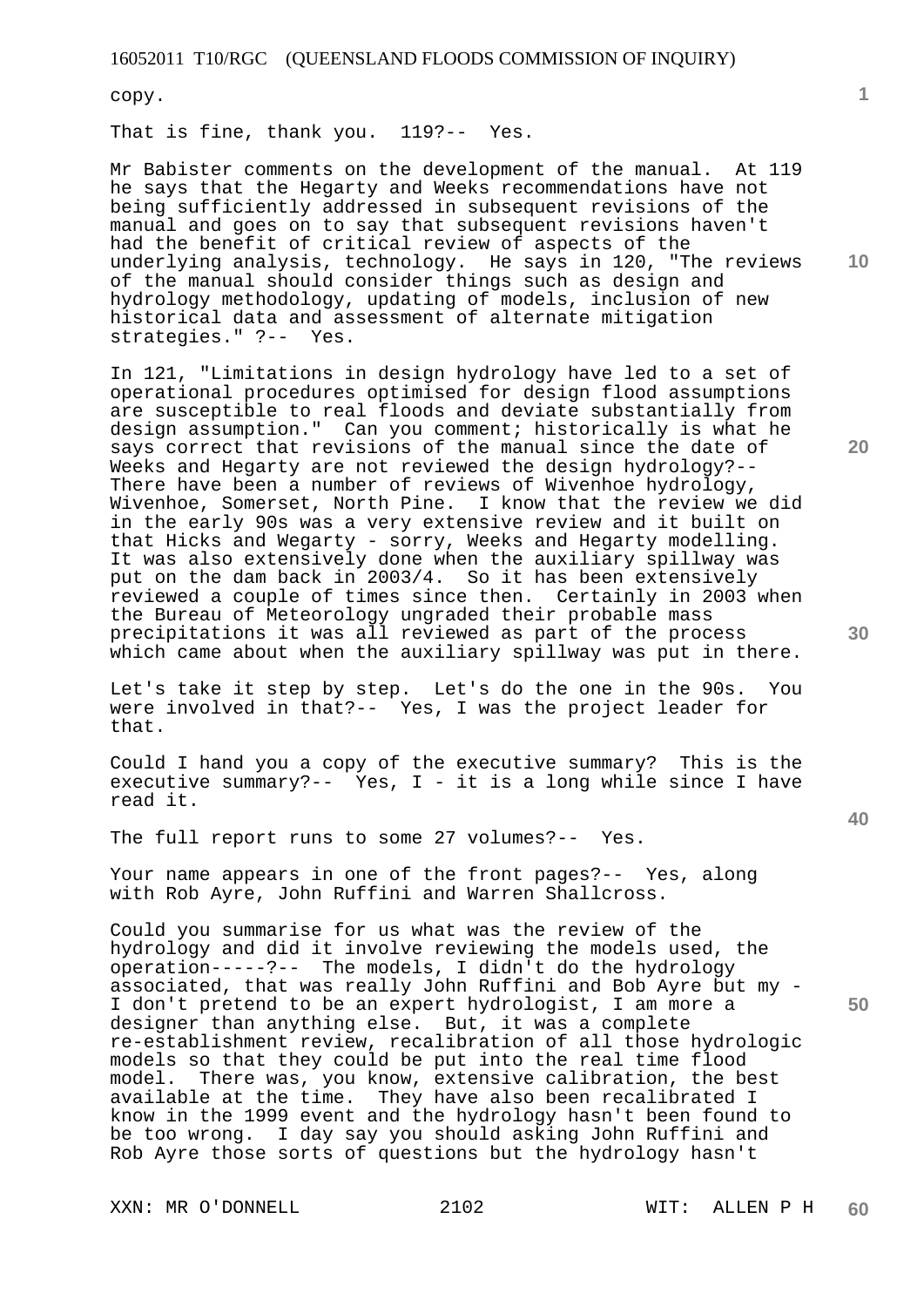copy.

That is fine, thank you. 119?-- Yes.

**10**  Mr Babister comments on the development of the manual. At 119 he says that the Hegarty and Weeks recommendations have not being sufficiently addressed in subsequent revisions of the manual and goes on to say that subsequent revisions haven't had the benefit of critical review of aspects of the underlying analysis, technology. He says in 120, "The reviews of the manual should consider things such as design and hydrology methodology, updating of models, inclusion of new historical data and assessment of alternate mitigation strategies." ?-- Yes.

In 121, "Limitations in design hydrology have led to a set of operational procedures optimised for design flood assumptions are susceptible to real floods and deviate substantially from design assumption." Can you comment; historically is what he says correct that revisions of the manual since the date of Weeks and Hegarty are not reviewed the design hydrology?-- There have been a number of reviews of Wivenhoe hydrology, Wivenhoe, Somerset, North Pine. I know that the review we did in the early 90s was a very extensive review and it built on that Hicks and Wegarty - sorry, Weeks and Hegarty modelling. It was also extensively done when the auxiliary spillway was put on the dam back in 2003/4. So it has been extensively reviewed a couple of times since then. Certainly in 2003 when the Bureau of Meteorology ungraded their probable mass precipitations it was all reviewed as part of the process which came about when the auxiliary spillway was put in there.

Let's take it step by step. Let's do the one in the 90s. You were involved in that?-- Yes, I was the project leader for that.

Could I hand you a copy of the executive summary? This is the executive summary?-- Yes,  $I - it$  it is a long while since I have read it.

The full report runs to some 27 volumes?-- Yes.

Your name appears in one of the front pages?-- Yes, along with Rob Ayre, John Ruffini and Warren Shallcross.

Could you summarise for us what was the review of the hydrology and did it involve reviewing the models used, the operation-----?-- The models, I didn't do the hydrology associated, that was really John Ruffini and Bob Ayre but my - I don't pretend to be an expert hydrologist, I am more a designer than anything else. But, it was a complete re-establishment review, recalibration of all those hydrologic models so that they could be put into the real time flood model. There was, you know, extensive calibration, the best available at the time. They have also been recalibrated I know in the 1999 event and the hydrology hasn't been found to be too wrong. I day say you should asking John Ruffini and Rob Ayre those sorts of questions but the hydrology hasn't

XXN: MR O'DONNELL 2102 WIT: ALLEN P H

**30** 

**20** 



**50**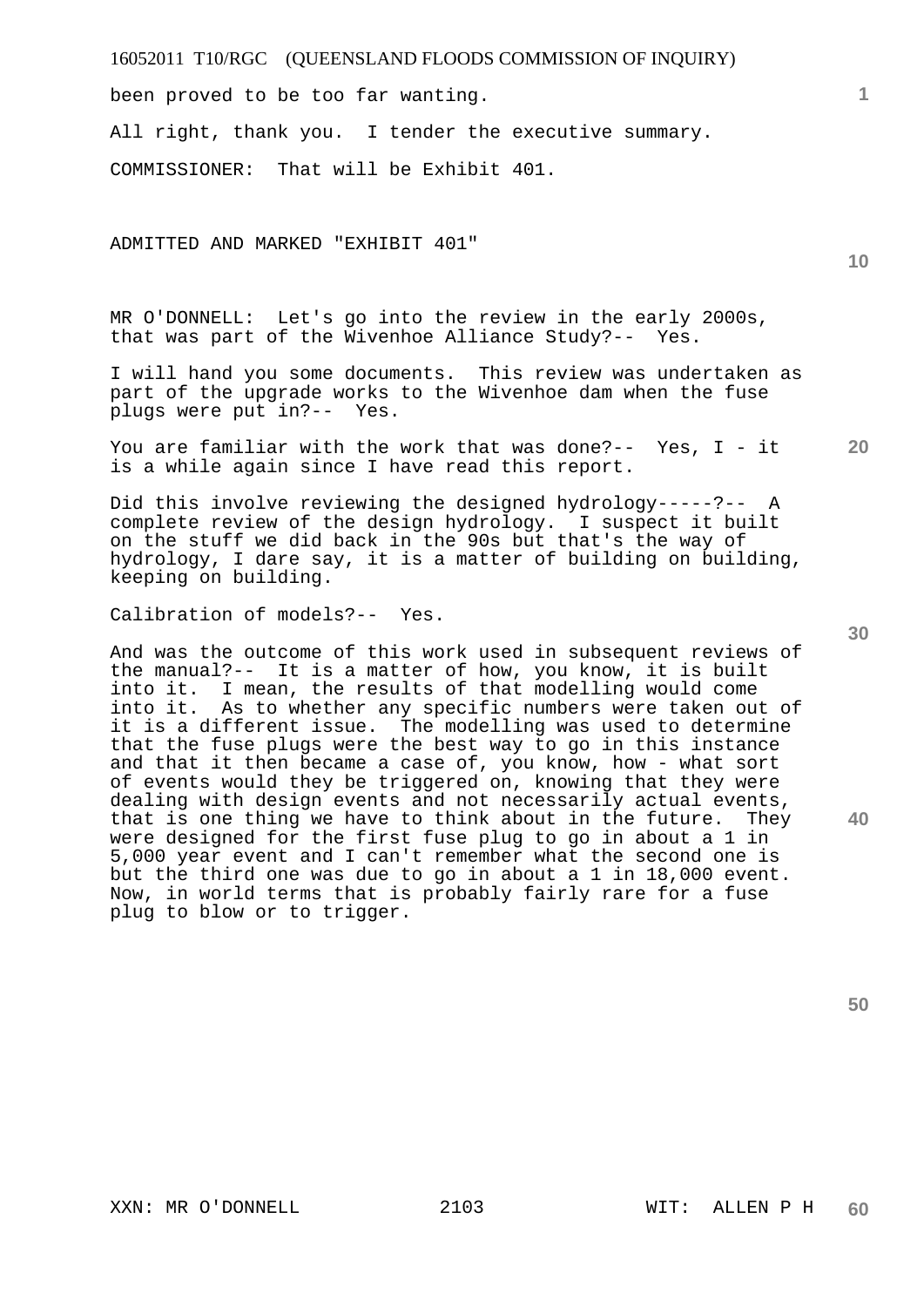been proved to be too far wanting.

All right, thank you. I tender the executive summary.

COMMISSIONER: That will be Exhibit 401.

ADMITTED AND MARKED "EXHIBIT 401"

MR O'DONNELL: Let's go into the review in the early 2000s, that was part of the Wivenhoe Alliance Study?-- Yes.

I will hand you some documents. This review was undertaken as part of the upgrade works to the Wivenhoe dam when the fuse plugs were put in?-- Yes.

**20**  You are familiar with the work that was done?-- Yes, I - it is a while again since I have read this report.

Did this involve reviewing the designed hydrology-----?-- A complete review of the design hydrology. I suspect it built on the stuff we did back in the 90s but that's the way of hydrology, I dare say, it is a matter of building on building, keeping on building.

Calibration of models?-- Yes.

And was the outcome of this work used in subsequent reviews of the manual?-- It is a matter of how, you know, it is built into it. I mean, the results of that modelling would come into it. As to whether any specific numbers were taken out of it is a different issue. The modelling was used to determine that the fuse plugs were the best way to go in this instance and that it then became a case of, you know, how - what sort of events would they be triggered on, knowing that they were dealing with design events and not necessarily actual events, that is one thing we have to think about in the future. They were designed for the first fuse plug to go in about a 1 in 5,000 year event and I can't remember what the second one is but the third one was due to go in about a 1 in 18,000 event. Now, in world terms that is probably fairly rare for a fuse plug to blow or to trigger.

**30** 

**1**

**10** 

**40**